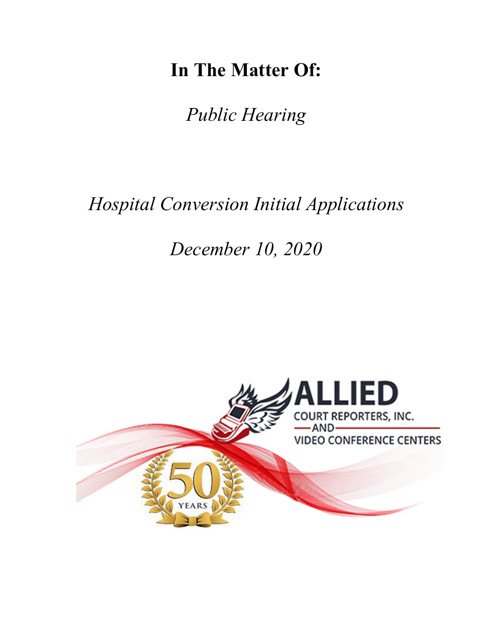**In The Matter Of:**

*Public Hearing*

*Hospital Conversion Initial Applications*

*December 10, 2020*

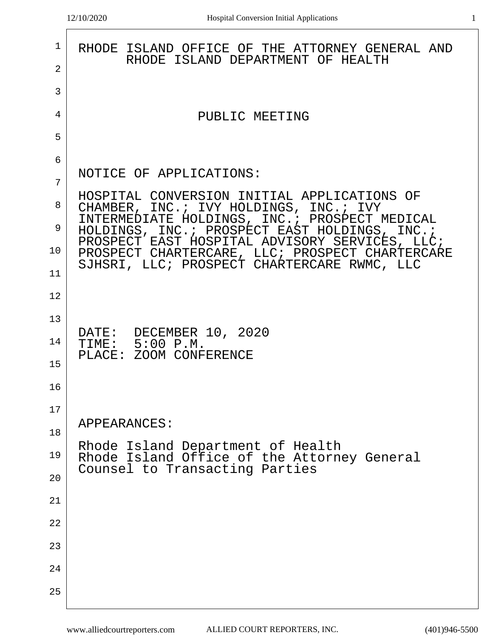| 1  | RHODE ISLAND OFFICE OF THE ATTORNEY GENERAL AND                                                                                           |
|----|-------------------------------------------------------------------------------------------------------------------------------------------|
| 2  | RHODE ISLAND DEPARTMENT OF HEALTH                                                                                                         |
| 3  |                                                                                                                                           |
| 4  | PUBLIC MEETING                                                                                                                            |
| 5  |                                                                                                                                           |
| 6  |                                                                                                                                           |
| 7  | NOTICE OF APPLICATIONS:                                                                                                                   |
| 8  | HOSPITAL CONVERSION INITIAL APPLICATIONS OF<br>CHAMBER, INC.; IVY HOLDINGS, INC.;<br>IVY<br>INTERMEDIATE HOLDINGS, INC.; PROSPECT MEDICAL |
| 9  | HOLDINGS, INC.; PROSPECT EAST HOLDINGS, INC.;<br>PROSPECT EAST HOSPITAL ADVISORY SERVICES, LLC;                                           |
| 10 | PROSPECT CHARTERCARE, LLC; PROSPECT CHARTERCARE<br>SJHSRI, LLC; PROSPECT CHARTERCARE RWMC, LLC                                            |
| 11 |                                                                                                                                           |
| 12 |                                                                                                                                           |
| 13 | DATE: DECEMBER 10, 2020                                                                                                                   |
| 14 | TIME: 5:00 P.M.<br>PLACE: ZOOM CONFERENCE                                                                                                 |
| 15 |                                                                                                                                           |
| 16 |                                                                                                                                           |
| 17 | APPEARANCES:                                                                                                                              |
| 18 | Rhode Island Department of Health                                                                                                         |
| 19 | Rhode Island Office of the Attorney General<br>Counsel to Transacting Parties                                                             |
| 20 |                                                                                                                                           |
| 21 |                                                                                                                                           |
| 22 |                                                                                                                                           |
| 23 |                                                                                                                                           |
| 24 |                                                                                                                                           |
| 25 |                                                                                                                                           |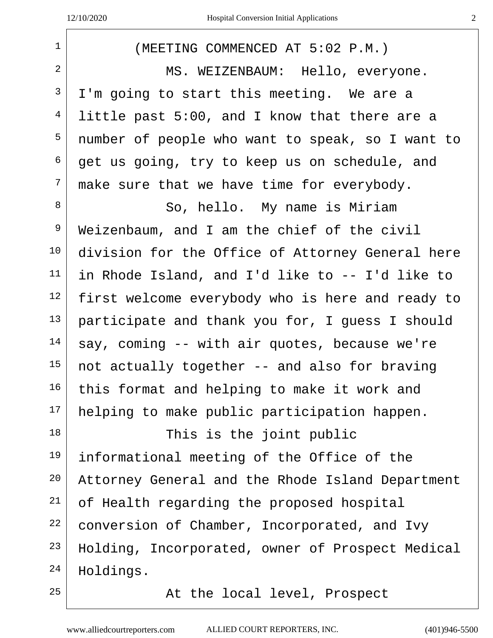| $\mathbf{1}$   | (MEETING COMMENCED AT 5:02 P.M.)                 |
|----------------|--------------------------------------------------|
| 2              | MS. WEIZENBAUM: Hello, everyone.                 |
| $\mathsf{3}$   | I'm going to start this meeting. We are a        |
| $\overline{4}$ | little past 5:00, and I know that there are a    |
| 5              | number of people who want to speak, so I want to |
| 6              | get us going, try to keep us on schedule, and    |
| 7              | make sure that we have time for everybody.       |
| 8              | So, hello. My name is Miriam                     |
| 9              | Weizenbaum, and I am the chief of the civil      |
| 10             | division for the Office of Attorney General here |
| 11             | in Rhode Island, and I'd like to -- I'd like to  |
| 12             | first welcome everybody who is here and ready to |
| 13             | participate and thank you for, I guess I should  |
| 14             | say, coming -- with air quotes, because we're    |
| 15             | not actually together -- and also for braving    |
| 16             | this format and helping to make it work and      |
| 17             | helping to make public participation happen.     |
| 18             | This is the joint public                         |
| 19             | informational meeting of the Office of the       |
| 20             | Attorney General and the Rhode Island Department |
| 21             | of Health regarding the proposed hospital        |
| 22             | conversion of Chamber, Incorporated, and Ivy     |
| 23             | Holding, Incorporated, owner of Prospect Medical |
| 24             | Holdings.                                        |
| 25             | At the local level, Prospect                     |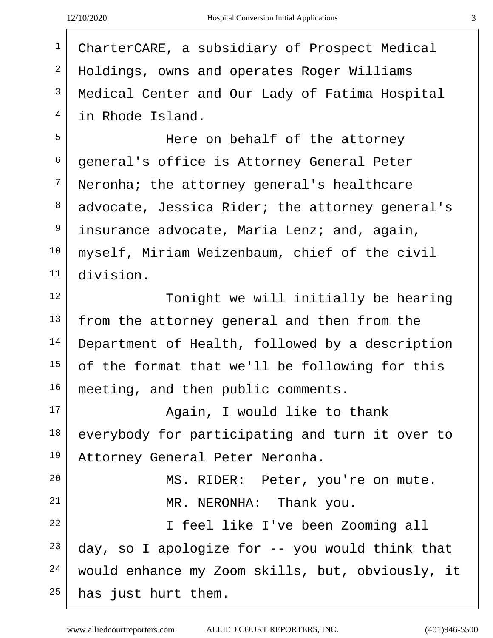Г

| ۰,<br>۰.<br>۰.<br>ï |
|---------------------|
|                     |
| I<br>I<br>I         |
| ٠                   |

| $\mathbf 1$    | CharterCARE, a subsidiary of Prospect Medical      |
|----------------|----------------------------------------------------|
| $\overline{2}$ | Holdings, owns and operates Roger Williams         |
| 3              | Medical Center and Our Lady of Fatima Hospital     |
| 4              | in Rhode Island.                                   |
| 5              | Here on behalf of the attorney                     |
| 6              | general's office is Attorney General Peter         |
| 7              | Neronha; the attorney general's healthcare         |
| 8              | advocate, Jessica Rider; the attorney general's    |
| 9              | insurance advocate, Maria Lenz; and, again,        |
| 10             | myself, Miriam Weizenbaum, chief of the civil      |
| 11             | division.                                          |
| 12             | Tonight we will initially be hearing               |
| 13             | from the attorney general and then from the        |
| 14             | Department of Health, followed by a description    |
| 15             | of the format that we'll be following for this     |
| 16             | meeting, and then public comments.                 |
| 17             | Again, I would like to thank                       |
| 18             | everybody for participating and turn it over to    |
| 19             | Attorney General Peter Neronha.                    |
| 20             | MS. RIDER: Peter, you're on mute.                  |
| 21             | MR. NERONHA: Thank you.                            |
| 22             | I feel like I've been Zooming all                  |
| 23             | day, so I apologize for $-$ - you would think that |
| 24             | would enhance my Zoom skills, but, obviously, it   |
| 25             | has just hurt them.                                |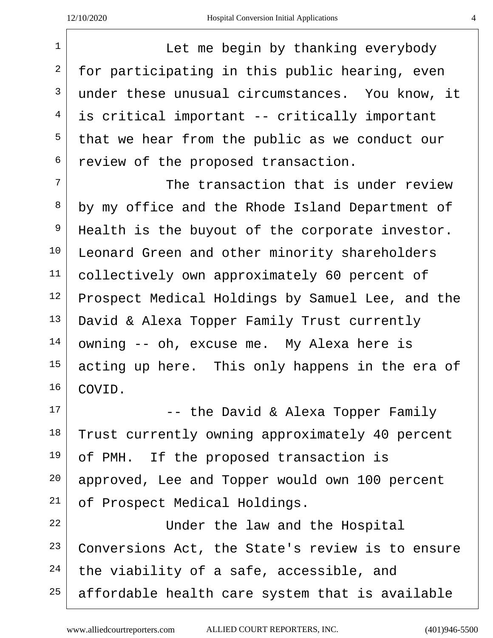<sup>1</sup> Let me begin by thanking everybody for participating in this public hearing, even under these unusual circumstances. You know, it  $4 \mid$  is critical important -- critically important that we hear from the public as we conduct our review of the proposed transaction. The transaction that is under review by my office and the Rhode Island Department of Health is the buyout of the corporate investor. Leonard Green and other minority shareholders <sup>11</sup> collectively own approximately 60 percent of Prospect Medical Holdings by Samuel Lee, and the David & Alexa Topper Family Trust currently owning -- oh, excuse me. My Alexa here is acting up here. This only happens in the era of COVID.  $-$  the David & Alexa Topper Family Trust currently owning approximately 40 percent of PMH. If the proposed transaction is approved, Lee and Topper would own 100 percent of Prospect Medical Holdings. <sup>22</sup> Under the law and the Hospital Conversions Act, the State's review is to ensure

the viability of a safe, accessible, and

affordable health care system that is available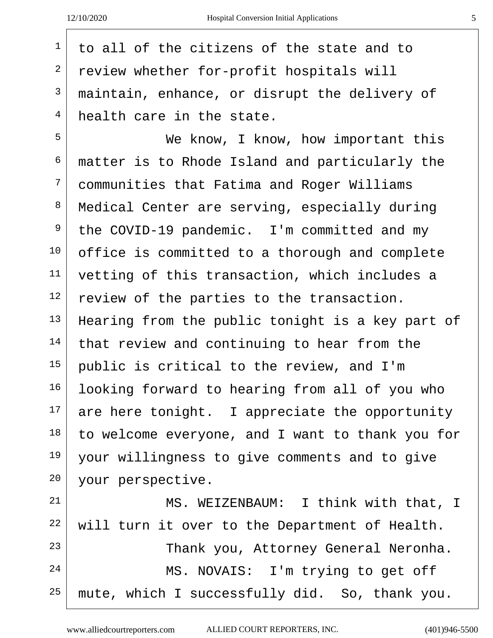to all of the citizens of the state and to

| ۰ | I  |          |
|---|----|----------|
|   |    |          |
|   |    |          |
|   |    |          |
|   | ۰, | ۰.<br>۰. |

 review whether for-profit hospitals will maintain, enhance, or disrupt the delivery of health care in the state. We know, I know, how important this matter is to Rhode Island and particularly the communities that Fatima and Roger Williams <sup>8</sup> Medical Center are serving, especially during the COVID-19 pandemic. I'm committed and my office is committed to a thorough and complete vetting of this transaction, which includes a review of the parties to the transaction. Hearing from the public tonight is a key part of that review and continuing to hear from the public is critical to the review, and I'm looking forward to hearing from all of you who are here tonight. I appreciate the opportunity to welcome everyone, and I want to thank you for your willingness to give comments and to give 20 your perspective. MS. WEIZENBAUM: I think with that, I will turn it over to the Department of Health. <sup>23</sup> Thank you, Attorney General Neronha. 24 MS. NOVAIS: I'm trying to get off mute, which I successfully did. So, thank you.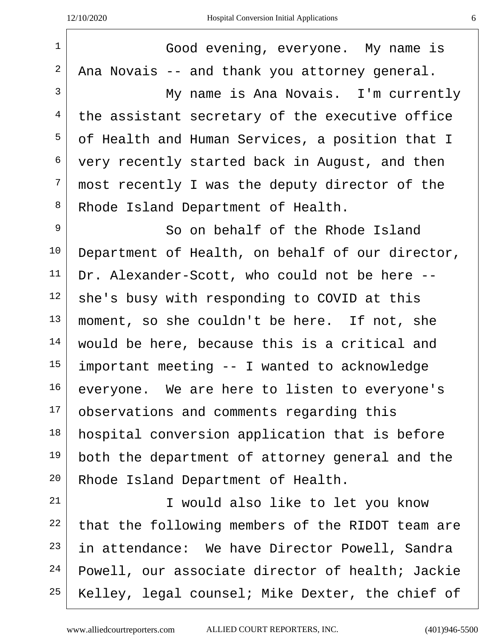| ٠<br>۰. |    |
|---------|----|
| ۰<br>×  | ۰. |

| $\mathbf{1}$   | Good evening, everyone. My name is               |
|----------------|--------------------------------------------------|
| $\mathbf{2}$   | Ana Novais -- and thank you attorney general.    |
| $\overline{3}$ | My name is Ana Novais. I'm currently             |
| 4              | the assistant secretary of the executive office  |
| 5              | of Health and Human Services, a position that I  |
| 6              | very recently started back in August, and then   |
| $7\phantom{.}$ | most recently I was the deputy director of the   |
| 8              | Rhode Island Department of Health.               |
| 9              | So on behalf of the Rhode Island                 |
| $10 \,$        | Department of Health, on behalf of our director, |
| 11             | Dr. Alexander-Scott, who could not be here --    |
| 12             | she's busy with responding to COVID at this      |
| 13             | moment, so she couldn't be here. If not, she     |
| 14             | would be here, because this is a critical and    |
| 15             | important meeting -- I wanted to acknowledge     |
| 16             | everyone. We are here to listen to everyone's    |
| 17             | observations and comments regarding this         |
| 18             | hospital conversion application that is before   |
| 19             | both the department of attorney general and the  |
| $20 \,$        | Rhode Island Department of Health.               |
| 21             | I would also like to let you know                |
| 22             | that the following members of the RIDOT team are |
| 23             | in attendance: We have Director Powell, Sandra   |
| 24             | Powell, our associate director of health; Jackie |
| 25             | Kelley, legal counsel; Mike Dexter, the chief of |
|                |                                                  |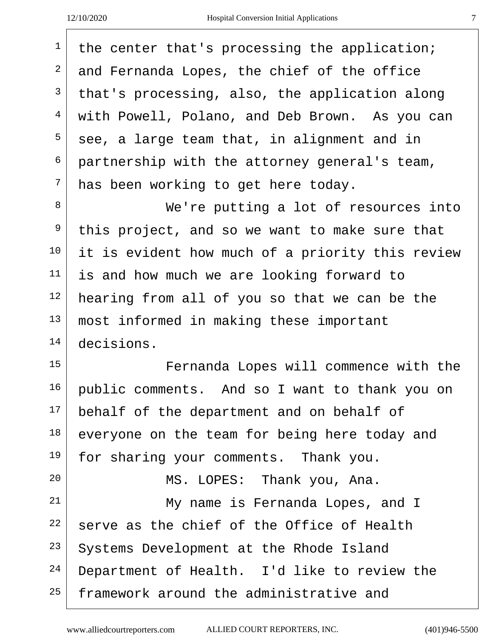| I |
|---|
|   |
|   |
| ٦ |
|   |

| $\mathbf{1}$   | the center that's processing the application;    |
|----------------|--------------------------------------------------|
| 2              | and Fernanda Lopes, the chief of the office      |
| 3              | that's processing, also, the application along   |
| $\overline{4}$ | with Powell, Polano, and Deb Brown. As you can   |
| 5              | see, a large team that, in alignment and in      |
| 6              | partnership with the attorney general's team,    |
| 7              | has been working to get here today.              |
| 8              | We're putting a lot of resources into            |
| 9              | this project, and so we want to make sure that   |
| 10             | it is evident how much of a priority this review |
| 11             | is and how much we are looking forward to        |
| 12             | hearing from all of you so that we can be the    |
| 13             | most informed in making these important          |
| 14             | decisions.                                       |
| 15             | Fernanda Lopes will commence with the            |
| 16             | public comments. And so I want to thank you on   |
| 17             | behalf of the department and on behalf of        |
| 18             | everyone on the team for being here today and    |
| 19             | for sharing your comments. Thank you.            |
| 20             | MS. LOPES: Thank you, Ana.                       |
| 21             | My name is Fernanda Lopes, and I                 |
| 22             | serve as the chief of the Office of Health       |
| 23             | Systems Development at the Rhode Island          |
| 24             | Department of Health. I'd like to review the     |
| 25             | framework around the administrative and          |
|                |                                                  |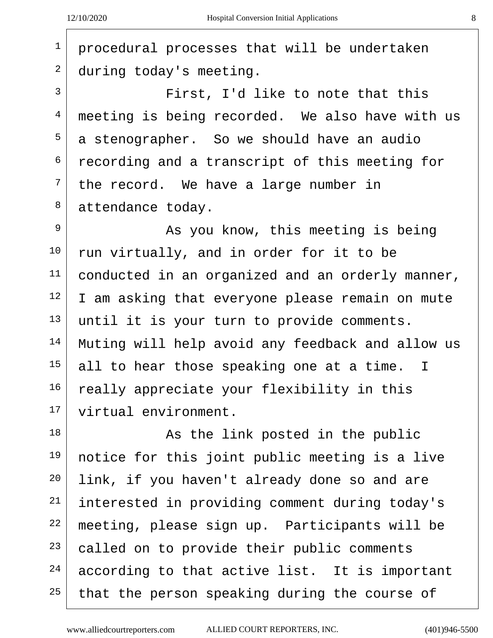procedural processes that will be undertaken

 during today's meeting. First, I'd like to note that this  $4 \mid$  meeting is being recorded. We also have with us  $5<sup>5</sup>$  a stenographer. So we should have an audio recording and a transcript of this meeting for the record. We have a large number in attendance today. <sup>9</sup> As you know, this meeting is being run virtually, and in order for it to be conducted in an organized and an orderly manner, I am asking that everyone please remain on mute until it is your turn to provide comments. Muting will help avoid any feedback and allow us all to hear those speaking one at a time. I really appreciate your flexibility in this virtual environment. As the link posted in the public notice for this joint public meeting is a live link, if you haven't already done so and are interested in providing comment during today's meeting, please sign up. Participants will be called on to provide their public comments according to that active list. It is important that the person speaking during the course of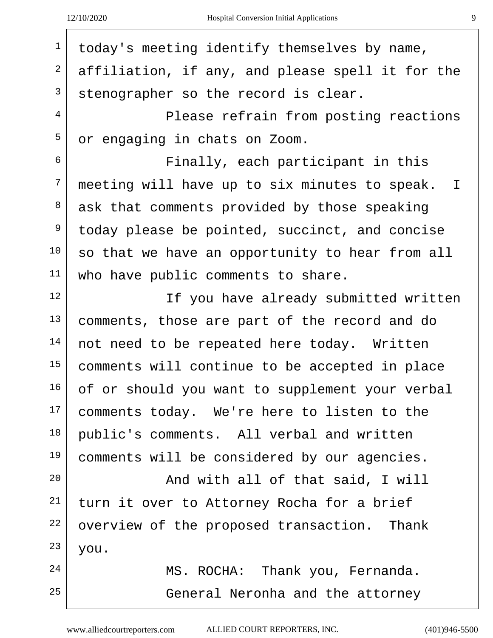| ٠                           |
|-----------------------------|
|                             |
| I<br>I<br>I<br>۰.<br>٧<br>v |
|                             |

| $\mathbf 1$ | today's meeting identify themselves by name,     |
|-------------|--------------------------------------------------|
| 2           | affiliation, if any, and please spell it for the |
| 3           | stenographer so the record is clear.             |
| 4           | Please refrain from posting reactions            |
| 5           | or engaging in chats on Zoom.                    |
| 6           | Finally, each participant in this                |
| 7           | meeting will have up to six minutes to speak. I  |
| 8           | ask that comments provided by those speaking     |
| 9           | today please be pointed, succinct, and concise   |
| 10          | so that we have an opportunity to hear from all  |
| 11          | who have public comments to share.               |
| 12          | If you have already submitted written            |
| 13          | comments, those are part of the record and do    |
| 14          | not need to be repeated here today. Written      |
| 15          | comments will continue to be accepted in place   |
| 16          | of or should you want to supplement your verbal  |
| 17          | comments today. We're here to listen to the      |
| 18          | public's comments. All verbal and written        |
| 19          | comments will be considered by our agencies.     |
| 20          | And with all of that said, I will                |
| 21          | turn it over to Attorney Rocha for a brief       |
| 22          | overview of the proposed transaction. Thank      |
| 23          | you.                                             |
| 24          | MS. ROCHA: Thank you, Fernanda.                  |
| 25          | General Neronha and the attorney                 |
|             |                                                  |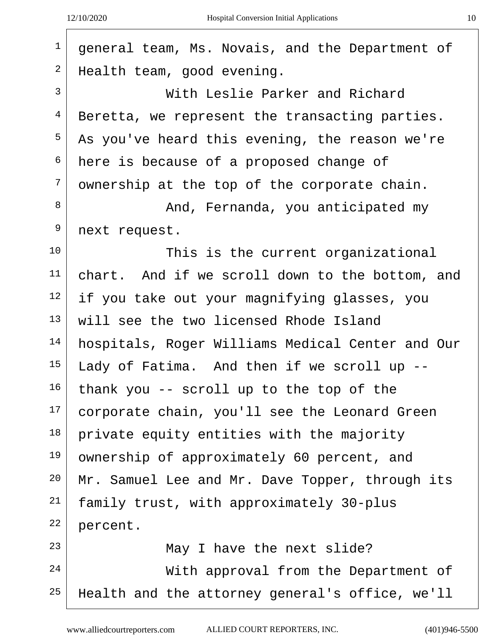| general team, Ms. Novais, and the Department of  |
|--------------------------------------------------|
| Health team, good evening.                       |
| With Leslie Parker and Richard                   |
| Beretta, we represent the transacting parties.   |
| As you've heard this evening, the reason we're   |
| here is because of a proposed change of          |
| ownership at the top of the corporate chain.     |
| And, Fernanda, you anticipated my                |
| next request.                                    |
| This is the current organizational               |
| chart. And if we scroll down to the bottom, and  |
| if you take out your magnifying glasses, you     |
| will see the two licensed Rhode Island           |
| hospitals, Roger Williams Medical Center and Our |
| Lady of Fatima. And then if we scroll up --      |
| thank you -- scroll up to the top of the         |
| corporate chain, you'll see the Leonard Green    |
| private equity entities with the majority        |
| ownership of approximately 60 percent, and       |
| Mr. Samuel Lee and Mr. Dave Topper, through its  |
| family trust, with approximately 30-plus         |
| percent.                                         |
| May I have the next slide?                       |
| With approval from the Department of             |
| Health and the attorney general's office, we'll  |
|                                                  |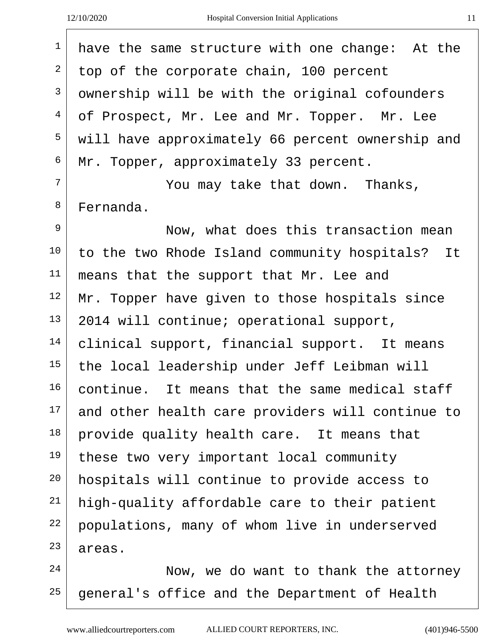| $\mathbf 1$    | have the same structure with one change: At the  |
|----------------|--------------------------------------------------|
| 2              | top of the corporate chain, 100 percent          |
| 3              | ownership will be with the original cofounders   |
| 4              | of Prospect, Mr. Lee and Mr. Topper. Mr. Lee     |
| 5              | will have approximately 66 percent ownership and |
| 6              | Mr. Topper, approximately 33 percent.            |
| 7              | You may take that down. Thanks,                  |
| 8              | Fernanda.                                        |
| $\overline{9}$ | Now, what does this transaction mean             |
| 10             | to the two Rhode Island community hospitals? It  |
| 11             | means that the support that Mr. Lee and          |
| 12             | Mr. Topper have given to those hospitals since   |
| 13             | 2014 will continue; operational support,         |
| 14             | clinical support, financial support. It means    |
| 15             | the local leadership under Jeff Leibman will     |
| 16             | continue. It means that the same medical staff   |
| 17             | and other health care providers will continue to |
| 18             | provide quality health care. It means that       |
| 19             | these two very important local community         |
| 20             | hospitals will continue to provide access to     |
| 21             | high-quality affordable care to their patient    |
| 22             | populations, many of whom live in underserved    |
| 23             | areas.                                           |
| 24             | Now, we do want to thank the attorney            |
| 25             | general's office and the Department of Health    |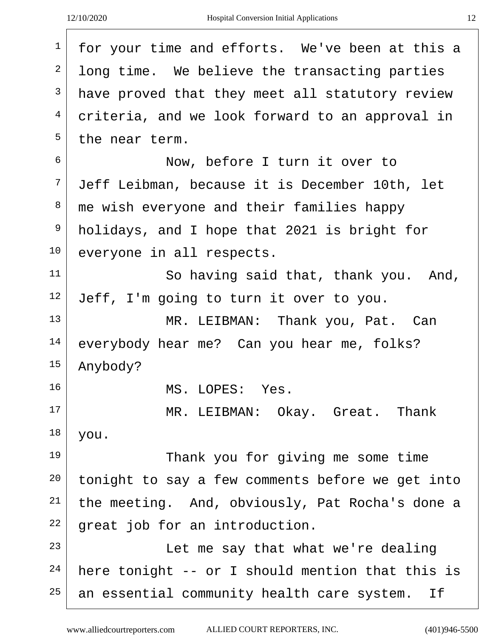|                | Hospital Conversion Initial Applications<br>12/10/2020<br>12 |
|----------------|--------------------------------------------------------------|
| $\mathbf{1}$   | for your time and efforts. We've been at this a              |
| $\overline{a}$ | long time. We believe the transacting parties                |
| 3              | have proved that they meet all statutory review              |
| 4              | criteria, and we look forward to an approval in              |
| 5              | the near term.                                               |
| 6              | Now, before I turn it over to                                |
| 7              | Jeff Leibman, because it is December 10th, let               |
| 8              | me wish everyone and their families happy                    |
| 9              | holidays, and I hope that 2021 is bright for                 |
| 10             | everyone in all respects.                                    |
| 11             | So having said that, thank you. And,                         |
| 12             | Jeff, I'm going to turn it over to you.                      |
| 13             | MR. LEIBMAN: Thank you, Pat. Can                             |
| 14             | everybody hear me? Can you hear me, folks?                   |
| 15             | Anybody?                                                     |
| 16             | MS. LOPES: Yes.                                              |
| 17             | MR. LEIBMAN: Okay. Great. Thank                              |
| 18             | you.                                                         |
| 19             | Thank you for giving me some time                            |
| 20             | tonight to say a few comments before we get into             |
| 21             | the meeting. And, obviously, Pat Rocha's done a              |
| 22             | great job for an introduction.                               |
| 23             | Let me say that what we're dealing                           |

www.alliedcourtreporters.com ALLIED COURT REPORTERS, INC. (401)946-5500

here tonight -- or I should mention that this is

an essential community health care system. If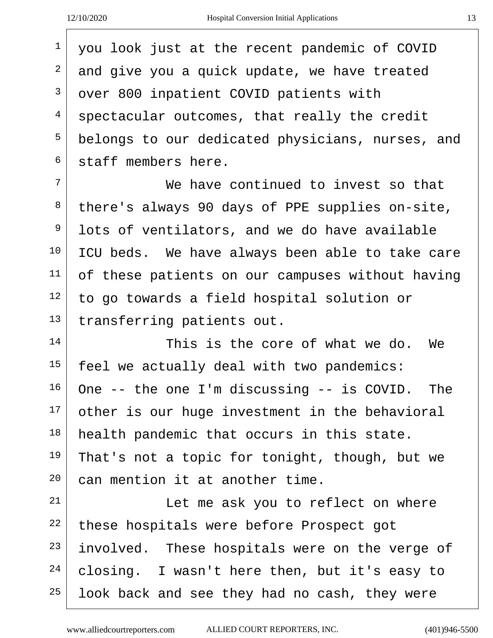$\sqrt{2}$ 

| I<br>I<br>۰ |
|-------------|

| $\mathbf{1}$   | you look just at the recent pandemic of COVID     |
|----------------|---------------------------------------------------|
| $\overline{a}$ | and give you a quick update, we have treated      |
| 3              | over 800 inpatient COVID patients with            |
| 4              | spectacular outcomes, that really the credit      |
| 5              | belongs to our dedicated physicians, nurses, and  |
| 6              | staff members here.                               |
| 7              | We have continued to invest so that               |
| 8              | there's always 90 days of PPE supplies on-site,   |
| 9              | lots of ventilators, and we do have available     |
| 10             | ICU beds. We have always been able to take care   |
| 11             | of these patients on our campuses without having  |
| 12             | to go towards a field hospital solution or        |
| 13             | transferring patients out.                        |
| 14             | This is the core of what we do.<br>We             |
| 15             | feel we actually deal with two pandemics:         |
| 16             | One -- the one I'm discussing -- is COVID.<br>The |
| 17             | other is our huge investment in the behavioral    |
| 18             | health pandemic that occurs in this state.        |
| 19             | That's not a topic for tonight, though, but we    |
| 20             | can mention it at another time.                   |
| 21             | Let me ask you to reflect on where                |
| 22             | these hospitals were before Prospect got          |
| 23             | involved. These hospitals were on the verge of    |
| 24             | closing. I wasn't here then, but it's easy to     |
| 25             | look back and see they had no cash, they were     |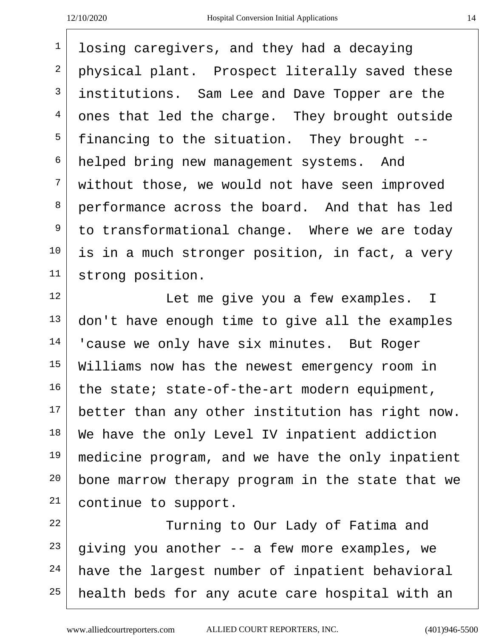losing caregivers, and they had a decaying physical plant. Prospect literally saved these institutions. Sam Lee and Dave Topper are the  $4 |$  ones that led the charge. They brought outside financing to the situation. They brought -- helped bring new management systems. And without those, we would not have seen improved performance across the board. And that has led to transformational change. Where we are today is in a much stronger position, in fact, a very <sup>11</sup> strong position.

 Let me give you a few examples. I don't have enough time to give all the examples 'cause we only have six minutes. But Roger Williams now has the newest emergency room in the state; state-of-the-art modern equipment, better than any other institution has right now. We have the only Level IV inpatient addiction medicine program, and we have the only inpatient bone marrow therapy program in the state that we continue to support.

22 Turning to Our Lady of Fatima and giving you another  $-$  a few more examples, we have the largest number of inpatient behavioral health beds for any acute care hospital with an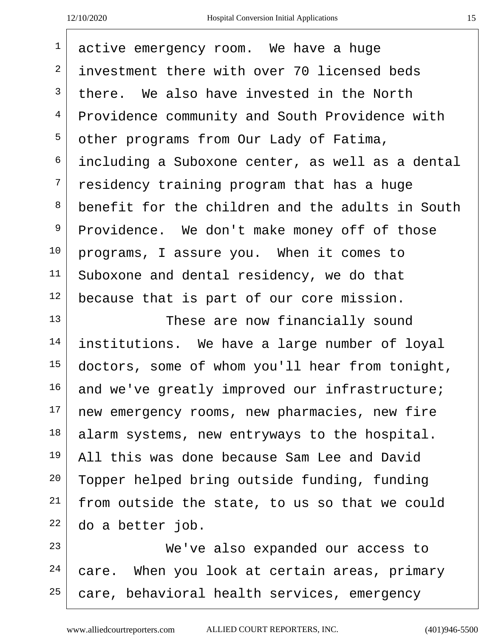$\sqrt{ }$ 

| $\mathbf{1}$   | active emergency room. We have a huge            |
|----------------|--------------------------------------------------|
| $\overline{2}$ | investment there with over 70 licensed beds      |
| $\mathsf{3}$   | there. We also have invested in the North        |
| $\overline{4}$ | Providence community and South Providence with   |
| 5              | other programs from Our Lady of Fatima,          |
| 6              | including a Suboxone center, as well as a dental |
| 7              | residency training program that has a huge       |
| 8              | benefit for the children and the adults in South |
| 9              | Providence. We don't make money off of those     |
| 10             | programs, I assure you. When it comes to         |
| 11             | Suboxone and dental residency, we do that        |
| 12             | because that is part of our core mission.        |
| 13             | These are now financially sound                  |
| 14             | institutions. We have a large number of loyal    |
|                |                                                  |

 doctors, some of whom you'll hear from tonight, and we've greatly improved our infrastructure; new emergency rooms, new pharmacies, new fire alarm systems, new entryways to the hospital. All this was done because Sam Lee and David 20 Topper helped bring outside funding, funding from outside the state, to us so that we could do a better job.

23 We've also expanded our access to care. When you look at certain areas, primary care, behavioral health services, emergency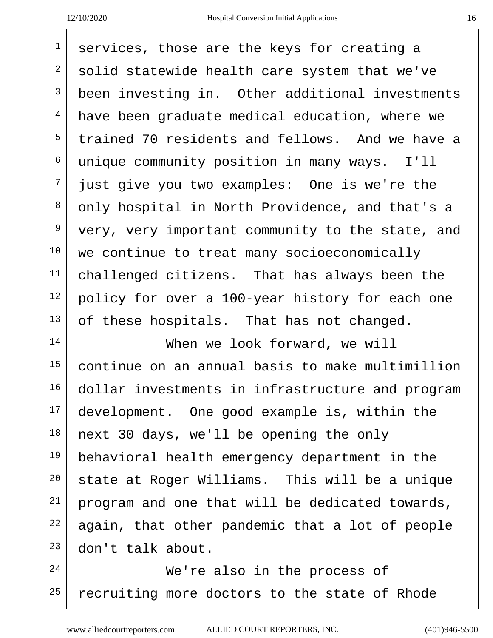Г

| $\mathbf 1$    | services, those are the keys for creating a      |
|----------------|--------------------------------------------------|
| $\overline{2}$ | solid statewide health care system that we've    |
| 3              | been investing in. Other additional investments  |
| 4              | have been graduate medical education, where we   |
| 5              | trained 70 residents and fellows. And we have a  |
| 6              | unique community position in many ways. I'll     |
| 7              | just give you two examples: One is we're the     |
| 8              | only hospital in North Providence, and that's a  |
| $\overline{9}$ | very, very important community to the state, and |
| 10             | we continue to treat many socioeconomically      |
| 11             | challenged citizens. That has always been the    |
| 12             | policy for over a 100-year history for each one  |
| 13             | of these hospitals. That has not changed.        |
| 14             | When we look forward, we will                    |
| 15             | continue on an annual basis to make multimillion |
| 16             | dollar investments in infrastructure and program |
| 17             | development. One good example is, within the     |
| 18             | next 30 days, we'll be opening the only          |
|                |                                                  |

 behavioral health emergency department in the state at Roger Williams. This will be a unique program and one that will be dedicated towards, again, that other pandemic that a lot of people don't talk about.

 We're also in the process of recruiting more doctors to the state of Rhode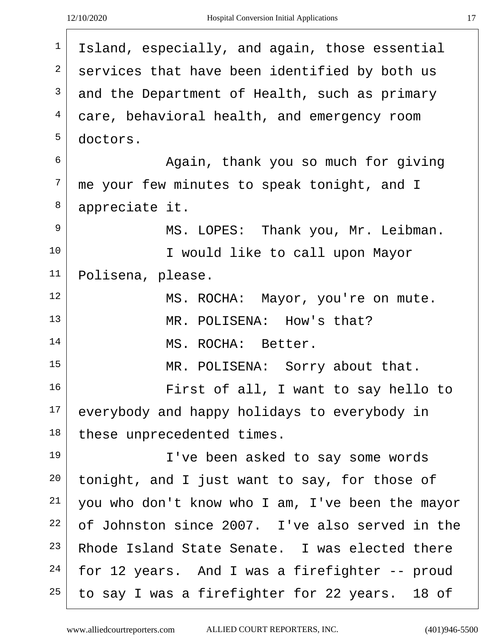|                | Hospital Conversion Initial Applications<br>12/10/2020 | 17 |
|----------------|--------------------------------------------------------|----|
| $\mathbf 1$    | Island, especially, and again, those essential         |    |
| 2              | services that have been identified by both us          |    |
| 3              | and the Department of Health, such as primary          |    |
| $\overline{4}$ | care, behavioral health, and emergency room            |    |
| 5              | doctors.                                               |    |
| 6              | Again, thank you so much for giving                    |    |
| 7              | me your few minutes to speak tonight, and I            |    |
| 8              | appreciate it.                                         |    |
| 9              | MS. LOPES: Thank you, Mr. Leibman.                     |    |
| 10             | I would like to call upon Mayor                        |    |
| 11             | Polisena, please.                                      |    |
| 12             | MS. ROCHA: Mayor, you're on mute.                      |    |
| 13             | MR. POLISENA: How's that?                              |    |
| 14             | MS. ROCHA: Better.                                     |    |
| 15             | MR. POLISENA: Sorry about that.                        |    |
| 16             | First of all, I want to say hello to                   |    |
| 17             | everybody and happy holidays to everybody in           |    |
| 18             | these unprecedented times.                             |    |
| 19             | I've been asked to say some words                      |    |

 everybody and happy ho these unprecedented t 19 I've been as tonight, and I just want to say, for those of you who don't know who I am, I've been the mayor of Johnston since 2007. I've also served in the Rhode Island State Senate. I was elected there for 12 years. And I was a firefighter -- proud to say I was a firefighter for 22 years. 18 of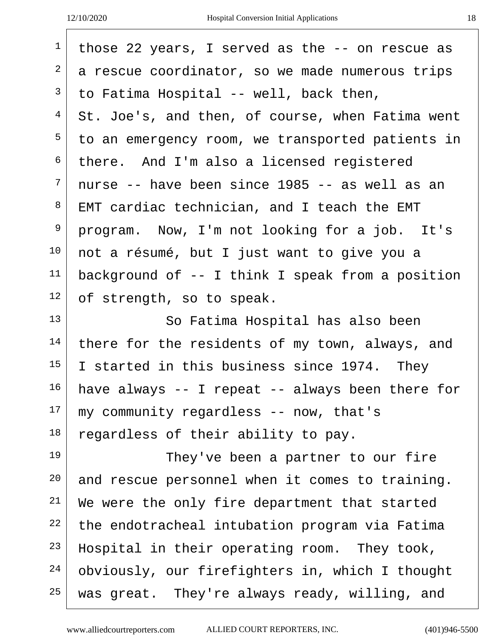$\sqrt{ }$ 

| $\mathbf 1$    | those 22 years, I served as the $-$ on rescue as   |
|----------------|----------------------------------------------------|
| 2              | a rescue coordinator, so we made numerous trips    |
| 3              | to Fatima Hospital -- well, back then,             |
| $\overline{4}$ | St. Joe's, and then, of course, when Fatima went   |
| 5              | to an emergency room, we transported patients in   |
| 6              | there. And I'm also a licensed registered          |
| 7              | nurse -- have been since 1985 -- as well as an     |
| 8              | EMT cardiac technician, and I teach the EMT        |
| 9              | program. Now, I'm not looking for a job. It's      |
| $10 \,$        | not a résumé, but I just want to give you a        |
| 11             | background of -- I think I speak from a position   |
| 12             | of strength, so to speak.                          |
| 13             | So Fatima Hospital has also been                   |
| 14             | there for the residents of my town, always, and    |
| $15\,$         | I started in this business since 1974. They        |
| 16             | have always $-$ I repeat $-$ always been there for |
| 17             | my community regardless -- now, that's             |
| 18             | regardless of their ability to pay.                |
| 19             | They've been a partner to our fire                 |
| $20 \,$        | and rescue personnel when it comes to training.    |
| 21             | We were the only fire department that started      |
| 22             | the endotracheal intubation program via Fatima     |
| 23             | Hospital in their operating room. They took,       |
| 24             | obviously, our firefighters in, which I thought    |
| 25             | was great. They're always ready, willing, and      |
|                |                                                    |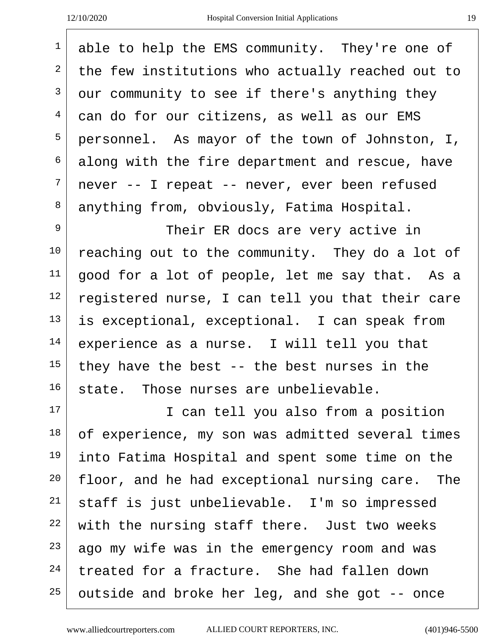| $\mathbf 1$    | able to help the EMS community. They're one of   |
|----------------|--------------------------------------------------|
| 2              | the few institutions who actually reached out to |
| $\mathsf{3}$   | our community to see if there's anything they    |
| $\overline{4}$ | can do for our citizens, as well as our EMS      |
| 5              | personnel. As mayor of the town of Johnston, I,  |
| 6              | along with the fire department and rescue, have  |
| 7              | never -- I repeat -- never, ever been refused    |
| 8              | anything from, obviously, Fatima Hospital.       |
| $\overline{9}$ | Their ER docs are very active in                 |
| 10             | reaching out to the community. They do a lot of  |
| 11             | good for a lot of people, let me say that. As a  |
| 12             | registered nurse, I can tell you that their care |
| 13             | is exceptional, exceptional. I can speak from    |
| 14             | experience as a nurse. I will tell you that      |
| 15             | they have the best $-$ the best nurses in the    |
| 16             | state. Those nurses are unbelievable.            |
| 17             | I can tell you also from a position              |
| 18             | of experience, my son was admitted several times |
| 19             | into Fatima Hospital and spent some time on the  |
| 20             | floor, and he had exceptional nursing care. The  |
| 21             | staff is just unbelievable. I'm so impressed     |
| 22             | with the nursing staff there. Just two weeks     |
| 23             | ago my wife was in the emergency room and was    |
| 24             | treated for a fracture. She had fallen down      |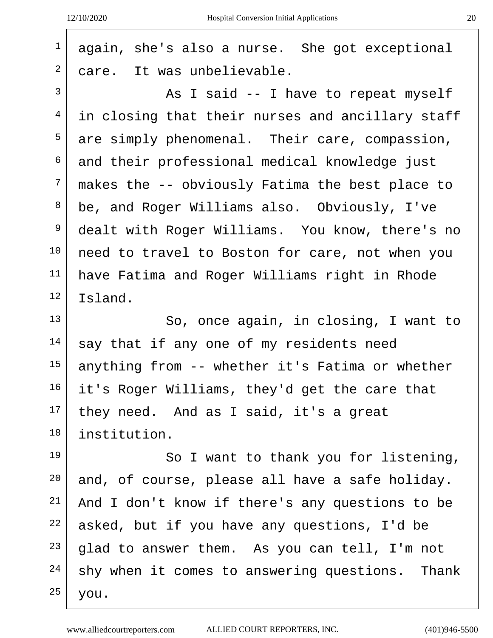| $\mathbf{1}$    |                                                  |
|-----------------|--------------------------------------------------|
|                 | again, she's also a nurse. She got exceptional   |
| $\overline{a}$  | care. It was unbelievable.                       |
| 3               | As I said -- I have to repeat myself             |
| $\overline{4}$  | in closing that their nurses and ancillary staff |
| 5               | are simply phenomenal. Their care, compassion,   |
| $6\phantom{.}6$ | and their professional medical knowledge just    |
| 7               | makes the -- obviously Fatima the best place to  |
| 8               | be, and Roger Williams also. Obviously, I've     |
| 9               | dealt with Roger Williams. You know, there's no  |
| 10              | need to travel to Boston for care, not when you  |
| 11              | have Fatima and Roger Williams right in Rhode    |
| 12              | Island.                                          |
| 13              | So, once again, in closing, I want to            |
| 14              | say that if any one of my residents need         |
| 15              | anything from -- whether it's Fatima or whether  |
| 16              | it's Roger Williams, they'd get the care that    |
| 17              | they need. And as I said, it's a great           |
| 18              | institution.                                     |
| 19              | So I want to thank you for listening,            |
| 20              | and, of course, please all have a safe holiday.  |
| 21              | And I don't know if there's any questions to be  |
| 22              | asked, but if you have any questions, I'd be     |
| 23              | glad to answer them. As you can tell, I'm not    |
| 24              | shy when it comes to answering questions. Thank  |
| 25              | you.                                             |
|                 |                                                  |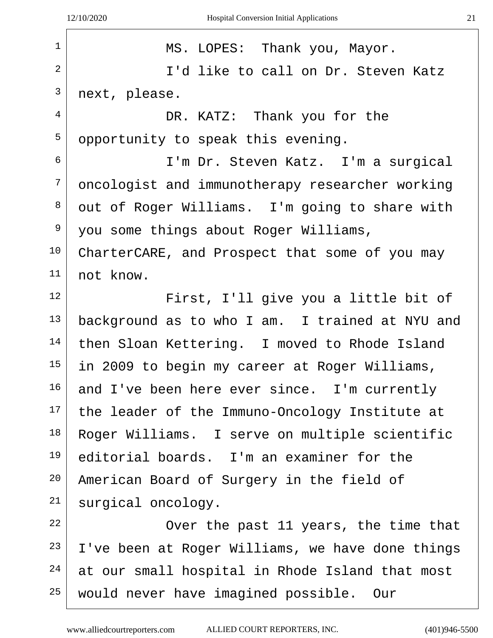| $\mathbf{1}$ | MS. LOPES: Thank you, Mayor.                     |
|--------------|--------------------------------------------------|
| 2            | I'd like to call on Dr. Steven Katz              |
| 3            | next, please.                                    |
| 4            | DR. KATZ: Thank you for the                      |
| 5            | opportunity to speak this evening.               |
| 6            | I'm Dr. Steven Katz. I'm a surgical              |
| 7            | oncologist and immunotherapy researcher working  |
| 8            | out of Roger Williams. I'm going to share with   |
| 9            | you some things about Roger Williams,            |
| $10 \,$      | CharterCARE, and Prospect that some of you may   |
| 11           | not know.                                        |
| 12           | First, I'll give you a little bit of             |
| 13           | background as to who I am. I trained at NYU and  |
| 14           | then Sloan Kettering. I moved to Rhode Island    |
| 15           | in 2009 to begin my career at Roger Williams,    |
| 16           | and I've been here ever since. I'm currently     |
| 17           | the leader of the Immuno-Oncology Institute at   |
| 18           | Roger Williams. I serve on multiple scientific   |
| 19           | editorial boards. I'm an examiner for the        |
| $20 \,$      | American Board of Surgery in the field of        |
| 21           | surgical oncology.                               |
| 22           | Over the past 11 years, the time that            |
| 23           | I've been at Roger Williams, we have done things |
| 24           | at our small hospital in Rhode Island that most  |
| 25           | would never have imagined possible. Our          |
|              |                                                  |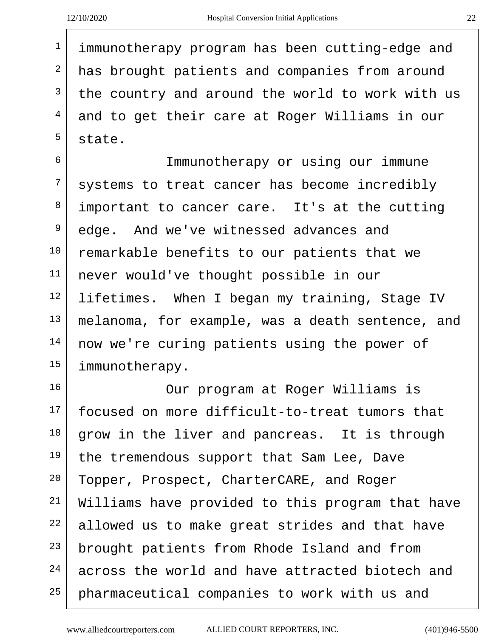immunotherapy program has been cutting-edge and has brought patients and companies from around the country and around the world to work with us and to get their care at Roger Williams in our  $5 \times 5$ 

<sup>6</sup> Immunotherapy or using our immune systems to treat cancer has become incredibly important to cancer care. It's at the cutting edge. And we've witnessed advances and remarkable benefits to our patients that we never would've thought possible in our lifetimes. When I began my training, Stage IV melanoma, for example, was a death sentence, and now we're curing patients using the power of immunotherapy.

16 Our program at Roger Williams is focused on more difficult-to-treat tumors that grow in the liver and pancreas. It is through the tremendous support that Sam Lee, Dave <sup>20</sup> Topper, Prospect, CharterCARE, and Roger Williams have provided to this program that have allowed us to make great strides and that have <sup>23</sup> brought patients from Rhode Island and from across the world and have attracted biotech and pharmaceutical companies to work with us and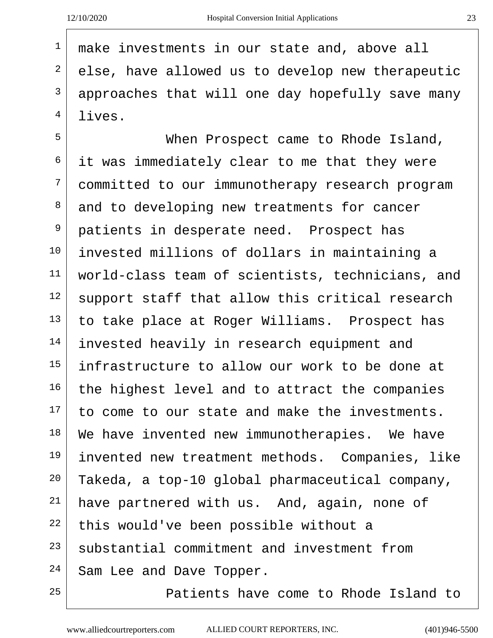$1 \mid$  make investments in our state and, above all else, have allowed us to develop new therapeutic approaches that will one day hopefully save many  $4 \mid 1$ ives.

<sup>5</sup> When Prospect came to Rhode Island, it was immediately clear to me that they were <sup>7</sup> committed to our immunotherapy research program and to developing new treatments for cancer patients in desperate need. Prospect has <sup>10</sup> invested millions of dollars in maintaining a world-class team of scientists, technicians, and support staff that allow this critical research to take place at Roger Williams. Prospect has invested heavily in research equipment and infrastructure to allow our work to be done at the highest level and to attract the companies to come to our state and make the investments. We have invented new immunotherapies. We have invented new treatment methods. Companies, like Takeda, a top-10 global pharmaceutical company, have partnered with us. And, again, none of this would've been possible without a substantial commitment and investment from Sam Lee and Dave Topper.

25 | Patients have come to Rhode Island to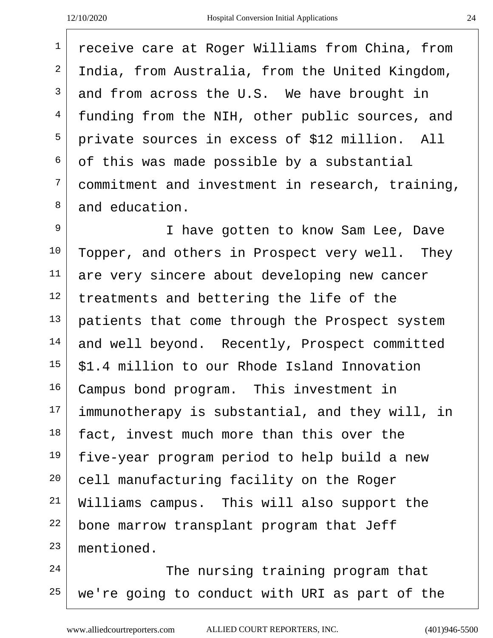receive care at Roger Williams from China, from India, from Australia, from the United Kingdom, and from across the U.S. We have brought in  $4 \mid$  funding from the NIH, other public sources, and private sources in excess of \$12 million. All of this was made possible by a substantial commitment and investment in research, training, 8 and education. <sup>9</sup> I have gotten to know Sam Lee, Dave Topper, and others in Prospect very well. They are very sincere about developing new cancer treatments and bettering the life of the patients that come through the Prospect system

 and well beyond. Recently, Prospect committed \$1.4 million to our Rhode Island Innovation Campus bond program. This investment in immunotherapy is substantial, and they will, in fact, invest much more than this over the five-year program period to help build a new 20 cell manufacturing facility on the Roger Williams campus. This will also support the bone marrow transplant program that Jeff mentioned.

 The nursing training program that we're going to conduct with URI as part of the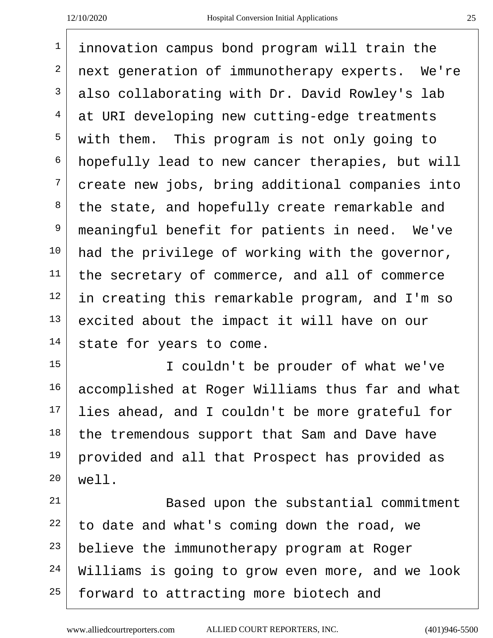| $\mathbf{1}$   | innovation campus bond program will train the    |
|----------------|--------------------------------------------------|
| 2              | next generation of immunotherapy experts. We're  |
| $\mathbf{3}$   | also collaborating with Dr. David Rowley's lab   |
| $\overline{4}$ | at URI developing new cutting-edge treatments    |
| 5              | with them. This program is not only going to     |
| 6              | hopefully lead to new cancer therapies, but will |
| 7              | create new jobs, bring additional companies into |
| 8              | the state, and hopefully create remarkable and   |
| 9              | meaningful benefit for patients in need. We've   |
| 10             | had the privilege of working with the governor,  |
| 11             | the secretary of commerce, and all of commerce   |
| 12             | in creating this remarkable program, and I'm so  |
| 13             | excited about the impact it will have on our     |
| 14             | state for years to come.                         |
| 15             | I couldn't be prouder of what we've              |

 accomplished at Roger Williams thus far and what lies ahead, and I couldn't be more grateful for the tremendous support that Sam and Dave have provided and all that Prospect has provided as  $20 \mid$  well.

21 Based upon the substantial commitment to date and what's coming down the road, we believe the immunotherapy program at Roger Williams is going to grow even more, and we look forward to attracting more biotech and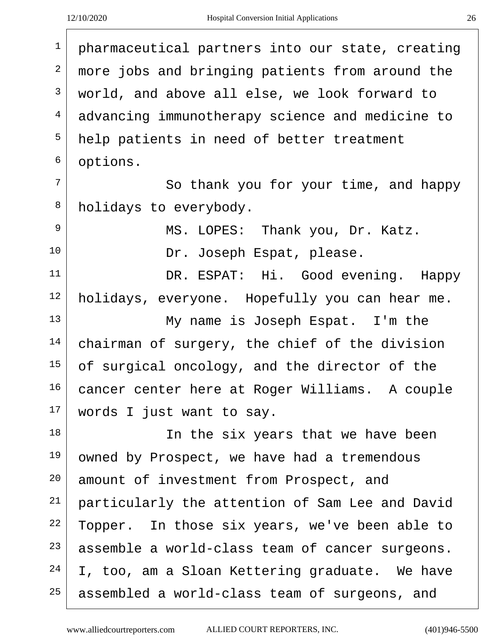| $\mathbf 1$    | pharmaceutical partners into our state, creating |
|----------------|--------------------------------------------------|
| 2              | more jobs and bringing patients from around the  |
| 3              | world, and above all else, we look forward to    |
| 4              | advancing immunotherapy science and medicine to  |
| 5              | help patients in need of better treatment        |
| 6              | options.                                         |
| $\overline{7}$ | So thank you for your time, and happy            |
| 8              | holidays to everybody.                           |
| 9              | MS. LOPES: Thank you, Dr. Katz.                  |
| 10             | Dr. Joseph Espat, please.                        |
| 11             | DR. ESPAT: Hi. Good evening. Happy               |
| 12             | holidays, everyone. Hopefully you can hear me.   |
| 13             | My name is Joseph Espat. I'm the                 |
| 14             | chairman of surgery, the chief of the division   |
| 15             | of surgical oncology, and the director of the    |
| 16             | cancer center here at Roger Williams. A couple   |
| 17             | words I just want to say.                        |
| 18             | In the six years that we have been               |
| 19             | owned by Prospect, we have had a tremendous      |
| 20             | amount of investment from Prospect, and          |
| 21             | particularly the attention of Sam Lee and David  |
| 22             | Topper. In those six years, we've been able to   |
| 23             | assemble a world-class team of cancer surgeons.  |
| 24             | I, too, am a Sloan Kettering graduate. We have   |
| 25             | assembled a world-class team of surgeons, and    |
|                |                                                  |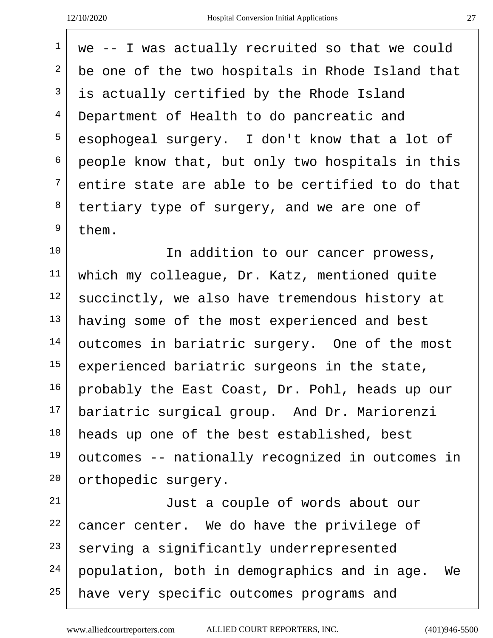$\sqrt{ }$ 

| $\mathbf{1}$    | we -- I was actually recruited so that we could    |
|-----------------|----------------------------------------------------|
| 2               | be one of the two hospitals in Rhode Island that   |
| 3               | is actually certified by the Rhode Island          |
| $\overline{4}$  | Department of Health to do pancreatic and          |
| 5               | esophogeal surgery. I don't know that a lot of     |
| 6               | people know that, but only two hospitals in this   |
| $7\overline{ }$ | entire state are able to be certified to do that   |
| 8               | tertiary type of surgery, and we are one of        |
| 9               | them.                                              |
| 10              | In addition to our cancer prowess,                 |
| 11              | which my colleague, Dr. Katz, mentioned quite      |
| 12              | succinctly, we also have tremendous history at     |
| 13              | having some of the most experienced and best       |
| 14              | outcomes in bariatric surgery. One of the most     |
| 15              | experienced bariatric surgeons in the state,       |
| 16              | probably the East Coast, Dr. Pohl, heads up our    |
| 17              | bariatric surgical group. And Dr. Mariorenzi       |
| 18              | heads up one of the best established, best         |
| 19              | outcomes -- nationally recognized in outcomes in   |
| 20              | orthopedic surgery.                                |
| 21              | Just a couple of words about our                   |
| 22              | cancer center. We do have the privilege of         |
| 23              | serving a significantly underrepresented           |
| 24              | population, both in demographics and in age.<br>We |

have very specific outcomes programs and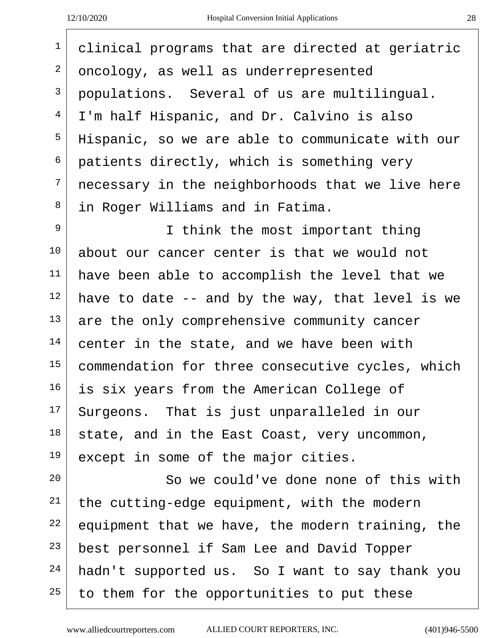| ×. | I                  |  |
|----|--------------------|--|
|    | ٦<br>×<br>v.<br>۰, |  |

 clinical programs that are directed at geriatric oncology, as well as underrepresented populations. Several of us are multilingual.  $4 \mid$  I'm half Hispanic, and Dr. Calvino is also Hispanic, so we are able to communicate with our patients directly, which is something very necessary in the neighborhoods that we live here 8 in Roger Williams and in Fatima. <sup>9</sup> I think the most important thing about our cancer center is that we would not have been able to accomplish the level that we have to date -- and by the way, that level is we are the only comprehensive community cancer center in the state, and we have been with commendation for three consecutive cycles, which is six years from the American College of Surgeons. That is just unparalleled in our state, and in the East Coast, very uncommon, except in some of the major cities. 20 So we could've done none of this with the cutting-edge equipment, with the modern equipment that we have, the modern training, the best personnel if Sam Lee and David Topper hadn't supported us. So I want to say thank you to them for the opportunities to put these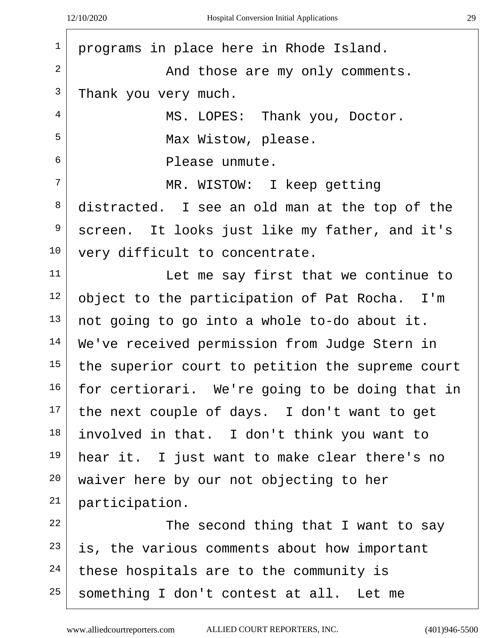$\overline{r}$ 

| $\mathbf{1}$   | programs in place here in Rhode Island.          |
|----------------|--------------------------------------------------|
| $\overline{2}$ | And those are my only comments.                  |
| 3              | Thank you very much.                             |
| $\overline{4}$ | MS. LOPES: Thank you, Doctor.                    |
| 5              | Max Wistow, please.                              |
| 6              | Please unmute.                                   |
| 7              | MR. WISTOW: I keep getting                       |
| 8              | distracted. I see an old man at the top of the   |
| 9              | screen. It looks just like my father, and it's   |
| 10             | very difficult to concentrate.                   |
| 11             | Let me say first that we continue to             |
| 12             | object to the participation of Pat Rocha. I'm    |
| 13             | not going to go into a whole to-do about it.     |
| 14             | We've received permission from Judge Stern in    |
| 15             | the superior court to petition the supreme court |
| 16             | for certiorari. We're going to be doing that in  |
| 17             | the next couple of days. I don't want to get     |
| 18             | involved in that. I don't think you want to      |
| 19             | hear it. I just want to make clear there's no    |
| 20             | waiver here by our not objecting to her          |
| 21             | participation.                                   |
| 22             | The second thing that I want to say              |
| 23             | is, the various comments about how important     |
| 24             | these hospitals are to the community is          |
| 25             | something I don't contest at all. Let me         |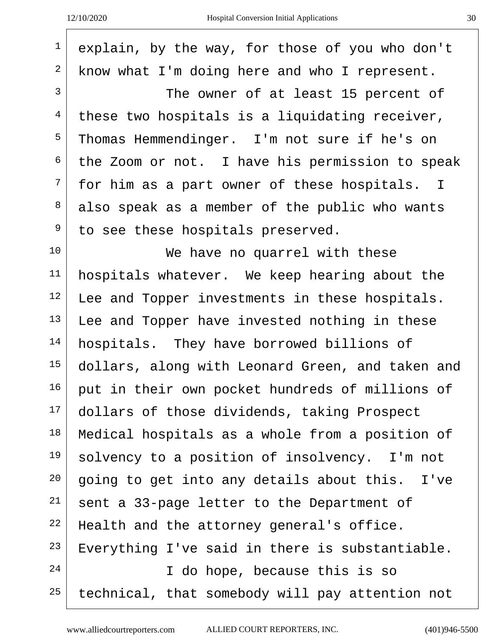| $\mathbf{1}$   | explain, by the way, for those of you who don't  |
|----------------|--------------------------------------------------|
| 2              | know what I'm doing here and who I represent.    |
| $\overline{3}$ | The owner of at least 15 percent of              |
| 4              | these two hospitals is a liquidating receiver,   |
| 5              | Thomas Hemmendinger. I'm not sure if he's on     |
| 6              | the Zoom or not. I have his permission to speak  |
| 7              | for him as a part owner of these hospitals. I    |
| 8              | also speak as a member of the public who wants   |
| 9              | to see these hospitals preserved.                |
| 10             | We have no quarrel with these                    |
| 11             | hospitals whatever. We keep hearing about the    |
| 12             | Lee and Topper investments in these hospitals.   |
| 13             | Lee and Topper have invested nothing in these    |
| 14             | hospitals. They have borrowed billions of        |
| 15             | dollars, along with Leonard Green, and taken and |
| 16             | put in their own pocket hundreds of millions of  |
| 17             | dollars of those dividends, taking Prospect      |
| 18             | Medical hospitals as a whole from a position of  |
| 19             | solvency to a position of insolvency. I'm not    |
| $20 \,$        | going to get into any details about this. I've   |
| 21             | sent a 33-page letter to the Department of       |
| 22             | Health and the attorney general's office.        |
| 23             | Everything I've said in there is substantiable.  |
| 24             | I do hope, because this is so                    |
| 25             | technical, that somebody will pay attention not  |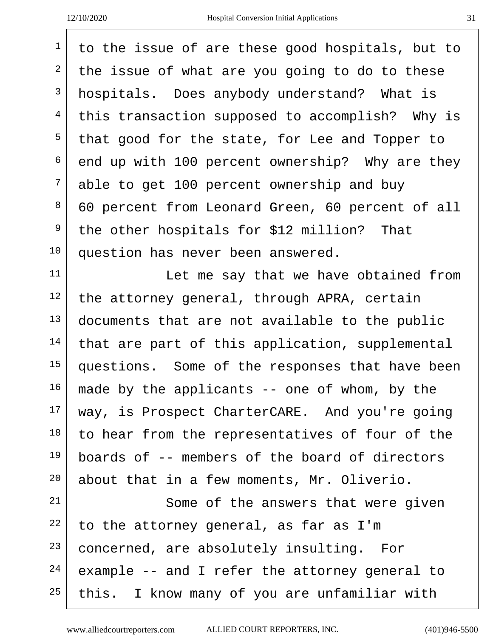| $\mathbf 1$    | to the issue of are these good hospitals, but to |
|----------------|--------------------------------------------------|
| 2              | the issue of what are you going to do to these   |
| 3              | hospitals. Does anybody understand? What is      |
| $\overline{4}$ | this transaction supposed to accomplish? Why is  |
| 5              | that good for the state, for Lee and Topper to   |
| 6              | end up with 100 percent ownership? Why are they  |
| $7\phantom{.}$ | able to get 100 percent ownership and buy        |
| 8              | 60 percent from Leonard Green, 60 percent of all |
| 9              | the other hospitals for \$12 million? That       |
| 10             | question has never been answered.                |
| 11             | Let me say that we have obtained from            |
| 12             | the attorney general, through APRA, certain      |
| 13             | documents that are not available to the public   |
| 14             | that are part of this application, supplemental  |
| 15             | questions. Some of the responses that have been  |
| 16             | made by the applicants $-$ one of whom, by the   |
| 17             | way, is Prospect CharterCARE. And you're going   |
| 18             | to hear from the representatives of four of the  |
| 19             | boards of -- members of the board of directors   |
| 20             | about that in a few moments, Mr. Oliverio.       |
| 21             | Some of the answers that were given              |
| 22             | to the attorney general, as far as I'm           |
| 23             | concerned, are absolutely insulting. For         |
| 24             | example -- and I refer the attorney general to   |
| 25             | this. I know many of you are unfamiliar with     |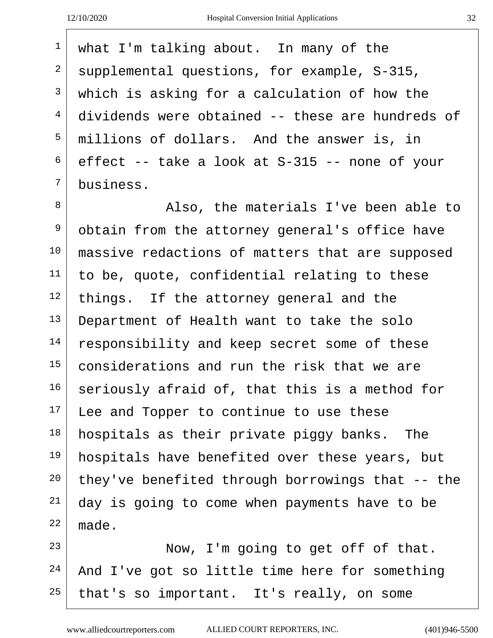$1 \mid$  what I'm talking about. In many of the supplemental questions, for example, S-315, which is asking for a calculation of how the  $4 \mid$  dividends were obtained -- these are hundreds of millions of dollars. And the answer is, in effect -- take a look at S-315 -- none of your <sup>7</sup> business. 8 Also, the materials I've been able to obtain from the attorney general's office have 10 | massive redactions of matters that are supposed to be, quote, confidential relating to these things. If the attorney general and the Department of Health want to take the solo responsibility and keep secret some of these considerations and run the risk that we are seriously afraid of, that this is a method for Lee and Topper to continue to use these hospitals as their private piggy banks. The hospitals have benefited over these years, but they've benefited through borrowings that  $-$  the day is going to come when payments have to be made. Now, I'm going to get off of that.

 And I've got so little time here for something that's so important. It's really, on some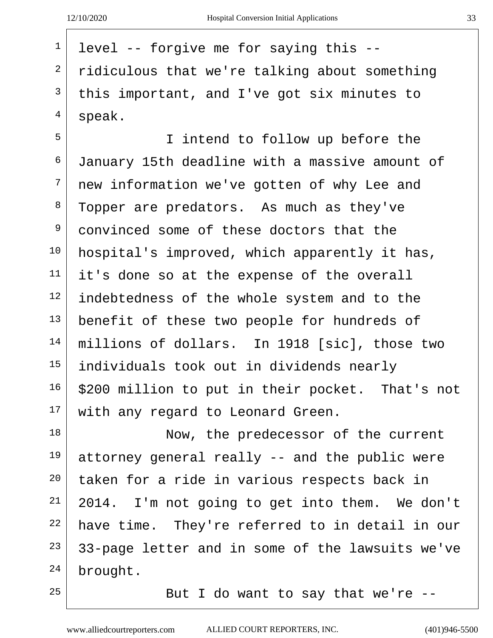level -- forgive me for saying this -- $2 \mid$  ridiculous that we're talking about something this important, and I've got six minutes to  $4 \mid$  speak.

<sup>5</sup> I intend to follow up before the January 15th deadline with a massive amount of new information we've gotten of why Lee and Topper are predators. As much as they've convinced some of these doctors that the hospital's improved, which apparently it has, it's done so at the expense of the overall indebtedness of the whole system and to the benefit of these two people for hundreds of millions of dollars. In 1918 [sic], those two individuals took out in dividends nearly \$200 million to put in their pocket. That's not with any regard to Leonard Green.

18 Now, the predecessor of the current attorney general really -- and the public were taken for a ride in various respects back in 2014. I'm not going to get into them. We don't have time. They're referred to in detail in our 33-page letter and in some of the lawsuits we've brought.

But I do want to say that we're  $-$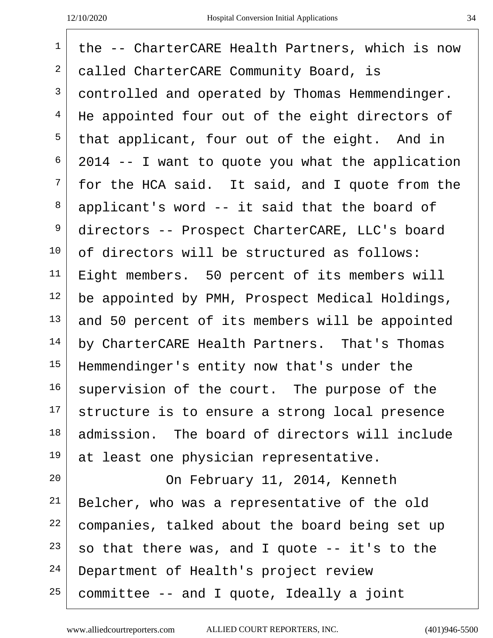| $\mathbf 1$    | the -- CharterCARE Health Partners, which is now |
|----------------|--------------------------------------------------|
| 2              | called CharterCARE Community Board, is           |
| 3              | controlled and operated by Thomas Hemmendinger.  |
| $\overline{4}$ | He appointed four out of the eight directors of  |
| 5              | that applicant, four out of the eight. And in    |
| 6              | 2014 -- I want to quote you what the application |
| 7              | for the HCA said. It said, and I quote from the  |
| $\,8\,$        | applicant's word -- it said that the board of    |
| 9              | directors -- Prospect CharterCARE, LLC's board   |
| 10             | of directors will be structured as follows:      |
| 11             | Eight members. 50 percent of its members will    |
| 12             | be appointed by PMH, Prospect Medical Holdings,  |
| 13             | and 50 percent of its members will be appointed  |
| 14             | by CharterCARE Health Partners. That's Thomas    |
| 15             | Hemmendinger's entity now that's under the       |
| 16             | supervision of the court. The purpose of the     |
| 17             | structure is to ensure a strong local presence   |
| 18             | admission. The board of directors will include   |
| 19             | at least one physician representative.           |
| 20             | On February 11, 2014, Kenneth                    |
| 21             | Belcher, who was a representative of the old     |
| 22             | companies, talked about the board being set up   |
| 23             | so that there was, and I quote -- it's to the    |
| 24             | Department of Health's project review            |
| 25             | committee -- and I quote, Ideally a joint        |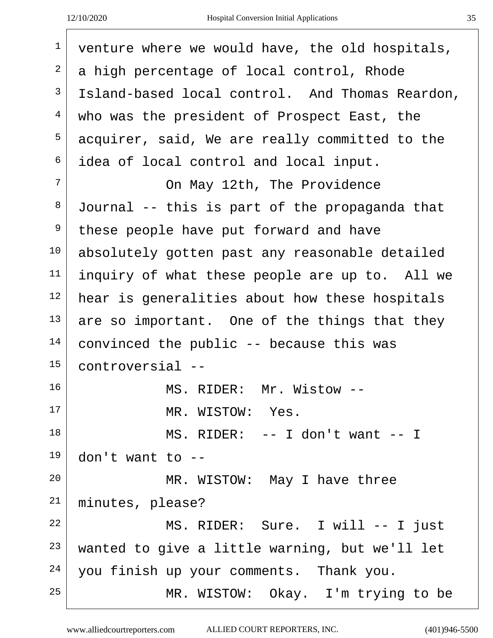| ï<br>۰,<br>× | ٦<br>۰,<br>v |
|--------------|--------------|
|              |              |

| $\mathbf 1$     | venture where we would have, the old hospitals, |
|-----------------|-------------------------------------------------|
| 2               | a high percentage of local control, Rhode       |
| 3               | Island-based local control. And Thomas Reardon, |
| $\overline{4}$  | who was the president of Prospect East, the     |
| 5               | acquirer, said, We are really committed to the  |
| 6               | idea of local control and local input.          |
| 7               | On May 12th, The Providence                     |
| 8               | Journal -- this is part of the propaganda that  |
| 9               | these people have put forward and have          |
| 10              | absolutely gotten past any reasonable detailed  |
| 11              | inquiry of what these people are up to. All we  |
| 12              | hear is generalities about how these hospitals  |
| 13              | are so important. One of the things that they   |
| 14              | convinced the public -- because this was        |
| 15 <sub>1</sub> | controversial --                                |
| 16              | MS. RIDER: Mr. Wistow --                        |
| 17              | MR. WISTOW: Yes.                                |
| 18              | MS. RIDER: -- I don't want -- I                 |
| 19              | don't want to $-$                               |
| 20              | MR. WISTOW: May I have three                    |
| 21              | minutes, please?                                |
| 22              | MS. RIDER: Sure. I will -- I just               |
| 23              | wanted to give a little warning, but we'll let  |
| 24              | you finish up your comments. Thank you.         |
| 25              | MR. WISTOW: Okay. I'm trying to be              |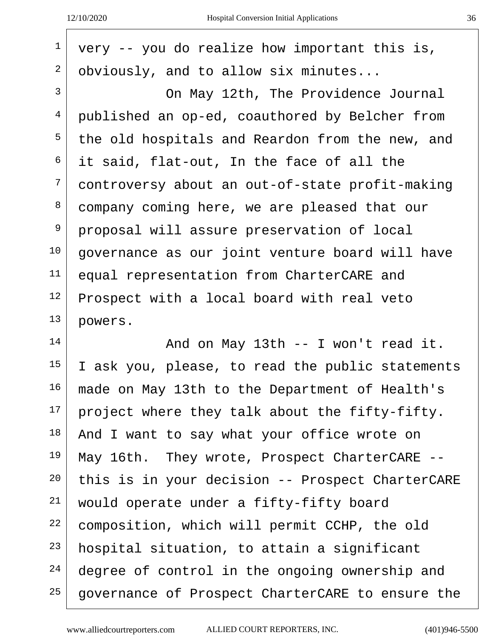$\sqrt{ }$ 

| $\mathbf{1}$   | very -- you do realize how important this is,    |
|----------------|--------------------------------------------------|
| 2              | obviously, and to allow six minutes              |
| $\mathbf{3}$   | On May 12th, The Providence Journal              |
| $\overline{4}$ | published an op-ed, coauthored by Belcher from   |
| 5              | the old hospitals and Reardon from the new, and  |
| 6              | it said, flat-out, In the face of all the        |
| 7              | controversy about an out-of-state profit-making  |
| 8              | company coming here, we are pleased that our     |
| $\mathsf 9$    | proposal will assure preservation of local       |
| 10             | governance as our joint venture board will have  |
| 11             | equal representation from CharterCARE and        |
| 12             | Prospect with a local board with real veto       |
| 13             | powers.                                          |
| 14             | And on May 13th -- I won't read it.              |
| 15             | I ask you, please, to read the public statements |
| 16             | made on May 13th to the Department of Health's   |
| 17             | project where they talk about the fifty-fifty.   |
| 18             | And I want to say what your office wrote on      |
| 19             | May 16th. They wrote, Prospect CharterCARE --    |
| 20             | this is in your decision -- Prospect CharterCARE |
| 21             | would operate under a fifty-fifty board          |
| 22             | composition, which will permit CCHP, the old     |
| 23             | hospital situation, to attain a significant      |
| 24             | degree of control in the ongoing ownership and   |
| 25             | governance of Prospect CharterCARE to ensure the |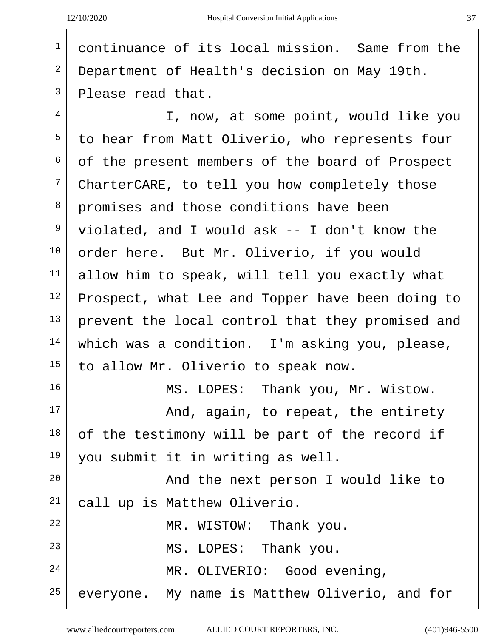|                    | ٠<br>i |
|--------------------|--------|
| ۰.<br>۰,<br>×<br>v | ۰.     |

| $\mathbf{1}$ | continuance of its local mission. Same from the  |
|--------------|--------------------------------------------------|
| 2            | Department of Health's decision on May 19th.     |
| 3            | Please read that.                                |
| 4            | I, now, at some point, would like you            |
| 5            | to hear from Matt Oliverio, who represents four  |
| 6            | of the present members of the board of Prospect  |
| 7            | CharterCARE, to tell you how completely those    |
| 8            | promises and those conditions have been          |
| 9            | violated, and I would ask -- I don't know the    |
| 10           | order here. But Mr. Oliverio, if you would       |
| 11           | allow him to speak, will tell you exactly what   |
| 12           | Prospect, what Lee and Topper have been doing to |
| 13           | prevent the local control that they promised and |
| 14           | which was a condition. I'm asking you, please,   |
| 15           | to allow Mr. Oliverio to speak now.              |
| 16           | MS. LOPES: Thank you, Mr. Wistow.                |
| 17           | And, again, to repeat, the entirety              |
| 18           | of the testimony will be part of the record if   |
| 19           | you submit it in writing as well.                |
| 20           | And the next person I would like to              |
| 21           | call up is Matthew Oliverio.                     |
| 22           | MR. WISTOW: Thank you.                           |
| 23           | MS. LOPES: Thank you.                            |
| 24           | MR. OLIVERIO: Good evening,                      |
| 25           | everyone. My name is Matthew Oliverio, and for   |
|              |                                                  |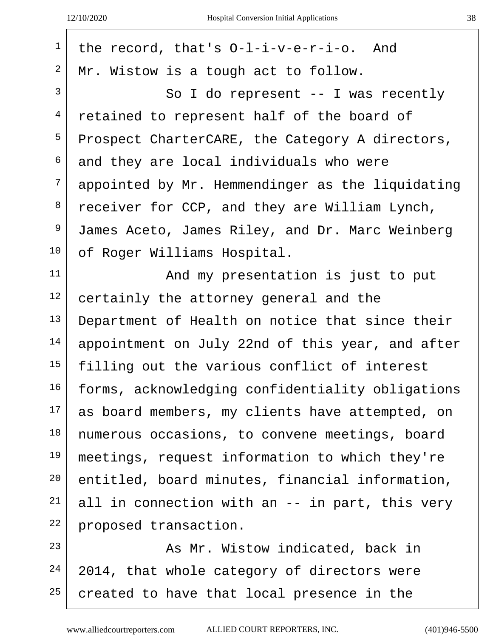| ï<br>۰,<br>v<br>× | I<br>×<br>٦<br>۰,<br>v. |
|-------------------|-------------------------|
|                   |                         |

| $\mathbf 1$     | the record, that's $0-1-i-v-e-r-i-o$ . And       |
|-----------------|--------------------------------------------------|
| 2               | Mr. Wistow is a tough act to follow.             |
| 3               | So I do represent $--$ I was recently            |
| $\overline{4}$  | retained to represent half of the board of       |
| 5               | Prospect CharterCARE, the Category A directors,  |
| 6               | and they are local individuals who were          |
| 7               | appointed by Mr. Hemmendinger as the liquidating |
| 8               | receiver for CCP, and they are William Lynch,    |
| $\mathsf 9$     | James Aceto, James Riley, and Dr. Marc Weinberg  |
| $10 \,$         | of Roger Williams Hospital.                      |
| 11              | And my presentation is just to put               |
| 12              | certainly the attorney general and the           |
| 13              | Department of Health on notice that since their  |
| 14              | appointment on July 22nd of this year, and after |
| 15              | filling out the various conflict of interest     |
| 16 <sup>1</sup> | forms, acknowledging confidentiality obligations |
| 17              | as board members, my clients have attempted, on  |
| 18              | numerous occasions, to convene meetings, board   |
| 19              | meetings, request information to which they're   |
| $20 \,$         | entitled, board minutes, financial information,  |
| 21              | all in connection with an -- in part, this very  |
| 22              | proposed transaction.                            |
| 23              | As Mr. Wistow indicated, back in                 |
| 24              | 2014, that whole category of directors were      |
| 25              | created to have that local presence in the       |
|                 |                                                  |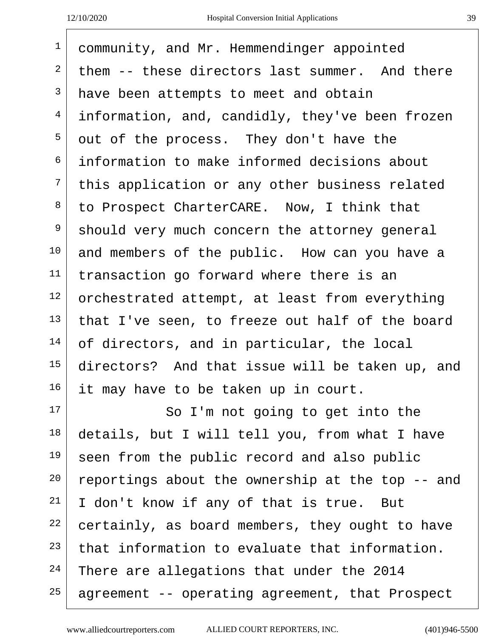| $\mathbf{1}$   | community, and Mr. Hemmendinger appointed        |
|----------------|--------------------------------------------------|
| 2              | them -- these directors last summer. And there   |
| 3              | have been attempts to meet and obtain            |
| $\overline{4}$ | information, and, candidly, they've been frozen  |
| 5              | out of the process. They don't have the          |
| 6              | information to make informed decisions about     |
| $\overline{7}$ | this application or any other business related   |
| 8              | to Prospect CharterCARE. Now, I think that       |
| 9              | should very much concern the attorney general    |
| 10             | and members of the public. How can you have a    |
| 11             | transaction go forward where there is an         |
| 12             | orchestrated attempt, at least from everything   |
| 13             | that I've seen, to freeze out half of the board  |
| 14             | of directors, and in particular, the local       |
| 15             | directors? And that issue will be taken up, and  |
| 16             | it may have to be taken up in court.             |
| 17             | So I'm not going to get into the                 |
| 18             | details, but I will tell you, from what I have   |
| 19             | seen from the public record and also public      |
| 20             | reportings about the ownership at the top -- and |
| 21             | I don't know if any of that is true. But         |
| 22             | certainly, as board members, they ought to have  |
| 23             | that information to evaluate that information.   |
| 24             | There are allegations that under the 2014        |
| 25             | agreement -- operating agreement, that Prospect  |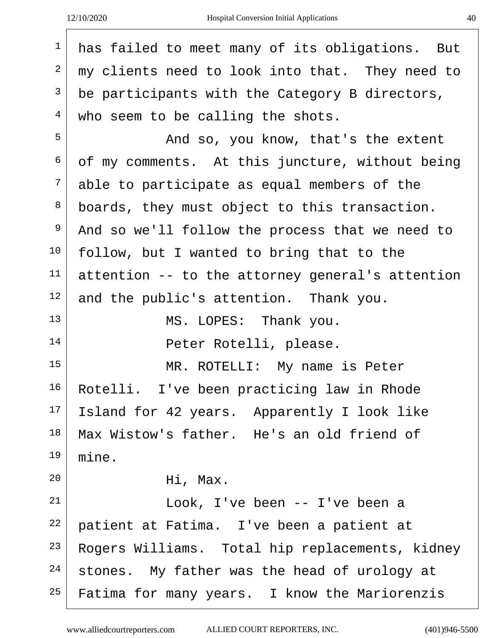| $\mathbf{1}$ | has failed to meet many of its obligations. But  |
|--------------|--------------------------------------------------|
| 2            | my clients need to look into that. They need to  |
| 3            | be participants with the Category B directors,   |
| 4            | who seem to be calling the shots.                |
| 5            | And so, you know, that's the extent              |
| 6            | of my comments. At this juncture, without being  |
| 7            | able to participate as equal members of the      |
| 8            | boards, they must object to this transaction.    |
| 9            | And so we'll follow the process that we need to  |
| 10           | follow, but I wanted to bring that to the        |
| 11           | attention -- to the attorney general's attention |
| 12           | and the public's attention. Thank you.           |
| 13           | MS. LOPES: Thank you.                            |
| 14           | Peter Rotelli, please.                           |
| 15           | MR. ROTELLI: My name is Peter                    |
| 16           | Rotelli. I've been practicing law in Rhode       |
| 17           | Island for 42 years. Apparently I look like      |
| 18           | Max Wistow's father. He's an old friend of       |
| 19           | mine.                                            |
| 20           | Hi, Max.                                         |
| 21           | Look, I've been -- I've been a                   |
| 22           | patient at Fatima. I've been a patient at        |
| 23           | Rogers Williams. Total hip replacements, kidney  |
| 24           | stones. My father was the head of urology at     |
| 25           | Fatima for many years. I know the Mariorenzis    |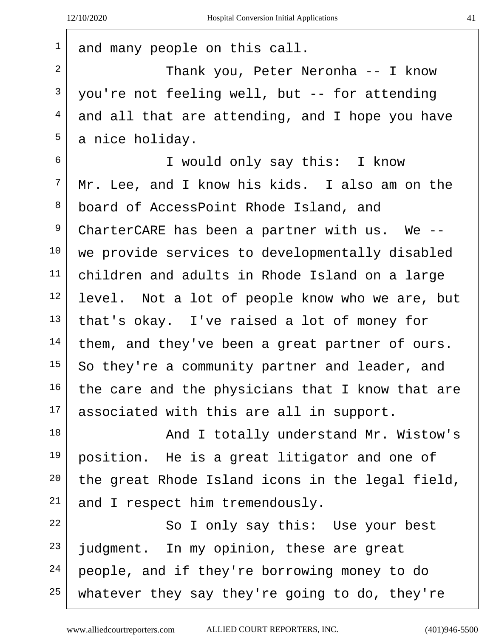| $\mathbf{1}$    | and many people on this call.                    |
|-----------------|--------------------------------------------------|
| $\overline{2}$  | Thank you, Peter Neronha -- I know               |
| 3               | you're not feeling well, but -- for attending    |
| $\overline{4}$  | and all that are attending, and I hope you have  |
| 5               | a nice holiday.                                  |
| 6               | I would only say this: I know                    |
| 7               | Mr. Lee, and I know his kids. I also am on the   |
| 8               | board of AccessPoint Rhode Island, and           |
| 9               | CharterCARE has been a partner with us. We $-$ - |
| 10              | we provide services to developmentally disabled  |
| 11              | children and adults in Rhode Island on a large   |
| 12              | level. Not a lot of people know who we are, but  |
| 13              | that's okay. I've raised a lot of money for      |
| 14              | them, and they've been a great partner of ours.  |
| 15              | So they're a community partner and leader, and   |
| 16 <sup>1</sup> | the care and the physicians that I know that are |
| 17              | associated with this are all in support.         |
| 18              | And I totally understand Mr. Wistow's            |
| 19              | position. He is a great litigator and one of     |
| 20              | the great Rhode Island icons in the legal field, |
| 21              | and I respect him tremendously.                  |
| 22              | So I only say this: Use your best                |
| 23              | judgment. In my opinion, these are great         |
| 24              | people, and if they're borrowing money to do     |
| 25              | whatever they say they're going to do, they're   |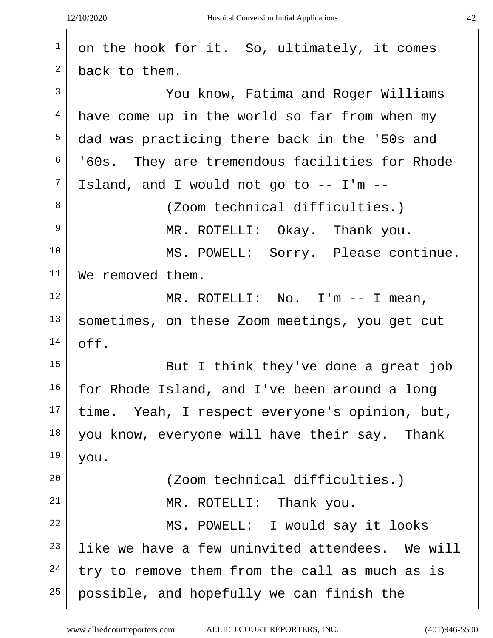$\lceil$ 

| 2<br>back to them.<br>$\mathbf{3}$<br>You know, Fatima and Roger Williams<br>4<br>have come up in the world so far from when my<br>5<br>dad was practicing there back in the '50s and<br>6<br>'60s. They are tremendous facilities for Rhode<br>$\overline{7}$<br>Island, and I would not go to $--$ I'm $--$<br>8<br>(Zoom technical difficulties.)<br>$\overline{9}$<br>MR. ROTELLI: Okay. Thank you.<br>MS. POWELL: Sorry. Please continue.<br>We removed them.<br>MR. ROTELLI: No. I'm $--$ I mean,<br>sometimes, on these Zoom meetings, you get cut |  |
|-----------------------------------------------------------------------------------------------------------------------------------------------------------------------------------------------------------------------------------------------------------------------------------------------------------------------------------------------------------------------------------------------------------------------------------------------------------------------------------------------------------------------------------------------------------|--|
|                                                                                                                                                                                                                                                                                                                                                                                                                                                                                                                                                           |  |
| 10<br>11<br>12<br>13                                                                                                                                                                                                                                                                                                                                                                                                                                                                                                                                      |  |
|                                                                                                                                                                                                                                                                                                                                                                                                                                                                                                                                                           |  |
|                                                                                                                                                                                                                                                                                                                                                                                                                                                                                                                                                           |  |
|                                                                                                                                                                                                                                                                                                                                                                                                                                                                                                                                                           |  |
|                                                                                                                                                                                                                                                                                                                                                                                                                                                                                                                                                           |  |
|                                                                                                                                                                                                                                                                                                                                                                                                                                                                                                                                                           |  |
|                                                                                                                                                                                                                                                                                                                                                                                                                                                                                                                                                           |  |
|                                                                                                                                                                                                                                                                                                                                                                                                                                                                                                                                                           |  |
|                                                                                                                                                                                                                                                                                                                                                                                                                                                                                                                                                           |  |
|                                                                                                                                                                                                                                                                                                                                                                                                                                                                                                                                                           |  |
|                                                                                                                                                                                                                                                                                                                                                                                                                                                                                                                                                           |  |
| 14<br>off.                                                                                                                                                                                                                                                                                                                                                                                                                                                                                                                                                |  |
| 15<br>But I think they've done a great job                                                                                                                                                                                                                                                                                                                                                                                                                                                                                                                |  |
| 16<br>for Rhode Island, and I've been around a long                                                                                                                                                                                                                                                                                                                                                                                                                                                                                                       |  |
| 17<br>time. Yeah, I respect everyone's opinion, but,                                                                                                                                                                                                                                                                                                                                                                                                                                                                                                      |  |
| 18<br>you know, everyone will have their say. Thank                                                                                                                                                                                                                                                                                                                                                                                                                                                                                                       |  |
| 19<br>you.                                                                                                                                                                                                                                                                                                                                                                                                                                                                                                                                                |  |
| 20<br>(Zoom technical difficulties.)                                                                                                                                                                                                                                                                                                                                                                                                                                                                                                                      |  |
| 21<br>MR. ROTELLI: Thank you.                                                                                                                                                                                                                                                                                                                                                                                                                                                                                                                             |  |
| 22<br>MS. POWELL: I would say it looks                                                                                                                                                                                                                                                                                                                                                                                                                                                                                                                    |  |
| 23<br>like we have a few uninvited attendees. We will                                                                                                                                                                                                                                                                                                                                                                                                                                                                                                     |  |
| 24<br>try to remove them from the call as much as is                                                                                                                                                                                                                                                                                                                                                                                                                                                                                                      |  |
| 25<br>possible, and hopefully we can finish the                                                                                                                                                                                                                                                                                                                                                                                                                                                                                                           |  |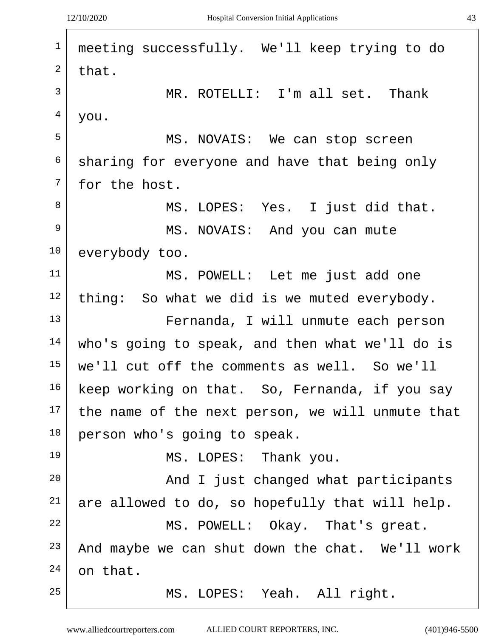| 1         | meeting successfully. We'll keep trying to do    |
|-----------|--------------------------------------------------|
| 2         | that.                                            |
| 3         | MR. ROTELLI: I'm all set. Thank                  |
| 4         | you.                                             |
| 5         | MS. NOVAIS: We can stop screen                   |
| 6         | sharing for everyone and have that being only    |
| 7         | for the host.                                    |
| 8         | MS. LOPES: Yes. I just did that.                 |
| 9         | MS. NOVAIS: And you can mute                     |
| 10        | everybody too.                                   |
| 11        | MS. POWELL: Let me just add one                  |
| 12        | thing: So what we did is we muted everybody.     |
| 13        | Fernanda, I will unmute each person              |
| 14        | who's going to speak, and then what we'll do is  |
| 15        | we'll cut off the comments as well. So we'll     |
| $16 \mid$ | keep working on that. So, Fernanda, if you say   |
| 17        | the name of the next person, we will unmute that |
| 18        | person who's going to speak.                     |
| 19        | MS. LOPES: Thank you.                            |
| 20        | And I just changed what participants             |
| 21        | are allowed to do, so hopefully that will help.  |
| 22        | MS. POWELL: Okay. That's great.                  |
| 23        | And maybe we can shut down the chat. We'll work  |
| 24        | on that.                                         |
| 25        | MS. LOPES: Yeah. All right.                      |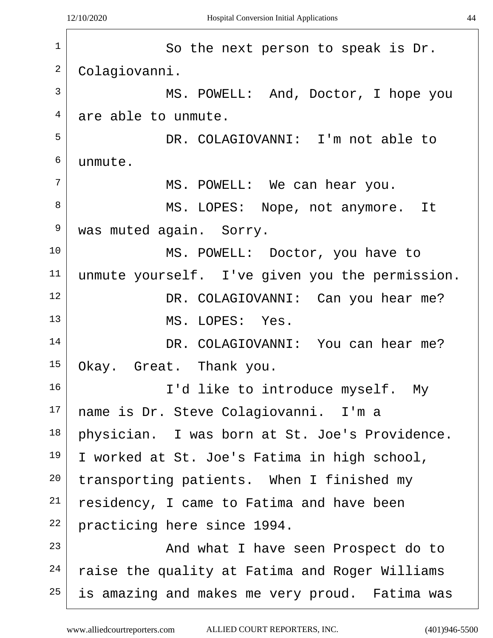$\sqrt{2}$ 

| $\mathbf 1$    | So the next person to speak is Dr.              |
|----------------|-------------------------------------------------|
| $\overline{2}$ | Colagiovanni.                                   |
| 3              | MS. POWELL: And, Doctor, I hope you             |
| 4              | are able to unmute.                             |
| 5              | DR. COLAGIOVANNI: I'm not able to               |
| 6              | unmute.                                         |
| 7              | MS. POWELL: We can hear you.                    |
| 8              | MS. LOPES: Nope, not anymore. It                |
| 9              | was muted again. Sorry.                         |
| 10             | MS. POWELL: Doctor, you have to                 |
| 11             | unmute yourself. I've given you the permission. |
| 12             | DR. COLAGIOVANNI: Can you hear me?              |
| 13             | MS. LOPES: Yes.                                 |
| 14             | DR. COLAGIOVANNI: You can hear me?              |
| 15             | Okay. Great. Thank you.                         |
| 16             | I'd like to introduce myself. My                |
| 17             | name is Dr. Steve Colagiovanni. I'm a           |
| 18             | physician. I was born at St. Joe's Providence.  |
| 19             | I worked at St. Joe's Fatima in high school,    |
| 20             | transporting patients. When I finished my       |
| 21             | residency, I came to Fatima and have been       |
| 22             | practicing here since 1994.                     |
| 23             | And what I have seen Prospect do to             |
| 24             | raise the quality at Fatima and Roger Williams  |
| 25             | is amazing and makes me very proud. Fatima was  |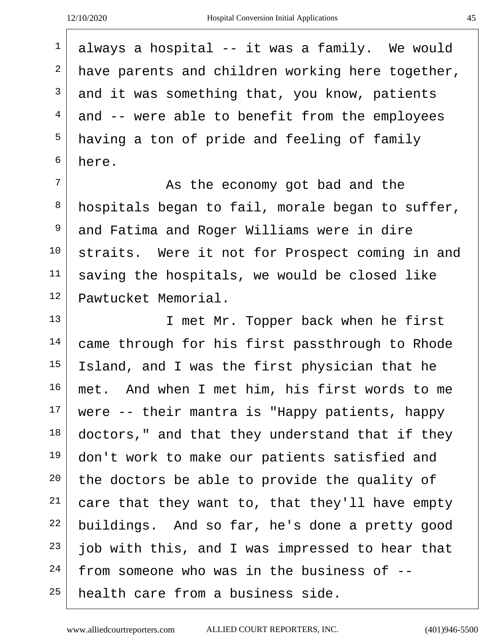always a hospital -- it was a family. We would have parents and children working here together, and it was something that, you know, patients  $4 \mid$  and -- were able to benefit from the employees having a ton of pride and feeling of family here.

<sup>7</sup> As the economy got bad and the hospitals began to fail, morale began to suffer, <sup>9</sup> and Fatima and Roger Williams were in dire straits. Were it not for Prospect coming in and saving the hospitals, we would be closed like Pawtucket Memorial.

13 I met Mr. Topper back when he first came through for his first passthrough to Rhode Island, and I was the first physician that he met. And when I met him, his first words to me were -- their mantra is "Happy patients, happy doctors," and that they understand that if they don't work to make our patients satisfied and the doctors be able to provide the quality of care that they want to, that they'll have empty buildings. And so far, he's done a pretty good job with this, and I was impressed to hear that from someone who was in the business of  $-$ health care from a business side.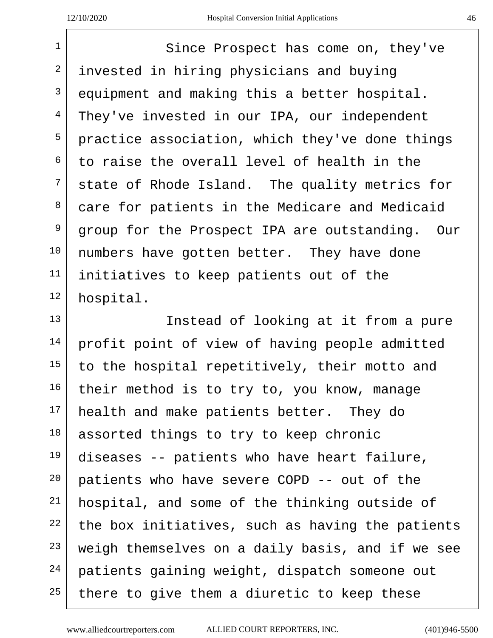<sup>1</sup> Since Prospect has come on, they've invested in hiring physicians and buying equipment and making this a better hospital.  $4 \mid$  They've invested in our IPA, our independent practice association, which they've done things to raise the overall level of health in the state of Rhode Island. The quality metrics for care for patients in the Medicare and Medicaid group for the Prospect IPA are outstanding. Our numbers have gotten better. They have done initiatives to keep patients out of the hospital.

13 Instead of looking at it from a pure profit point of view of having people admitted to the hospital repetitively, their motto and their method is to try to, you know, manage health and make patients better. They do assorted things to try to keep chronic diseases -- patients who have heart failure, patients who have severe COPD -- out of the hospital, and some of the thinking outside of the box initiatives, such as having the patients weigh themselves on a daily basis, and if we see 24 patients gaining weight, dispatch someone out there to give them a diuretic to keep these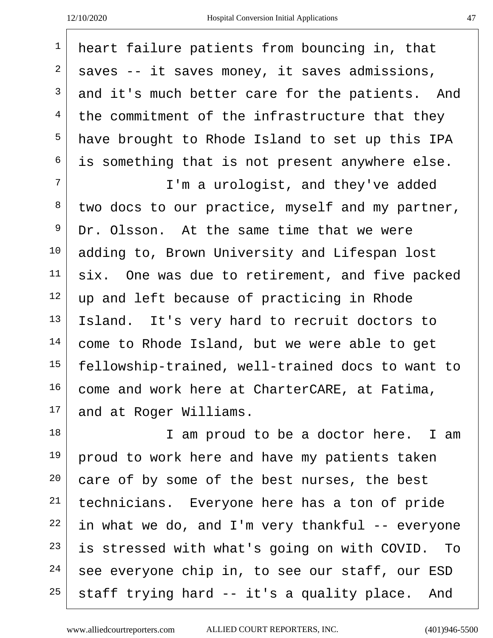heart failure patients from bouncing in, that saves -- it saves money, it saves admissions, and it's much better care for the patients. And  $4 \mid$  the commitment of the infrastructure that they have brought to Rhode Island to set up this IPA is something that is not present anywhere else. I'm a urologist, and they've added two docs to our practice, myself and my partner, Dr. Olsson. At the same time that we were adding to, Brown University and Lifespan lost six. One was due to retirement, and five packed up and left because of practicing in Rhode Island. It's very hard to recruit doctors to come to Rhode Island, but we were able to get <sup>15</sup> fellowship-trained, well-trained docs to want to come and work here at CharterCARE, at Fatima, and at Roger Williams. I am proud to be a doctor here. I am proud to work here and have my patients taken care of by some of the best nurses, the best technicians. Everyone here has a ton of pride in what we do, and I'm very thankful -- everyone is stressed with what's going on with COVID. To see everyone chip in, to see our staff, our ESD staff trying hard -- it's a quality place. And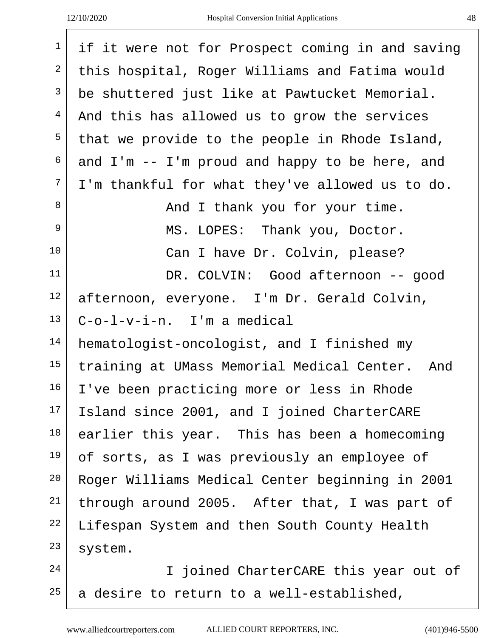| $\mathbf 1$    | if it were not for Prospect coming in and saving  |
|----------------|---------------------------------------------------|
| 2              | this hospital, Roger Williams and Fatima would    |
| 3              | be shuttered just like at Pawtucket Memorial.     |
| 4              | And this has allowed us to grow the services      |
| 5              | that we provide to the people in Rhode Island,    |
| 6              | and $I'm -- I'm$ proud and happy to be here, and  |
| 7              | I'm thankful for what they've allowed us to do.   |
| 8              | And I thank you for your time.                    |
| $\overline{9}$ | MS. LOPES: Thank you, Doctor.                     |
| 10             | Can I have Dr. Colvin, please?                    |
| 11             | DR. COLVIN: Good afternoon -- good                |
| 12             | afternoon, everyone. I'm Dr. Gerald Colvin,       |
| 13             | $C$ -o-l-v-i-n. I'm a medical                     |
| 14             | hematologist-oncologist, and I finished my        |
| 15             | training at UMass Memorial Medical Center.<br>And |
| 16             | I've been practicing more or less in Rhode        |
| 17             | Island since 2001, and I joined CharterCARE       |
| 18             | earlier this year. This has been a homecoming     |
| 19             | of sorts, as I was previously an employee of      |
| 20             | Roger Williams Medical Center beginning in 2001   |
| 21             | through around 2005. After that, I was part of    |
| 22             | Lifespan System and then South County Health      |
| 23             | system.                                           |
| 24             | I joined CharterCARE this year out of             |
| 25             | a desire to return to a well-established,         |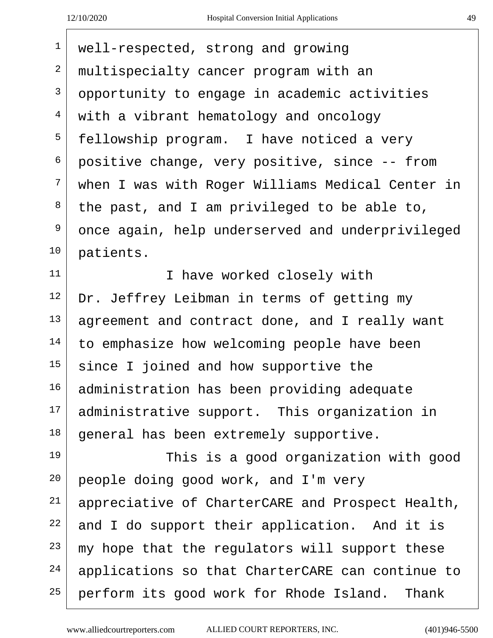$\overline{r}$ 

| $\mathbf 1$    | well-respected, strong and growing               |
|----------------|--------------------------------------------------|
| 2              | multispecialty cancer program with an            |
| $\mathfrak{Z}$ | opportunity to engage in academic activities     |
| 4              | with a vibrant hematology and oncology           |
| 5              | fellowship program. I have noticed a very        |
| 6              | positive change, very positive, since -- from    |
| $\overline{7}$ | when I was with Roger Williams Medical Center in |
| 8              | the past, and I am privileged to be able to,     |
| 9              | once again, help underserved and underprivileged |
| 10             | patients.                                        |
| 11             | I have worked closely with                       |
| 12             | Dr. Jeffrey Leibman in terms of getting my       |
| 13             | agreement and contract done, and I really want   |
| 14             | to emphasize how welcoming people have been      |
| 15             | since I joined and how supportive the            |
| 16             | administration has been providing adequate       |
| 17             | administrative support. This organization in     |
| 18             | general has been extremely supportive.           |
| 19             | This is a good organization with good            |
| 20             | people doing good work, and I'm very             |
| 21             | appreciative of CharterCARE and Prospect Health, |
| 22             | and I do support their application. And it is    |
| 23             | my hope that the regulators will support these   |
| 24             | applications so that CharterCARE can continue to |
| 25             | perform its good work for Rhode Island. Thank    |
|                |                                                  |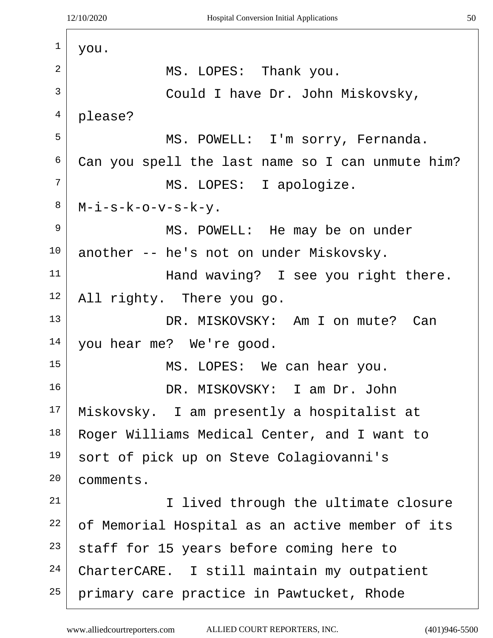| $\mathbf 1$    | you.                                             |
|----------------|--------------------------------------------------|
| $\overline{2}$ | MS. LOPES: Thank you.                            |
| $\overline{3}$ | Could I have Dr. John Miskovsky,                 |
| 4              | please?                                          |
| 5              | MS. POWELL: I'm sorry, Fernanda.                 |
| 6              | Can you spell the last name so I can unmute him? |
| 7              | MS. LOPES: I apologize.                          |
| 8              | $M-i-s-k-o-v-s-k-y$ .                            |
| 9              | MS. POWELL: He may be on under                   |
| 10             | another -- he's not on under Miskovsky.          |
| 11             | Hand waving? I see you right there.              |
| 12             | All righty. There you go.                        |
| 13             | DR. MISKOVSKY: Am I on mute? Can                 |
| 14             | you hear me? We're good.                         |
| 15             | MS. LOPES: We can hear you.                      |
| 16             | DR. MISKOVSKY: I am Dr. John                     |
| 17             | Miskovsky. I am presently a hospitalist at       |
| 18             | Roger Williams Medical Center, and I want to     |
| 19             | sort of pick up on Steve Colagiovanni's          |
| 20             | comments.                                        |
| 21             | I lived through the ultimate closure             |
| 22             | of Memorial Hospital as an active member of its  |
| 23             | staff for 15 years before coming here to         |
| 24             | CharterCARE. I still maintain my outpatient      |
| 25             | primary care practice in Pawtucket, Rhode        |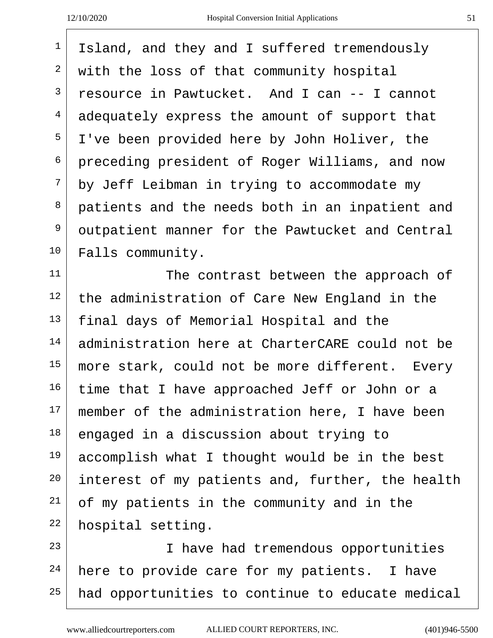$\mathsf{I}$ 

| $\mathbf 1$    | Island, and they and I suffered tremendously     |
|----------------|--------------------------------------------------|
| 2              | with the loss of that community hospital         |
| $\mathsf{3}$   | resource in Pawtucket. And I can -- I cannot     |
| $\overline{4}$ | adequately express the amount of support that    |
| 5              | I've been provided here by John Holiver, the     |
| 6              | preceding president of Roger Williams, and now   |
| 7              | by Jeff Leibman in trying to accommodate my      |
| 8              | patients and the needs both in an inpatient and  |
| 9              | outpatient manner for the Pawtucket and Central  |
| 10             | Falls community.                                 |
| 11             | The contrast between the approach of             |
| 12             | the administration of Care New England in the    |
| 13             | final days of Memorial Hospital and the          |
| 14             | administration here at CharterCARE could not be  |
| 15             | more stark, could not be more different. Every   |
| 16             | time that I have approached Jeff or John or a    |
| 17             | member of the administration here, I have been   |
| 18             | engaged in a discussion about trying to          |
| 19             | accomplish what I thought would be in the best   |
| 20             | interest of my patients and, further, the health |
| 21             | of my patients in the community and in the       |
| 22             | hospital setting.                                |
| 23             | I have had tremendous opportunities              |
| 24             | here to provide care for my patients. I have     |
| 25             | had opportunities to continue to educate medical |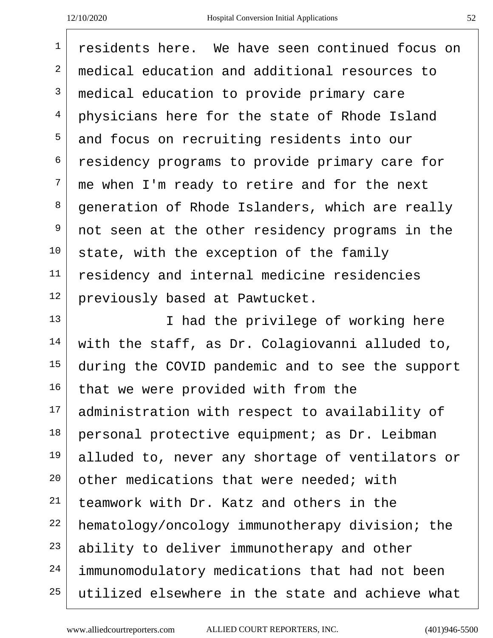residents here. We have seen continued focus on  $2 \mid$  medical education and additional resources to medical education to provide primary care  $4 \mid$  physicians here for the state of Rhode Island and focus on recruiting residents into our residency programs to provide primary care for me when I'm ready to retire and for the next qeneration of Rhode Islanders, which are really  $9 \mid$  not seen at the other residency programs in the state, with the exception of the family residency and internal medicine residencies previously based at Pawtucket. I had the privilege of working here

 with the staff, as Dr. Colagiovanni alluded to, 15 during the COVID pandemic and to see the support that we were provided with from the administration with respect to availability of personal protective equipment; as Dr. Leibman alluded to, never any shortage of ventilators or other medications that were needed; with teamwork with Dr. Katz and others in the 22 hematology/oncology immunotherapy division; the ability to deliver immunotherapy and other immunomodulatory medications that had not been utilized elsewhere in the state and achieve what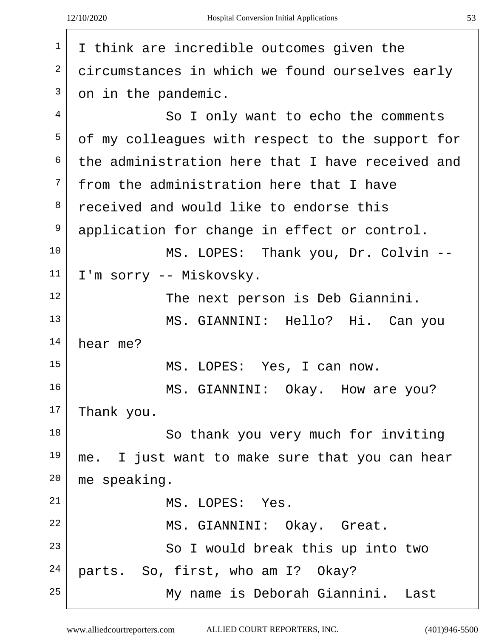| $\mathbf{1}$   | I think are incredible outcomes given the        |
|----------------|--------------------------------------------------|
| 2              | circumstances in which we found ourselves early  |
| 3              | on in the pandemic.                              |
| 4              | So I only want to echo the comments              |
| 5              | of my colleagues with respect to the support for |
| 6              | the administration here that I have received and |
| $7\phantom{.}$ | from the administration here that I have         |
| 8              | received and would like to endorse this          |
| 9              | application for change in effect or control.     |
| 10             | MS. LOPES: Thank you, Dr. Colvin --              |
| 11             | I'm sorry -- Miskovsky.                          |
| 12             | The next person is Deb Giannini.                 |
| 13             | MS. GIANNINI: Hello? Hi. Can you                 |
| 14             | hear me?                                         |
| 15             | MS. LOPES: Yes, I can now.                       |
| 16             | MS. GIANNINI: Okay. How are you?                 |
| 17             | Thank you.                                       |
| 18             | So thank you very much for inviting              |
| 19             | me. I just want to make sure that you can hear   |
| 20             | me speaking.                                     |
| 21             | MS. LOPES: Yes.                                  |
| 22             | MS. GIANNINI: Okay. Great.                       |
| 23             | So I would break this up into two                |
| 24             | parts. So, first, who am I? Okay?                |
| 25             | My name is Deborah Giannini. Last                |
|                |                                                  |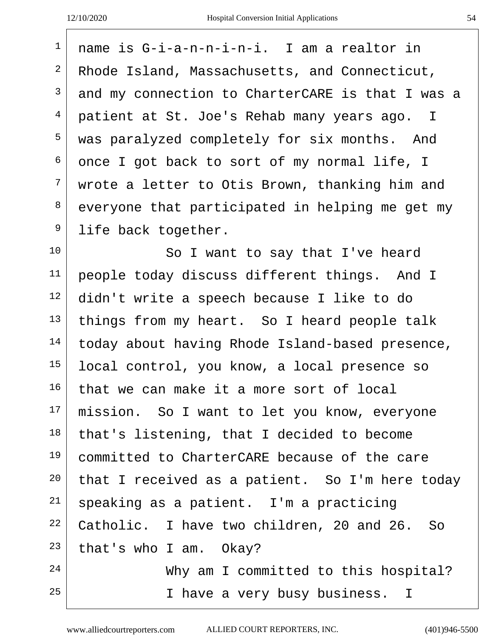$\sqrt{2}$ 

| $\mathbf 1$    | name is G-i-a-n-n-i-n-i. I am a realtor in       |
|----------------|--------------------------------------------------|
| 2              | Rhode Island, Massachusetts, and Connecticut,    |
| $\mathsf{3}$   | and my connection to CharterCARE is that I was a |
| $\overline{4}$ | patient at St. Joe's Rehab many years ago. I     |
| 5              | was paralyzed completely for six months. And     |
| 6              | once I got back to sort of my normal life, I     |
| 7              | wrote a letter to Otis Brown, thanking him and   |
| 8              | everyone that participated in helping me get my  |
| 9              | life back together.                              |
| 10             | So I want to say that I've heard                 |
| 11             | people today discuss different things. And I     |
| 12             | didn't write a speech because I like to do       |
| 13             | things from my heart. So I heard people talk     |
| 14             | today about having Rhode Island-based presence,  |
| 15             | local control, you know, a local presence so     |
| 16             | that we can make it a more sort of local         |
| 17             | mission. So I want to let you know, everyone     |
| 18             | that's listening, that I decided to become       |
| 19             | committed to CharterCARE because of the care     |
| $20 \,$        | that I received as a patient. So I'm here today  |
| 21             | speaking as a patient. I'm a practicing          |
| 22             | Catholic. I have two children, 20 and 26. So     |
| 23             | that's who I am. Okay?                           |
| 24             | Why am I committed to this hospital?             |
| 25             | I have a very busy business. I                   |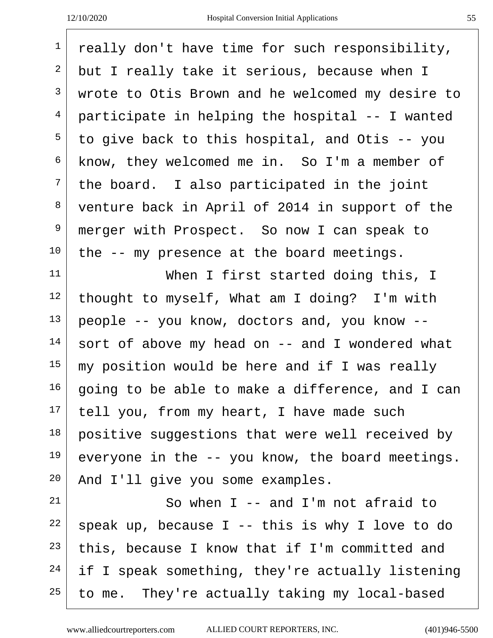| $\mathbf{1}$   | really don't have time for such responsibility,   |
|----------------|---------------------------------------------------|
| 2              | but I really take it serious, because when I      |
| 3              | wrote to Otis Brown and he welcomed my desire to  |
| $\overline{4}$ | participate in helping the hospital -- I wanted   |
| 5              | to give back to this hospital, and Otis -- you    |
| 6              | know, they welcomed me in. So I'm a member of     |
| 7              | the board. I also participated in the joint       |
| 8              | venture back in April of 2014 in support of the   |
| 9              | merger with Prospect. So now I can speak to       |
| 10             | the -- my presence at the board meetings.         |
| 11             | When I first started doing this, I                |
| 12             | thought to myself, What am I doing? I'm with      |
| 13             | people -- you know, doctors and, you know --      |
| 14             | sort of above my head on -- and I wondered what   |
| 15             | my position would be here and if I was really     |
| 16             | going to be able to make a difference, and I can  |
| 17             | tell you, from my heart, I have made such         |
| 18             | positive suggestions that were well received by   |
| 19             | everyone in the -- you know, the board meetings.  |
| 20             | And I'll give you some examples.                  |
| 21             | So when $I$ -- and $I'm$ not afraid to            |
| 22             | speak up, because $I$ -- this is why I love to do |
| 23             | this, because I know that if I'm committed and    |
| 24             | if I speak something, they're actually listening  |
| 25             | to me. They're actually taking my local-based     |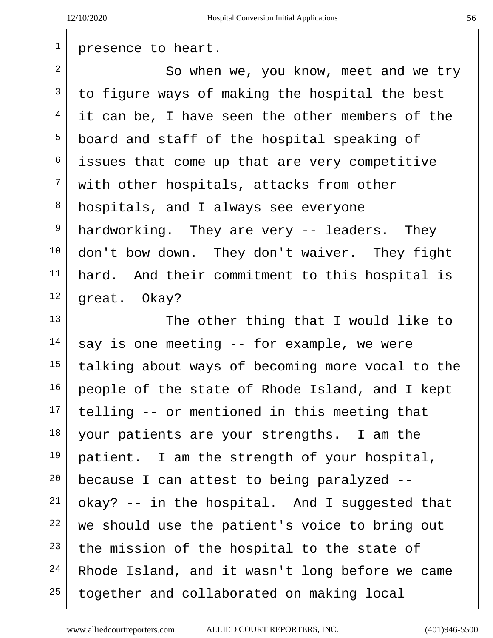| 1               | presence to heart.                               |
|-----------------|--------------------------------------------------|
| 2               | So when we, you know, meet and we try            |
| 3               | to figure ways of making the hospital the best   |
| 4               | it can be, I have seen the other members of the  |
| 5               | board and staff of the hospital speaking of      |
| 6               | issues that come up that are very competitive    |
| 7               | with other hospitals, attacks from other         |
| 8               | hospitals, and I always see everyone             |
| 9               | hardworking. They are very -- leaders. They      |
| 10              | don't bow down. They don't waiver. They fight    |
| 11              | hard. And their commitment to this hospital is   |
| 12              | great. Okay?                                     |
| 13              | The other thing that I would like to             |
| 14              | say is one meeting -- for example, we were       |
| 15 <sub>1</sub> | talking about ways of becoming more vocal to the |
| 16              | people of the state of Rhode Island, and I kept  |
| 17              | telling -- or mentioned in this meeting that     |
| 18              | your patients are your strengths. I am the       |
| 19              | patient. I am the strength of your hospital,     |
| 20              | because I can attest to being paralyzed --       |
| 21              | okay? -- in the hospital. And I suggested that   |
| 22              | we should use the patient's voice to bring out   |
| 23              | the mission of the hospital to the state of      |
| 24              | Rhode Island, and it wasn't long before we came  |
| 25              | together and collaborated on making local        |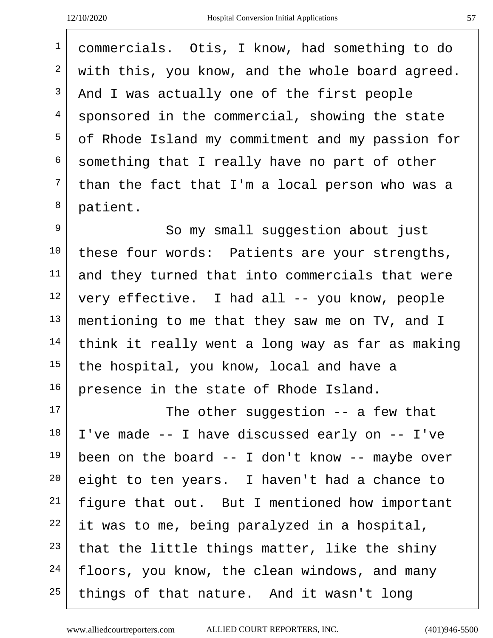<sup>1</sup> commercials. Otis, I know, had something to do with this, you know, and the whole board agreed. And I was actually one of the first people  $4 \mid$  sponsored in the commercial, showing the state of Rhode Island my commitment and my passion for something that I really have no part of other than the fact that I'm a local person who was a patient.

<sup>9</sup> So my small suqqestion about just these four words: Patients are your strengths, and they turned that into commercials that were very effective. I had all -- you know, people mentioning to me that they saw me on TV, and I think it really went a long way as far as making the hospital, you know, local and have a presence in the state of Rhode Island.

 The other suggestion  $-$  a few that I've made -- I have discussed early on -- I've been on the board -- I don't know -- maybe over eight to ten years. I haven't had a chance to figure that out. But I mentioned how important it was to me, being paralyzed in a hospital, that the little things matter, like the shiny floors, you know, the clean windows, and many things of that nature. And it wasn't long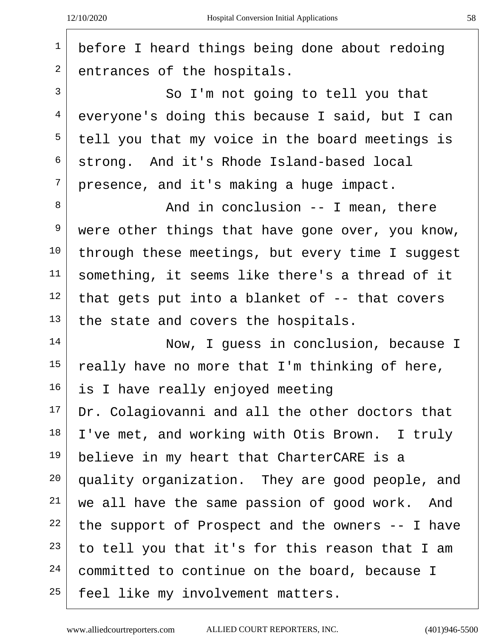| $\mathbf 1$    | before I heard things being done about redoing    |
|----------------|---------------------------------------------------|
| $\overline{2}$ | entrances of the hospitals.                       |
| $\overline{3}$ | So I'm not going to tell you that                 |
| 4              | everyone's doing this because I said, but I can   |
| 5              | tell you that my voice in the board meetings is   |
| 6              | strong. And it's Rhode Island-based local         |
| 7              | presence, and it's making a huge impact.          |
| 8              | And in conclusion $--$ I mean, there              |
| 9              | were other things that have gone over, you know,  |
| 10             | through these meetings, but every time I suggest  |
| 11             | something, it seems like there's a thread of it   |
| 12             | that gets put into a blanket of $-$ that covers   |
| 13             | the state and covers the hospitals.               |
| 14             | Now, I guess in conclusion, because I             |
| 15             | really have no more that I'm thinking of here,    |
| 16             | is I have really enjoyed meeting                  |
| 17             | Dr. Colagiovanni and all the other doctors that   |
| 18             | I've met, and working with Otis Brown. I truly    |
| 19             | believe in my heart that CharterCARE is a         |
| $20\,$         | quality organization. They are good people, and   |
| 21             | we all have the same passion of good work. And    |
| 22             | the support of Prospect and the owners $-$ I have |
| 23             | to tell you that it's for this reason that I am   |
| 24             | committed to continue on the board, because I     |
| 25             | feel like my involvement matters.                 |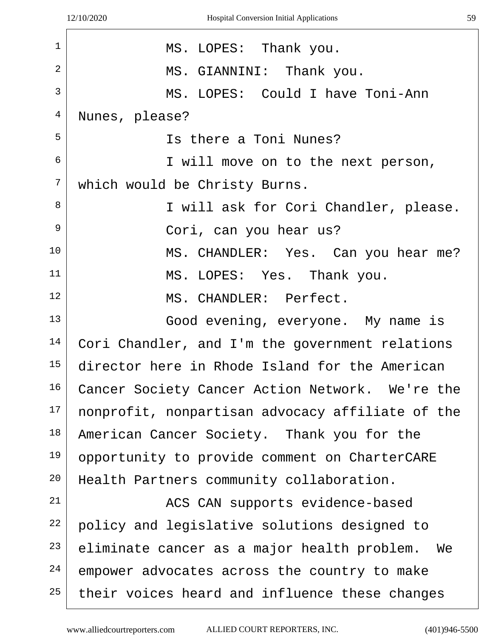| $\mathbf 1$    | MS. LOPES: Thank you.                            |
|----------------|--------------------------------------------------|
| $\overline{2}$ | MS. GIANNINI: Thank you.                         |
| $\overline{3}$ | MS. LOPES: Could I have Toni-Ann                 |
| $\overline{4}$ | Nunes, please?                                   |
| 5              | Is there a Toni Nunes?                           |
| 6              | I will move on to the next person,               |
| 7              | which would be Christy Burns.                    |
| 8              | I will ask for Cori Chandler, please.            |
| 9              | Cori, can you hear us?                           |
| 10             | MS. CHANDLER: Yes. Can you hear me?              |
| 11             | MS. LOPES: Yes. Thank you.                       |
| 12             | MS. CHANDLER: Perfect.                           |
| 13             | Good evening, everyone. My name is               |
| 14             | Cori Chandler, and I'm the government relations  |
| 15             | director here in Rhode Island for the American   |
| 16             | Cancer Society Cancer Action Network. We're the  |
| 17             | nonprofit, nonpartisan advocacy affiliate of the |
| 18             | American Cancer Society. Thank you for the       |
| 19             | opportunity to provide comment on CharterCARE    |
| 20             | Health Partners community collaboration.         |
| 21             | ACS CAN supports evidence-based                  |
| 22             | policy and legislative solutions designed to     |
| 23             | eliminate cancer as a major health problem. We   |
| 24             | empower advocates across the country to make     |
| 25             | their voices heard and influence these changes   |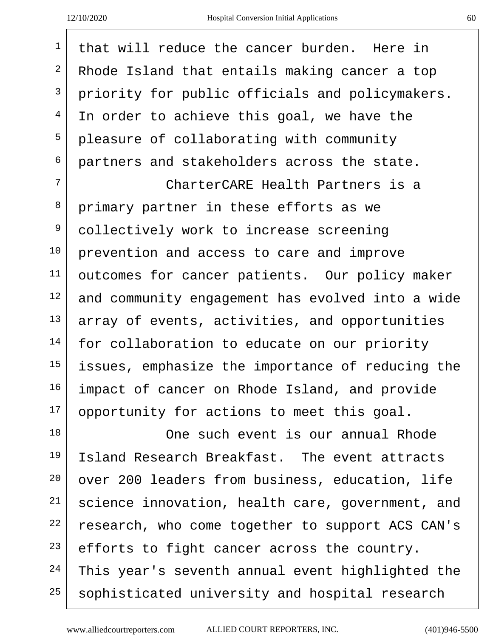that will reduce the cancer burden. Here in  $2 \mid$  Rhode Island that entails making cancer a top priority for public officials and policymakers.  $4 \mid$  In order to achieve this goal, we have the pleasure of collaborating with community partners and stakeholders across the state. <sup>7</sup> CharterCARE Health Partners is a primary partner in these efforts as we <sup>9</sup> collectively work to increase screening prevention and access to care and improve outcomes for cancer patients. Our policy maker and community engagement has evolved into a wide array of events, activities, and opportunities for collaboration to educate on our priority issues, emphasize the importance of reducing the impact of cancer on Rhode Island, and provide opportunity for actions to meet this goal. 18 One such event is our annual Rhode Island Research Breakfast. The event attracts over 200 leaders from business, education, life science innovation, health care, government, and research, who come together to support ACS CAN's efforts to fight cancer across the country. This year's seventh annual event highlighted the sophisticated university and hospital research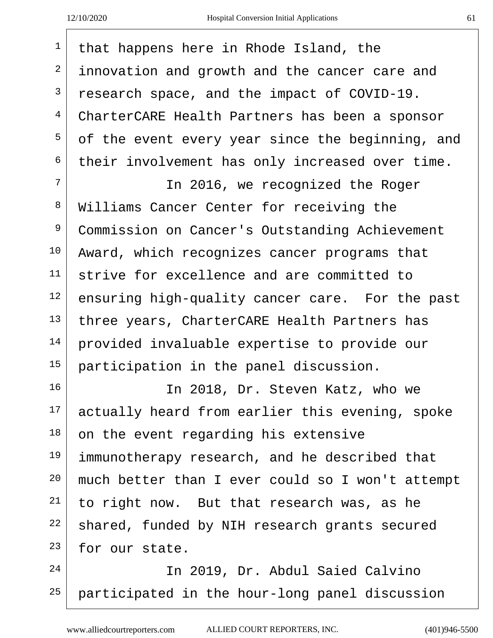that happens here in Rhode Island, the

| $\overline{a}$ | innovation and growth and the cancer care and    |
|----------------|--------------------------------------------------|
| 3              | research space, and the impact of COVID-19.      |
| $\overline{4}$ | CharterCARE Health Partners has been a sponsor   |
| 5              | of the event every year since the beginning, and |
| 6              | their involvement has only increased over time.  |
| 7              | In 2016, we recognized the Roger                 |
| 8              | Williams Cancer Center for receiving the         |
| 9              | Commission on Cancer's Outstanding Achievement   |
| 10             | Award, which recognizes cancer programs that     |
| 11             | strive for excellence and are committed to       |
| 12             | ensuring high-quality cancer care. For the past  |
| 13             | three years, CharterCARE Health Partners has     |
| 14             | provided invaluable expertise to provide our     |
| 15             | participation in the panel discussion.           |
| 16             | In 2018, Dr. Steven Katz, who we                 |
| 17             | actually heard from earlier this evening, spoke  |
| 18             | on the event regarding his extensive             |
| 19             | immunotherapy research, and he described that    |
| 20             | much better than I ever could so I won't attempt |
| 21             | to right now. But that research was, as he       |
| 22             | shared, funded by NIH research grants secured    |
| 23             | for our state.                                   |
| 24             | In 2019, Dr. Abdul Saied Calvino                 |
| 25             | participated in the hour-long panel discussion   |

www.alliedcourtreporters.com ALLIED COURT REPORTERS, INC. (401)946-5500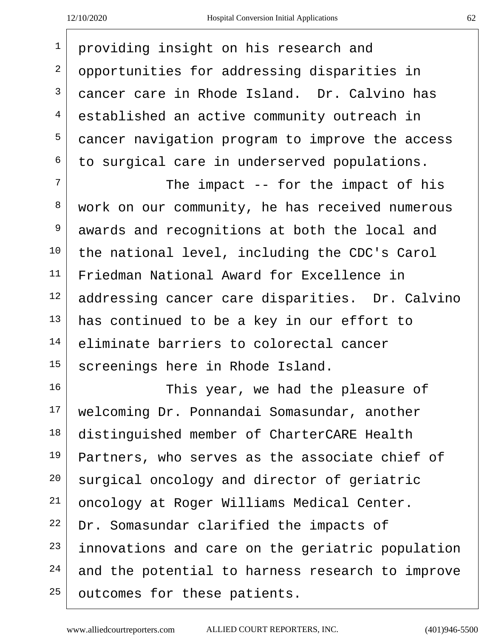<sup>1</sup> providing insight on his research and opportunities for addressing disparities in cancer care in Rhode Island. Dr. Calvino has  $4 \mid$  established an active community outreach in cancer navigation program to improve the access to surgical care in underserved populations. The impact  $-$  for the impact of his work on our community, he has received numerous <sup>9</sup> awards and recognitions at both the local and the national level, including the CDC's Carol Friedman National Award for Excellence in addressing cancer care disparities. Dr. Calvino has continued to be a key in our effort to eliminate barriers to colorectal cancer screenings here in Rhode Island. This year, we had the pleasure of welcoming Dr. Ponnandai Somasundar, another <sup>18</sup> distinguished member of CharterCARE Health Partners, who serves as the associate chief of 20 surgical oncology and director of geriatric oncology at Roger Williams Medical Center. Dr. Somasundar clarified the impacts of innovations and care on the geriatric population and the potential to harness research to improve outcomes for these patients.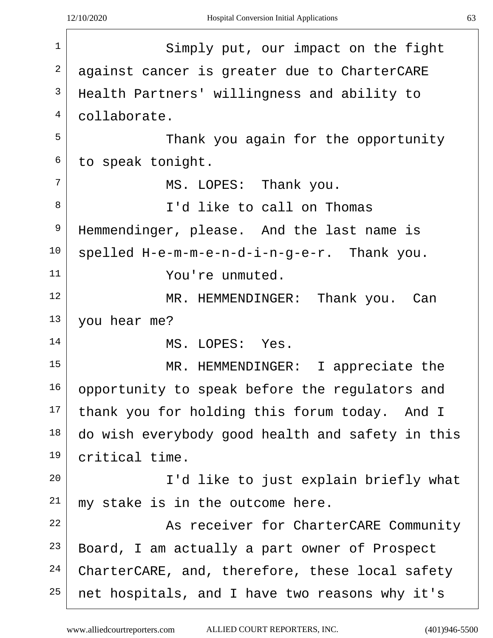$\overline{r}$ 

| $\mathbf{1}$   | Simply put, our impact on the fight              |
|----------------|--------------------------------------------------|
| 2              | against cancer is greater due to CharterCARE     |
| 3              | Health Partners' willingness and ability to      |
| $\overline{4}$ | collaborate.                                     |
| 5              | Thank you again for the opportunity              |
| 6              | to speak tonight.                                |
| 7              | MS. LOPES: Thank you.                            |
| 8              | I'd like to call on Thomas                       |
| 9              | Hemmendinger, please. And the last name is       |
| 10             | spelled H-e-m-m-e-n-d-i-n-g-e-r. Thank you.      |
| 11             | You're unmuted.                                  |
| 12             | MR. HEMMENDINGER: Thank you. Can                 |
| 13             | you hear me?                                     |
| 14             | MS. LOPES: Yes.                                  |
| 15             | MR. HEMMENDINGER: I appreciate the               |
| 16             | opportunity to speak before the regulators and   |
| 17             | thank you for holding this forum today. And I    |
| 18             | do wish everybody good health and safety in this |
| 19             | critical time.                                   |
| 20             | I'd like to just explain briefly what            |
| 21             | my stake is in the outcome here.                 |
| 22             | As receiver for CharterCARE Community            |
| 23             | Board, I am actually a part owner of Prospect    |
| 24             | CharterCARE, and, therefore, these local safety  |
| 25             | net hospitals, and I have two reasons why it's   |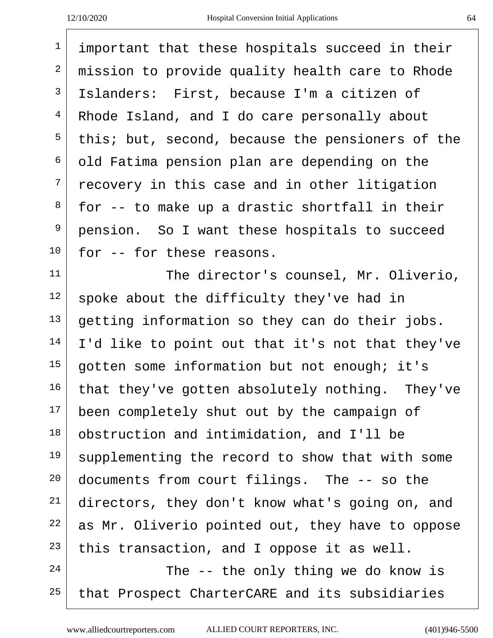$\mathsf{I}$ 

| $\mathbf 1$    | important that these hospitals succeed in their  |
|----------------|--------------------------------------------------|
| 2              | mission to provide quality health care to Rhode  |
| $\mathsf{3}$   | Islanders: First, because I'm a citizen of       |
| $\overline{4}$ | Rhode Island, and I do care personally about     |
| 5              | this; but, second, because the pensioners of the |
| 6              | old Fatima pension plan are depending on the     |
| 7              | recovery in this case and in other litigation    |
| 8              | for -- to make up a drastic shortfall in their   |
| 9              | pension. So I want these hospitals to succeed    |
| 10             | for -- for these reasons.                        |
| 11             | The director's counsel, Mr. Oliverio,            |
| 12             | spoke about the difficulty they've had in        |
| 13             | getting information so they can do their jobs.   |
| 14             | I'd like to point out that it's not that they've |
| 15             | gotten some information but not enough; it's     |
| 16             | that they've gotten absolutely nothing. They've  |
| 17             | been completely shut out by the campaign of      |
| 18             | obstruction and intimidation, and I'll be        |
| 19             | supplementing the record to show that with some  |
| 20             | documents from court filings. The -- so the      |
| 21             | directors, they don't know what's going on, and  |
| 22             | as Mr. Oliverio pointed out, they have to oppose |
| 23             | this transaction, and I oppose it as well.       |
| 24             | The -- the only thing we do know is              |
| 25             | that Prospect CharterCARE and its subsidiaries   |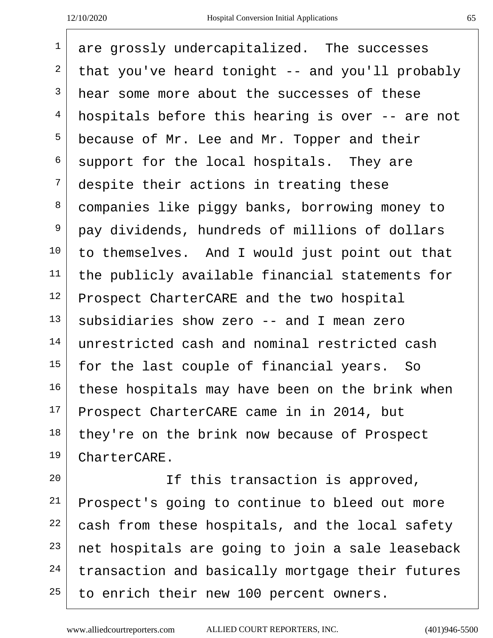| $\mathbf{1}$   | are grossly undercapitalized. The successes      |
|----------------|--------------------------------------------------|
| $\overline{a}$ | that you've heard tonight -- and you'll probably |
| 3              | hear some more about the successes of these      |
| $\overline{4}$ | hospitals before this hearing is over -- are not |
| 5              | because of Mr. Lee and Mr. Topper and their      |
| 6              | support for the local hospitals. They are        |
| $\overline{7}$ | despite their actions in treating these          |
| 8              | companies like piggy banks, borrowing money to   |
| 9              | pay dividends, hundreds of millions of dollars   |
| 10             | to themselves. And I would just point out that   |
| 11             | the publicly available financial statements for  |
| 12             | Prospect CharterCARE and the two hospital        |
| 13             | subsidiaries show zero -- and I mean zero        |
| 14             | unrestricted cash and nominal restricted cash    |
| 15             | for the last couple of financial years. So       |
| 16             | these hospitals may have been on the brink when  |
| 17             | Prospect CharterCARE came in in 2014, but        |
| 18             | they're on the brink now because of Prospect     |
| 19             | CharterCARE.                                     |
| 20             | If this transaction is approved,                 |
|                |                                                  |

 Prospect's going to continue to bleed out more cash from these hospitals, and the local safety net hospitals are going to join a sale leaseback transaction and basically mortgage their futures to enrich their new 100 percent owners.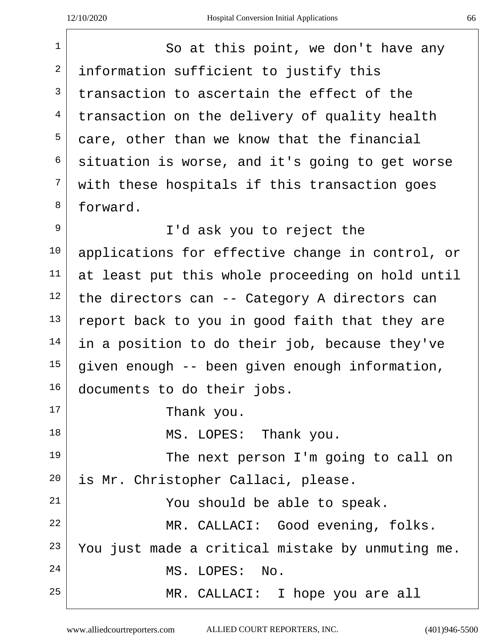$\sqrt{2}$ 

| So at this point, we don't have any              |
|--------------------------------------------------|
| information sufficient to justify this           |
| transaction to ascertain the effect of the       |
| transaction on the delivery of quality health    |
| care, other than we know that the financial      |
| situation is worse, and it's going to get worse  |
| with these hospitals if this transaction goes    |
| forward.                                         |
| I'd ask you to reject the                        |
| applications for effective change in control, or |
| at least put this whole proceeding on hold until |
| the directors can -- Category A directors can    |
| report back to you in good faith that they are   |
| in a position to do their job, because they've   |
| given enough -- been given enough information,   |
| documents to do their jobs.                      |
| Thank you.                                       |
| MS. LOPES: Thank you.                            |
| The next person I'm going to call on             |
| is Mr. Christopher Callaci, please.              |
| You should be able to speak.                     |
| MR. CALLACI: Good evening, folks.                |
| You just made a critical mistake by unmuting me. |
| MS. LOPES: No.                                   |
| MR. CALLACI: I hope you are all                  |
|                                                  |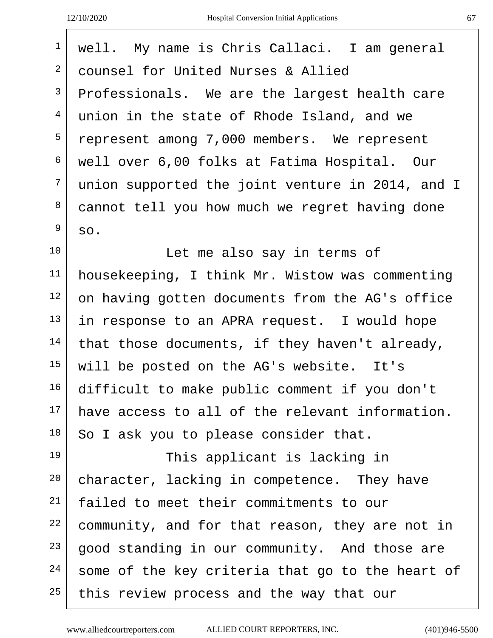| $\mathbf 1$    | well. My name is Chris Callaci. I am general     |
|----------------|--------------------------------------------------|
| 2              | counsel for United Nurses & Allied               |
| 3              | Professionals. We are the largest health care    |
| $\overline{4}$ | union in the state of Rhode Island, and we       |
| 5              | represent among 7,000 members. We represent      |
| 6              | well over 6,00 folks at Fatima Hospital. Our     |
| 7              | union supported the joint venture in 2014, and I |
| 8              | cannot tell you how much we regret having done   |
| 9              | SO.                                              |
| 10             | Let me also say in terms of                      |
| 11             | housekeeping, I think Mr. Wistow was commenting  |
| 12             | on having gotten documents from the AG's office  |
| 13             | in response to an APRA request. I would hope     |
| 14             | that those documents, if they haven't already,   |
| 15             | will be posted on the AG's website. It's         |
| 16             | difficult to make public comment if you don't    |
| 17             | have access to all of the relevant information.  |
| 18             | So I ask you to please consider that.            |
| 19             | This applicant is lacking in                     |
| 20             | character, lacking in competence. They have      |
| 21             | failed to meet their commitments to our          |
| 22             | community, and for that reason, they are not in  |
| 23             | good standing in our community. And those are    |
| 24             | some of the key criteria that go to the heart of |
| 25             | this review process and the way that our         |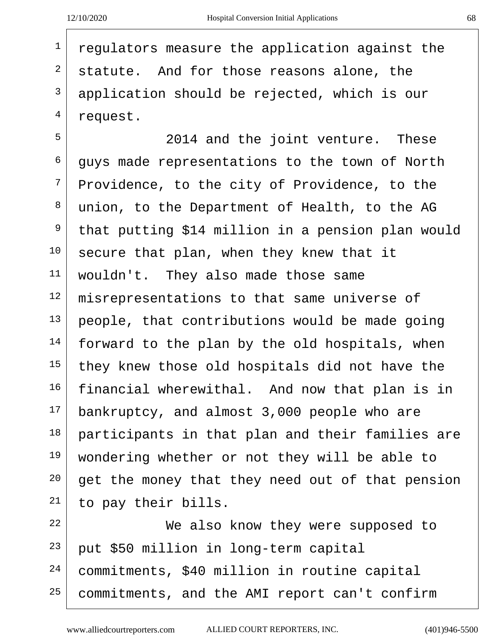Г

| $\mathbf 1$    | regulators measure the application against the    |
|----------------|---------------------------------------------------|
| 2              | statute. And for those reasons alone, the         |
| 3              | application should be rejected, which is our      |
| 4              | request.                                          |
| 5              | 2014 and the joint venture. These                 |
| 6              | guys made representations to the town of North    |
| $\overline{7}$ | Providence, to the city of Providence, to the     |
| 8              | union, to the Department of Health, to the AG     |
| 9              | that putting \$14 million in a pension plan would |
| 10             | secure that plan, when they knew that it          |
| 11             | wouldn't. They also made those same               |
| 12             | misrepresentations to that same universe of       |
| 13             | people, that contributions would be made going    |
| 14             | forward to the plan by the old hospitals, when    |
| 15             | they knew those old hospitals did not have the    |
| 16             | financial wherewithal. And now that plan is in    |
| 17             | bankruptcy, and almost 3,000 people who are       |
| 18             | participants in that plan and their families are  |
| 19             | wondering whether or not they will be able to     |
| $20 \,$        | get the money that they need out of that pension  |
| 21             | to pay their bills.                               |
| 22             | We also know they were supposed to                |
| 23             | put \$50 million in long-term capital             |
| 24             | commitments, \$40 million in routine capital      |

commitments, and the AMI report can't confirm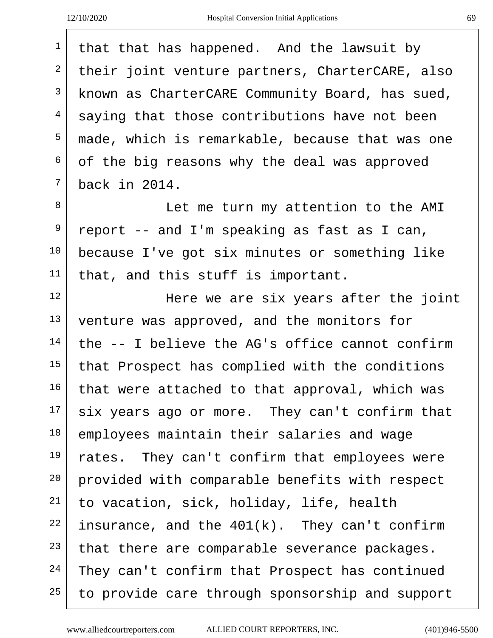|                | 12/10/2020<br>Hospital Conversion Initial Applications | 69 |
|----------------|--------------------------------------------------------|----|
| $\mathbf 1$    | that that has happened. And the lawsuit by             |    |
| 2              | their joint venture partners, CharterCARE, also        |    |
| 3              | known as CharterCARE Community Board, has sued,        |    |
| $\overline{4}$ | saying that those contributions have not been          |    |
| 5              | made, which is remarkable, because that was one        |    |
| 6              | of the big reasons why the deal was approved           |    |
| 7              | back in 2014.                                          |    |
| 8              | Let me turn my attention to the AMI                    |    |
| 9              | report -- and I'm speaking as fast as I can,           |    |
| 10             | because I've got six minutes or something like         |    |
| 11             | that, and this stuff is important.                     |    |
| 12             | Here we are six years after the joint                  |    |
| 13             | venture was approved, and the monitors for             |    |
| 14             | the -- I believe the AG's office cannot confirm        |    |
| 15             | that Prospect has complied with the conditions         |    |
| 16             | that were attached to that approval, which was         |    |
| 17             | six years ago or more. They can't confirm that         |    |

 Here we are six years after the joint venture was approved. the  $-$  I believe that Prospect has that were attache six years ago or employees maintain their salaries and wage rates. They can't confirm that employees were 20 provided with comparable benefits with respect to vacation, sick, holiday, life, health insurance, and the  $401(k)$ . They can't confirm that there are comparable severance packages. They can't confirm that Prospect has continued to provide care through sponsorship and support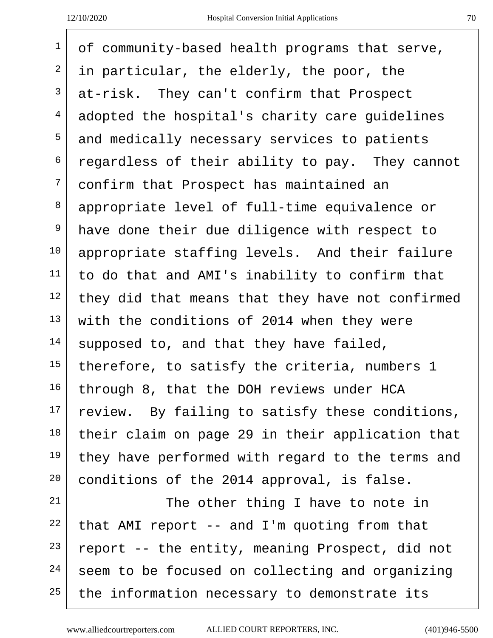$\Gamma$ 

| $\mathbf 1$    | of community-based health programs that serve,   |
|----------------|--------------------------------------------------|
| $\overline{a}$ | in particular, the elderly, the poor, the        |
| $\mathsf{3}$   | at-risk. They can't confirm that Prospect        |
| $\overline{4}$ | adopted the hospital's charity care guidelines   |
| 5              | and medically necessary services to patients     |
| 6              | regardless of their ability to pay. They cannot  |
| 7              | confirm that Prospect has maintained an          |
| 8              | appropriate level of full-time equivalence or    |
| $\mathsf 9$    | have done their due diligence with respect to    |
| 10             | appropriate staffing levels. And their failure   |
| 11             | to do that and AMI's inability to confirm that   |
| 12             | they did that means that they have not confirmed |
| 13             | with the conditions of 2014 when they were       |
| 14             | supposed to, and that they have failed,          |
| 15             | therefore, to satisfy the criteria, numbers 1    |
| 16             | through 8, that the DOH reviews under HCA        |
| 17             | review. By failing to satisfy these conditions,  |
| 18             | their claim on page 29 in their application that |
| 19             | they have performed with regard to the terms and |
| 20             | conditions of the 2014 approval, is false.       |
| 21             | The other thing I have to note in                |
| 22             | that AMI report $-$ and I'm quoting from that    |
| 23             | report -- the entity, meaning Prospect, did not  |

seem to be focused on collecting and organizing

the information necessary to demonstrate its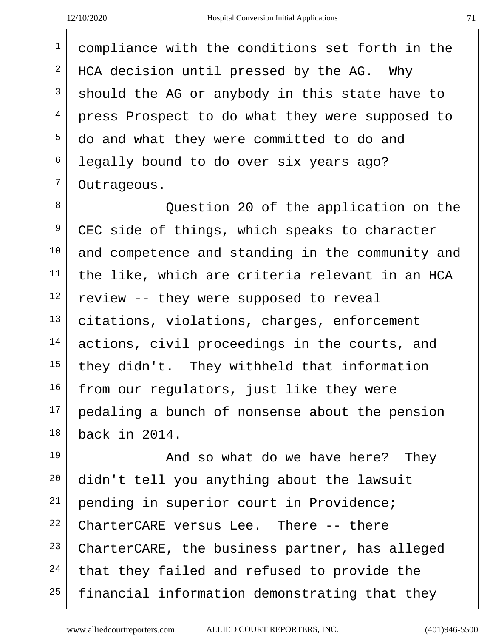compliance with the conditions set forth in the HCA decision until pressed by the AG. Why should the AG or anybody in this state have to  $4 \mid$  press Prospect to do what they were supposed to do and what they were committed to do and legally bound to do over six years ago? Outrageous.

<sup>8</sup> Question 20 of the application on the CEC side of things, which speaks to character and competence and standing in the community and the like, which are criteria relevant in an HCA review -- they were supposed to reveal citations, violations, charges, enforcement actions, civil proceedings in the courts, and they didn't. They withheld that information from our regulators, just like they were pedaling a bunch of nonsense about the pension back in 2014.

 And so what do we have here? They didn't tell you anything about the lawsuit pending in superior court in Providence; CharterCARE versus Lee. There -- there CharterCARE, the business partner, has alleged that they failed and refused to provide the financial information demonstrating that they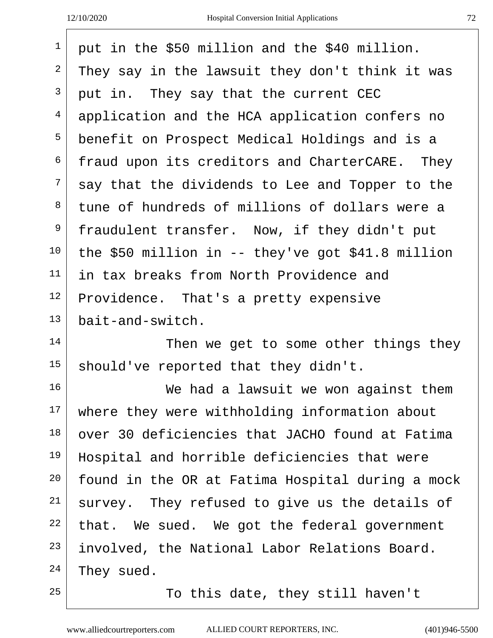| $\mathbf{1}$ | put in the \$50 million and the \$40 million.      |
|--------------|----------------------------------------------------|
| 2            | They say in the lawsuit they don't think it was    |
| 3            | put in. They say that the current CEC              |
| 4            | application and the HCA application confers no     |
| 5            | benefit on Prospect Medical Holdings and is a      |
| 6            | fraud upon its creditors and CharterCARE. They     |
| 7            | say that the dividends to Lee and Topper to the    |
| 8            | tune of hundreds of millions of dollars were a     |
| 9            | fraudulent transfer. Now, if they didn't put       |
| 10           | the \$50 million in $-$ they've got \$41.8 million |
| 11           | in tax breaks from North Providence and            |
| 12           | Providence. That's a pretty expensive              |
| 13           | bait-and-switch.                                   |
| 14           | Then we get to some other things they              |
| 15           | should've reported that they didn't.               |
| 16           | We had a lawsuit we won against them               |
| 17           | where they were withholding information about      |
| 18           | over 30 deficiencies that JACHO found at Fatima    |
| 19           | Hospital and horrible deficiencies that were       |
| 20           | found in the OR at Fatima Hospital during a mock   |
| 21           | survey. They refused to give us the details of     |
| 22           | that. We sued. We got the federal government       |
| 23           | involved, the National Labor Relations Board.      |
| 24           |                                                    |

To this date, they still haven't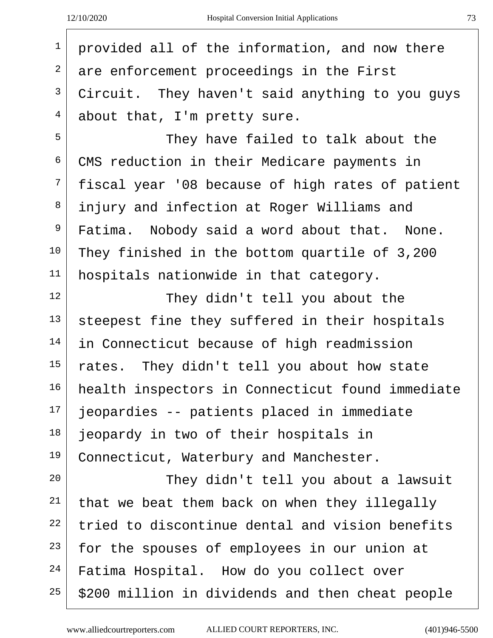| $\mathbf{1}$   | provided all of the information, and now there   |
|----------------|--------------------------------------------------|
| $\overline{a}$ | are enforcement proceedings in the First         |
| 3              | Circuit. They haven't said anything to you guys  |
| 4              | about that, I'm pretty sure.                     |
| 5              | They have failed to talk about the               |
| 6              | CMS reduction in their Medicare payments in      |
| 7              | fiscal year '08 because of high rates of patient |
| 8              | injury and infection at Roger Williams and       |
| 9              | Fatima. Nobody said a word about that. None.     |
| 10             | They finished in the bottom quartile of 3,200    |
| 11             | hospitals nationwide in that category.           |
| 12             | They didn't tell you about the                   |
| 13             | steepest fine they suffered in their hospitals   |
| 14             | in Connecticut because of high readmission       |
| 15             | rates. They didn't tell you about how state      |
| 16             | health inspectors in Connecticut found immediate |
| 17             | jeopardies -- patients placed in immediate       |
| 18             | jeopardy in two of their hospitals in            |
| 19             | Connecticut, Waterbury and Manchester.           |
| 20             | They didn't tell you about a lawsuit             |
| 21             | that we beat them back on when they illegally    |
| 22             | tried to discontinue dental and vision benefits  |
| 23             | for the spouses of employees in our union at     |
| 24             | Fatima Hospital. How do you collect over         |

\$200 million in dividends and then cheat people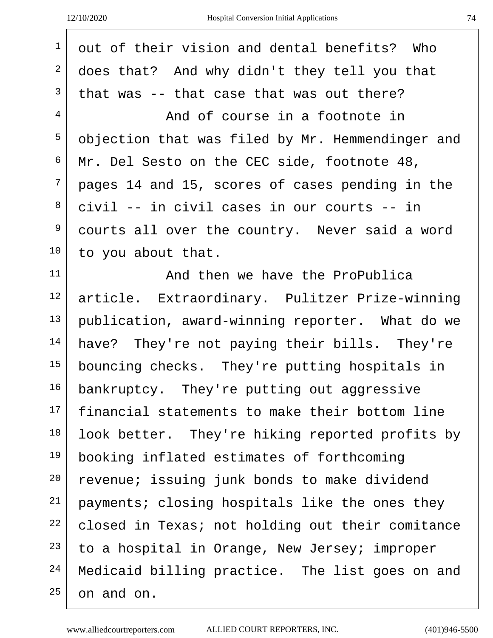| $\mathbf 1$    | out of their vision and dental benefits? Who     |
|----------------|--------------------------------------------------|
| 2              | does that? And why didn't they tell you that     |
| 3              | that was -- that case that was out there?        |
| $\overline{4}$ | And of course in a footnote in                   |
| 5              | objection that was filed by Mr. Hemmendinger and |
| 6              | Mr. Del Sesto on the CEC side, footnote 48,      |
| 7              | pages 14 and 15, scores of cases pending in the  |
| 8              | civil -- in civil cases in our courts -- in      |
| 9              | courts all over the country. Never said a word   |
| 10             | to you about that.                               |
| 11             | And then we have the ProPublica                  |
| 12             | article. Extraordinary. Pulitzer Prize-winning   |
| 13             | publication, award-winning reporter. What do we  |
| 14             | have? They're not paying their bills. They're    |
| 15             | bouncing checks. They're putting hospitals in    |
| 16             | bankruptcy. They're putting out aggressive       |
| 17             | financial statements to make their bottom line   |
| 18             | look better. They're hiking reported profits by  |
| 19             | booking inflated estimates of forthcoming        |
| 20             | revenue; issuing junk bonds to make dividend     |
| 21             | payments; closing hospitals like the ones they   |
| 22             | closed in Texas; not holding out their comitance |
| 23             | to a hospital in Orange, New Jersey; improper    |
| 24             | Medicaid billing practice. The list goes on and  |
| 25             | on and on.                                       |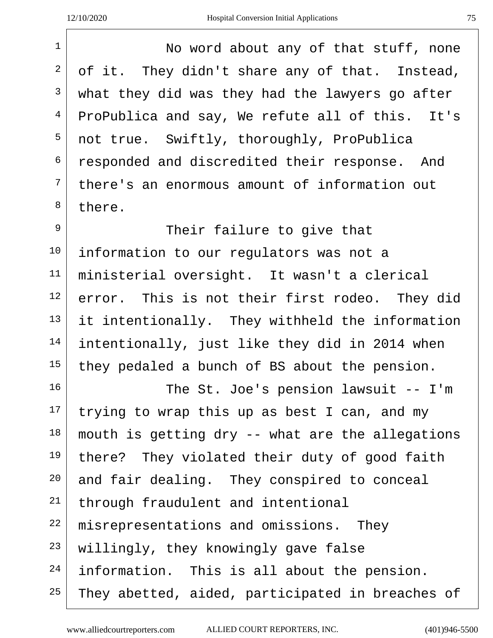<sup>1</sup> No word about any of that stuff, none of it. They didn't share any of that. Instead, what they did was they had the lawyers go after  $4 \mid$  ProPublica and say, We refute all of this. It's not true. Swiftly, thoroughly, ProPublica responded and discredited their response. And there's an enormous amount of information out there.

<sup>9</sup> Their failure to give that information to our regulators was not a ministerial oversight. It wasn't a clerical error. This is not their first rodeo. They did it intentionally. They withheld the information intentionally, just like they did in 2014 when they pedaled a bunch of BS about the pension.

16 The St. Joe's pension lawsuit -- I'm trying to wrap this up as best I can, and my mouth is getting dry -- what are the allegations there? They violated their duty of good faith and fair dealing. They conspired to conceal through fraudulent and intentional misrepresentations and omissions. They willingly, they knowingly gave false information. This is all about the pension. They abetted, aided, participated in breaches of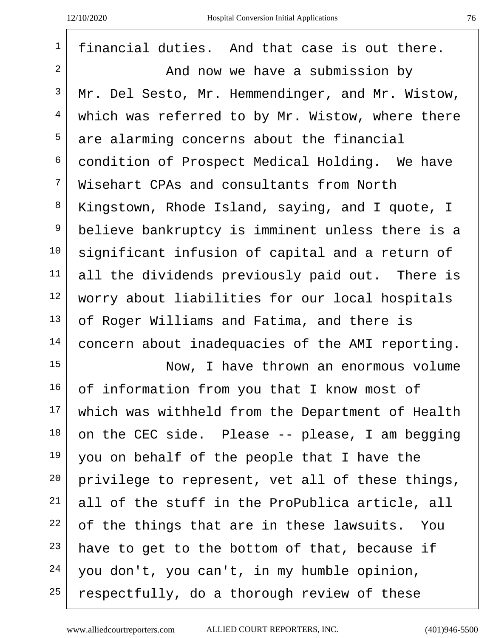| $\mathbf 1$     | financial duties. And that case is out there.    |
|-----------------|--------------------------------------------------|
| $\overline{a}$  | And now we have a submission by                  |
| 3               | Mr. Del Sesto, Mr. Hemmendinger, and Mr. Wistow, |
| 4               | which was referred to by Mr. Wistow, where there |
| 5               | are alarming concerns about the financial        |
| 6               | condition of Prospect Medical Holding. We have   |
| 7               | Wisehart CPAs and consultants from North         |
| 8               | Kingstown, Rhode Island, saying, and I quote, I  |
| $\overline{9}$  | believe bankruptcy is imminent unless there is a |
| 10              | significant infusion of capital and a return of  |
| 11              | all the dividends previously paid out. There is  |
| 12              | worry about liabilities for our local hospitals  |
| 13              | of Roger Williams and Fatima, and there is       |
| 14              | concern about inadequacies of the AMI reporting. |
| 15              | Now, I have thrown an enormous volume            |
| 16 <sup>1</sup> | of information from you that I know most of      |
| 17              | which was withheld from the Department of Health |
| 18              | on the CEC side. Please -- please, I am begging  |
| 19              | you on behalf of the people that I have the      |
| 20              | privilege to represent, vet all of these things, |
| 21              | all of the stuff in the ProPublica article, all  |
| 22              | of the things that are in these lawsuits. You    |
| 23              | have to get to the bottom of that, because if    |
| 24              | you don't, you can't, in my humble opinion,      |
| 25              | respectfully, do a thorough review of these      |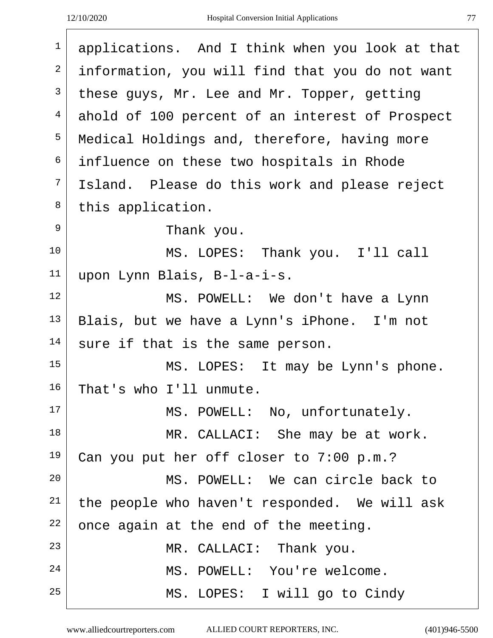| 1              | applications. And I think when you look at that |
|----------------|-------------------------------------------------|
| 2              | information, you will find that you do not want |
| 3              | these guys, Mr. Lee and Mr. Topper, getting     |
| $\overline{4}$ | ahold of 100 percent of an interest of Prospect |
| 5              | Medical Holdings and, therefore, having more    |
| 6              | influence on these two hospitals in Rhode       |
| 7              | Island. Please do this work and please reject   |
| 8              | this application.                               |
| 9              | Thank you.                                      |
| 10             | MS. LOPES: Thank you. I'll call                 |
| 11             | upon Lynn Blais, B-l-a-i-s.                     |
| 12             | MS. POWELL: We don't have a Lynn                |
| 13             | Blais, but we have a Lynn's iPhone. I'm not     |
| 14             | sure if that is the same person.                |
| 15             | MS. LOPES: It may be Lynn's phone.              |
| 16             | That's who I'll unmute.                         |
| 17             | MS. POWELL: No, unfortunately.                  |
| 18             | MR. CALLACI: She may be at work.                |
| 19             | Can you put her off closer to 7:00 p.m.?        |
| 20             | MS. POWELL: We can circle back to               |
| 21             | the people who haven't responded. We will ask   |
| 22             | once again at the end of the meeting.           |
| 23             | MR. CALLACI: Thank you.                         |
| 24             | MS. POWELL: You're welcome.                     |
| 25             | MS. LOPES: I will go to Cindy                   |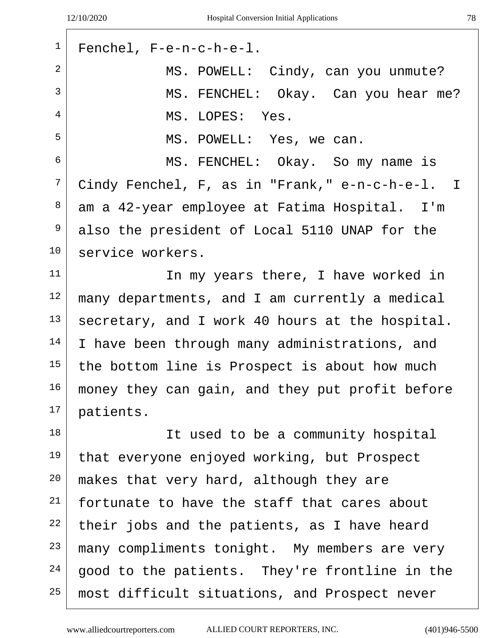| $\mathbf 1$ | Fenchel, F-e-n-c-h-e-l.                         |
|-------------|-------------------------------------------------|
| 2           | MS. POWELL: Cindy, can you unmute?              |
| 3           | MS. FENCHEL: Okay. Can you hear me?             |
| 4           | MS. LOPES: Yes.                                 |
| 5           | MS. POWELL: Yes, we can.                        |
| 6           | MS. FENCHEL: Okay. So my name is                |
| 7           | Cindy Fenchel, F, as in "Frank," e-n-c-h-e-l. I |
| 8           | am a 42-year employee at Fatima Hospital. I'm   |
| 9           | also the president of Local 5110 UNAP for the   |
| $10 \,$     | service workers.                                |
| 11          | In my years there, I have worked in             |
| 12          | many departments, and I am currently a medical  |
| 13          | secretary, and I work 40 hours at the hospital. |
| 14          | I have been through many administrations, and   |
| $15 \,$     | the bottom line is Prospect is about how much   |
| 16          | money they can gain, and they put profit before |
| 17          | patients.                                       |
| 18          | It used to be a community hospital              |
| 19          | that everyone enjoyed working, but Prospect     |
| $20 \,$     | makes that very hard, although they are         |
| 21          | fortunate to have the staff that cares about    |
| 22          | their jobs and the patients, as I have heard    |
| 23          | many compliments tonight. My members are very   |
| 24          | good to the patients. They're frontline in the  |
| 25          | most difficult situations, and Prospect never   |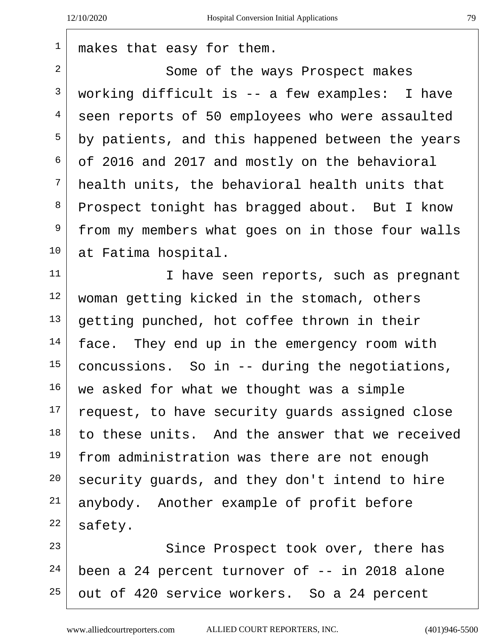makes that easy for them. <sup>2</sup> Some of the ways Prospect makes working difficult is  $-$  a few examples: I have  $4 \mid$  seen reports of 50 employees who were assaulted by patients, and this happened between the years of 2016 and 2017 and mostly on the behavioral health units, the behavioral health units that Prospect tonight has bragged about. But I know from my members what goes on in those four walls at Fatima hospital. I have seen reports, such as pregnant woman getting kicked in the stomach, others getting punched, hot coffee thrown in their face. They end up in the emergency room with concussions. So in -- during the negotiations, we asked for what we thought was a simple request, to have security quards assigned close to these units. And the answer that we received 19 from administration was there are not enough security quards, and they don't intend to hire anybody. Another example of profit before safety. Since Prospect took over, there has been a 24 percent turnover of  $-$  in 2018 alone out of 420 service workers. So a 24 percent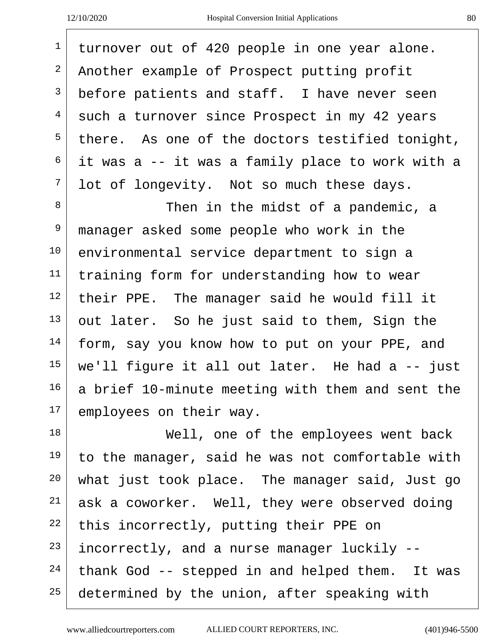| $\mathbf 1$    | turnover out of 420 people in one year alone.    |
|----------------|--------------------------------------------------|
| $\overline{a}$ | Another example of Prospect putting profit       |
| $\mathsf{3}$   | before patients and staff. I have never seen     |
| $\overline{4}$ | such a turnover since Prospect in my 42 years    |
| 5              | there. As one of the doctors testified tonight,  |
| 6              | it was a -- it was a family place to work with a |
| 7              | lot of longevity. Not so much these days.        |
| 8              | Then in the midst of a pandemic, a               |
| 9              | manager asked some people who work in the        |
| 10             | environmental service department to sign a       |
| 11             | training form for understanding how to wear      |
| 12             | their PPE. The manager said he would fill it     |
| 13             | out later. So he just said to them, Sign the     |
| 14             | form, say you know how to put on your PPE, and   |
| 15             | we'll figure it all out later. He had a $-$ just |
| 16             | a brief 10-minute meeting with them and sent the |
| 17             | employees on their way.                          |
| 18             | Well, one of the employees went back             |
| 19             | to the manager, said he was not comfortable with |
| 20             | what just took place. The manager said, Just go  |
| 21             | ask a coworker. Well, they were observed doing   |
| 22             | this incorrectly, putting their PPE on           |
| 23             | incorrectly, and a nurse manager luckily --      |
| 24             | thank God -- stepped in and helped them. It was  |
| 25             | determined by the union, after speaking with     |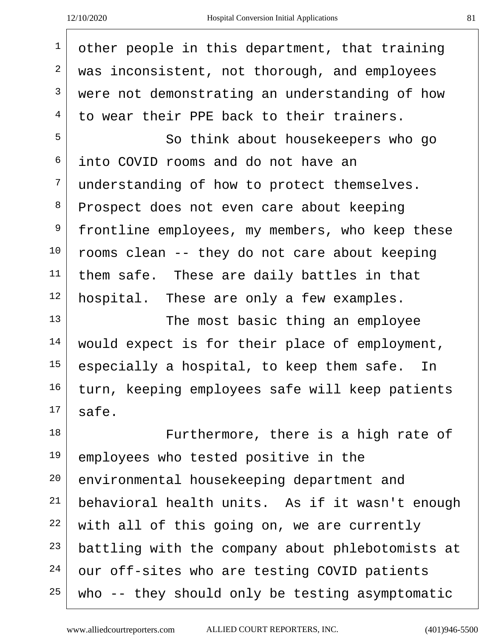| $\mathbf{1}$   | other people in this department, that training   |
|----------------|--------------------------------------------------|
| 2              | was inconsistent, not thorough, and employees    |
| 3              | were not demonstrating an understanding of how   |
| $\overline{4}$ | to wear their PPE back to their trainers.        |
| 5              | So think about housekeepers who go               |
| 6              | into COVID rooms and do not have an              |
| $\overline{7}$ | understanding of how to protect themselves.      |
| 8              | Prospect does not even care about keeping        |
| $\mathsf 9$    | frontline employees, my members, who keep these  |
| 10             | rooms clean -- they do not care about keeping    |
| 11             | them safe. These are daily battles in that       |
| 12             | hospital. These are only a few examples.         |
| 13             | The most basic thing an employee                 |
| 14             | would expect is for their place of employment,   |
| 15             | especially a hospital, to keep them safe.<br>In  |
| 16             | turn, keeping employees safe will keep patients  |
| 17             | safe.                                            |
| 18             | Furthermore, there is a high rate of             |
| 19             | employees who tested positive in the             |
| 20             | environmental housekeeping department and        |
| 21             | behavioral health units. As if it wasn't enough  |
| 22             | with all of this going on, we are currently      |
| 23             | battling with the company about phlebotomists at |
| 24             | our off-sites who are testing COVID patients     |
| 25             | who -- they should only be testing asymptomatic  |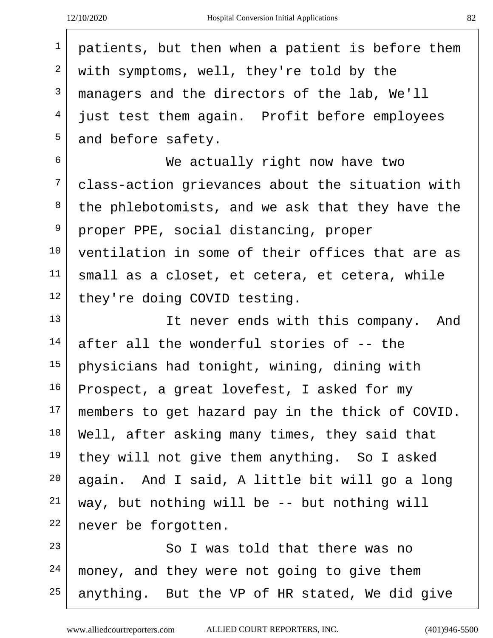| ٠       | ۰.<br>× |
|---------|---------|
| ۰.<br>v |         |

| $\mathbf 1$    | patients, but then when a patient is before them |
|----------------|--------------------------------------------------|
| 2              | with symptoms, well, they're told by the         |
| 3              | managers and the directors of the lab, We'll     |
| $\overline{4}$ | just test them again. Profit before employees    |
| 5              | and before safety.                               |
| 6              | We actually right now have two                   |
| 7              | class-action grievances about the situation with |
| 8              | the phlebotomists, and we ask that they have the |
| $\mathsf 9$    | proper PPE, social distancing, proper            |
| 10             | ventilation in some of their offices that are as |
| 11             | small as a closet, et cetera, et cetera, while   |
| 12             | they're doing COVID testing.                     |
| 13             | It never ends with this company. And             |
| 14             | after all the wonderful stories of -- the        |
| 15             | physicians had tonight, wining, dining with      |
| 16             | Prospect, a great lovefest, I asked for my       |
| 17             | members to get hazard pay in the thick of COVID. |
| 18             | Well, after asking many times, they said that    |
| 19             | they will not give them anything. So I asked     |
| 20             | again. And I said, A little bit will go a long   |
| 21             | way, but nothing will be -- but nothing will     |
| 22             | never be forgotten.                              |
| 23             | So I was told that there was no                  |
| 24             | money, and they were not going to give them      |
| 25             | anything. But the VP of HR stated, We did give   |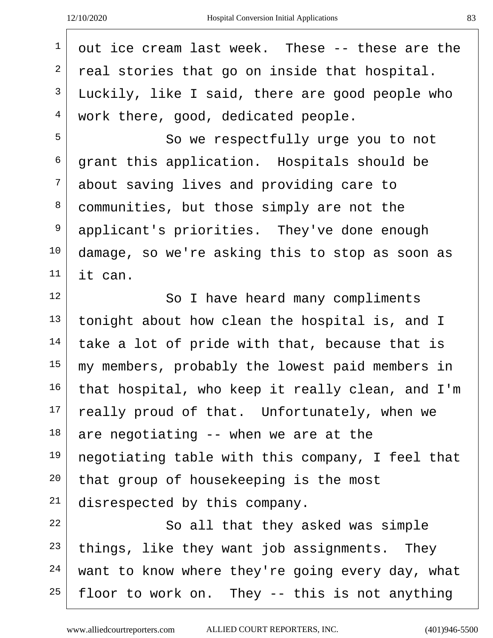| ٠       | ۰,<br>۰.     |
|---------|--------------|
|         | I            |
| ۰.<br>v | ۰.<br>٠<br>× |

| $\mathbf 1$     | out ice cream last week. These -- these are the  |
|-----------------|--------------------------------------------------|
| 2               | real stories that go on inside that hospital.    |
| $\mathsf{3}$    | Luckily, like I said, there are good people who  |
| $\overline{4}$  | work there, good, dedicated people.              |
| 5               | So we respectfully urge you to not               |
| 6               | grant this application. Hospitals should be      |
| 7               | about saving lives and providing care to         |
| 8               | communities, but those simply are not the        |
| 9               | applicant's priorities. They've done enough      |
| 10              | damage, so we're asking this to stop as soon as  |
| 11              | it can.                                          |
| 12              | So I have heard many compliments                 |
| 13              | tonight about how clean the hospital is, and I   |
| 14              | take a lot of pride with that, because that is   |
| 15              | my members, probably the lowest paid members in  |
| 16 <sup>1</sup> | that hospital, who keep it really clean, and I'm |
| 17              | really proud of that. Unfortunately, when we     |
| 18              | are negotiating -- when we are at the            |
| 19              | negotiating table with this company, I feel that |
| $20 \,$         | that group of housekeeping is the most           |
| 21              | disrespected by this company.                    |
| 22              | So all that they asked was simple                |
| 23              | things, like they want job assignments. They     |
| 24              | want to know where they're going every day, what |
| 25              | floor to work on. They -- this is not anything   |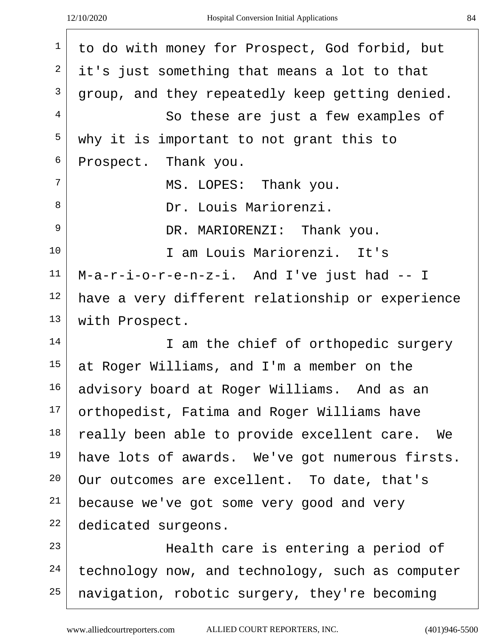| $\mathbf{1}$ | to do with money for Prospect, God forbid, but   |
|--------------|--------------------------------------------------|
| 2            | it's just something that means a lot to that     |
| 3            | group, and they repeatedly keep getting denied.  |
| 4            | So these are just a few examples of              |
| 5            | why it is important to not grant this to         |
| 6            | Prospect. Thank you.                             |
| 7            | MS. LOPES: Thank you.                            |
| 8            | Dr. Louis Mariorenzi.                            |
| 9            | DR. MARIORENZI: Thank you.                       |
| 10           | I am Louis Mariorenzi. It's                      |
| 11           | $M-a-r-i-o-r-e-n-z-i$ . And I've just had $-1$   |
| 12           | have a very different relationship or experience |
| 13           | with Prospect.                                   |
| 14           | I am the chief of orthopedic surgery             |
| $15 \,$      | at Roger Williams, and I'm a member on the       |
| 16           | advisory board at Roger Williams. And as an      |
| 17           | orthopedist, Fatima and Roger Williams have      |
| 18           | really been able to provide excellent care. We   |
| 19           | have lots of awards. We've got numerous firsts.  |
| 20           | Our outcomes are excellent. To date, that's      |
| 21           | because we've got some very good and very        |
| 22           | dedicated surgeons.                              |
| 23           | Health care is entering a period of              |
| 24           | technology now, and technology, such as computer |
| 25           | navigation, robotic surgery, they're becoming    |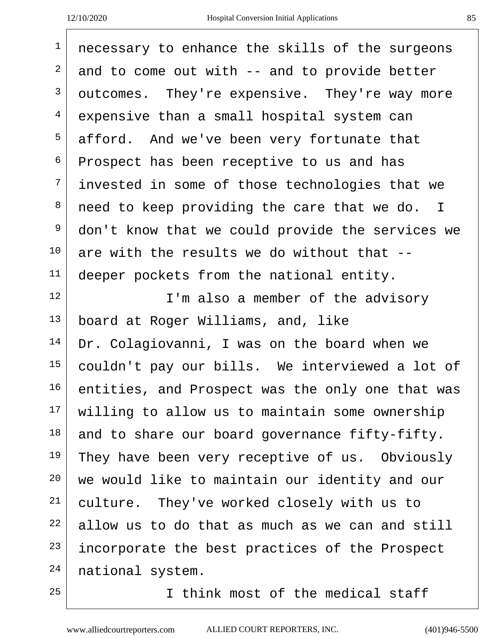$\sqrt{ }$ 

| $\mathbf{1}$   | necessary to enhance the skills of the surgeons  |
|----------------|--------------------------------------------------|
| 2              | and to come out with $--$ and to provide better  |
| 3              |                                                  |
|                | outcomes. They're expensive. They're way more    |
| $\overline{4}$ | expensive than a small hospital system can       |
| 5              | afford. And we've been very fortunate that       |
| 6              | Prospect has been receptive to us and has        |
| $7\phantom{.}$ | invested in some of those technologies that we   |
| 8              | need to keep providing the care that we do. I    |
| 9              | don't know that we could provide the services we |
| 10             | are with the results we do without that --       |
| 11             | deeper pockets from the national entity.         |
| 12             | I'm also a member of the advisory                |
| 13             | board at Roger Williams, and, like               |
| 14             | Dr. Colagiovanni, I was on the board when we     |
| 15             | couldn't pay our bills. We interviewed a lot of  |
| 16             | entities, and Prospect was the only one that was |
| 17             | willing to allow us to maintain some ownership   |
| 18             | and to share our board governance fifty-fifty.   |
| 19             | They have been very receptive of us. Obviously   |
| 20             | we would like to maintain our identity and our   |
| 21             | culture. They've worked closely with us to       |
| 22             | allow us to do that as much as we can and still  |
| 23             | incorporate the best practices of the Prospect   |
| 24             | national system.                                 |
| 25             | I think most of the medical staff                |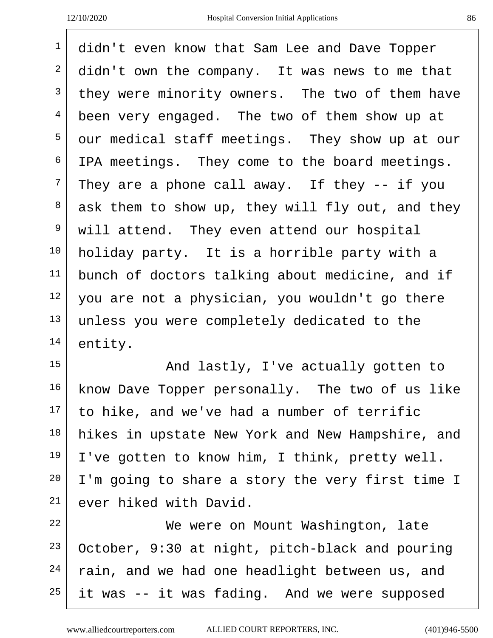| ٠<br>٩<br>v<br>ć<br>۰.<br>۰.<br>v<br>۰.<br>× |
|----------------------------------------------|
|----------------------------------------------|

 didn't even know that Sam Lee and Dave Topper didn't own the company. It was news to me that they were minority owners. The two of them have  $4 \mid$  been very engaged. The two of them show up at our medical staff meetings. They show up at our IPA meetings. They come to the board meetings. They are a phone call away. If they  $-$  if you ask them to show up, they will fly out, and they will attend. They even attend our hospital holiday party. It is a horrible party with a bunch of doctors talking about medicine, and if you are not a physician, you wouldn't go there unless you were completely dedicated to the entity. 15 And lastly, I've actually gotten to

 know Dave Topper personally. The two of us like to hike, and we've had a number of terrific hikes in upstate New York and New Hampshire, and I've gotten to know him, I think, pretty well. I'm going to share a story the very first time I ever hiked with David.

22 We were on Mount Washington, late October, 9:30 at night, pitch-black and pouring rain, and we had one headlight between us, and it was  $-$  it was fading. And we were supposed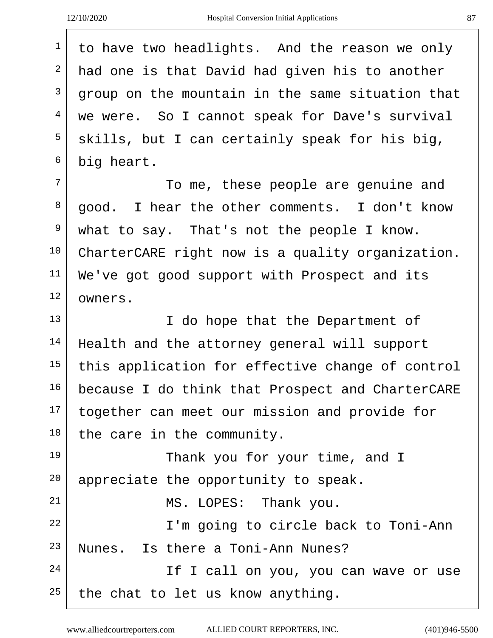| $1\,$          | to have two headlights. And the reason we only   |  |  |  |  |  |  |
|----------------|--------------------------------------------------|--|--|--|--|--|--|
| $\overline{a}$ | had one is that David had given his to another   |  |  |  |  |  |  |
| $\mathfrak{Z}$ | group on the mountain in the same situation that |  |  |  |  |  |  |
| $\overline{4}$ | we were. So I cannot speak for Dave's survival   |  |  |  |  |  |  |
| 5              | skills, but I can certainly speak for his big,   |  |  |  |  |  |  |
| 6              | big heart.                                       |  |  |  |  |  |  |
| $\overline{7}$ | To me, these people are genuine and              |  |  |  |  |  |  |
| 8              | good. I hear the other comments. I don't know    |  |  |  |  |  |  |
| 9              | what to say. That's not the people I know.       |  |  |  |  |  |  |
| 10             | CharterCARE right now is a quality organization. |  |  |  |  |  |  |
| 11             | We've got good support with Prospect and its     |  |  |  |  |  |  |
| 12             | owners.                                          |  |  |  |  |  |  |
| 13             | I do hope that the Department of                 |  |  |  |  |  |  |
| 14             | Health and the attorney general will support     |  |  |  |  |  |  |
| 15             | this application for effective change of control |  |  |  |  |  |  |
| 16             | because I do think that Prospect and CharterCARE |  |  |  |  |  |  |
| 17             | together can meet our mission and provide for    |  |  |  |  |  |  |
| 18             | the care in the community.                       |  |  |  |  |  |  |
| 19             | Thank you for your time, and I                   |  |  |  |  |  |  |
| 20             | appreciate the opportunity to speak.             |  |  |  |  |  |  |
| 21             | MS. LOPES: Thank you.                            |  |  |  |  |  |  |
| 22             | I'm going to circle back to Toni-Ann             |  |  |  |  |  |  |
| 23             | Nunes. Is there a Toni-Ann Nunes?                |  |  |  |  |  |  |
| 24             | If I call on you, you can wave or use            |  |  |  |  |  |  |
| 25             | the chat to let us know anything.                |  |  |  |  |  |  |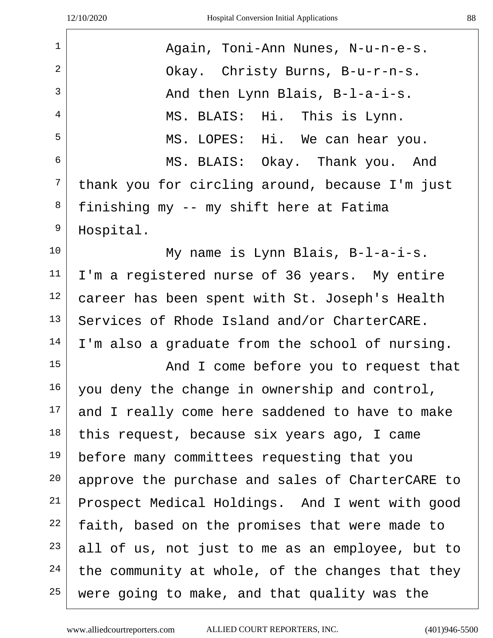| $\mathbf 1$    | Again, Toni-Ann Nunes, N-u-n-e-s.                |
|----------------|--------------------------------------------------|
| $\overline{2}$ | Okay. Christy Burns, B-u-r-n-s.                  |
| $\overline{3}$ | And then Lynn Blais, B-l-a-i-s.                  |
| $\overline{4}$ | MS. BLAIS: Hi. This is Lynn.                     |
| 5              | MS. LOPES: Hi. We can hear you.                  |
| 6              | MS. BLAIS: Okay. Thank you. And                  |
| 7              | thank you for circling around, because I'm just  |
| 8              | finishing my -- my shift here at Fatima          |
| $\overline{9}$ | Hospital.                                        |
| 10             | My name is Lynn Blais, B-l-a-i-s.                |
| 11             | I'm a registered nurse of 36 years. My entire    |
| 12             | career has been spent with St. Joseph's Health   |
| 13             | Services of Rhode Island and/or CharterCARE.     |
| 14             | I'm also a graduate from the school of nursing.  |
| 15             | And I come before you to request that            |
| 16             | you deny the change in ownership and control,    |
| 17             | and I really come here saddened to have to make  |
| 18             | this request, because six years ago, I came      |
| 19             | before many committees requesting that you       |
| $20 \,$        | approve the purchase and sales of CharterCARE to |
| 21             | Prospect Medical Holdings. And I went with good  |
| 22             | faith, based on the promises that were made to   |
| 23             | all of us, not just to me as an employee, but to |
| 24             | the community at whole, of the changes that they |
| 25             | were going to make, and that quality was the     |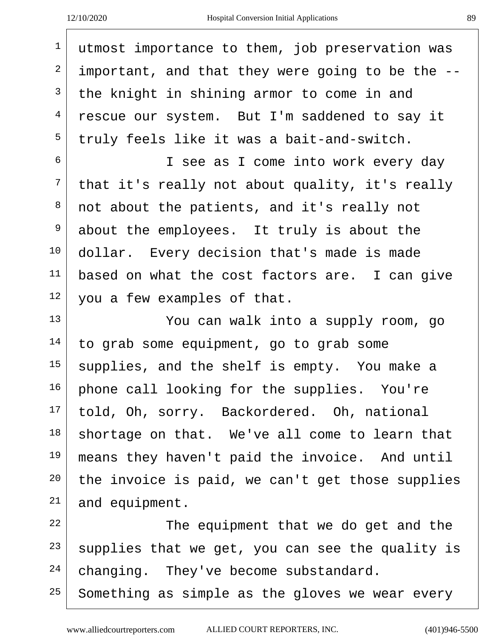| $\mathbf{1}$    | utmost importance to them, job preservation was  |
|-----------------|--------------------------------------------------|
| 2               | important, and that they were going to be the -- |
| 3               | the knight in shining armor to come in and       |
| $\overline{4}$  | rescue our system. But I'm saddened to say it    |
| 5               | truly feels like it was a bait-and-switch.       |
| 6               | I see as I come into work every day              |
| 7               | that it's really not about quality, it's really  |
| 8               | not about the patients, and it's really not      |
| 9               | about the employees. It truly is about the       |
| 10              | dollar. Every decision that's made is made       |
| 11              | based on what the cost factors are. I can give   |
| 12              | you a few examples of that.                      |
| 13              | You can walk into a supply room, go              |
| 14              | to grab some equipment, go to grab some          |
| 15 <sub>1</sub> | supplies, and the shelf is empty. You make a     |
| 16              | phone call looking for the supplies. You're      |
| 17              | told, Oh, sorry. Backordered. Oh, national       |
| 18              | shortage on that. We've all come to learn that   |
| 19              | means they haven't paid the invoice. And until   |
| 20              | the invoice is paid, we can't get those supplies |
| 21              | and equipment.                                   |
| 22              | The equipment that we do get and the             |
| 23              | supplies that we get, you can see the quality is |
| 24              | changing. They've become substandard.            |

Something as simple as the gloves we wear every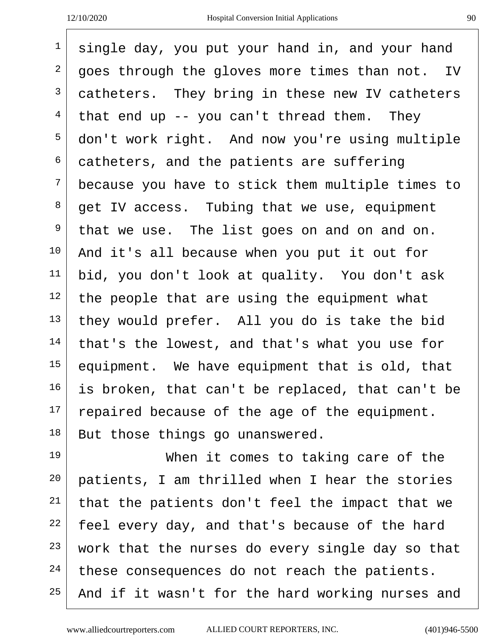$\sqrt{2}$ 

| $\mathbf{1}$   | single day, you put your hand in, and your hand  |
|----------------|--------------------------------------------------|
| $\overline{2}$ | goes through the gloves more times than not. IV  |
| $\mathsf{3}$   | catheters. They bring in these new IV catheters  |
| $\overline{4}$ | that end up $-$ you can't thread them. They      |
| 5              | don't work right. And now you're using multiple  |
| 6              | catheters, and the patients are suffering        |
| 7              | because you have to stick them multiple times to |
| 8              | get IV access. Tubing that we use, equipment     |
| 9              | that we use. The list goes on and on and on.     |
| $10 \,$        | And it's all because when you put it out for     |
| 11             | bid, you don't look at quality. You don't ask    |
| 12             | the people that are using the equipment what     |
| 13             | they would prefer. All you do is take the bid    |
| 14             | that's the lowest, and that's what you use for   |
| 15             | equipment. We have equipment that is old, that   |
| 16             | is broken, that can't be replaced, that can't be |
| 17             | repaired because of the age of the equipment.    |
| 18             | But those things go unanswered.                  |
| 19             | When it comes to taking care of the              |

 patients, I am thrilled when I hear the stories that the patients don't feel the impact that we feel every day, and that's because of the hard work that the nurses do every single day so that these consequences do not reach the patients. And if it wasn't for the hard working nurses and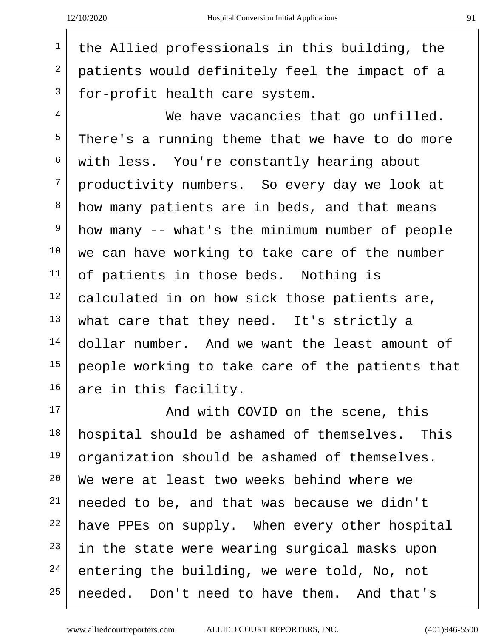the Allied professionals in this building, the patients would definitely feel the impact of a for-profit health care system. We have vacancies that go unfilled. There's a running theme that we have to do more with less. You're constantly hearing about productivity numbers. So every day we look at how many patients are in beds, and that means  $9 \mid$  how many  $-$  what's the minimum number of people we can have working to take care of the number of patients in those beds. Nothing is

 calculated in on how sick those patients are, what care that they need. It's strictly a dollar number. And we want the least amount of people working to take care of the patients that are in this facility.

 And with COVID on the scene, this hospital should be ashamed of themselves. This organization should be ashamed of themselves. We were at least two weeks behind where we needed to be, and that was because we didn't have PPEs on supply. When every other hospital in the state were wearing surgical masks upon entering the building, we were told, No, not needed. Don't need to have them. And that's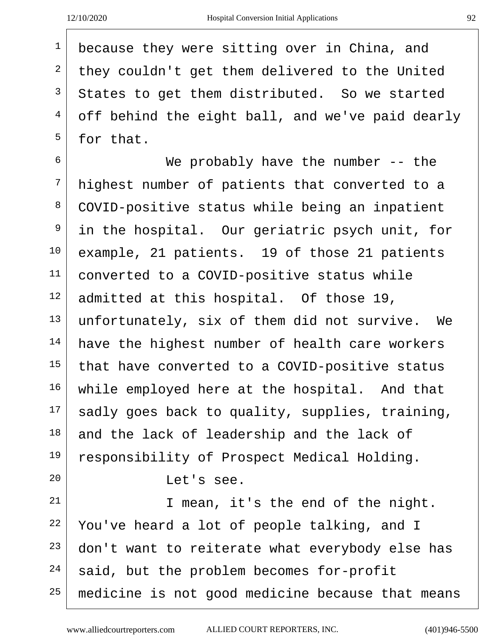because they were sitting over in China, and they couldn't get them delivered to the United States to get them distributed. So we started  $4 \mid$  off behind the eight ball, and we've paid dearly  $5 \mid$  for that. We probably have the number  $-$  the highest number of patients that converted to a 8 COVID-positive status while being an inpatient in the hospital. Our geriatric psych unit, for example, 21 patients. 19 of those 21 patients converted to a COVID-positive status while admitted at this hospital. Of those 19, unfortunately, six of them did not survive. We have the highest number of health care workers that have converted to a COVID-positive status while employed here at the hospital. And that sadly goes back to quality, supplies, training, and the lack of leadership and the lack of responsibility of Prospect Medical Holding. Let's see. I mean, it's the end of the night. You've heard a lot of people talking, and I don't want to reiterate what everybody else has said, but the problem becomes for-profit medicine is not good medicine because that means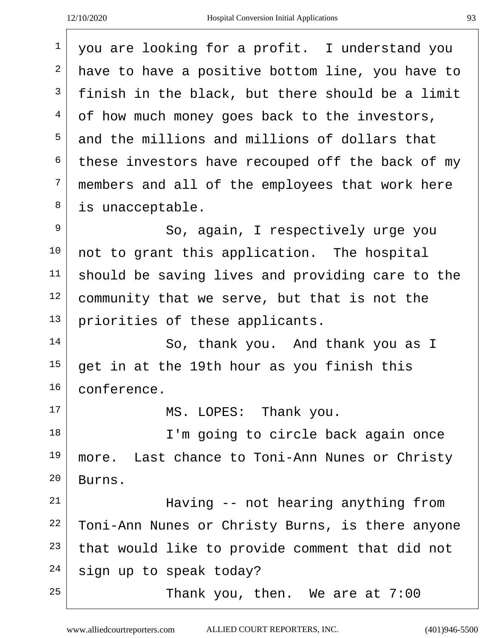| ×  |    |
|----|----|
|    |    |
|    |    |
|    |    |
| I  | I  |
| I  | ۰. |
| ۰, | ×  |
|    | ٠  |
|    |    |

 you are looking for a profit. I understand you have to have a positive bottom line, you have to finish in the black, but there should be a limit  $4 \mid$  of how much money goes back to the investors,  $5<sup>5</sup>$  and the millions and millions of dollars that these investors have recouped off the back of my members and all of the employees that work here is unacceptable. <sup>9</sup> So, again, I respectively urge you not to grant this application. The hospital should be saving lives and providing care to the community that we serve, but that is not the priorities of these applicants. So, thank you. And thank you as I get in at the 19th hour as you finish this conference. 17 MS. LOPES: Thank you. 18 | I'm going to circle back again once more. Last chance to Toni-Ann Nunes or Christy Burns. 21 | Having -- not hearing anything from Toni-Ann Nunes or Christy Burns, is there anyone that would like to provide comment that did not sign up to speak today? Thank you, then. We are at 7:00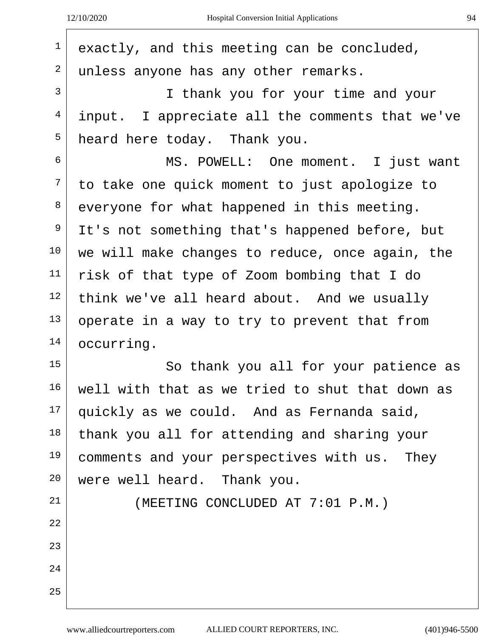| exactly, and this meeting can be concluded,     |
|-------------------------------------------------|
| unless anyone has any other remarks.            |
| I thank you for your time and your              |
| input. I appreciate all the comments that we've |
| heard here today. Thank you.                    |
| MS. POWELL: One moment. I just want             |
| to take one quick moment to just apologize to   |
| everyone for what happened in this meeting.     |
| It's not something that's happened before, but  |
| we will make changes to reduce, once again, the |
| risk of that type of Zoom bombing that I do     |
| think we've all heard about. And we usually     |
| operate in a way to try to prevent that from    |
| occurring.                                      |
| So thank you all for your patience as           |
| well with that as we tried to shut that down as |
| quickly as we could. And as Fernanda said,      |
| thank you all for attending and sharing your    |
| comments and your perspectives with us. They    |
| were well heard. Thank you.                     |
| (MEETING CONCLUDED AT 7:01 P.M.)                |
|                                                 |
|                                                 |
|                                                 |
|                                                 |
|                                                 |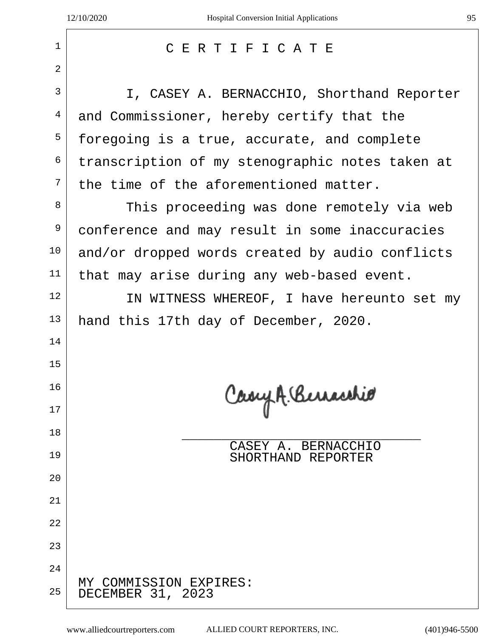|  |  |  |  |  |  |  | CERTIFICATE |  |  |  |  |  |
|--|--|--|--|--|--|--|-------------|--|--|--|--|--|
|--|--|--|--|--|--|--|-------------|--|--|--|--|--|

<sup>3</sup> I, CASEY A. BERNACCHIO, Shorthand Reporter  $4 \mid$  and Commissioner, hereby certify that the foregoing is a true, accurate, and complete transcription of my stenographic notes taken at the time of the aforementioned matter.

 This proceeding was done remotely via web conference and may result in some inaccuracies and/or dropped words created by audio conflicts that may arise during any web-based event.

 IN WITNESS WHEREOF, I have hereunto set my hand this 17th day of December, 2020.

Cary A. Berracchio

 \_\_\_\_\_\_\_\_\_\_\_\_\_\_\_\_\_\_\_\_\_\_\_\_\_\_\_\_\_\_ CASEY A. BERNACCHIO 19 | SHORTHAND REPORTER

MY COMMISSION EXPIRES: DECEMBER 31, 2023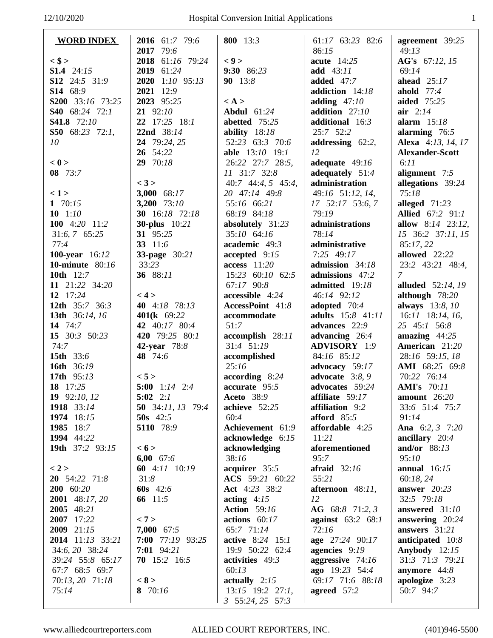| <b>WORD INDEX</b>                        | 2016 61:7 79:6                | 800 13:3                        | 61:17 63:23 82:6             | agreement 39:25            |
|------------------------------------------|-------------------------------|---------------------------------|------------------------------|----------------------------|
|                                          | 2017 79:6                     |                                 | 86:15                        | 49:13                      |
| $<$ \$ >                                 | 2018 61:16 79:24              | < 9                             | acute 14:25                  | AG's 67:12, 15             |
| \$1.4 24:15                              | 2019 61:24                    | 9:30 86:23                      | <b>add</b> 43:11             | 69:14                      |
| \$12 24:5 31:9                           | 2020 1:10 95:13               | 90 13:8                         | added 47:7                   | ahead $25:17$              |
| \$14 68:9                                | 2021 12:9                     |                                 | addiction 14:18              | ahold $77:4$               |
| \$200 33:16 73:25                        | 2023 95:25                    | $\langle A \rangle$             | adding $47:10$               | aided 75:25                |
| \$40 68:24 72:1                          | $21 \t92:10$                  | Abdul 61:24                     | addition $27:10$             | air $2:14$                 |
| \$41.8 $72:10$                           | 22 17:25 18:1                 | abetted 75:25                   | additional 16:3              | alarm $15:18$              |
| \$50 68:23 72:1,                         | 22nd 38:14                    | ability $18:18$                 | 25:7 52:2                    | alarming $76:5$            |
| 10                                       | 24 79:24, 25                  | 52:23 63:3 70:6                 | addressing $62:2$ ,          | <b>Alexa</b> 4:13, 14, 17  |
|                                          | 26 54:22                      | able 13:10 19:1                 | 12                           | <b>Alexander-Scott</b>     |
| < 0                                      | 29 70:18                      | 26:22 27:7 28:5,                | adequate $49:16$             | 6:11                       |
| 08 73:7                                  |                               | 11 31:7 32:8                    | adequately 51:4              | alignment 7:5              |
|                                          | < 3 >                         | 40:7 44:4, 5 45:4,              | administration               | allegations 39:24          |
| < 1>                                     | 3,000 68:17                   | 20 47:14 49:8                   | 49:16 51:12, 14,             | 75:18                      |
| 1 $70:15$                                | 3,200 73:10                   | 55:16 66:21                     | 17 52:17 53:6, 7             | alleged $71:23$            |
| 101:10                                   | 30 16:18 72:18                | 68:19 84:18                     | 79:19                        | Allied 67:2 91:1           |
| 100 4:20 11:2                            | <b>30-plus</b> 10:21          | absolutely 31:23                | administrations              | allow $8:14$ 23:12,        |
| $31:6, 7$ 65:25<br>77:4                  | 31 95:25<br>33 11:6           | 35:10 64:16<br>academic 49:3    | 78:14<br>administrative      | 15 36:2 37:11, 15          |
|                                          |                               |                                 | 7:25 49:17                   | 85:17, 22<br>allowed 22:22 |
| 100-year 16:12<br><b>10-minute</b> 80:16 | <b>33-page</b> 30:21<br>33:23 | accepted 9:15<br>$access$ 11:20 | admission 34:18              | 23:2 43:21 48:4,           |
| 10th 12:7                                | 36 88:11                      | 15:23 60:10 62:5                | admissions 47:2              | $\overline{7}$             |
| 11 21:22 34:20                           |                               | 67:17 90:8                      | admitted 19:18               | alluded 52:14, 19          |
| 12 17:24                                 | < 4 >                         | accessible 4:24                 | 46:14 92:12                  | although 78:20             |
| 12th 35:7 36:3                           | 40 4:18 78:13                 | AccessPoint 41:8                | adopted 70:4                 | always 13:8, 10            |
| 13th 36:14, 16                           | 401(k 69:22)                  | accommodate                     | adults 15:8 41:11            | 16:11 18:14, 16,           |
| 14 74:7                                  | 42 40:17 80:4                 | 51:7                            | advances 22:9                | 25 45:1 56:8               |
| 15 30:3 50:23                            | 420 79:25 80:1                | accomplish 28:11                | advancing 26:4               | amazing $44:25$            |
| 74:7                                     | <b>42-year</b> 78:8           | 31:4 51:19                      | <b>ADVISORY</b> 1:9          | American 21:20             |
| 15th 33:6                                | 48 74:6                       | accomplished                    | 84:16 85:12                  | 28:16 59:15, 18            |
| 16th 36:19                               |                               | 25:16                           | advocacy 59:17               | <b>AMI</b> 68:25 69:8      |
| 17th 95:13                               | < 5 >                         | according 8:24                  | advocate $3:8,9$             | 70:22 76:14                |
| 18 17:25                                 | 5:00 $1:14$ 2:4               | accurate 95:5                   | advocates 59:24              | <b>AMI's</b> 70:11         |
| 19 92:10, 12                             | $5:02 \quad 2:1$              | <b>Aceto</b> 38:9               | affiliate $59:17$            | amount $26:20$             |
| 1918 33:14                               | <b>50</b> 34:11, 13 79:4      | achieve 52:25                   | affiliation 9:2              | 33:6 51:4 75:7             |
| 1974 18:15                               | 50s $42:5$                    | 60:4                            | afford $85:5$                | 91:14                      |
| 1985 18:7                                | 5110 78:9                     | Achievement 61:9                | affordable 4:25              | Ana 6:2, 3 7:20            |
| 1994 44:22                               |                               | acknowledge 6:15                | 11:21                        | ancillary $20:4$           |
| 19th 37:2 93:15                          | < 6 >                         | acknowledging                   | aforementioned               | and/or 88:13               |
|                                          | 6,00 $67:6$                   | 38:16                           | 95:7                         | 95:10                      |
| < 2 >                                    | 60 4:11 10:19                 | acquirer $35:5$                 | afraid $32:16$               | annual $16:15$             |
| 20 54:22 71:8                            | 31:8                          | ACS 59:21 60:22                 | 55:21                        | 60:18, 24                  |
| 200 60:20                                | 60s $42:6$                    | Act 4:23 38:2                   | afternoon $48:11$ ,          | answer $20:23$             |
| 2001 48:17, 20                           | 66 11:5                       | acting $4:15$                   | 12                           | 32:5 79:18                 |
| 2005 48:21                               |                               | <b>Action</b> 59:16             | AG 68:8 71:2, 3              | answered 31:10             |
| 2007 17:22                               | < 7 >                         | actions $60:17$                 | <b>against</b> $63:2$ $68:1$ | answering 20:24            |
| 2009 21:15                               | $7,000$ 67:5                  | 65:7 71:14                      | 72:16                        | answers $31:21$            |
| 2014 11:13 33:21                         | 7:00 77:19 93:25              | active 8:24 15:1                | age 27:24 90:17              | anticipated 10:8           |
| 34:6, 20 38:24                           | $7:01$ 94:21                  | 19:9 50:22 62:4                 | agencies 9:19                | Anybody $12:15$            |
| 39:24 55:8 65:17                         | 70 15:2 16:5                  | activities 49:3                 | aggressive 74:16             | 31:3 71:3 79:21            |
| 67:7 68:5 69:7                           |                               | 60:13                           | ago 19:23 54:4               | anymore $44:8$             |
| 70:13, 20 71:18                          | < 8 >                         | actually $2:15$                 | 69:17 71:6 88:18             | apologize $3:23$           |
| 75:14                                    | 8 70:16                       | $13:15$ 19:2 27:1,              | agreed $57:2$                | 50:7 94:7                  |
|                                          |                               | $3\quad 55:24, 25\quad 57:3$    |                              |                            |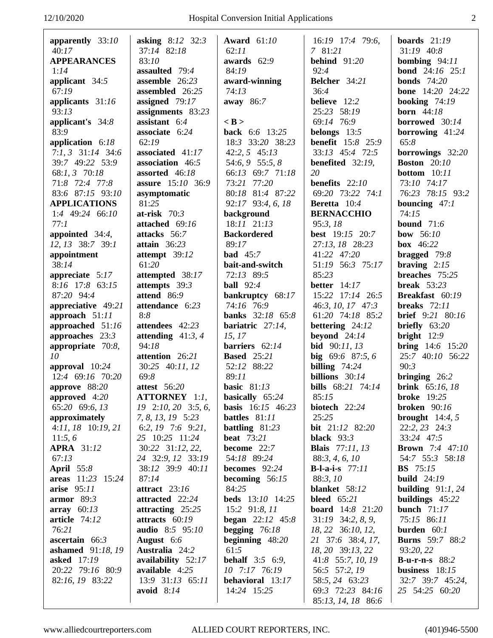| apparently 33:10                       | asking $8:12$ 32:3                | <b>Award</b> 61:10          | $16:19$ 17:4 79:6,                   | boards $21:19$                     |
|----------------------------------------|-----------------------------------|-----------------------------|--------------------------------------|------------------------------------|
| 40:17                                  | 37:14 82:18                       | 62:11                       | 7 81:21                              | $31:19$ 40:8                       |
| <b>APPEARANCES</b>                     | 83:10                             | awards 62:9                 | behind $91:20$                       | bombing $94:11$                    |
| 1:14                                   | assaulted 79:4                    | 84:19                       | 92:4                                 | <b>bond</b> $24:16$ $25:1$         |
| applicant 34:5                         | assemble 26:23                    | award-winning               | Belcher 34:21                        | <b>bonds</b> 74:20                 |
| 67:19                                  | assembled 26:25                   | 74:13                       | 36:4                                 | <b>bone</b> 14:20 24:22            |
| applicants 31:16                       | assigned 79:17                    | away 86:7                   | believe 12:2                         | booking $74:19$                    |
| 93:13                                  | assignments 83:23                 |                             | 25:23 58:19                          | <b>born</b> 44:18                  |
| applicant's 34:8                       | assistant 6:4                     | $<$ B $>$                   | 69:14 76:9                           | borrowed 30:14                     |
| 83:9                                   | associate 6:24                    | <b>back</b> 6:6 13:25       | belongs $13:5$                       | borrowing $41:24$                  |
| application 6:18                       | 62:19                             | 18:3 33:20 38:23            | <b>benefit</b> 15:8 25:9             | 65:8                               |
| $7:1, 3$ 31:14 34:6                    | associated 41:17                  | $42:2, 5$ $45:13$           | 33:13 45:4 72:5                      | borrowings $32:20$                 |
| 39:7 49:22 53:9                        | association 46:5                  | 54:6, 9 55:5, 8             | <b>benefited</b> $32:19$ ,           | <b>Boston</b> 20:10                |
| 68:1, 3 70:18                          | assorted 46:18                    | 66:13 69:7 71:18            | 20                                   | bottom $10:11$                     |
| 71:8 72:4 77:8                         | assure 15:10 36:9                 | 73:21 77:20                 | benefits $22:10$                     | 73:10 74:17                        |
| 83:6 87:15 93:10                       | asymptomatic                      | 80:18 81:4 87:22            | 69:20 73:22 74:1                     | 76:23 78:15 93:2                   |
| <b>APPLICATIONS</b>                    | 81:25                             | 92:17 93:4, 6, 18           | Beretta 10:4                         | bouncing $47:1$                    |
| 1:4 49:24 66:10                        | at-risk $70:3$                    | background                  | <b>BERNACCHIO</b>                    | 74:15                              |
| 77:1                                   | attached 69:16                    | 18:11 21:13                 | 95:3,18                              | bound $71:6$                       |
| appointed $34:4$ ,                     | attacks 56:7                      | <b>Backordered</b>          | <b>best</b> 19:15 20:7               | bow $56:10$                        |
| 12, 13 38:7 39:1                       | attain $36:23$                    | 89:17                       | 27:13, 18 28:23                      | <b>box</b> $46:22$                 |
| appointment                            | attempt 39:12                     | <b>bad</b> 45:7             | 41:22 47:20                          | bragged $79:8$                     |
| 38:14                                  | 61:20                             | bait-and-switch             | 51:19 56:3 75:17                     | braving $2:15$                     |
| appreciate $5:17$                      | attempted 38:17                   | 72:13 89:5                  | 85:23                                | breaches 75:25                     |
| 8:16 17:8 63:15                        | attempts 39:3                     | <b>ball</b> 92:4            | better $14:17$                       | <b>break</b> 53:23                 |
| 87:20 94:4                             | attend 86:9                       | bankruptcy 68:17            | 15:22 17:14 26:5                     | Breakfast 60:19                    |
| appreciative $49:21$                   | attendance 6:23                   | 74:16 76:9                  | 46:3, 10, 17 47:3                    | breaks $72:11$                     |
| approach 51:11                         | 8:8                               | <b>banks</b> 32:18 65:8     | 61:20 74:18 85:2                     | <b>brief</b> 9:21 80:16            |
| approached 51:16                       | attendees 42:23                   | bariatric $27:14$ ,         | bettering $24:12$                    | briefly $63:20$                    |
| approaches 23:3                        | attending $41:3,4$                | 15, 17                      | beyond $24:14$                       | bright $12:9$                      |
| appropriate 70:8,                      | 94:18                             | barriers 62:14              | bid 90:11, 13                        | <b>bring</b> $14:6$ $15:20$        |
| 10                                     | attention 26:21                   | <b>Based</b> 25:21          | big $69:6$ $87:5,6$                  | 25:7 40:10 56:22                   |
| approval 10:24                         | 30:25 40:11, 12                   | 52:12 88:22                 | billing $74:24$                      | 90:3                               |
| 12:4 69:16 70:20                       | 69:8                              | 89:11                       | billions $30:14$                     | bringing $26:2$                    |
| approve 88:20                          | attest 56:20                      | basic $81:13$               | bills 68:21 74:14                    | <b>brink</b> 65:16, 18             |
| approved $4:20$                        | <b>ATTORNEY</b> 1:1,              | <b>basically</b> 65:24      | 85:15                                | <b>broke</b> 19:25                 |
| 65:20 69:6, 13                         | $19 \quad 2:10, 20 \quad 3:5, 6,$ | <b>basis</b> 16:15 46:23    | biotech $22:24$                      | broken $90:16$                     |
| approximately                          | 7, 8, 13, 19 5:23                 | battles 81:11               | 25:25                                | brought $14:4, 5$                  |
| $4:11, 18$ 10:19, 21                   | 6:2, $19$ 7:6 9:21,               | battling $81:23$            | <b>bit</b> 21:12 82:20               | 22:2, 23 24:3                      |
| 11:5,6                                 | 25 10:25 11:24                    | <b>beat</b> 73:21           | black $93:3$                         | 33:24 47:5                         |
| APRA 31:12                             | 30:22 31:12, 22,                  | become 22:7                 | <b>Blais</b> 77:11, 13               | <b>Brown</b> 7:4 47:10             |
| 67:13                                  | 24 32:9, 12 33:19                 | 54:18 89:24                 | 88:3, 4, 6, 10                       | 54:7 55:3 58:18<br><b>BS</b> 75:15 |
| <b>April</b> 55:8<br>areas 11:23 15:24 | 38:12 39:9 40:11<br>87:14         | becomes 92:24               | <b>B-l-a-i-s</b> $77:11$<br>88:3, 10 | <b>build</b> 24:19                 |
| arise 95:11                            | attract 23:16                     | becoming $56:15$<br>84:25   | blanket 58:12                        | building $91:1,24$                 |
| $\textbf{armor} \quad 89:3$            | attracted 22:24                   | <b>beds</b> 13:10 14:25     | bleed $65:21$                        | buildings 45:22                    |
| array $60:13$                          | attracting $25:25$                | 15:2 91:8, 11               | <b>board</b> $14:8$ $21:20$          | bunch $71:17$                      |
| article 74:12                          | attracts 60:19                    | <b>began</b> $22:12$ $45:8$ | $31:19$ $34:2, 8, 9$ ,               | 75:15 86:11                        |
| 76:21                                  | audio 8:5 95:10                   | begging $76:18$             | 18, 22 36:10, 12,                    | <b>burden</b> $60:1$               |
| ascertain $66:3$                       | August 6:6                        | beginning $48:20$           | 21 37:6 38:4, 17,                    | <b>Burns</b> 59:7 88:2             |
| ashamed 91:18, 19                      | <b>Australia</b> 24:2             | 61:5                        | 18, 20 39:13, 22                     | 93:20, 22                          |
| asked 17:19                            | availability 52:17                | <b>behalf</b> $3:5$ 6:9,    | 41:8 55:7, 10, 19                    | <b>B-u-r-n-s</b> $88:2$            |
| 20:22 79:16 80:9                       | available 4:25                    | 10 7:17 76:19               | 56:5 57:2, 19                        | business $18:15$                   |
| 82:16, 19 83:22                        | 13:9 31:13 65:11                  | behavioral 13:17            | 58:5, 24 63:23                       | 32:7 39:7 45:24,                   |
|                                        | avoid $8:14$                      | 14:24 15:25                 | 69:3 72:23 84:16                     | 25 54:25 60:20                     |
|                                        |                                   |                             | 85:13, 14, 18 86:6                   |                                    |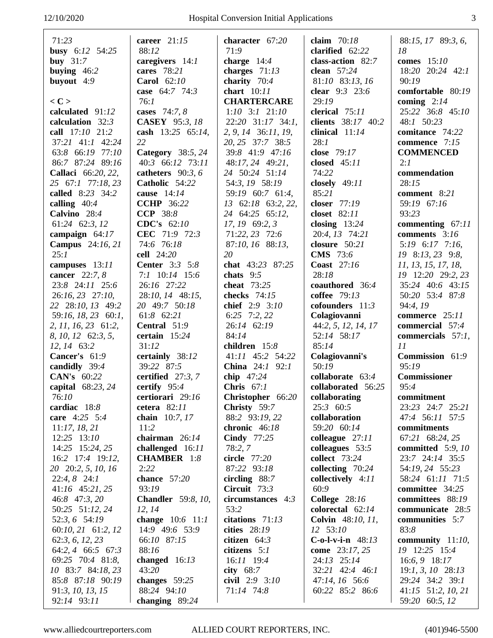| 71:23                             | career $21:15$                  | character 67:20             | claim 70:18                        | 88:15, 17 89:3, 6,                |
|-----------------------------------|---------------------------------|-----------------------------|------------------------------------|-----------------------------------|
| busy $6:12$ 54:25                 | 88:12                           | 71:9                        | clarified 62:22                    | 18                                |
| buy $31:7$                        | caregivers 14:1                 | charge $14:4$               | class-action 82:7                  | comes $15:10$                     |
| buying $46:2$                     | cares 78:21                     | charges $71:13$             | clean $57:24$                      | 18:20 20:24 42:1                  |
| buyout $4:9$                      | <b>Carol</b> 62:10              | charity $70:4$              | 81:10 83:13, 16                    | 90:19                             |
|                                   | case 64:7 74:3                  | chart $10:11$               | clear 9:3 23:6                     | comfortable 80:19                 |
| $<$ C $>$                         | 76:1                            | <b>CHARTERCARE</b>          | 29:19                              | coming $2:14$                     |
| calculated 91:12                  | cases $74:7, 8$                 | $1:10$ $3:1$ $21:10$        | clerical 75:11                     | 25:22 36:8 45:10                  |
| calculation 32:3                  | <b>CASEY</b> 95:3, 18           | $22:20$ $31:17$ $34:1$ ,    | clients 38:17 40:2                 | 48:1 50:23                        |
| call 17:10 21:2                   | cash $13:25$ 65:14,             | 2, 9, 14 36:11, 19,         | clinical $11:14$                   | comitance 74:22                   |
| 37:21 41:1 42:24                  | 22                              | 20, 25 37:7 38:5            | 28:1                               | commence 7:15                     |
| 63:8 66:19 77:10                  | <b>Category</b> 38:5, 24        | 39:8 41:9 47:16             | close 79:17                        | <b>COMMENCED</b>                  |
| 86:7 87:24 89:16                  | 40:3 66:12 73:11                | 48:17, 24 49:21,            | closed 45:11                       | 2:1                               |
| Callaci 66:20, 22,                | catheters $90:3, 6$             | 24 50:24 51:14              | 74:22                              | commendation                      |
| 25 67:1 77:18, 23                 | Catholic 54:22                  | 54:3, 19 58:19              | closely $49:11$                    | 28:15                             |
| called 8:23 34:2                  | cause 14:14                     | 59:19 60:7 61:4,            | 85:21                              | comment 8:21                      |
| calling $40:4$                    | <b>CCHP</b> 36:22               | 13 62:18 63:2, 22,          | closer 77:19                       | 59:19 67:16                       |
| Calvino 28:4                      | <b>CCP</b> 38:8                 | 24 64:25 65:12,             | closet 82:11                       | 93:23                             |
| 61:24 62:3, 12                    | CDC's 62:10                     | $17, 19$ 69:2, 3            | closing $13:24$                    | commenting 67:11                  |
| campaign $64:17$                  | CEC 71:9 72:3                   | 71:22, 23 72:6              | 20:4, 13 74:21                     | comments 3:16                     |
| <b>Campus</b> 24:16, 21           | 74:6 76:18                      | 87:10, 16 88:13,            | closure $50:21$                    | $5:19$ 6:17 7:16,                 |
| 25:1                              | <b>cell</b> 24:20               | 20                          | <b>CMS</b> 73:6                    | 19 8:13, 23 9:8,                  |
| campuses 13:11                    | <b>Center</b> 3:3 5:8           | chat 43:23 87:25            | Coast 27:16                        | 11, 13, 15, 17, 18,               |
| cancer 22:7, 8                    | $7:1$ 10:14 15:6                | chats $9:5$                 | 28:18                              | 19 12:20 29:2, 23                 |
| 23:8 24:11 25:6                   | 26:16 27:22                     | cheat 73:25                 | coauthored 36:4                    | 35:24 40:6 43:15                  |
| 26:16, 23 27:10,                  | 28:10, 14 48:15,                | checks $74:15$              | coffee 79:13                       | 50:20 53:4 87:8                   |
| 22 28:10, 13 49:2                 | 20 49:7 50:18                   | chief 2:9 3:10              | cofounders 11:3                    | 94:4, 19                          |
| 59:16, 18, 23 60:1,               | 61:8 62:21                      | 6:25 7:2, 22<br>26:14 62:19 | Colagiovanni                       | commerce 25:11<br>commercial 57:4 |
| 2, 11, 16, 23 61:2,               | Central 51:9<br>certain $15:24$ | 84:14                       | 44:2, 5, 12, 14, 17<br>52:14 58:17 | commercials $57:1$ ,              |
| 8, 10, 12 62:3, 5,<br>12, 14 63:2 | 31:12                           | children 15:8               | 85:14                              | 11                                |
| Cancer's 61:9                     | certainly 38:12                 | 41:11 45:2 54:22            | Colagiovanni's                     | Commission 61:9                   |
| candidly 39:4                     | 39:22 87:5                      | China 24:1 92:1             | 50:19                              | 95:19                             |
| <b>CAN's</b> 60:22                | certified $27:3,7$              | chip $47:24$                | collaborate 63:4                   | <b>Commissioner</b>               |
| capital 68:23, 24                 | certify $95:4$                  | Chris $67:1$                | collaborated 56:25                 | 95:4                              |
| 76:10                             | certiorari 29:16                | Christopher 66:20           | collaborating                      | commitment                        |
| cardiac $18:8$                    | cetera $82:11$                  | Christy 59:7                | 25:3 60:5                          | 23:23 24:7 25:21                  |
| care 4:25 5:4                     | chain 10:7, 17                  | 88:2 93:19, 22              | collaboration                      | 47:4 56:11 57:5                   |
| 11:17, 18, 21                     | 11:2                            | chronic $46:18$             | 59:20 60:14                        | commitments                       |
| 12:25 13:10                       | chairman $26:14$                | <b>Cindy</b> 77:25          | colleague $27:11$                  | 67:21 68:24, 25                   |
| 14:25 15:24, 25                   | challenged 16:11                | 78:2,7                      | colleagues $53:5$                  | committed $5:9, 10$               |
| 16:2 17:4 19:12,                  | <b>CHAMBER</b> 1:8              | circle 77:20                | collect 73:24                      | 23:7 24:14 35:5                   |
| 20 20:2, 5, 10, 16                | 2:22                            | 87:22 93:18                 | collecting $70:24$                 | 54:19, 24 55:23                   |
| 22:4, 8 24:1                      | chance 57:20                    | circling $88:7$             | collectively $4:11$                | 58:24 61:11 71:5                  |
| $41:16$ $45:21,25$                | 93:19                           | Circuit 73:3                | 60:9                               | committee 34:25                   |
| 46:8 47:3, 20                     | <b>Chandler</b> 59:8, 10,       | circumstances $4:3$         | College $28:16$                    | committees 88:19                  |
| 50:25 51:12, 24                   | 12, 14                          | 53:2                        | colorectal $62:14$                 | communicate 28:5                  |
| 52:3, 6 54:19                     | change $10:6$ 11:1              | citations $71:13$           | <b>Colvin</b> 48:10, 11,           | communities 5:7                   |
| $60:10, 21$ $61:2, 12$            | 14:9 49:6 53:9                  | cities 28:19                | 12 53:10                           | 83:8                              |
| 62:3, 6, 12, 23                   | 66:10 87:15                     | citizen $64:3$              | $C$ -o-l-v-i-n $48:13$             | community $11:10$ ,               |
| $64:2, 4$ 66:5 67:3               | 88:16                           | citizens $5:1$              | come 23:17, 25                     | 19 12:25 15:4                     |
| 69:25 70:4 81:8,                  | changed $16:13$                 | 16:11 19:4                  | 24:13 25:14                        | $16:6, 9$ 18:17                   |
| 10 83:7 84:18, 23                 | 43:20                           | city $68:7$                 | 32:21 42:4 46:1                    | $19:1, 3, 10$ $28:13$             |
| 85:8 87:18 90:19                  | changes $59:25$                 | civil 2:9 3:10              | 47:14, 16 56:6                     | 29:24 34:2 39:1                   |
| 91:3, 10, 13, 15                  | 88:24 94:10                     | 71:14 74:8                  | 60:22 85:2 86:6                    | 41:15 51:2, 10, 21                |
| 92:14 93:11                       | changing $89:24$                |                             |                                    | 59:20 60:5, 12                    |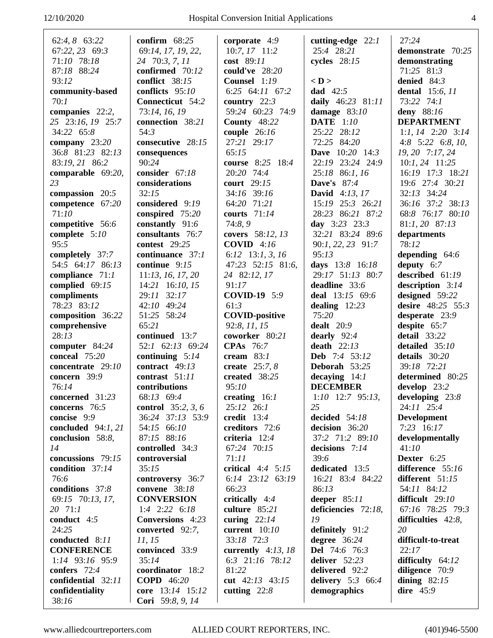| 62:4, 8 63:22        | confirm $68:25$         | corporate $4:9$       | cutting-edge 22:1      | 27:24                  |
|----------------------|-------------------------|-----------------------|------------------------|------------------------|
| 67:22, 23 69:3       | 69:14, 17, 19, 22,      | 10:7, 17 11:2         | 25:4 28:21             | demonstrate 70:25      |
| 71:10 78:18          | 24 70:3, 7, 11          | cost 89:11            | cycles $28:15$         | demonstrating          |
| 87:18 88:24          | confirmed 70:12         | could've $28:20$      |                        | 71:25 81:3             |
| 93:12                | conflict 38:15          | Counsel 1:19          | $<$ D $>$              | denied $84:3$          |
| community-based      | conflicts 95:10         | 6:25 64:11 67:2       | dad $42:5$             | <b>dental</b> 15:6, 11 |
| 70:1                 | Connecticut 54:2        | country $22:3$        | daily 46:23 81:11      | 73:22 74:1             |
| companies 22:2,      | 73:14, 16, 19           | 59:24 60:23 74:9      | damage $83:10$         | deny 88:16             |
| 25 23:16, 19 25:7    | connection 38:21        | County 48:22          | <b>DATE</b> 1:10       | <b>DEPARTMENT</b>      |
| 34:22 65:8           | 54:3                    | couple $26:16$        | 25:22 28:12            | 1:1, 14 2:20 3:14      |
| company 23:20        | consecutive 28:15       | 27:21 29:17           | 72:25 84:20            | 4:8 $5:22$ 6:8, 10,    |
| 36:8 81:23 82:13     | consequences            | 65:15                 | <b>Dave</b> 10:20 14:3 | 19, 20 7:17, 24        |
| 83:19, 21 86:2       | 90:24                   | course 8:25 18:4      | 22:19 23:24 24:9       | $10:1, 24$ 11:25       |
| comparable 69:20,    | consider 67:18          | 20:20 74:4            | 25:18 86:1, 16         | 16:19 17:3 18:21       |
| 23                   | considerations          | court 29:15           | <b>Dave's</b> 87:4     | 19:6 27:4 30:21        |
| compassion 20:5      | 32:15                   | 34:16 39:16           | <b>David</b> 4:13, 17  | 32:13 34:24            |
| competence 67:20     | considered 9:19         | 64:20 71:21           | 15:19 25:3 26:21       | 36:16 37:2 38:13       |
| 71:10                | conspired 75:20         | courts 71:14          | 28:23 86:21 87:2       | 68:8 76:17 80:10       |
| competitive 56:6     | constantly 91:6         | 74:8, 9               | day $3:23$ $23:3$      | 81:1, 20 87:13         |
| complete 5:10        | consultants 76:7        | covers 58:12, 13      | 32:21 83:24 89:6       | departments            |
| 95:5                 | contest 29:25           | <b>COVID</b> $4:16$   | 90:1, 22, 23 91:7      | 78:12                  |
| completely 37:7      | continuance 37:1        | 6:12 13:1, 3, 16      | 95:13                  | depending 64:6         |
| 54:5 64:17 86:13     | continue 9:15           | 47:23 52:15 81:6,     | days 13:8 16:18        | deputy 6:7             |
| compliance 71:1      | 11:13, 16, 17, 20       | 24 82:12, 17          | 29:17 51:13 80:7       | described 61:19        |
| complied 69:15       | 14:21 16:10, 15         | 91:17                 | deadline 33:6          | description $3:14$     |
| compliments          | 29:11 32:17             | <b>COVID-19</b> 5:9   | deal 13:15 69:6        | designed 59:22         |
| 78:23 83:12          | 42:10 49:24             | 61:3                  | dealing $12:23$        | desire 48:25 55:3      |
| composition 36:22    | 51:25 58:24             | <b>COVID-positive</b> | 75:20                  | desperate 23:9         |
| comprehensive        | 65:21                   | 92:8, 11, 15          | dealt $20:9$           | despite 65:7           |
| 28:13                | continued 13:7          | coworker 80:21        | dearly $92:4$          | detail 33:22           |
| computer 84:24       | 52:1 62:13 69:24        | <b>CPAs</b> 76:7      | death $22:13$          | detailed 35:10         |
| conceal 75:20        | continuing $5:14$       | cream $83:1$          | Deb 7:4 53:12          | details 30:20          |
| concentrate 29:10    | contract $49:13$        | create $25:7,8$       | Deborah 53:25          | 39:18 72:21            |
| concern 39:9         | contrast $51:11$        | created 38:25         | decaying $14:1$        | determined 80:25       |
| 76:14                | contributions           | 95:10                 | <b>DECEMBER</b>        | develop 23:2           |
| concerned 31:23      | 68:13 69:4              | creating $16:1$       | 1:10 12:7 95:13,       | developing 23:8        |
| concerns 76:5        | control 35:2, 3, 6      | 25:12 26:1            | 25                     | 24:11 25:4             |
| concise 9:9          | 36:24 37:13 53:9        | credit $13:4$         | decided $54:18$        | <b>Development</b>     |
| concluded $94:1, 21$ | 54:15 66:10             | creditors 72:6        | decision 36:20         | $7:23$ 16:17           |
| conclusion 58:8,     | 87:15 88:16             | criteria 12:4         | 37:2 71:2 89:10        | developmentally        |
| 14                   | controlled 34:3         | 67:24 70:15           | decisions $7:14$       | 41:10                  |
| concussions 79:15    | controversial           | 71:11                 | 39:6                   | Dexter 6:25            |
| condition 37:14      | 35:15                   | critical $4:4$ 5:15   | dedicated 13:5         | difference 55:16       |
| 76:6                 | controversy 36:7        | 6:14 23:12 63:19      | 16:21 83:4 84:22       | different 51:15        |
| conditions 37:8      | convene 38:18           | 66:23                 | 86:13                  | 54:11 84:12            |
| 69:15 70:13, 17,     | <b>CONVERSION</b>       | critically $4:4$      | deeper $85:11$         | difficult $29:10$      |
| 20 71:1              | 1:4 2:22 $6:18$         | culture 85:21         | deficiencies 72:18,    | 67:16 78:25 79:3       |
| conduct 4:5          | <b>Conversions</b> 4:23 | curing $22:14$        | 19                     | difficulties 42:8,     |
| 24:25                | converted 92:7,         | current $10:10$       | definitely 91:2        | 20                     |
| conducted 8:11       | 11, 15                  | 33:18 72:3            | degree $36:24$         | difficult-to-treat     |
| <b>CONFERENCE</b>    | convinced 33:9          | currently $4:13, 18$  | <b>Del</b> 74:6 76:3   | 22:17                  |
| $1:14$ 93:16 95:9    | 35:14                   | 6:3 21:16 78:12       | deliver $52:23$        | difficulty $64:12$     |
| confers 72:4         | coordinator 18:2        | 81:22                 | delivered 92:2         | diligence 70:9         |
| confidential 32:11   | <b>COPD</b> 46:20       | cut 42:13 43:15       | delivery $5:3$ 66:4    | dining $82:15$         |
| confidentiality      | core 13:14 15:12        | cutting $22:8$        | demographics           | dire $45:9$            |
| 38:16                | Cori 59:8, 9, 14        |                       |                        |                        |
|                      |                         |                       |                        |                        |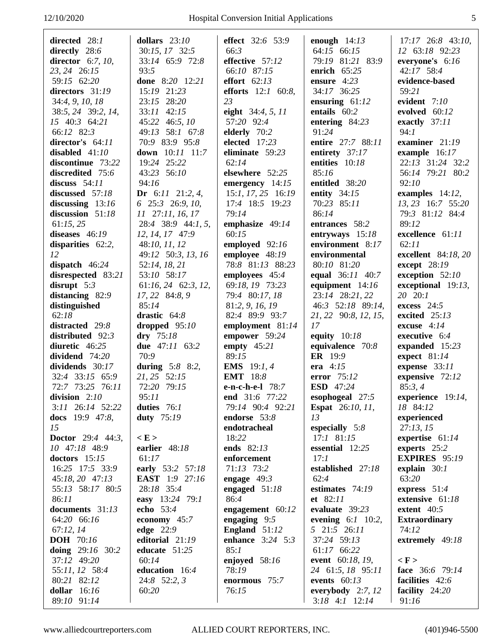| directly 28:6<br>30:15, 17 32:5<br>66:3<br>64:15 66:15<br>12 63:18 92:23<br>director $6:7, 10,$<br>33:14 65:9 72:8<br>effective 57:12<br>79:19 81:21 83:9<br>everyone's $6:16$<br>66:10 87:15<br>42:17 58:4<br>23, 24 26:15<br>93:5<br>enrich $65:25$<br>59:15 62:20<br>done 8:20 12:21<br>effort $62:13$<br>ensure $4:23$<br>evidence-based<br>15:19 21:23<br>34:17 36:25<br>directors 31:19<br>efforts $12:1$ 60:8,<br>59:21<br>23:15 28:20<br>23<br>34:4, 9, 10, 18<br>ensuring $61:12$<br>evident 7:10<br>33:11 42:15<br>eight 34:4, 5, 11<br>entails 60:2<br>evolved 60:12<br>38:5, 24 39:2, 14,<br>45:22 46:5, 10<br>57:20 92:4<br>entering $84:23$<br>exactly 37:11<br>15 40:3 64:21<br>66:12 82:3<br>49:13 58:1 67:8<br>elderly 70:2<br>91:24<br>94:1<br>director's $64:11$<br>70:9 83:9 95:8<br>elected 17:23<br>entire 27:7 88:11<br>examiner $21:19$<br>disabled $41:10$<br>down 10:11 11:7<br>eliminate 59:23<br>entirety 37:17<br>example $16:17$<br>19:24 25:22<br>discontinue 73:22<br>62:14<br>entities 10:18<br>22:13 31:24 32:2<br>43:23 56:10<br>elsewhere 52:25<br>85:16<br>discredited 75:6<br>56:14 79:21 80:2<br>94:16<br>entitled 38:20<br>92:10<br>discuss $54:11$<br>emergency $14:15$<br>Dr $6:11$ $21:2, 4$ ,<br>discussed 57:18<br>15:1, 17, 25 16:19<br>entity 34:15<br>examples $14:12$ ,<br>discussing $13:16$<br>6 25:3 26:9, 10,<br>17:4 18:5 19:23<br>70:23 85:11<br>13, 23 16:7 55:20<br>discussion 51:18<br>$11$ 27:11, 16, 17<br>79:14<br>86:14<br>79:3 81:12 84:4<br>89:12<br>61:15,25<br>28:4 38:9 44:1, 5,<br>emphasize 49:14<br>entrances 58:2<br>60:15<br>diseases $46:19$<br>12, 14, 17 47:9<br>entryways $15:18$<br>excellence 61:11<br>employed 92:16<br>environment 8:17<br>62:11<br>disparities $62:2$ ,<br>48:10, 11, 12<br>employee 48:19<br>12<br>49:12 50:3, 13, 16<br>environmental<br>excellent 84:18, 20<br>78:8 81:13 88:23<br>80:10 81:20<br>except 28:19<br>dispatch $46:24$<br>52:14, 18, 21<br>equal 36:11 40:7<br>disrespected 83:21<br>53:10 58:17<br>employees 45:4<br>exception $52:10$<br>disrupt $5:3$<br>$61:16, 24$ $62:3, 12,$<br>69:18, 19 73:23<br>exceptional $19:13$ ,<br>equipment $14:16$<br>distancing 82:9<br>79:4 80:17, 18<br>23:14 28:21, 22<br>20 20:1<br>17, 22 84:8, 9<br>distinguished<br>85:14<br>46:3 52:18 89:14,<br>excess $24:5$<br>81:2, 9, 16, 19<br>62:18<br>drastic $64:8$<br>82:4 89:9 93:7<br>21, 22 90:8, 12, 15,<br>excited $25:13$<br>distracted 29:8<br>17<br>dropped $95:10$<br>employment 81:14<br>excuse $4:14$<br>distributed 92:3<br>$\mathbf{dry}$ 75:18<br>empower 59:24<br>equity $10:18$<br>executive 6:4<br>diuretic 46:25<br>due 47:11 63:2<br>empty $45:21$<br>equivalence 70:8<br>expanded 15:23<br>70:9<br>expect 81:14<br>dividend 74:20<br>89:15<br><b>ER</b> 19:9<br>dividends 30:17<br>during $5:8$ 8:2,<br><b>EMS</b> 19:1, 4<br>expense 33:11<br>era $4:15$<br><b>EMT</b> 18:8<br>32:4 33:15 65:9<br>21, 25 52:15<br>error 75:12<br>expensive 72:12<br>72:7 73:25 76:11<br>72:20 79:15<br><b>ESD</b> 47:24<br>85:3,4<br>e-n-c-h-e-l 78:7<br>division $2:10$<br>95:11<br>end 31:6 77:22<br>esophogeal 27:5<br>experience 19:14,<br>3:11 26:14 52:22<br>duties $76:1$<br>79:14 90:4 92:21<br><b>Espat</b> 26:10, 11,<br>18 84:12<br><b>duty</b> 75:19<br>13<br>experienced<br>docs $19:9$ 47:8,<br>endorse 53:8<br>15<br>endotracheal<br>especially $5:8$<br>27:13, 15<br>< E ><br>18:22<br>$17:1$ 81:15<br>expertise 61:14<br><b>Doctor</b> 29:4 44:3,<br>earlier 48:18<br>ends 82:13<br>10 47:18 48:9<br>essential 12:25<br>experts 25:2<br>17:1<br>doctors $15:15$<br>61:17<br>enforcement<br><b>EXPIRES</b> 95:19<br>16:25 17:5 33:9<br>71:13 73:2<br>early 53:2 57:18<br>established 27:18<br>explain $30:1$<br>EAST 1:9 27:16<br>62:4<br>63:20<br>45:18, 20 47:13<br>engage $49:3$<br>55:13 58:17 80:5<br>28:18 35:4<br>engaged $51:18$<br>estimates 74:19<br>express 51:4<br>et $82:11$<br>86:11<br>easy 13:24 79:1<br>86:4<br>extensive 61:18<br>evaluate 39:23<br>documents 31:13<br>echo 53:4<br>engagement $60:12$<br>extent $40:5$<br>64:20 66:16<br>engaging $9:5$<br>evening $6:1$ 10:2,<br>economy 45:7<br><b>Extraordinary</b><br>edge $22:9$<br>England $51:12$<br>5 21:5 26:11<br>67:12,14<br>74:12<br>enhance 3:24 5:3<br><b>DOH</b> 70:16<br>editorial 21:19<br>37:24 59:13<br>extremely 49:18<br>doing $29:16$ 30:2<br>educate 51:25<br>85:1<br>61:17 66:22<br>37:12 49:20<br>60:14<br>enjoyed 58:16<br>event 60:18, 19,<br>$\langle F \rangle$<br>55:11, 12 58:4<br>education 16:4<br>78:19<br>24 61:5, 18 95:11<br>face 36:6 79:14<br>80:21 82:12<br>24:8 52:2, 3<br>events $60:13$<br>facilities 42:6<br>enormous 75:7<br>dollar $16:16$<br>60:20<br>76:15<br>everybody $2:7,12$<br>facility 24:20<br>89:10 91:14<br>$3:18$ 4:1 $12:14$<br>91:16 | directed 28:1 | dollars $23:10$ | <b>effect</b> 32:6 53:9 | enough $14:13$ | $17:17$ 26:8 43:10, |
|-----------------------------------------------------------------------------------------------------------------------------------------------------------------------------------------------------------------------------------------------------------------------------------------------------------------------------------------------------------------------------------------------------------------------------------------------------------------------------------------------------------------------------------------------------------------------------------------------------------------------------------------------------------------------------------------------------------------------------------------------------------------------------------------------------------------------------------------------------------------------------------------------------------------------------------------------------------------------------------------------------------------------------------------------------------------------------------------------------------------------------------------------------------------------------------------------------------------------------------------------------------------------------------------------------------------------------------------------------------------------------------------------------------------------------------------------------------------------------------------------------------------------------------------------------------------------------------------------------------------------------------------------------------------------------------------------------------------------------------------------------------------------------------------------------------------------------------------------------------------------------------------------------------------------------------------------------------------------------------------------------------------------------------------------------------------------------------------------------------------------------------------------------------------------------------------------------------------------------------------------------------------------------------------------------------------------------------------------------------------------------------------------------------------------------------------------------------------------------------------------------------------------------------------------------------------------------------------------------------------------------------------------------------------------------------------------------------------------------------------------------------------------------------------------------------------------------------------------------------------------------------------------------------------------------------------------------------------------------------------------------------------------------------------------------------------------------------------------------------------------------------------------------------------------------------------------------------------------------------------------------------------------------------------------------------------------------------------------------------------------------------------------------------------------------------------------------------------------------------------------------------------------------------------------------------------------------------------------------------------------------------------------------------------------------------------------------------------------------------------------------------------------------------------------------------------------------------------------------------------------------------------------------------------------------------------------------------------------------------------------------------------------------------------------------------------------------------------------------------------------------------------------------------------------------------------------------------------------------------------------------------------------------------------------------------------------------------------------------------------------------------------------------------------------------------------------------------------------------------------------------------------------------------------------------------------------------------------------------------------------------------------------------------------------------------------------------------------------------------------------------------------------------------------------|---------------|-----------------|-------------------------|----------------|---------------------|
|                                                                                                                                                                                                                                                                                                                                                                                                                                                                                                                                                                                                                                                                                                                                                                                                                                                                                                                                                                                                                                                                                                                                                                                                                                                                                                                                                                                                                                                                                                                                                                                                                                                                                                                                                                                                                                                                                                                                                                                                                                                                                                                                                                                                                                                                                                                                                                                                                                                                                                                                                                                                                                                                                                                                                                                                                                                                                                                                                                                                                                                                                                                                                                                                                                                                                                                                                                                                                                                                                                                                                                                                                                                                                                                                                                                                                                                                                                                                                                                                                                                                                                                                                                                                                                                                                                                                                                                                                                                                                                                                                                                                                                                                                                                                                                                               |               |                 |                         |                |                     |
|                                                                                                                                                                                                                                                                                                                                                                                                                                                                                                                                                                                                                                                                                                                                                                                                                                                                                                                                                                                                                                                                                                                                                                                                                                                                                                                                                                                                                                                                                                                                                                                                                                                                                                                                                                                                                                                                                                                                                                                                                                                                                                                                                                                                                                                                                                                                                                                                                                                                                                                                                                                                                                                                                                                                                                                                                                                                                                                                                                                                                                                                                                                                                                                                                                                                                                                                                                                                                                                                                                                                                                                                                                                                                                                                                                                                                                                                                                                                                                                                                                                                                                                                                                                                                                                                                                                                                                                                                                                                                                                                                                                                                                                                                                                                                                                               |               |                 |                         |                |                     |
|                                                                                                                                                                                                                                                                                                                                                                                                                                                                                                                                                                                                                                                                                                                                                                                                                                                                                                                                                                                                                                                                                                                                                                                                                                                                                                                                                                                                                                                                                                                                                                                                                                                                                                                                                                                                                                                                                                                                                                                                                                                                                                                                                                                                                                                                                                                                                                                                                                                                                                                                                                                                                                                                                                                                                                                                                                                                                                                                                                                                                                                                                                                                                                                                                                                                                                                                                                                                                                                                                                                                                                                                                                                                                                                                                                                                                                                                                                                                                                                                                                                                                                                                                                                                                                                                                                                                                                                                                                                                                                                                                                                                                                                                                                                                                                                               |               |                 |                         |                |                     |
|                                                                                                                                                                                                                                                                                                                                                                                                                                                                                                                                                                                                                                                                                                                                                                                                                                                                                                                                                                                                                                                                                                                                                                                                                                                                                                                                                                                                                                                                                                                                                                                                                                                                                                                                                                                                                                                                                                                                                                                                                                                                                                                                                                                                                                                                                                                                                                                                                                                                                                                                                                                                                                                                                                                                                                                                                                                                                                                                                                                                                                                                                                                                                                                                                                                                                                                                                                                                                                                                                                                                                                                                                                                                                                                                                                                                                                                                                                                                                                                                                                                                                                                                                                                                                                                                                                                                                                                                                                                                                                                                                                                                                                                                                                                                                                                               |               |                 |                         |                |                     |
|                                                                                                                                                                                                                                                                                                                                                                                                                                                                                                                                                                                                                                                                                                                                                                                                                                                                                                                                                                                                                                                                                                                                                                                                                                                                                                                                                                                                                                                                                                                                                                                                                                                                                                                                                                                                                                                                                                                                                                                                                                                                                                                                                                                                                                                                                                                                                                                                                                                                                                                                                                                                                                                                                                                                                                                                                                                                                                                                                                                                                                                                                                                                                                                                                                                                                                                                                                                                                                                                                                                                                                                                                                                                                                                                                                                                                                                                                                                                                                                                                                                                                                                                                                                                                                                                                                                                                                                                                                                                                                                                                                                                                                                                                                                                                                                               |               |                 |                         |                |                     |
|                                                                                                                                                                                                                                                                                                                                                                                                                                                                                                                                                                                                                                                                                                                                                                                                                                                                                                                                                                                                                                                                                                                                                                                                                                                                                                                                                                                                                                                                                                                                                                                                                                                                                                                                                                                                                                                                                                                                                                                                                                                                                                                                                                                                                                                                                                                                                                                                                                                                                                                                                                                                                                                                                                                                                                                                                                                                                                                                                                                                                                                                                                                                                                                                                                                                                                                                                                                                                                                                                                                                                                                                                                                                                                                                                                                                                                                                                                                                                                                                                                                                                                                                                                                                                                                                                                                                                                                                                                                                                                                                                                                                                                                                                                                                                                                               |               |                 |                         |                |                     |
|                                                                                                                                                                                                                                                                                                                                                                                                                                                                                                                                                                                                                                                                                                                                                                                                                                                                                                                                                                                                                                                                                                                                                                                                                                                                                                                                                                                                                                                                                                                                                                                                                                                                                                                                                                                                                                                                                                                                                                                                                                                                                                                                                                                                                                                                                                                                                                                                                                                                                                                                                                                                                                                                                                                                                                                                                                                                                                                                                                                                                                                                                                                                                                                                                                                                                                                                                                                                                                                                                                                                                                                                                                                                                                                                                                                                                                                                                                                                                                                                                                                                                                                                                                                                                                                                                                                                                                                                                                                                                                                                                                                                                                                                                                                                                                                               |               |                 |                         |                |                     |
|                                                                                                                                                                                                                                                                                                                                                                                                                                                                                                                                                                                                                                                                                                                                                                                                                                                                                                                                                                                                                                                                                                                                                                                                                                                                                                                                                                                                                                                                                                                                                                                                                                                                                                                                                                                                                                                                                                                                                                                                                                                                                                                                                                                                                                                                                                                                                                                                                                                                                                                                                                                                                                                                                                                                                                                                                                                                                                                                                                                                                                                                                                                                                                                                                                                                                                                                                                                                                                                                                                                                                                                                                                                                                                                                                                                                                                                                                                                                                                                                                                                                                                                                                                                                                                                                                                                                                                                                                                                                                                                                                                                                                                                                                                                                                                                               |               |                 |                         |                |                     |
|                                                                                                                                                                                                                                                                                                                                                                                                                                                                                                                                                                                                                                                                                                                                                                                                                                                                                                                                                                                                                                                                                                                                                                                                                                                                                                                                                                                                                                                                                                                                                                                                                                                                                                                                                                                                                                                                                                                                                                                                                                                                                                                                                                                                                                                                                                                                                                                                                                                                                                                                                                                                                                                                                                                                                                                                                                                                                                                                                                                                                                                                                                                                                                                                                                                                                                                                                                                                                                                                                                                                                                                                                                                                                                                                                                                                                                                                                                                                                                                                                                                                                                                                                                                                                                                                                                                                                                                                                                                                                                                                                                                                                                                                                                                                                                                               |               |                 |                         |                |                     |
|                                                                                                                                                                                                                                                                                                                                                                                                                                                                                                                                                                                                                                                                                                                                                                                                                                                                                                                                                                                                                                                                                                                                                                                                                                                                                                                                                                                                                                                                                                                                                                                                                                                                                                                                                                                                                                                                                                                                                                                                                                                                                                                                                                                                                                                                                                                                                                                                                                                                                                                                                                                                                                                                                                                                                                                                                                                                                                                                                                                                                                                                                                                                                                                                                                                                                                                                                                                                                                                                                                                                                                                                                                                                                                                                                                                                                                                                                                                                                                                                                                                                                                                                                                                                                                                                                                                                                                                                                                                                                                                                                                                                                                                                                                                                                                                               |               |                 |                         |                |                     |
|                                                                                                                                                                                                                                                                                                                                                                                                                                                                                                                                                                                                                                                                                                                                                                                                                                                                                                                                                                                                                                                                                                                                                                                                                                                                                                                                                                                                                                                                                                                                                                                                                                                                                                                                                                                                                                                                                                                                                                                                                                                                                                                                                                                                                                                                                                                                                                                                                                                                                                                                                                                                                                                                                                                                                                                                                                                                                                                                                                                                                                                                                                                                                                                                                                                                                                                                                                                                                                                                                                                                                                                                                                                                                                                                                                                                                                                                                                                                                                                                                                                                                                                                                                                                                                                                                                                                                                                                                                                                                                                                                                                                                                                                                                                                                                                               |               |                 |                         |                |                     |
|                                                                                                                                                                                                                                                                                                                                                                                                                                                                                                                                                                                                                                                                                                                                                                                                                                                                                                                                                                                                                                                                                                                                                                                                                                                                                                                                                                                                                                                                                                                                                                                                                                                                                                                                                                                                                                                                                                                                                                                                                                                                                                                                                                                                                                                                                                                                                                                                                                                                                                                                                                                                                                                                                                                                                                                                                                                                                                                                                                                                                                                                                                                                                                                                                                                                                                                                                                                                                                                                                                                                                                                                                                                                                                                                                                                                                                                                                                                                                                                                                                                                                                                                                                                                                                                                                                                                                                                                                                                                                                                                                                                                                                                                                                                                                                                               |               |                 |                         |                |                     |
|                                                                                                                                                                                                                                                                                                                                                                                                                                                                                                                                                                                                                                                                                                                                                                                                                                                                                                                                                                                                                                                                                                                                                                                                                                                                                                                                                                                                                                                                                                                                                                                                                                                                                                                                                                                                                                                                                                                                                                                                                                                                                                                                                                                                                                                                                                                                                                                                                                                                                                                                                                                                                                                                                                                                                                                                                                                                                                                                                                                                                                                                                                                                                                                                                                                                                                                                                                                                                                                                                                                                                                                                                                                                                                                                                                                                                                                                                                                                                                                                                                                                                                                                                                                                                                                                                                                                                                                                                                                                                                                                                                                                                                                                                                                                                                                               |               |                 |                         |                |                     |
|                                                                                                                                                                                                                                                                                                                                                                                                                                                                                                                                                                                                                                                                                                                                                                                                                                                                                                                                                                                                                                                                                                                                                                                                                                                                                                                                                                                                                                                                                                                                                                                                                                                                                                                                                                                                                                                                                                                                                                                                                                                                                                                                                                                                                                                                                                                                                                                                                                                                                                                                                                                                                                                                                                                                                                                                                                                                                                                                                                                                                                                                                                                                                                                                                                                                                                                                                                                                                                                                                                                                                                                                                                                                                                                                                                                                                                                                                                                                                                                                                                                                                                                                                                                                                                                                                                                                                                                                                                                                                                                                                                                                                                                                                                                                                                                               |               |                 |                         |                |                     |
|                                                                                                                                                                                                                                                                                                                                                                                                                                                                                                                                                                                                                                                                                                                                                                                                                                                                                                                                                                                                                                                                                                                                                                                                                                                                                                                                                                                                                                                                                                                                                                                                                                                                                                                                                                                                                                                                                                                                                                                                                                                                                                                                                                                                                                                                                                                                                                                                                                                                                                                                                                                                                                                                                                                                                                                                                                                                                                                                                                                                                                                                                                                                                                                                                                                                                                                                                                                                                                                                                                                                                                                                                                                                                                                                                                                                                                                                                                                                                                                                                                                                                                                                                                                                                                                                                                                                                                                                                                                                                                                                                                                                                                                                                                                                                                                               |               |                 |                         |                |                     |
|                                                                                                                                                                                                                                                                                                                                                                                                                                                                                                                                                                                                                                                                                                                                                                                                                                                                                                                                                                                                                                                                                                                                                                                                                                                                                                                                                                                                                                                                                                                                                                                                                                                                                                                                                                                                                                                                                                                                                                                                                                                                                                                                                                                                                                                                                                                                                                                                                                                                                                                                                                                                                                                                                                                                                                                                                                                                                                                                                                                                                                                                                                                                                                                                                                                                                                                                                                                                                                                                                                                                                                                                                                                                                                                                                                                                                                                                                                                                                                                                                                                                                                                                                                                                                                                                                                                                                                                                                                                                                                                                                                                                                                                                                                                                                                                               |               |                 |                         |                |                     |
|                                                                                                                                                                                                                                                                                                                                                                                                                                                                                                                                                                                                                                                                                                                                                                                                                                                                                                                                                                                                                                                                                                                                                                                                                                                                                                                                                                                                                                                                                                                                                                                                                                                                                                                                                                                                                                                                                                                                                                                                                                                                                                                                                                                                                                                                                                                                                                                                                                                                                                                                                                                                                                                                                                                                                                                                                                                                                                                                                                                                                                                                                                                                                                                                                                                                                                                                                                                                                                                                                                                                                                                                                                                                                                                                                                                                                                                                                                                                                                                                                                                                                                                                                                                                                                                                                                                                                                                                                                                                                                                                                                                                                                                                                                                                                                                               |               |                 |                         |                |                     |
|                                                                                                                                                                                                                                                                                                                                                                                                                                                                                                                                                                                                                                                                                                                                                                                                                                                                                                                                                                                                                                                                                                                                                                                                                                                                                                                                                                                                                                                                                                                                                                                                                                                                                                                                                                                                                                                                                                                                                                                                                                                                                                                                                                                                                                                                                                                                                                                                                                                                                                                                                                                                                                                                                                                                                                                                                                                                                                                                                                                                                                                                                                                                                                                                                                                                                                                                                                                                                                                                                                                                                                                                                                                                                                                                                                                                                                                                                                                                                                                                                                                                                                                                                                                                                                                                                                                                                                                                                                                                                                                                                                                                                                                                                                                                                                                               |               |                 |                         |                |                     |
|                                                                                                                                                                                                                                                                                                                                                                                                                                                                                                                                                                                                                                                                                                                                                                                                                                                                                                                                                                                                                                                                                                                                                                                                                                                                                                                                                                                                                                                                                                                                                                                                                                                                                                                                                                                                                                                                                                                                                                                                                                                                                                                                                                                                                                                                                                                                                                                                                                                                                                                                                                                                                                                                                                                                                                                                                                                                                                                                                                                                                                                                                                                                                                                                                                                                                                                                                                                                                                                                                                                                                                                                                                                                                                                                                                                                                                                                                                                                                                                                                                                                                                                                                                                                                                                                                                                                                                                                                                                                                                                                                                                                                                                                                                                                                                                               |               |                 |                         |                |                     |
|                                                                                                                                                                                                                                                                                                                                                                                                                                                                                                                                                                                                                                                                                                                                                                                                                                                                                                                                                                                                                                                                                                                                                                                                                                                                                                                                                                                                                                                                                                                                                                                                                                                                                                                                                                                                                                                                                                                                                                                                                                                                                                                                                                                                                                                                                                                                                                                                                                                                                                                                                                                                                                                                                                                                                                                                                                                                                                                                                                                                                                                                                                                                                                                                                                                                                                                                                                                                                                                                                                                                                                                                                                                                                                                                                                                                                                                                                                                                                                                                                                                                                                                                                                                                                                                                                                                                                                                                                                                                                                                                                                                                                                                                                                                                                                                               |               |                 |                         |                |                     |
|                                                                                                                                                                                                                                                                                                                                                                                                                                                                                                                                                                                                                                                                                                                                                                                                                                                                                                                                                                                                                                                                                                                                                                                                                                                                                                                                                                                                                                                                                                                                                                                                                                                                                                                                                                                                                                                                                                                                                                                                                                                                                                                                                                                                                                                                                                                                                                                                                                                                                                                                                                                                                                                                                                                                                                                                                                                                                                                                                                                                                                                                                                                                                                                                                                                                                                                                                                                                                                                                                                                                                                                                                                                                                                                                                                                                                                                                                                                                                                                                                                                                                                                                                                                                                                                                                                                                                                                                                                                                                                                                                                                                                                                                                                                                                                                               |               |                 |                         |                |                     |
|                                                                                                                                                                                                                                                                                                                                                                                                                                                                                                                                                                                                                                                                                                                                                                                                                                                                                                                                                                                                                                                                                                                                                                                                                                                                                                                                                                                                                                                                                                                                                                                                                                                                                                                                                                                                                                                                                                                                                                                                                                                                                                                                                                                                                                                                                                                                                                                                                                                                                                                                                                                                                                                                                                                                                                                                                                                                                                                                                                                                                                                                                                                                                                                                                                                                                                                                                                                                                                                                                                                                                                                                                                                                                                                                                                                                                                                                                                                                                                                                                                                                                                                                                                                                                                                                                                                                                                                                                                                                                                                                                                                                                                                                                                                                                                                               |               |                 |                         |                |                     |
|                                                                                                                                                                                                                                                                                                                                                                                                                                                                                                                                                                                                                                                                                                                                                                                                                                                                                                                                                                                                                                                                                                                                                                                                                                                                                                                                                                                                                                                                                                                                                                                                                                                                                                                                                                                                                                                                                                                                                                                                                                                                                                                                                                                                                                                                                                                                                                                                                                                                                                                                                                                                                                                                                                                                                                                                                                                                                                                                                                                                                                                                                                                                                                                                                                                                                                                                                                                                                                                                                                                                                                                                                                                                                                                                                                                                                                                                                                                                                                                                                                                                                                                                                                                                                                                                                                                                                                                                                                                                                                                                                                                                                                                                                                                                                                                               |               |                 |                         |                |                     |
|                                                                                                                                                                                                                                                                                                                                                                                                                                                                                                                                                                                                                                                                                                                                                                                                                                                                                                                                                                                                                                                                                                                                                                                                                                                                                                                                                                                                                                                                                                                                                                                                                                                                                                                                                                                                                                                                                                                                                                                                                                                                                                                                                                                                                                                                                                                                                                                                                                                                                                                                                                                                                                                                                                                                                                                                                                                                                                                                                                                                                                                                                                                                                                                                                                                                                                                                                                                                                                                                                                                                                                                                                                                                                                                                                                                                                                                                                                                                                                                                                                                                                                                                                                                                                                                                                                                                                                                                                                                                                                                                                                                                                                                                                                                                                                                               |               |                 |                         |                |                     |
|                                                                                                                                                                                                                                                                                                                                                                                                                                                                                                                                                                                                                                                                                                                                                                                                                                                                                                                                                                                                                                                                                                                                                                                                                                                                                                                                                                                                                                                                                                                                                                                                                                                                                                                                                                                                                                                                                                                                                                                                                                                                                                                                                                                                                                                                                                                                                                                                                                                                                                                                                                                                                                                                                                                                                                                                                                                                                                                                                                                                                                                                                                                                                                                                                                                                                                                                                                                                                                                                                                                                                                                                                                                                                                                                                                                                                                                                                                                                                                                                                                                                                                                                                                                                                                                                                                                                                                                                                                                                                                                                                                                                                                                                                                                                                                                               |               |                 |                         |                |                     |
|                                                                                                                                                                                                                                                                                                                                                                                                                                                                                                                                                                                                                                                                                                                                                                                                                                                                                                                                                                                                                                                                                                                                                                                                                                                                                                                                                                                                                                                                                                                                                                                                                                                                                                                                                                                                                                                                                                                                                                                                                                                                                                                                                                                                                                                                                                                                                                                                                                                                                                                                                                                                                                                                                                                                                                                                                                                                                                                                                                                                                                                                                                                                                                                                                                                                                                                                                                                                                                                                                                                                                                                                                                                                                                                                                                                                                                                                                                                                                                                                                                                                                                                                                                                                                                                                                                                                                                                                                                                                                                                                                                                                                                                                                                                                                                                               |               |                 |                         |                |                     |
|                                                                                                                                                                                                                                                                                                                                                                                                                                                                                                                                                                                                                                                                                                                                                                                                                                                                                                                                                                                                                                                                                                                                                                                                                                                                                                                                                                                                                                                                                                                                                                                                                                                                                                                                                                                                                                                                                                                                                                                                                                                                                                                                                                                                                                                                                                                                                                                                                                                                                                                                                                                                                                                                                                                                                                                                                                                                                                                                                                                                                                                                                                                                                                                                                                                                                                                                                                                                                                                                                                                                                                                                                                                                                                                                                                                                                                                                                                                                                                                                                                                                                                                                                                                                                                                                                                                                                                                                                                                                                                                                                                                                                                                                                                                                                                                               |               |                 |                         |                |                     |
|                                                                                                                                                                                                                                                                                                                                                                                                                                                                                                                                                                                                                                                                                                                                                                                                                                                                                                                                                                                                                                                                                                                                                                                                                                                                                                                                                                                                                                                                                                                                                                                                                                                                                                                                                                                                                                                                                                                                                                                                                                                                                                                                                                                                                                                                                                                                                                                                                                                                                                                                                                                                                                                                                                                                                                                                                                                                                                                                                                                                                                                                                                                                                                                                                                                                                                                                                                                                                                                                                                                                                                                                                                                                                                                                                                                                                                                                                                                                                                                                                                                                                                                                                                                                                                                                                                                                                                                                                                                                                                                                                                                                                                                                                                                                                                                               |               |                 |                         |                |                     |
|                                                                                                                                                                                                                                                                                                                                                                                                                                                                                                                                                                                                                                                                                                                                                                                                                                                                                                                                                                                                                                                                                                                                                                                                                                                                                                                                                                                                                                                                                                                                                                                                                                                                                                                                                                                                                                                                                                                                                                                                                                                                                                                                                                                                                                                                                                                                                                                                                                                                                                                                                                                                                                                                                                                                                                                                                                                                                                                                                                                                                                                                                                                                                                                                                                                                                                                                                                                                                                                                                                                                                                                                                                                                                                                                                                                                                                                                                                                                                                                                                                                                                                                                                                                                                                                                                                                                                                                                                                                                                                                                                                                                                                                                                                                                                                                               |               |                 |                         |                |                     |
|                                                                                                                                                                                                                                                                                                                                                                                                                                                                                                                                                                                                                                                                                                                                                                                                                                                                                                                                                                                                                                                                                                                                                                                                                                                                                                                                                                                                                                                                                                                                                                                                                                                                                                                                                                                                                                                                                                                                                                                                                                                                                                                                                                                                                                                                                                                                                                                                                                                                                                                                                                                                                                                                                                                                                                                                                                                                                                                                                                                                                                                                                                                                                                                                                                                                                                                                                                                                                                                                                                                                                                                                                                                                                                                                                                                                                                                                                                                                                                                                                                                                                                                                                                                                                                                                                                                                                                                                                                                                                                                                                                                                                                                                                                                                                                                               |               |                 |                         |                |                     |
|                                                                                                                                                                                                                                                                                                                                                                                                                                                                                                                                                                                                                                                                                                                                                                                                                                                                                                                                                                                                                                                                                                                                                                                                                                                                                                                                                                                                                                                                                                                                                                                                                                                                                                                                                                                                                                                                                                                                                                                                                                                                                                                                                                                                                                                                                                                                                                                                                                                                                                                                                                                                                                                                                                                                                                                                                                                                                                                                                                                                                                                                                                                                                                                                                                                                                                                                                                                                                                                                                                                                                                                                                                                                                                                                                                                                                                                                                                                                                                                                                                                                                                                                                                                                                                                                                                                                                                                                                                                                                                                                                                                                                                                                                                                                                                                               |               |                 |                         |                |                     |
|                                                                                                                                                                                                                                                                                                                                                                                                                                                                                                                                                                                                                                                                                                                                                                                                                                                                                                                                                                                                                                                                                                                                                                                                                                                                                                                                                                                                                                                                                                                                                                                                                                                                                                                                                                                                                                                                                                                                                                                                                                                                                                                                                                                                                                                                                                                                                                                                                                                                                                                                                                                                                                                                                                                                                                                                                                                                                                                                                                                                                                                                                                                                                                                                                                                                                                                                                                                                                                                                                                                                                                                                                                                                                                                                                                                                                                                                                                                                                                                                                                                                                                                                                                                                                                                                                                                                                                                                                                                                                                                                                                                                                                                                                                                                                                                               |               |                 |                         |                |                     |
|                                                                                                                                                                                                                                                                                                                                                                                                                                                                                                                                                                                                                                                                                                                                                                                                                                                                                                                                                                                                                                                                                                                                                                                                                                                                                                                                                                                                                                                                                                                                                                                                                                                                                                                                                                                                                                                                                                                                                                                                                                                                                                                                                                                                                                                                                                                                                                                                                                                                                                                                                                                                                                                                                                                                                                                                                                                                                                                                                                                                                                                                                                                                                                                                                                                                                                                                                                                                                                                                                                                                                                                                                                                                                                                                                                                                                                                                                                                                                                                                                                                                                                                                                                                                                                                                                                                                                                                                                                                                                                                                                                                                                                                                                                                                                                                               |               |                 |                         |                |                     |
|                                                                                                                                                                                                                                                                                                                                                                                                                                                                                                                                                                                                                                                                                                                                                                                                                                                                                                                                                                                                                                                                                                                                                                                                                                                                                                                                                                                                                                                                                                                                                                                                                                                                                                                                                                                                                                                                                                                                                                                                                                                                                                                                                                                                                                                                                                                                                                                                                                                                                                                                                                                                                                                                                                                                                                                                                                                                                                                                                                                                                                                                                                                                                                                                                                                                                                                                                                                                                                                                                                                                                                                                                                                                                                                                                                                                                                                                                                                                                                                                                                                                                                                                                                                                                                                                                                                                                                                                                                                                                                                                                                                                                                                                                                                                                                                               |               |                 |                         |                |                     |
|                                                                                                                                                                                                                                                                                                                                                                                                                                                                                                                                                                                                                                                                                                                                                                                                                                                                                                                                                                                                                                                                                                                                                                                                                                                                                                                                                                                                                                                                                                                                                                                                                                                                                                                                                                                                                                                                                                                                                                                                                                                                                                                                                                                                                                                                                                                                                                                                                                                                                                                                                                                                                                                                                                                                                                                                                                                                                                                                                                                                                                                                                                                                                                                                                                                                                                                                                                                                                                                                                                                                                                                                                                                                                                                                                                                                                                                                                                                                                                                                                                                                                                                                                                                                                                                                                                                                                                                                                                                                                                                                                                                                                                                                                                                                                                                               |               |                 |                         |                |                     |
|                                                                                                                                                                                                                                                                                                                                                                                                                                                                                                                                                                                                                                                                                                                                                                                                                                                                                                                                                                                                                                                                                                                                                                                                                                                                                                                                                                                                                                                                                                                                                                                                                                                                                                                                                                                                                                                                                                                                                                                                                                                                                                                                                                                                                                                                                                                                                                                                                                                                                                                                                                                                                                                                                                                                                                                                                                                                                                                                                                                                                                                                                                                                                                                                                                                                                                                                                                                                                                                                                                                                                                                                                                                                                                                                                                                                                                                                                                                                                                                                                                                                                                                                                                                                                                                                                                                                                                                                                                                                                                                                                                                                                                                                                                                                                                                               |               |                 |                         |                |                     |
|                                                                                                                                                                                                                                                                                                                                                                                                                                                                                                                                                                                                                                                                                                                                                                                                                                                                                                                                                                                                                                                                                                                                                                                                                                                                                                                                                                                                                                                                                                                                                                                                                                                                                                                                                                                                                                                                                                                                                                                                                                                                                                                                                                                                                                                                                                                                                                                                                                                                                                                                                                                                                                                                                                                                                                                                                                                                                                                                                                                                                                                                                                                                                                                                                                                                                                                                                                                                                                                                                                                                                                                                                                                                                                                                                                                                                                                                                                                                                                                                                                                                                                                                                                                                                                                                                                                                                                                                                                                                                                                                                                                                                                                                                                                                                                                               |               |                 |                         |                |                     |
|                                                                                                                                                                                                                                                                                                                                                                                                                                                                                                                                                                                                                                                                                                                                                                                                                                                                                                                                                                                                                                                                                                                                                                                                                                                                                                                                                                                                                                                                                                                                                                                                                                                                                                                                                                                                                                                                                                                                                                                                                                                                                                                                                                                                                                                                                                                                                                                                                                                                                                                                                                                                                                                                                                                                                                                                                                                                                                                                                                                                                                                                                                                                                                                                                                                                                                                                                                                                                                                                                                                                                                                                                                                                                                                                                                                                                                                                                                                                                                                                                                                                                                                                                                                                                                                                                                                                                                                                                                                                                                                                                                                                                                                                                                                                                                                               |               |                 |                         |                |                     |
|                                                                                                                                                                                                                                                                                                                                                                                                                                                                                                                                                                                                                                                                                                                                                                                                                                                                                                                                                                                                                                                                                                                                                                                                                                                                                                                                                                                                                                                                                                                                                                                                                                                                                                                                                                                                                                                                                                                                                                                                                                                                                                                                                                                                                                                                                                                                                                                                                                                                                                                                                                                                                                                                                                                                                                                                                                                                                                                                                                                                                                                                                                                                                                                                                                                                                                                                                                                                                                                                                                                                                                                                                                                                                                                                                                                                                                                                                                                                                                                                                                                                                                                                                                                                                                                                                                                                                                                                                                                                                                                                                                                                                                                                                                                                                                                               |               |                 |                         |                |                     |
|                                                                                                                                                                                                                                                                                                                                                                                                                                                                                                                                                                                                                                                                                                                                                                                                                                                                                                                                                                                                                                                                                                                                                                                                                                                                                                                                                                                                                                                                                                                                                                                                                                                                                                                                                                                                                                                                                                                                                                                                                                                                                                                                                                                                                                                                                                                                                                                                                                                                                                                                                                                                                                                                                                                                                                                                                                                                                                                                                                                                                                                                                                                                                                                                                                                                                                                                                                                                                                                                                                                                                                                                                                                                                                                                                                                                                                                                                                                                                                                                                                                                                                                                                                                                                                                                                                                                                                                                                                                                                                                                                                                                                                                                                                                                                                                               |               |                 |                         |                |                     |
|                                                                                                                                                                                                                                                                                                                                                                                                                                                                                                                                                                                                                                                                                                                                                                                                                                                                                                                                                                                                                                                                                                                                                                                                                                                                                                                                                                                                                                                                                                                                                                                                                                                                                                                                                                                                                                                                                                                                                                                                                                                                                                                                                                                                                                                                                                                                                                                                                                                                                                                                                                                                                                                                                                                                                                                                                                                                                                                                                                                                                                                                                                                                                                                                                                                                                                                                                                                                                                                                                                                                                                                                                                                                                                                                                                                                                                                                                                                                                                                                                                                                                                                                                                                                                                                                                                                                                                                                                                                                                                                                                                                                                                                                                                                                                                                               |               |                 |                         |                |                     |
|                                                                                                                                                                                                                                                                                                                                                                                                                                                                                                                                                                                                                                                                                                                                                                                                                                                                                                                                                                                                                                                                                                                                                                                                                                                                                                                                                                                                                                                                                                                                                                                                                                                                                                                                                                                                                                                                                                                                                                                                                                                                                                                                                                                                                                                                                                                                                                                                                                                                                                                                                                                                                                                                                                                                                                                                                                                                                                                                                                                                                                                                                                                                                                                                                                                                                                                                                                                                                                                                                                                                                                                                                                                                                                                                                                                                                                                                                                                                                                                                                                                                                                                                                                                                                                                                                                                                                                                                                                                                                                                                                                                                                                                                                                                                                                                               |               |                 |                         |                |                     |
|                                                                                                                                                                                                                                                                                                                                                                                                                                                                                                                                                                                                                                                                                                                                                                                                                                                                                                                                                                                                                                                                                                                                                                                                                                                                                                                                                                                                                                                                                                                                                                                                                                                                                                                                                                                                                                                                                                                                                                                                                                                                                                                                                                                                                                                                                                                                                                                                                                                                                                                                                                                                                                                                                                                                                                                                                                                                                                                                                                                                                                                                                                                                                                                                                                                                                                                                                                                                                                                                                                                                                                                                                                                                                                                                                                                                                                                                                                                                                                                                                                                                                                                                                                                                                                                                                                                                                                                                                                                                                                                                                                                                                                                                                                                                                                                               |               |                 |                         |                |                     |
|                                                                                                                                                                                                                                                                                                                                                                                                                                                                                                                                                                                                                                                                                                                                                                                                                                                                                                                                                                                                                                                                                                                                                                                                                                                                                                                                                                                                                                                                                                                                                                                                                                                                                                                                                                                                                                                                                                                                                                                                                                                                                                                                                                                                                                                                                                                                                                                                                                                                                                                                                                                                                                                                                                                                                                                                                                                                                                                                                                                                                                                                                                                                                                                                                                                                                                                                                                                                                                                                                                                                                                                                                                                                                                                                                                                                                                                                                                                                                                                                                                                                                                                                                                                                                                                                                                                                                                                                                                                                                                                                                                                                                                                                                                                                                                                               |               |                 |                         |                |                     |
|                                                                                                                                                                                                                                                                                                                                                                                                                                                                                                                                                                                                                                                                                                                                                                                                                                                                                                                                                                                                                                                                                                                                                                                                                                                                                                                                                                                                                                                                                                                                                                                                                                                                                                                                                                                                                                                                                                                                                                                                                                                                                                                                                                                                                                                                                                                                                                                                                                                                                                                                                                                                                                                                                                                                                                                                                                                                                                                                                                                                                                                                                                                                                                                                                                                                                                                                                                                                                                                                                                                                                                                                                                                                                                                                                                                                                                                                                                                                                                                                                                                                                                                                                                                                                                                                                                                                                                                                                                                                                                                                                                                                                                                                                                                                                                                               |               |                 |                         |                |                     |
|                                                                                                                                                                                                                                                                                                                                                                                                                                                                                                                                                                                                                                                                                                                                                                                                                                                                                                                                                                                                                                                                                                                                                                                                                                                                                                                                                                                                                                                                                                                                                                                                                                                                                                                                                                                                                                                                                                                                                                                                                                                                                                                                                                                                                                                                                                                                                                                                                                                                                                                                                                                                                                                                                                                                                                                                                                                                                                                                                                                                                                                                                                                                                                                                                                                                                                                                                                                                                                                                                                                                                                                                                                                                                                                                                                                                                                                                                                                                                                                                                                                                                                                                                                                                                                                                                                                                                                                                                                                                                                                                                                                                                                                                                                                                                                                               |               |                 |                         |                |                     |
|                                                                                                                                                                                                                                                                                                                                                                                                                                                                                                                                                                                                                                                                                                                                                                                                                                                                                                                                                                                                                                                                                                                                                                                                                                                                                                                                                                                                                                                                                                                                                                                                                                                                                                                                                                                                                                                                                                                                                                                                                                                                                                                                                                                                                                                                                                                                                                                                                                                                                                                                                                                                                                                                                                                                                                                                                                                                                                                                                                                                                                                                                                                                                                                                                                                                                                                                                                                                                                                                                                                                                                                                                                                                                                                                                                                                                                                                                                                                                                                                                                                                                                                                                                                                                                                                                                                                                                                                                                                                                                                                                                                                                                                                                                                                                                                               |               |                 |                         |                |                     |
|                                                                                                                                                                                                                                                                                                                                                                                                                                                                                                                                                                                                                                                                                                                                                                                                                                                                                                                                                                                                                                                                                                                                                                                                                                                                                                                                                                                                                                                                                                                                                                                                                                                                                                                                                                                                                                                                                                                                                                                                                                                                                                                                                                                                                                                                                                                                                                                                                                                                                                                                                                                                                                                                                                                                                                                                                                                                                                                                                                                                                                                                                                                                                                                                                                                                                                                                                                                                                                                                                                                                                                                                                                                                                                                                                                                                                                                                                                                                                                                                                                                                                                                                                                                                                                                                                                                                                                                                                                                                                                                                                                                                                                                                                                                                                                                               |               |                 |                         |                |                     |
|                                                                                                                                                                                                                                                                                                                                                                                                                                                                                                                                                                                                                                                                                                                                                                                                                                                                                                                                                                                                                                                                                                                                                                                                                                                                                                                                                                                                                                                                                                                                                                                                                                                                                                                                                                                                                                                                                                                                                                                                                                                                                                                                                                                                                                                                                                                                                                                                                                                                                                                                                                                                                                                                                                                                                                                                                                                                                                                                                                                                                                                                                                                                                                                                                                                                                                                                                                                                                                                                                                                                                                                                                                                                                                                                                                                                                                                                                                                                                                                                                                                                                                                                                                                                                                                                                                                                                                                                                                                                                                                                                                                                                                                                                                                                                                                               |               |                 |                         |                |                     |
|                                                                                                                                                                                                                                                                                                                                                                                                                                                                                                                                                                                                                                                                                                                                                                                                                                                                                                                                                                                                                                                                                                                                                                                                                                                                                                                                                                                                                                                                                                                                                                                                                                                                                                                                                                                                                                                                                                                                                                                                                                                                                                                                                                                                                                                                                                                                                                                                                                                                                                                                                                                                                                                                                                                                                                                                                                                                                                                                                                                                                                                                                                                                                                                                                                                                                                                                                                                                                                                                                                                                                                                                                                                                                                                                                                                                                                                                                                                                                                                                                                                                                                                                                                                                                                                                                                                                                                                                                                                                                                                                                                                                                                                                                                                                                                                               |               |                 |                         |                |                     |
|                                                                                                                                                                                                                                                                                                                                                                                                                                                                                                                                                                                                                                                                                                                                                                                                                                                                                                                                                                                                                                                                                                                                                                                                                                                                                                                                                                                                                                                                                                                                                                                                                                                                                                                                                                                                                                                                                                                                                                                                                                                                                                                                                                                                                                                                                                                                                                                                                                                                                                                                                                                                                                                                                                                                                                                                                                                                                                                                                                                                                                                                                                                                                                                                                                                                                                                                                                                                                                                                                                                                                                                                                                                                                                                                                                                                                                                                                                                                                                                                                                                                                                                                                                                                                                                                                                                                                                                                                                                                                                                                                                                                                                                                                                                                                                                               |               |                 |                         |                |                     |
|                                                                                                                                                                                                                                                                                                                                                                                                                                                                                                                                                                                                                                                                                                                                                                                                                                                                                                                                                                                                                                                                                                                                                                                                                                                                                                                                                                                                                                                                                                                                                                                                                                                                                                                                                                                                                                                                                                                                                                                                                                                                                                                                                                                                                                                                                                                                                                                                                                                                                                                                                                                                                                                                                                                                                                                                                                                                                                                                                                                                                                                                                                                                                                                                                                                                                                                                                                                                                                                                                                                                                                                                                                                                                                                                                                                                                                                                                                                                                                                                                                                                                                                                                                                                                                                                                                                                                                                                                                                                                                                                                                                                                                                                                                                                                                                               |               |                 |                         |                |                     |
|                                                                                                                                                                                                                                                                                                                                                                                                                                                                                                                                                                                                                                                                                                                                                                                                                                                                                                                                                                                                                                                                                                                                                                                                                                                                                                                                                                                                                                                                                                                                                                                                                                                                                                                                                                                                                                                                                                                                                                                                                                                                                                                                                                                                                                                                                                                                                                                                                                                                                                                                                                                                                                                                                                                                                                                                                                                                                                                                                                                                                                                                                                                                                                                                                                                                                                                                                                                                                                                                                                                                                                                                                                                                                                                                                                                                                                                                                                                                                                                                                                                                                                                                                                                                                                                                                                                                                                                                                                                                                                                                                                                                                                                                                                                                                                                               |               |                 |                         |                |                     |
|                                                                                                                                                                                                                                                                                                                                                                                                                                                                                                                                                                                                                                                                                                                                                                                                                                                                                                                                                                                                                                                                                                                                                                                                                                                                                                                                                                                                                                                                                                                                                                                                                                                                                                                                                                                                                                                                                                                                                                                                                                                                                                                                                                                                                                                                                                                                                                                                                                                                                                                                                                                                                                                                                                                                                                                                                                                                                                                                                                                                                                                                                                                                                                                                                                                                                                                                                                                                                                                                                                                                                                                                                                                                                                                                                                                                                                                                                                                                                                                                                                                                                                                                                                                                                                                                                                                                                                                                                                                                                                                                                                                                                                                                                                                                                                                               |               |                 |                         |                |                     |
|                                                                                                                                                                                                                                                                                                                                                                                                                                                                                                                                                                                                                                                                                                                                                                                                                                                                                                                                                                                                                                                                                                                                                                                                                                                                                                                                                                                                                                                                                                                                                                                                                                                                                                                                                                                                                                                                                                                                                                                                                                                                                                                                                                                                                                                                                                                                                                                                                                                                                                                                                                                                                                                                                                                                                                                                                                                                                                                                                                                                                                                                                                                                                                                                                                                                                                                                                                                                                                                                                                                                                                                                                                                                                                                                                                                                                                                                                                                                                                                                                                                                                                                                                                                                                                                                                                                                                                                                                                                                                                                                                                                                                                                                                                                                                                                               |               |                 |                         |                |                     |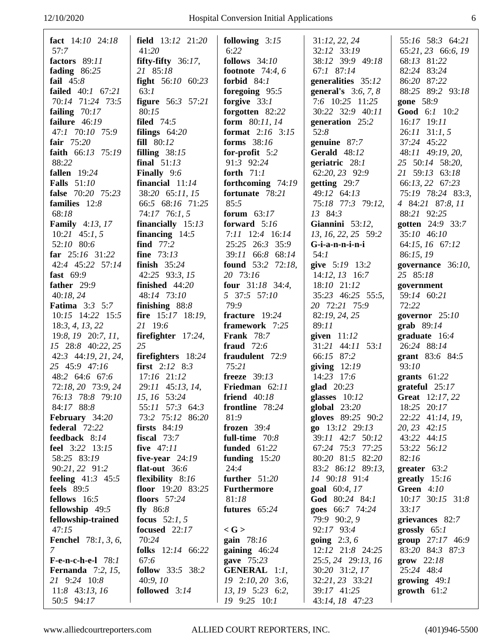| fact $14:10$ 24:18               | field $13:12$ $21:20$            | following $3:15$                           | 31:12, 22, 24                          | 55:16 58:3 64:21                |
|----------------------------------|----------------------------------|--------------------------------------------|----------------------------------------|---------------------------------|
| 57:7                             | 41:20                            | 6:22                                       | 32:12 33:19                            | 65:21, 23 66:6, 19              |
| factors 89:11                    | fifty-fifty $36:17$ ,            | follows $34:10$                            | 38:12 39:9 49:18                       | 68:13 81:22                     |
| fading $86:25$                   | 21 85:18                         | footnote $74:4,6$                          | 67:1 87:14                             | 82:24 83:24                     |
| fail $45:8$                      | <b>fight</b> $56:10$ $60:23$     | forbid $84:1$                              | generalities 35:12                     | 86:20 87:22                     |
| <b>failed</b> 40:1 67:21         | 63:1                             | foregoing 95:5                             | <b>general's</b> $3:6, 7, 8$           | 88:25 89:2 93:18                |
| 70:14 71:24 73:5                 | <b>figure</b> 56:3 57:21         | forgive $33:1$                             | 7:6 10:25 11:25                        | gone 58:9                       |
| failing $70:17$                  | 80:15                            | forgotten 82:22                            | 30:22 32:9 40:11                       | Good 6:1 10:2                   |
| failure 46:19                    | <b>filed</b> 74:5                | form $80:11, 14$                           | generation 25:2                        | 16:17 19:11                     |
| 47:1 70:10 75:9<br>fair $75:20$  | filings $64:20$<br>fill 80:12    | <b>format</b> $2:16$ $3:15$<br>forms 38:16 | 52:8                                   | $26:11$ 31:1, 5                 |
| faith 66:13 75:19                |                                  |                                            | genuine 87:7<br><b>Gerald</b> 48:12    | 37:24 45:22<br>48:11 49:19, 20, |
| 88:22                            | filling $38:15$<br>final $51:13$ | for-profit $5:2$<br>91:3 92:24             | geriatric $28:1$                       | 25 50:14 58:20,                 |
| fallen 19:24                     | Finally 9:6                      | forth $71:1$                               | 62:20, 23 92:9                         | 21 59:13 63:18                  |
| <b>Falls</b> 51:10               | financial $11:14$                | forthcoming $74:19$                        | getting 29:7                           | 66:13, 22 67:23                 |
| false 70:20 75:23                | 38:20 65:11, 15                  | fortunate 78:21                            | 49:12 64:13                            | 75:19 78:24 83:3,               |
| families 12:8                    | 66:5 68:16 71:25                 | 85:5                                       | 75:18 77:3 79:12,                      | 4 84:21 87:8, 11                |
| 68:18                            | 74:17 76:1, 5                    | forum $63:17$                              | 13 84:3                                | 88:21 92:25                     |
| <b>Family</b> 4:13, 17           | financially $15:13$              | forward $5:16$                             | Giannini 53:12,                        | gotten 24:9 33:7                |
| $10:21$ 45:1, 5                  | financing $14:5$                 | 7:11 12:4 16:14                            | 13, 16, 22, 25 59:2                    | 35:10 46:10                     |
| 52:10 80:6                       | find $77:2$                      | 25:25 26:3 35:9                            | $G$ -i-a-n-n-i-n-i                     | 64:15, 16 67:12                 |
| far $25:16$ 31:22                | <b>fine</b> 73:13                | 39:11 66:8 68:14                           | 54:1                                   | 86:15, 19                       |
| 42:4 45:22 57:14                 | finish $35:24$                   | found 53:2 72:18,                          | give 5:19 13:2                         | governance $36:10$ ,            |
| fast 69:9                        | 42:25 93:3, 15                   | 20 73:16                                   | $14:12, 13$ 16:7                       | 25 85:18                        |
| father 29:9                      | finished $44:20$                 | four $31:18$ 34:4,                         | 18:10 21:12                            | government                      |
| 40:18,24                         | 48:14 73:10                      | 5 37:5 57:10                               | 35:23 46:25 55:5,                      | 59:14 60:21                     |
| <b>Fatima</b> $3:3$ 5:7          | finishing $88:8$                 | 79:9                                       | 20 72:21 75:9                          | 72:22                           |
| 10:15 14:22 15:5                 | fire 15:17 18:19,                | fracture 19:24                             | 82:19, 24, 25                          | governor $25:10$                |
| 18:3, 4, 13, 22                  | 21 19:6                          | framework 7:25                             | 89:11                                  | grab 89:14                      |
| $19:8$ , $19$ $20:7$ , $11$ ,    | firefighter $17:24$ ,            | <b>Frank</b> 78:7                          | given $11:12$                          | graduate $16:4$                 |
| 15 28:8 40:22, 25                | 25                               | fraud $72:6$                               | 31:21 44:11 53:1                       | 26:24 88:14                     |
| 42:3 44:19, 21, 24,              | firefighters 18:24               | fraudulent 72:9                            | 66:15 87:2                             | grant $83:6$ $84:5$             |
| 25 45:9 47:16                    | <b>first</b> $2:12 \quad 8:3$    | 75:21                                      | giving $12:19$                         | 93:10                           |
| 48:2 64:6 67:6                   | 17:16 21:12                      | freeze $39:13$                             | 14:23 17:6                             | grants $61:22$                  |
| 72:18, 20 73:9, 24               | 29:11 45:13, 14,                 | Friedman 62:11                             | glad 20:23                             | $grateful$ 25:17                |
| 76:13 78:8 79:10                 | $15, 16$ 53:24                   | friend 40:18                               | glasses $10:12$                        | Great 12:17, 22                 |
| 84:17 88:8                       | 55:11 57:3 64:3                  | frontline 78:24                            | global $23:20$                         | 18:25 20:17                     |
| February 34:20                   | 73:2 75:12 86:20                 | 81:9                                       | gloves 89:25 90:2                      | 22:22 41:14, 19,                |
| federal $72:22$<br>feedback 8:14 | firsts $84:19$<br>fiscal $73:7$  | frozen $39:4$<br>full-time $70:8$          | go $13:12$ $29:13$<br>39:11 42:7 50:12 | 20, 23 42:15<br>43:22 44:15     |
| feel 3:22 13:15                  | five 47:11                       | <b>funded</b> 61:22                        | 67:24 75:3 77:25                       | 53:22 56:12                     |
| 58:25 83:19                      | five-year $24:19$                | funding $15:20$                            | 80:20 81:5 82:20                       | 82:16                           |
| 90:21, 22 91:2                   | flat-out $36:6$                  | 24:4                                       | 83:2 86:12 89:13,                      | greater $63:2$                  |
| <b>feeling</b> $41:3$ $45:5$     | flexibility 8:16                 | further $51:20$                            | 14 90:18 91:4                          | greatly $15:16$                 |
| <b>feels</b> 89:5                | floor $19:20$ 83:25              | <b>Furthermore</b>                         | goal 60:4, 17                          | Green 4:10                      |
| fellows 16:5                     | floors $57:24$                   | 81:18                                      | God 80:24 84:1                         | $10:17$ 30:15 31:8              |
| fellowship 49:5                  | fly $86:8$                       | futures 65:24                              | goes 66:7 74:24                        | 33:17                           |
| fellowship-trained               | <b>focus</b> 52:1, 5             |                                            | 79:9 90:2, 9                           | grievances 82:7                 |
| 47:15                            | focused 22:17                    | $\langle G \rangle$                        | 92:17 93:4                             | grossly $65:1$                  |
| <b>Fenchel</b> 78:1, 3, 6,       |                                  |                                            |                                        |                                 |
|                                  | 70:24                            | gain 78:16                                 | going $2:3, 6$                         | group $27:17$ 46:9              |
| 7                                | folks 12:14 66:22                | gaining $46:24$                            | 12:12 21:8 24:25                       | 83:20 84:3 87:3                 |
| $F-e-n-c-h-e-l$ 78:1             | 67:6                             | gave 75:23                                 | 25:5, 24 29:13, 16                     | $\textbf{grow}$ 22:18           |
| <b>Fernanda</b> $7:2, 15$ ,      | <b>follow</b> 33:5 38:2          | <b>GENERAL</b> 1:1,                        | 30:20 31:2, 17                         | 25:24 48:4                      |
| 21 9:24 10:8                     | 40:9,10                          | 19 2:10, 20 3:6,                           | 32:21, 23 33:21                        | growing $49:1$                  |
| $11:8$ 43:13, 16                 | followed 3:14                    | 13, 19 5:23 6:2,<br>19 9:25 10:1           | 39:17 41:25                            | growth $61:2$                   |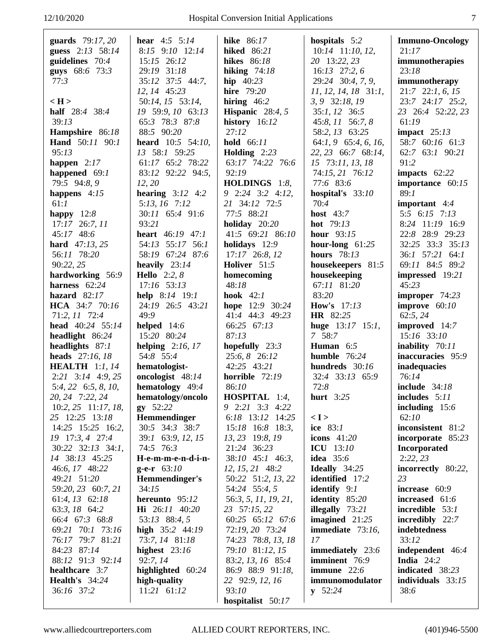| guards 79:17, 20                     | <b>hear</b> $4:5$ $5:14$                 | <b>hike</b> 86:17                     | hospitals $5:2$                             | <b>Immuno-Oncology</b>               |
|--------------------------------------|------------------------------------------|---------------------------------------|---------------------------------------------|--------------------------------------|
| guess 2:13 58:14                     | 8:15 9:10 12:14                          | hiked 86:21                           | 10:14 11:10, 12,                            | 21:17                                |
| guidelines 70:4                      | 15:15 26:12                              | <b>hikes</b> 86:18                    | 20 13:22, 23                                | immunotherapies                      |
| guys 68:6 73:3                       | 29:19 31:18                              | hiking $74:18$                        | $16:13$ 27:2, 6                             | 23:18                                |
| 77:3                                 | 35:12 37:5 44:7,                         | <b>hip</b> $40:23$                    | 29:24 30:4, 7, 9,                           | immunotherapy                        |
|                                      | 12, 14 45:23                             | <b>hire</b> 79:20                     | $11, 12, 14, 18$ 31:1,                      | $21:7$ $22:1, 6, 15$                 |
| $\langle H \rangle$                  | 50:14, 15 53:14,                         | hiring $46:2$                         | 3, 9 32:18, 19                              | 23:7 24:17 25:2,                     |
| half 28:4 38:4                       | 19 59:9, 10 63:13                        | Hispanic $28:4, 5$                    | 35:1, 12 36:5                               | 23 26:4 52:22, 23                    |
| 39:13                                | 65:3 78:3 87:8                           | history 16:12<br>27:12                | 45:8, 11 56:7, 8                            | 61:19                                |
| Hampshire 86:18<br>Hand 50:11 90:1   | 88:5 90:20<br><b>heard</b> $10:5$ 54:10, | hold 66:11                            | 58:2, 13 63:25<br>$64:1, 9$ $65:4, 6, 16$ , | impact $25:13$<br>58:7 60:16 61:3    |
| 95:13                                | 13 58:1 59:25                            | <b>Holding</b> $2:23$                 | 22, 23 66:7 68:14,                          | 62:7 63:1 90:21                      |
| happen $2:17$                        | 61:17 65:2 78:22                         | 63:17 74:22 76:6                      | 15 73:11, 13, 18                            | 91:2                                 |
| happened 69:1                        | 83:12 92:22 94:5,                        | 92:19                                 | 74:15, 21 76:12                             | impacts $62:22$                      |
| 79:5 94:8, 9                         | 12, 20                                   | <b>HOLDINGS</b> $1:8$ ,               | 77:6 83:6                                   | importance 60:15                     |
| happens $4:15$                       | hearing $3:12$ 4:2                       | 9 2:24 3:2 4:12,                      | hospital's $33:10$                          | 89:1                                 |
| 61:1                                 | 5:13, 16 7:12                            | 21 34:12 72:5                         | 70:4                                        | important 4:4                        |
| happy $12:8$                         | 30:11 65:4 91:6                          | 77:5 88:21                            | host $43:7$                                 | 5:5 $6:15$ 7:13                      |
| $17:17$ 26:7, 11                     | 93:21                                    | holiday $20:20$                       | <b>hot</b> 79:13                            | 8:24 11:19 16:9                      |
| 45:17 48:6                           | heart 46:19 47:1                         | 41:5 69:21 86:10                      | hour $93:15$                                | 22:8 28:9 29:23                      |
| hard 47:13, 25                       | 54:13 55:17 56:1                         | holidays 12:9                         | hour-long $61:25$                           | 32:25 33:3 35:13                     |
| 56:11 78:20                          | 58:19 67:24 87:6                         | 17:17 26:8, 12                        | <b>hours</b> 78:13                          | 36:1 57:21 64:1                      |
| 90:22, 25                            | heavily $23:14$                          | Holiver 51:5                          | housekeepers 81:5                           | 69:11 84:5 89:2                      |
| hardworking 56:9                     | <b>Hello</b> 2:2, 8                      | homecoming                            | housekeeping                                | impressed 19:21                      |
| harness 62:24                        | 17:16 53:13                              | 48:18                                 | 67:11 81:20                                 | 45:23                                |
| hazard $82:17$                       | help $8:14$ 19:1                         | hook $42:1$                           | 83:20                                       | improper $74:23$                     |
| HCA 34:7 70:16                       | 24:19 26:5 43:21                         | hope 12:9 30:24                       | <b>How's</b> 17:13                          | <b>improve</b> $60:10$               |
| 71:2, 11 72:4                        | 49:9                                     | 41:4 44:3 49:23                       | <b>HR</b> 82:25                             | 62:5, 24                             |
| head 40:24 55:14                     | helped $14:6$                            | 66:25 67:13                           | huge 13:17 15:1,                            | improved 14:7                        |
| headlight 86:24                      | 15:20 80:24                              | 87:13                                 | 7 58:7                                      | 15:16 33:10                          |
| headlights $87:1$<br>heads 27:16, 18 | helping $2:16,17$<br>54:8 55:4           | hopefully $23:3$<br>25:6, 8 26:12     | Human $6:5$<br>humble $76:24$               | inability 70:11<br>inaccuracies 95:9 |
| <b>HEALTH</b> $1:1, 14$              | hematologist-                            | 42:25 43:21                           | hundreds $30:16$                            | inadequacies                         |
| $2:21$ $3:14$ $4:9,25$               | oncologist 48:14                         | horrible $72:19$                      | 32:4 33:13 65:9                             | 76:14                                |
| 5:4, 22 6:5, 8, 10,                  | hematology 49:4                          | 86:10                                 | 72:8                                        | include $34:18$                      |
| 20, 24 7:22, 24                      | hematology/oncolo                        | HOSPITAL 1:4,                         | <b>hurt</b> 3:25                            | includes 5:11                        |
| $10:2, 25$ 11:17, 18,                | $gy \quad 52:22$                         | 9 2:21 3:3 4:22                       |                                             | including 15:6                       |
| 25 12:25 13:18                       | Hemmendinger                             | 6:18 13:12 14:25                      | < I >                                       | 62:10                                |
| $14:25$ 15:25 16:2,                  | 30:5 34:3 38:7                           | 15:18 16:8 18:3,                      | ice $83:1$                                  | inconsistent 81:2                    |
| 19 17:3, 4 27:4                      | 39:1 63:9, 12, 15                        | 13, 23 19:8, 19                       | icons $41:20$                               | incorporate $85:23$                  |
| 30:22 32:13 34:1,                    | 74:5 76:3                                | 21:24 36:23                           | ICU $13:10$                                 | Incorporated                         |
| 14 38:13 45:25                       | H-e-m-m-e-n-d-i-n-                       | 38:10 45:1 46:3,                      | <b>idea</b> 35:6                            | 2:22,23                              |
| 46:6, 17 48:22                       | <b>g-e-r</b> $63:10$                     | 12, 15, 21 48:2                       | <b>Ideally</b> $34:25$                      | incorrectly 80:22,                   |
| 49:21 51:20                          | Hemmendinger's                           | 50:22 51:2, 13, 22                    | <b>identified</b> 17:2                      | 23                                   |
| 59:20, 23 60:7, 21                   | 34:15                                    | 54:24 55:4, 5                         | identify $9:1$                              | increase 60:9                        |
| 61:4, 13 62:18                       | hereunto 95:12                           | 56:3, 5, 11, 19, 21,                  | identity 85:20                              | increased 61:6                       |
| 63:3, 18 64:2                        | Hi 26:11 40:20                           | 23 57:15, 22                          | illegally $73:21$                           | incredible 53:1                      |
| 66:4 67:3 68:8                       | 53:13 88:4, 5                            | 60:25 65:12 67:6                      | imagined $21:25$                            | incredibly 22:7                      |
| 69:21 70:1 73:16                     | high $35:2$ 44:19                        | 72:19, 20 73:24                       | immediate $73:16$ ,                         | indebtedness                         |
| 76:17 79:7 81:21<br>84:23 87:14      | 73:7, 14 81:18<br>highest $23:16$        | 74:23 78:8, 13, 18<br>79:10 81:12, 15 | 17<br>immediately 23:6                      | 33:12<br>independent 46:4            |
| 88:12 91:3 92:14                     | 92:7,14                                  | 83:2, 13, 16 85:4                     | imminent 76:9                               | India $24:2$                         |
| healthcare 3:7                       | highlighted 60:24                        | 86:9 88:9 91:18,                      | immune $22:6$                               | indicated 38:23                      |
| <b>Health's</b> 34:24                | high-quality                             | 22 92:9, 12, 16                       | immunomodulator                             | individuals $33:15$                  |
| 36:16 37:2                           | $11:21$ 61:12                            | 93:10                                 | $y \quad 52:24$                             | 38:6                                 |
|                                      |                                          | hospitalist 50:17                     |                                             |                                      |
|                                      |                                          |                                       |                                             |                                      |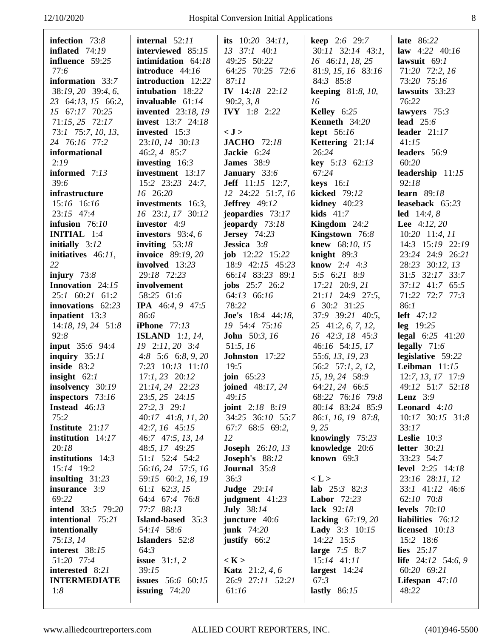| infection $73:8$<br>inflated $74:19$<br>influence 59:25 | internal $52:11$<br>interviewed 85:15<br>intimidation $64:18$ | its $10:20$ 34:11,<br>13 37:1 40:1<br>49:25 50:22 | <b>keep</b> 2:6 29:7<br>30:11 32:14 43:1,<br>16 46:11, 18, 25 | <b>late</b> 86:22<br>law $4:22$ $40:16$<br>lawsuit $69:1$ |
|---------------------------------------------------------|---------------------------------------------------------------|---------------------------------------------------|---------------------------------------------------------------|-----------------------------------------------------------|
| 77:6                                                    | introduce 44:16                                               | 64:25 70:25 72:6                                  | 81:9, 15, 16 83:16                                            | 71:20 72:2, 16                                            |
| information 33:7                                        | introduction 12:22                                            | 87:11                                             | 84:3 85:8                                                     | 73:20 75:16                                               |
| 38:19, 20 39:4, 6,                                      | intubation 18:22                                              | IV 14:18 22:12                                    | <b>keeping</b> 81:8, 10,                                      | lawsuits 33:23                                            |
| 23 64:13, 15 66:2,                                      | invaluable $61:14$                                            | 90:2, 3, 8                                        | 16                                                            | 76:22                                                     |
| 15 67:17 70:25                                          | <b>invented</b> 23:18, 19                                     | <b>IVY</b> 1:8 2:22                               | Kelley 6:25                                                   | lawyers $75:3$                                            |
| $71:15,25$ $72:17$                                      | <b>invest</b> 13:7 24:18                                      |                                                   | Kenneth 34:20                                                 | lead $25:6$                                               |
| 73:1 75:7, 10, 13,                                      | invested 15:3                                                 | < J >                                             | <b>kept</b> 56:16                                             | leader $21:17$                                            |
| 24 76:16 77:2                                           | 23:10, 14 30:13                                               | <b>JACHO</b> 72:18                                | Kettering 21:14                                               | 41:15                                                     |
| informational                                           | $46:2, 4$ 85:7                                                | Jackie 6:24                                       | 26:24                                                         | leaders 56:9                                              |
| 2:19                                                    | investing $16:3$                                              | <b>James</b> 38:9                                 | <b>key</b> $5:13$ $62:13$                                     | 60:20                                                     |
| informed 7:13                                           | investment 13:17                                              | <b>January</b> 33:6                               | 67:24                                                         | leadership 11:15                                          |
| 39:6                                                    | 15:2 23:23 24:7,                                              | <b>Jeff</b> $11:15$ $12:7$ ,                      | keys $16:1$                                                   | 92:18                                                     |
| infrastructure                                          | 16 26:20                                                      | 12 24:22 51:7, 16                                 | kicked 79:12                                                  | <b>learn</b> 89:18                                        |
| 15:16 16:16                                             | investments $16:3$ ,                                          | <b>Jeffrey</b> 49:12                              | kidney $40:23$                                                | leaseback $65:23$                                         |
| 23:15 47:4                                              | 16 23:1, 17 30:12                                             | jeopardies $73:17$                                | kids $41:7$                                                   | <b>led</b> $14:4, 8$                                      |
| infusion $76:10$                                        | investor 4:9                                                  | jeopardy $73:18$                                  | Kingdom $24:2$                                                | <b>Lee</b> $4:12,20$                                      |
| <b>INITIAL</b> 1:4                                      | investors $93:4,6$                                            | <b>Jersey</b> 74:23                               | Kingstown 76:8                                                | 10:20 11:4, 11                                            |
| initially $3:12$                                        | inviting $53:18$                                              | Jessica 3:8                                       | knew 68:10, 15                                                | 14:3 15:19 22:19                                          |
| initiatives $46:11$ ,                                   | <b>invoice</b> 89:19, 20                                      | <b>job</b> $12:22$ $15:22$                        | knight $89:3$                                                 | 23:24 24:9 26:21                                          |
| 22                                                      | involved 13:23                                                | 18:9 42:15 45:23                                  | <b>know</b> 2:4 4:3                                           | 28:23 30:12, 13                                           |
| injury $73:8$                                           | 29:18 72:23                                                   | 66:14 83:23 89:1                                  | 5:5 6:21 8:9                                                  | 31:5 32:17 33:7                                           |
| Innovation 24:15                                        | involvement                                                   | <b>jobs</b> 25:7 26:2                             | 17:21 20:9, 21                                                | 37:12 41:7 65:5                                           |
| 25:1 60:21 61:2                                         | 58:25 61:6                                                    | 64:13 66:16                                       | 21:11 24:9 27:5,                                              | 71:22 72:7 77:3                                           |
| innovations $62:23$                                     | <b>IPA</b> $46:4, 9$ $47:5$                                   | 78:22                                             | 6 30:2 31:25                                                  | 86:1                                                      |
| inpatient $13:3$                                        | 86:6                                                          | <b>Joe's</b> $18:4$ 44:18,                        | 37:9 39:21 40:5,                                              | <b>left</b> 47:12                                         |
| 14:18, 19, 24 51:8                                      | <b>iPhone</b> 77:13                                           | 19 54:4 75:16                                     | 25 41:2, 6, 7, 12,                                            | $leg$ 19:25                                               |
| 92:8                                                    | ISLAND $1:1, 14,$                                             | <b>John</b> 50:3, 16                              | 16 42:3, 18 45:3                                              | legal 6:25 41:20                                          |
| <b>input</b> 35:6 94:4                                  | 19 2:11, 20 3:4                                               | 51:5, 16                                          | 46:16 54:15, 17                                               | legally $71:6$                                            |
| inquiry $35:11$                                         | 4:8 $5:6$ 6:8, 9, 20                                          | Johnston 17:22                                    | 55:6, 13, 19, 23                                              | legislative 59:22                                         |
| inside 83:2<br>insight $62:1$                           | 7:23 10:13 11:10                                              | 19:5                                              | 56:2 57:1, 2, 12,                                             | Leibman $11:15$                                           |
| insolvency 30:19                                        | $17:1, 23$ $20:12$<br>21:14, 24 22:23                         | join $65:23$<br>joined 48:17, 24                  | 15, 19, 24 58:9<br>64:21, 24 66:5                             | 12:7, 13, 17 17:9<br>49:12 51:7 52:18                     |
| inspectors 73:16                                        | 23:5, 25 24:15                                                | 49:15                                             | 68:22 76:16 79:8                                              | <b>Lenz</b> $3:9$                                         |
| Instead 46:13                                           | $27:2, 3$ 29:1                                                | <b>joint</b> $2:18$ 8:19                          | 80:14 83:24 85:9                                              | Leonard 4:10                                              |
| 75:2                                                    | 40:17 41:8, 11, 20                                            | 34:25 36:10 55:7                                  | 86:1, 16, 19 87:8,                                            | $10:17$ 30:15 31:8                                        |
| Institute 21:17                                         | 42:7, 16 45:15                                                | 67:7 68:5 69:2,                                   | 9,25                                                          | 33:17                                                     |
| institution $14:17$                                     | 46:7 47:5, 13, 14                                             | 12                                                | knowingly $75:23$                                             | <b>Leslie</b> $10:3$                                      |
| 20:18                                                   | 48:5, 17 49:25                                                | <b>Joseph</b> 26:10, 13                           | knowledge 20:6                                                | letter $30:21$                                            |
| institutions 14:3                                       | 51:1 52:4 54:2                                                | <b>Joseph's</b> 88:12                             | known $69:3$                                                  | 33:23 54:7                                                |
| 15:14 19:2                                              | 56:16, 24 57:5, 16                                            | Journal 35:8                                      |                                                               | <b>level</b> 2:25 14:18                                   |
| insulting $31:23$                                       | 59:15 60:2, 16, 19                                            | 36:3                                              | < L >                                                         | 23:16 28:11, 12                                           |
| insurance 3:9                                           | 61:1 62:3, 15                                                 | <b>Judge</b> 29:14                                | lab $25:3$ 82:3                                               | 33:1 41:12 46:6                                           |
| 69:22                                                   | 64:4 67:4 76:8                                                | judgment $41:23$                                  | <b>Labor</b> 72:23                                            | 62:10 70:8                                                |
| <b>intend</b> 33:5 79:20                                | 77:7 88:13                                                    | <b>July</b> 38:14                                 | lack 92:18                                                    | levels $70:10$                                            |
| intentional 75:21                                       | Island-based 35:3                                             | juncture 40:6                                     | lacking $67:19,20$                                            | liabilities 76:12                                         |
| intentionally                                           | 54:14 58:6                                                    | junk $74:20$                                      | <b>Lady</b> 3:3 10:15                                         | licensed $10:13$                                          |
| 75:13, 14                                               | <b>Islanders</b> 52:8                                         | justify 66:2                                      | 14:22 15:5                                                    | 15:2 18:6                                                 |
| interest 38:15                                          | 64:3                                                          |                                                   | <b>large</b> $7:5$ 8:7                                        | lies $25:17$                                              |
| 51:20 77:4                                              | issue $31:1, 2$                                               | $<$ K $>$                                         | 15:14 41:11                                                   | life $24:12$ 54:6, 9                                      |
| interested 8:21                                         | 39:15                                                         | Katz 21:2, 4, 6                                   | largest $14:24$                                               | 60:20 69:21                                               |
| <b>INTERMEDIATE</b>                                     | <b>issues</b> 56:6 60:15                                      | 26:9 27:11 52:21                                  | 67:3                                                          | Lifespan $47:10$                                          |
| 1:8                                                     | issuing $74:20$                                               | 61:16                                             | lastly $86:15$                                                | 48:22                                                     |
|                                                         |                                                               |                                                   |                                                               |                                                           |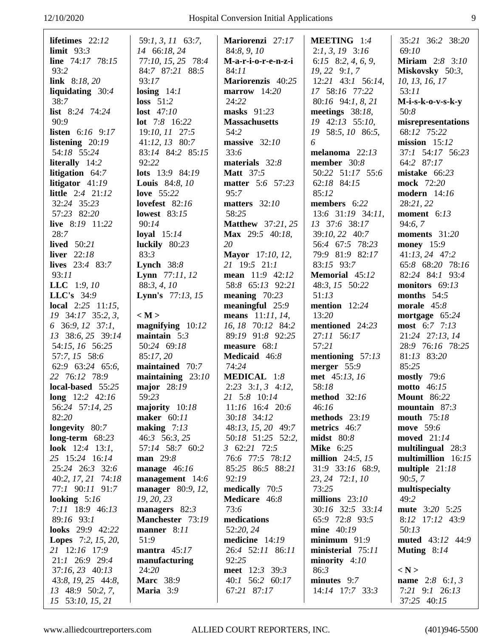| lifetimes $22:12$           | 59:1, 3, 11 63:7,         | Mariorenzi 27:17         | MEETING 1:4             | 35:21 36:2 38:20        |
|-----------------------------|---------------------------|--------------------------|-------------------------|-------------------------|
| limit $93:3$                | 14 66:18, 24              | 84:8, 9, 10              | $2:1, 3, 19$ 3:16       | 69:10                   |
| line 74:17 78:15            | 77:10, 15, 25 78:4        | M-a-r-i-o-r-e-n-z-i      | $6:15$ $8:2, 4, 6, 9$ , | <b>Miriam</b> 2:8 3:10  |
| 93:2                        | 84:7 87:21 88:5           | 84:11                    | $19, 22$ 9:1, 7         |                         |
|                             |                           | Mariorenzis 40:25        |                         | Miskovsky 50:3,         |
| link $8:18, 20$             | 93:17                     |                          | $12:21$ 43:1 56:14,     | 10, 13, 16, 17          |
| liquidating 30:4            | losing $14:1$             | marrow $14:20$           | 17 58:16 77:22          | 53:11                   |
| 38:7                        | loss $51:2$               | 24:22                    | 80:16 94:1, 8, 21       | M-i-s-k-o-v-s-k-y       |
| <b>list</b> 8:24 $74:24$    | lost $47:10$              | masks 91:23              | meetings $38:18$ ,      | 50:8                    |
| 90:9                        | <b>lot</b> 7:8 16:22      | <b>Massachusetts</b>     | 19 42:13 55:10,         | misrepresentations      |
| <b>listen</b> $6:16$ $9:17$ | 19:10, 11 27:5            | 54:2                     | 19 58:5, 10 86:5,       | 68:12 75:22             |
| listening 20:19             | $41:12, 13$ 80:7          | massive 32:10            | 6                       | mission $15:12$         |
| 54:18 55:24                 | 83:14 84:2 85:15          | 33:6                     | melanoma $22:13$        | 37:1 54:17 56:23        |
| literally 14:2              | 92:22                     | materials 32:8           | member 30:8             | 64:2 87:17              |
| litigation $64:7$           | lots 13:9 84:19           | <b>Matt</b> 37:5         | 50:22 51:17 55:6        | mistake 66:23           |
| litigator $41:19$           | Louis 84:8, 10            | <b>matter</b> 5:6 57:23  | 62:18 84:15             | mock 72:20              |
| <b>little</b> 2:4 21:12     | love 55:22                | 95:7                     | 85:12                   | <b>modern</b> 14:16     |
| 32:24 35:23                 | lovefest $82:16$          | matters 32:10            | members 6:22            | 28:21, 22               |
| 57:23 82:20                 | <b>lowest</b> 83:15       | 58:25                    | 13:6 31:19 34:11,       | moment $6:13$           |
| live 8:19 11:22             | 90:14                     | <b>Matthew</b> 37:21, 25 | 13 37:6 38:17           | 94:6,7                  |
| 28:7                        | loyal $15:14$             | Max 29:5 40:18,          | 39:10, 22 40:7          | moments 31:20           |
| <b>lived</b> 50:21          | luckily $80:23$           | 20                       | 56:4 67:5 78:23         | <b>money</b> 15:9       |
| liver $22:18$               | 83:3                      | Mayor 17:10, 12,         | 79:9 81:9 82:17         | 41:13, 24 47:2          |
| lives 23:4 83:7             | <b>Lynch</b> $38:8$       | 21 19:5 21:1             | 83:15 93:7              | 65:8 68:20 78:16        |
| 93:11                       | <b>Lynn</b> 77:11, 12     | mean 11:9 42:12          | Memorial 45:12          | 82:24 84:1 93:4         |
| <b>LLC</b> 1:9, 10          | 88:3, 4, 10               | 58:8 65:13 92:21         | 48:3, 15 50:22          | monitors 69:13          |
| LLC's $34:9$                | <b>Lynn's</b> $77:13, 15$ | meaning $70:23$          | 51:13                   | months $54:5$           |
| <b>local</b> $2:25$ 11:15,  |                           | meaningful 25:9          | mention $12:24$         | morale $45:8$           |
| $19$ 34:17 35:2, 3,         | < M >                     | means 11:11, 14,         | 13:20                   | mortgage $65:24$        |
| 6 36:9, 12 37:1,            | magnifying $10:12$        | 16, 18 70:12 84:2        | mentioned 24:23         | most 6:7 7:13           |
| 13 38:6, 25 39:14           | maintain $5:3$            | 89:19 91:8 92:25         | 27:11 56:17             | 21:24 27:13, 14         |
| 54:15, 16 56:25             | 50:24 69:18               | measure 68:1             | 57:21                   | 28:9 76:16 78:25        |
| 57:7, 15 58:6               | 85:17, 20                 | Medicaid 46:8            | mentioning $57:13$      | 81:13 83:20             |
| 62:9 63:24 65:6,            | maintained 70:7           | 74:24                    | merger 55:9             | 85:25                   |
| 22 76:12 78:9               | maintaining $23:10$       | <b>MEDICAL</b> 1:8       | met 45:13, 16           | mostly 79:6             |
| local-based 55:25           | major $28:19$             | $2:23$ $3:1,3$ $4:12,$   | 58:18                   | <b>motto</b> 46:15      |
| long $12:2$ 42:16           | 59:23                     | 21 5:8 10:14             | <b>method</b> 32:16     | <b>Mount</b> 86:22      |
| 56:24 57:14, 25             |                           | $11:16$ 16:4 20:6        | 46:16                   | mountain $87:3$         |
| 82:20                       | majority 10:18            |                          |                         |                         |
|                             | maker 60:11               | 30:18 34:12              | methods $23:19$         | <b>mouth</b> 75:18      |
| longevity 80:7              | making $7:13$             | 48:13, 15, 20 49:7       | metrics 46:7            | move 59:6               |
| long-term $68:23$           | 46:3 56:3, 25             | 50:18 51:25 52:2,        | midst $80:8$            | moved 21:14             |
| look $12:4$ 13:1,           | 57:14 58:7 60:2           | 3 62:21 72:5             | <b>Mike</b> 6:25        | multilingual $28:3$     |
| 25 15:24 16:14              | <b>man</b> 29:8           | 76:6 77:5 78:12          | million $24:5, 15$      | multimillion $16:15$    |
| 25:24 26:3 32:6             | manage $46:16$            | 85:25 86:5 88:21         | 31:9 33:16 68:9,        | multiple $21:18$        |
| 40:2, 17, 21 74:18          | management 14:6           | 92:19                    | 23, 24 72:1, 10         | 90:5,7                  |
| 77:1 90:11 91:7             | <b>manager</b> 80:9, 12,  | medically 70:5           | 73:25                   | multispecialty          |
| looking $5:16$              | 19, 20, 23                | Medicare 46:8            | millions $23:10$        | 49:2                    |
| 7:11 18:9 46:13             | managers 82:3             | 73:6                     | 30:16 32:5 33:14        | mute 3:20 5:25          |
| 89:16 93:1                  | Manchester 73:19          | medications              | 65:9 72:8 93:5          | 8:12 17:12 43:9         |
| looks 29:9 42:22            | manner 8:11               | 52:20, 24                | <b>mine</b> 40:19       | 50:13                   |
| <b>Lopes</b> 7:2, 15, 20,   | 51:9                      | medicine $14:19$         | $minimum$ 91:9          | <b>muted</b> 43:12 44:9 |
| 21 12:16 17:9               | mantra $45:17$            | 26:4 52:11 86:11         | ministerial 75:11       | Muting $8:14$           |
|                             |                           |                          |                         |                         |
| 21:1 26:9 29:4              | manufacturing             | 92:25                    | minority $4:10$         |                         |
| 37:16, 23 40:13             | 24:20                     | meet 12:3 39:3           | 86:3                    | $\langle N \rangle$     |
| 43:8, 19, 25 44:8,          | <b>Marc</b> 38:9          | 40:1 56:2 60:17          | minutes 9:7             | <b>name</b> 2:8 6:1, 3  |
| 13 48:9 50:2, 7,            | Maria 3:9                 | 67:21 87:17              | 14:14 17:7 33:3         | 7:21 9:1 26:13          |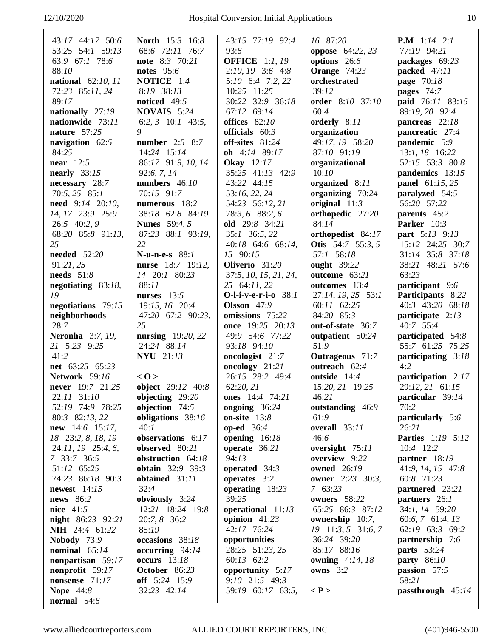| 43:17 44:17 50:6        | <b>North</b> 15:3 16:8 | 43:15 77:19 92:4       | 16 87:20                  | <b>P.M</b> $1:14$ $2:1$  |
|-------------------------|------------------------|------------------------|---------------------------|--------------------------|
| 53:25 54:1 59:13        | 68:6 72:11 76:7        | 93:6                   | <b>oppose</b> $64:22, 23$ | 77:19 94:21              |
|                         | note 8:3 70:21         |                        |                           |                          |
| 63:9 67:1 78:6          |                        | <b>OFFICE</b> 1:1, 19  | options 26:6              | packages 69:23           |
| 88:10                   | notes 95:6             | 2:10, 19 3:6 4:8       | <b>Orange</b> 74:23       | packed 47:11             |
| national $62:10, 11$    | <b>NOTICE</b> 1:4      | 5:10 6:4 7:2, 22       | orchestrated              | page 70:18               |
| 72:23 85:11, 24         | 8:19 38:13             | 10:25 11:25            | 39:12                     | pages 74:7               |
| 89:17                   | noticed 49:5           | 30:22 32:9 36:18       | order 8:10 37:10          | paid 76:11 83:15         |
| nationally 27:19        | <b>NOVAIS</b> 5:24     | 67:12 69:14            | 60:4                      | 89:19, 20 92:4           |
| nationwide 73:11        | 6:2, 3 10:1 43:5,      | offices $82:10$        | orderly 8:11              | pancreas 22:18           |
| nature $57:25$          | 9                      | officials $60:3$       | organization              | pancreatic 27:4          |
| navigation 62:5         | number $2:5$ 8:7       | off-sites $81:24$      | 49:17, 19 58:20           | pandemic 5:9             |
| 84:25                   | 14:24 15:14            | oh 4:14 89:17          | 87:10 91:19               | 13:1, 18 16:22           |
|                         |                        |                        |                           |                          |
| near $12:5$             | 86:17 91:9, 10, 14     | <b>Okay</b> 12:17      | organizational            | 52:15 53:3 80:8          |
| nearly $33:15$          | 92:6, 7, 14            | 35:25 41:13 42:9       | 10:10                     | pandemics 13:15          |
| necessary 28:7          | numbers $46:10$        | 43:22 44:15            | organized 8:11            | <b>panel</b> 61:15, 25   |
| $70:5, 25$ 85:1         | 70:15 91:7             | 53:16, 22, 24          | organizing 70:24          | paralyzed 54:5           |
| need $9:14$ $20:10$ ,   | numerous 18:2          | 54:23 56:12, 21        | original $11:3$           | 56:20 57:22              |
| 14, 17 23:9 25:9        | 38:18 62:8 84:19       | 78:3, 6 88:2, 6        | orthopedic 27:20          | parents 45:2             |
| 26:5 40:2, 9            | <b>Nunes</b> 59:4, 5   | old 29:8 34:21         | 84:14                     | Parker 10:3              |
| 68:20 85:8 91:13,       | 87:23 88:1 93:19,      | 35:1 36:5, 22          | orthopedist 84:17         | part 5:13 9:13           |
| 25                      | 22                     | 40:18 64:6 68:14,      | Otis 54:7 55:3, 5         | 15:12 24:25 30:7         |
| <b>needed</b> 52:20     | N-u-n-e-s 88:1         | 15 90:15               | 57:1 58:18                | 31:14 35:8 37:18         |
| 91:21, 25               | nurse 18:7 19:12,      | Oliverio 31:20         |                           | 38:21 48:21 57:6         |
|                         |                        |                        | ought 39:22               |                          |
| needs $51:8$            | 14 20:1 80:23          | 37:5, 10, 15, 21, 24,  | outcome 63:21             | 63:23                    |
| negotiating $83:18$ ,   | 88:11                  | 25 64:11, 22           | outcomes 13:4             | participant 9:6          |
| 19                      | nurses $13:5$          | O-l-i-v-e-r-i-o 38:1   | 27:14, 19, 25 53:1        | Participants 8:22        |
| negotiations 79:15      | 19:15, 16 20:4         | Olsson $47:9$          | 60:11 62:25               | 40:3 43:20 68:18         |
| neighborhoods           | 47:20 67:2 90:23,      | omissions 75:22        | 84:20 85:3                | participate $2:13$       |
| 28:7                    | 25                     | once 19:25 20:13       | out-of-state 36:7         | 40:7 55:4                |
| <b>Neronha</b> 3:7, 19, | nursing $19:20, 22$    | 49:9 54:6 77:22        | outpatient 50:24          | participated 54:8        |
| 21 5:23 9:25            | 24:24 88:14            | 93:18 94:10            | 51:9                      | 55:7 61:25 75:25         |
| 41:2                    | <b>NYU</b> 21:13       | oncologist $21:7$      | <b>Outrageous</b> 71:7    | participating $3:18$     |
| net 63:25 65:23         |                        | oncology 21:21         | outreach 62:4             | 4:2                      |
| Network 59:16           | < 0>                   | 26:15 28:2 49:4        | outside 14:4              | participation $2:17$     |
| never 19:7 21:25        | object 29:12 40:8      | 62:20, 21              | 15:20, 21 19:25           | 29:12, 21 61:15          |
|                         |                        |                        |                           |                          |
| 22:11 31:10             | objecting $29:20$      | <b>ones</b> 14:4 74:21 | 46:21                     | particular 39:14         |
| 52:19 74:9 78:25        | objection 74:5         | ongoing $36:24$        | outstanding 46:9          | 70:2                     |
| 80:3 82:13, 22          | obligations 38:16      | on-site $13:8$         | 61:9                      | particularly 5:6         |
| new 14:6 15:17,         | 40:1                   | op-ed $36:4$           | overall 33:11             | 26:21                    |
| 18 23:2, 8, 18, 19      | observations 6:17      | opening $16:18$        | 46:6                      | <b>Parties</b> 1:19 5:12 |
| 24:11, 19 25:4, 6,      | observed 80:21         | operate 36:21          | oversight 75:11           | 10:4 12:2                |
| 7 33:7 36:5             | obstruction 64:18      | 94:13                  | overview 9:22             | partner 18:19            |
| 51:12 65:25             | obtain 32:9 39:3       | operated 34:3          | <b>owned</b> 26:19        | $41:9, 14, 15$ $47:8$    |
| 74:23 86:18 90:3        | obtained 31:11         | operates 3:2           | owner 2:23 30:3,          | 60:8 71:23               |
| <b>newest</b> 14:15     | 32:4                   | operating 18:23        | 763:23                    | partnered 23:21          |
| news 86:2               | obviously 3:24         | 39:25                  | owners 58:22              | partners $26:1$          |
| <b>nice</b> 41:5        | 12:21 18:24 19:8       | operational $11:13$    | 65:25 86:3 87:12          | 34:1, 14 59:20           |
|                         |                        |                        |                           |                          |
| night 86:23 92:21       | 20:7, 8 36:2           | opinion $41:23$        | ownership 10:7,           | 60:6, 7 61:4, 13         |
| <b>NIH</b> 24:4 61:22   | 85:19                  | 42:17 76:24            | $19$ 11:3, 5 31:6, 7      | 62:19 63:3 69:2          |
| <b>Nobody</b> 73:9      | occasions 38:18        | opportunities          | 36:24 39:20               | partnership 7:6          |
| nominal $65:14$         | occurring $94:14$      | 28:25 51:23, 25        | 85:17 88:16               | <b>parts</b> 53:24       |
| nonpartisan 59:17       | occurs 13:18           | 60:13 62:2             | <b>owning</b> 4:14, 18    | <b>party</b> 86:10       |
| nonprofit 59:17         | October 86:23          | opportunity 5:17       | owns $3:2$                | passion $57:5$           |
| nonsense 71:17          | off 5:24 15:9          | 9:10 21:5 49:3         |                           | 58:21                    |
| <b>Nope</b> 44:8        | 32:23 42:14            | 59:19 60:17 63:5,      | $\langle P \rangle$       | passthrough 45:14        |
| normal $54:6$           |                        |                        |                           |                          |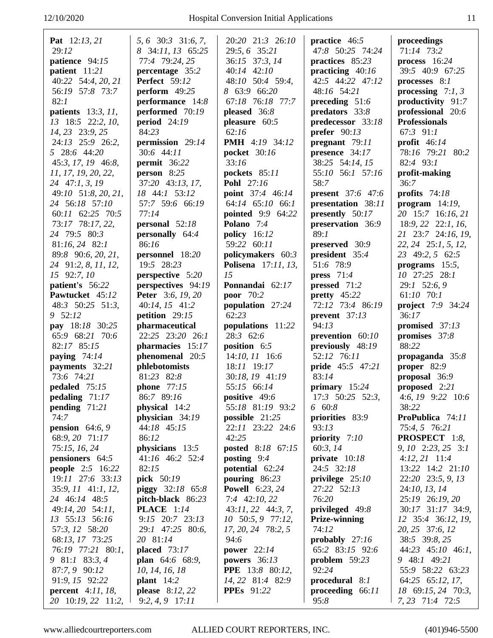| Pat 12:13, 21           | 5, 6 30:3 31:6, 7,        | 20:20 21:3 26:10        | practice 46:5                    | proceedings              |
|-------------------------|---------------------------|-------------------------|----------------------------------|--------------------------|
| 29:12                   | 8 34:11, 13 65:25         | 29:5, 6 35:21           | 47:8 50:25 74:24                 | 71:14 73:2               |
|                         |                           |                         |                                  |                          |
| patience 94:15          | 77:4 79:24, 25            | 36:15 37:3, 14          | practices 85:23                  | process $16:24$          |
| patient 11:21           | percentage 35:2           | 40:14 42:10             | practicing $40:16$               | 39:5 40:9 67:25          |
| 40:22 54:4, 20, 21      | <b>Perfect</b> 59:12      | 48:10 50:4 59:4,        | 42:5 44:22 47:12                 | processes $8:1$          |
| 56:19 57:8 73:7         | perform $49:25$           | 8 63:9 66:20            | 48:16 54:21                      | processing $7:1, 3$      |
| 82:1                    | performance 14:8          | 67:18 76:18 77:7        | preceding 51:6                   | productivity 91:7        |
| patients 13:3, 11,      | performed 70:19           | pleased $36:8$          | predators 33:8                   | professional 20:6        |
| 13 18:5 22:2, 10,       | period $24:19$            | pleasure 60:5           | predecessor 33:18                | <b>Professionals</b>     |
| 14, 23 23:9, 25         | 84:23                     | 62:16                   | prefer $90:13$                   | 67:3 91:1                |
| 24:13 25:9 26:2,        | permission 29:14          | <b>PMH</b> 4:19 34:12   | pregnant 79:11                   | profit $46:14$           |
| 5 28:6 44:20            | 30:6 44:11                | pocket 30:16            | presence $34:17$                 | 78:16 79:21 80:2         |
| 45:3, 17, 19 46:8,      | permit 36:22              | 33:16                   | 38:25 54:14, 15                  | 82:4 93:1                |
| 11, 17, 19, 20, 22,     | person $8:25$             | pockets 85:11           | 55:10 56:1 57:16                 | profit-making            |
| 24 47:1, 3, 19          | 37:20 43:13, 17,          | Pohl 27:16              | 58:7                             | 36:7                     |
| 49:10 51:8, 20, 21,     | 18 44:1 53:12             | <b>point</b> 37:4 46:14 | <b>present</b> 37:6 47:6         | profits $74:18$          |
| 24 56:18 57:10          | 57:7 59:6 66:19           | 64:14 65:10 66:1        | presentation 38:11               | program $14:19$ ,        |
| 60:11 62:25 70:5        | 77:14                     | pointed 9:9 64:22       | presently 50:17                  | 20 15:7 16:16, 21        |
|                         |                           |                         |                                  |                          |
| 73:17 78:17, 22,        | personal 52:18            | Polano 7:4              | preservation 36:9                | 18:9, 22 22:1, 16,       |
| 24 79:5 80:3            | personally 64:4           | policy $16:12$          | 89:1                             | 21 23:7 24:16, 19,       |
| 81:16, 24 82:1          | 86:16                     | 59:22 60:11             | preserved 30:9                   | 22, 24 25:1, 5, 12,      |
| 89:8 90:6, 20, 21,      | personnel 18:20           | policymakers 60:3       | president 35:4                   | 23 49:2, 5 62:5          |
| 24 91:2, 8, 11, 12,     | 19:5 28:23                | Polisena 17:11, 13,     | 51:6 78:9                        | programs $15:5$ ,        |
| 15 92:7, 10             | perspective 5:20          | 15                      | press $71:4$                     | 10 27:25 28:1            |
| patient's 56:22         | perspectives 94:19        | Ponnandai 62:17         | pressed 71:2                     | 29:1 52:6, 9             |
| Pawtucket 45:12         | <b>Peter</b> 3:6, 19, 20  | poor 70:2               | pretty 45:22                     | 61:10 70:1               |
| 48:3 50:25 51:3,        | 40:14, 15 41:2            | population 27:24        | 72:12 73:4 86:19                 | project 7:9 34:24        |
| 9 52:12                 | petition $29:15$          | 62:23                   | prevent 37:13                    | 36:17                    |
|                         |                           |                         |                                  |                          |
| pay 18:18 30:25         | pharmaceutical            | populations 11:22       | 94:13                            | promised 37:13           |
| 65:9 68:21 70:6         | 22:25 23:20 26:1          | 28:3 62:6               | prevention 60:10                 | promises $37:8$          |
| 82:17 85:15             | pharmacies 15:17          | position 6:5            | previously 48:19                 | 88:22                    |
| paying $74:14$          | phenomenal 20:5           | 14:10, 11 16:6          | 52:12 76:11                      |                          |
|                         |                           | 18:11 19:17             |                                  | propaganda $35:8$        |
| payments 32:21          | phlebotomists             |                         | <b>pride</b> 45:5 47:21<br>83:14 | proper $82:9$            |
| 73:6 74:21              | 81:23 82:8                | 30:18, 19 41:19         |                                  | proposal 36:9            |
| pedaled 75:15           | phone $77:15$             | 55:15 66:14             | primary $15:24$                  | proposed $2:21$          |
| pedaling $71:17$        | 86:7 89:16                | positive 49:6           | 17:3 50:25 52:3,                 | 4:6, 19 9:22 10:6        |
| pending $71:21$         | physical 14:2             | 55:18 81:19 93:2        | 6 60:8                           | 38:22                    |
| 74:7                    | physician 34:19           | possible $21:25$        | priorities 83:9                  | ProPublica 74:11         |
| pension $64:6, 9$       | 44:18 45:15               | 22:11 23:22 24:6        | 93:13                            | 75:4, 5 76:21            |
| 68:9, 20 71:17          | 86:12                     | 42:25                   | priority 7:10                    | <b>PROSPECT</b> 1:8,     |
| 75:15, 16, 24           | physicians 13:5           | posted 8:18 67:15       | 60:3, 14                         | $9, 10$ $2:23, 25$ $3:1$ |
| pensioners 64:5         | 41:16 46:2 52:4           | posting $9:4$           | private $10:18$                  | $4:12,21$ 11:4           |
| <b>people</b> 2:5 16:22 | 82:15                     | potential 62:24         | 24:5 32:18                       | 13:22 14:2 21:10         |
| 19:11 27:6 33:13        | <b>pick</b> 50:19         | pouring $86:23$         | privilege $25:10$                | 22:20 23:5, 9, 13        |
| 35:9, 11 41:1, 12,      | <b>piggy</b> $32:18$ 65:8 | <b>Powell</b> 6:23, 24  | 27:22 52:13                      | 24:10, 13, 14            |
| 24 46:14 48:5           | pitch-black $86:23$       | $7:4$ 42:10, 22         | 76:20                            | 25:19 26:19, 20          |
| 49:14, 20 54:11,        | <b>PLACE</b> 1:14         | $43:11, 22$ $44:3, 7,$  | privileged $49:8$                | 30:17 31:17 34:9,        |
| 13 55:13 56:16          | 9:15 20:7 23:13           | $10$ 50:5, 9 77:12,     | <b>Prize-winning</b>             | 12 35:4 36:12, 19,       |
| 57:3, 12 58:20          | 29:1 47:25 80:6,          | 17, 20, 24 78:2, 5      | 74:12                            | 20, 25 37:6, 12          |
| 68:13, 17 73:25         | 20 81:14                  | 94:6                    | probably $27:16$                 | 38:5 39:8, 25            |
| 76:19 77:21 80:1,       | placed $73:17$            | power $22:14$           | 65:2 83:15 92:6                  | 44:23 45:10 46:1,        |
| 9 81:1 83:3, 4          | plan 64:6 68:9,           | powers $36:13$          | problem $59:23$                  | 9 48:1 49:21             |
| 87:7, 9 90:12           | 10, 14, 16, 18            | <b>PPE</b> 13:8 80:12,  | 92:24                            | 55:9 58:22 63:23         |
| 91:9, 15 92:22          | plant $14:2$              | 14, 22 81:4 82:9        | procedural 8:1                   | 64:25 65:12, 17,         |
| percent $4:11, 18,$     | <b>please</b> 8:12, 22    | <b>PPEs</b> 91:22       | proceeding 66:11                 | 18 69:15, 24 70:3,       |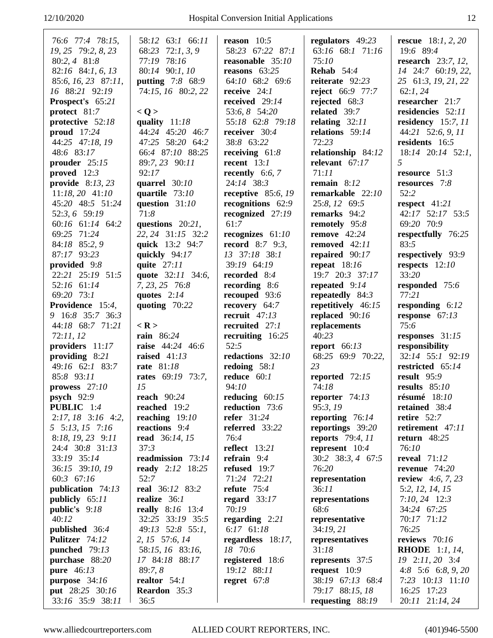|                                     | 58:12 63:1 66:11         | reason $10:5$          |                                     |                                |
|-------------------------------------|--------------------------|------------------------|-------------------------------------|--------------------------------|
| 76:6 77:4 78:15,                    |                          |                        | regulators 49:23                    | <b>rescue</b> 18:1, 2, 20      |
| 19, 25 79:2, 8, 23                  | 68:23 72:1, 3, 9         | 58:23 67:22 87:1       | 63:16 68:1 71:16                    | 19:6 89:4                      |
| 80:2, 4 81:8                        | 77:19 78:16              | reasonable 35:10       | 75:10                               | research $23:7, 12,$           |
| 82:16 84:1, 6, 13                   | 80:14 90:1, 10           | reasons $63:25$        | Rehab $54:4$                        | 14 24:7 60:19, 22,             |
| 85:6, 16, 23 87:11,                 | putting 7:8 68:9         | 64:10 68:2 69:6        | reiterate 92:23                     | 25 61:3, 19, 21, 22            |
| 16 88:21 92:19                      | 74:15, 16 80:2, 22       | receive $24:1$         | reject 66:9 77:7                    | 62:1, 24                       |
| <b>Prospect's</b> 65:21             |                          | received $29:14$       | rejected $68:3$                     | researcher 21:7                |
| protect 81:7                        | < Q >                    | 53:6, 8 54:20          | related 39:7                        | residencies 52:11              |
| protective 52:18                    | quality 11:18            | 55:18 62:8 79:18       | relating $32:11$                    | residency $15:7, 11$           |
| proud $17:24$                       | 44:24 45:20 46:7         | receiver 30:4          | relations 59:14                     | 44:21 52:6, 9, 11              |
| 44:25 47:18, 19                     | 47:25 58:20 64:2         | 38:8 63:22             | 72:23                               | residents 16:5                 |
|                                     |                          |                        |                                     |                                |
| 48:6 83:17                          | 66:4 87:10 88:25         | receiving $61:8$       | relationship 84:12                  | $18:14$ $20:14$ $52:1$ ,       |
| prouder $25:15$                     | 89:7, 23 90:11           | recent $13:1$          | relevant $67:17$                    | 5                              |
| proved $12:3$                       | 92:17                    | recently $6:6, 7$      | 71:11                               | resource $51:3$                |
| provide $8:13,23$                   | quarrel $30:10$          | 24:14 38:3             | remain $8:12$                       | resources $7:8$                |
| $11:18,20$ 41:10                    | quartile $73:10$         | receptive $85:6, 19$   | remarkable 22:10                    | 52:2                           |
| 45:20 48:5 51:24                    | question $31:10$         | recognitions 62:9      | 25:8, 12 69:5                       | respect $41:21$                |
| 52:3, 6 59:19                       | 71:8                     | recognized 27:19       | remarks 94:2                        | 42:17 52:17 53:5               |
| 60:16 61:14 64:2                    | questions $20:21$ ,      | 61:7                   | remotely 95:8                       | 69:20 70:9                     |
| 69:25 71:24                         | 22, 24 31:15 32:2        | recognizes $61:10$     | remove $42:24$                      | respectfully 76:25             |
| 84:18 85:2, 9                       | quick 13:2 94:7          | <b>record</b> 8:7 9:3, | removed $42:11$                     | 83:5                           |
| 87:17 93:23                         | quickly 94:17            | 13 37:18 38:1          | repaired 90:17                      | respectively 93:9              |
| provided 9:8                        | quite $27:11$            | 39:19 64:19            | repeat $18:16$                      | respects 12:10                 |
| 22:21 25:19 51:5                    | quote 32:11 34:6,        | recorded 8:4           | 19:7 20:3 37:17                     | 33:20                          |
| 52:16 61:14                         |                          |                        |                                     |                                |
|                                     | 7, 23, 25 76:8           | recording $8:6$        | repeated $9:14$                     | responded 75:6                 |
| 69:20 73:1                          | quotes $2:14$            | recouped 93:6          | repeatedly $84:3$                   | 77:21                          |
| Providence 15:4,                    | quoting 70:22            | recovery 64:7          | repetitively 46:15                  | responding $6:12$              |
| 9 16:8 35:7 36:3                    |                          | recruit $47:13$        | replaced 90:16                      | response $67:13$               |
| 44:18 68:7 71:21                    | $<$ R $>$                | recruited 27:1         | replacements                        | 75:6                           |
| 72:11,12                            | rain 86:24               | recruiting $16:25$     | 40:23                               | responses 31:15                |
| providers 11:17                     | raise 44:24 46:6         | 52:5                   | <b>report</b> 66:13                 | responsibility                 |
| providing $8:21$                    | raised $41:13$           | redactions 32:10       | 68:25 69:9 70:22,                   | 32:14 55:1 92:19               |
| 49:16 62:1 83:7                     | <b>rate</b> 81:18        | redoing $58:1$         | 23                                  | restricted 65:14               |
| 85:8 93:11                          | <b>rates</b> 69:19 73:7, | reduce $60:1$          | reported $72:15$                    | result $95:9$                  |
| prowess $27:10$                     | 15                       | 94:10                  | 74:18                               | results $85:10$                |
| psych 92:9                          | reach $90:24$            | reducing $60:15$       | reporter $74:13$                    | résumé $18:10$                 |
| <b>PUBLIC</b> 1:4                   | reached 19:2             | reduction 73:6         | 95:3,19                             | retained 38:4                  |
| $2:17, 18$ 3:16 4:2,                | reaching $19:10$         | refer 31:24            | reporting $76:14$                   | retire $52:7$                  |
| 5 5:13, 15 7:16                     | reactions 9:4            | referred 33:22         | reportings 39:20                    | retirement 47:11               |
| 8:18, 19, 23 9:11                   | read 36:14, 15           | 76:4                   | reports $79:4,11$                   | return $48:25$                 |
| 24:4 30:8 31:13                     | 37:3                     | reflect $13:21$        | represent $10:4$                    | 76:10                          |
| 33:19 35:14                         | readmission 73:14        | refrain $9:4$          | 30:2 38:3, 4 67:5                   | reveal $71:12$                 |
| 36:15 39:10, 19                     |                          |                        |                                     |                                |
| 60:3 67:16                          |                          |                        |                                     |                                |
|                                     | <b>ready</b> 2:12 18:25  | refused 19:7           | 76:20                               | revenue $74:20$                |
|                                     | 52:7                     | 71:24 72:21            | representation                      | <b>review</b> 4:6, 7, 23       |
| publication $74:13$                 | real 36:12 83:2          | refute $75:4$          | 36:11                               | 5:2, 12, 14, 15                |
| publicly $65:11$                    | realize 36:1             | regard $33:17$         | representations                     | $7:10, 24$ 12:3                |
| public's $9:18$                     | <b>really</b> 8:16 13:4  | 70:19                  | 68:6                                | 34:24 67:25                    |
| 40:12                               | 32:25 33:19 35:5         | regarding $2:21$       | representative                      | 70:17 71:12                    |
| published 36:4                      | 49:13 52:8 55:1,         | $6:17$ $61:18$         | 34:19,21                            | 76:25                          |
| <b>Pulitzer</b> 74:12               | 2, 15 57:6, 14           | regardless $18:17$ ,   | representatives                     | reviews $70:16$                |
| punched $79:13$                     | 58:15, 16 83:16,         | 18 70:6                | 31:18                               | <b>RHODE</b> 1:1, 14,          |
| purchase 88:20                      | 17 84:18 88:17           | registered 18:6        | represents 37:5                     | 19 2:11, 20 3:4                |
| <b>pure</b> 46:13                   | 89:7,8                   | 19:12 88:11            | request $10:9$                      | 4:8 $5:6$ 6:8, 9, 20           |
| purpose $34:16$                     | realtor 54:1             | regret $67:8$          | 38:19 67:13 68:4                    | 7:23 10:13 11:10               |
| put 28:25 30:16<br>33:16 35:9 38:11 | Reardon 35:3<br>36:5     |                        | 79:17 88:15, 18<br>requesting 88:19 | 16:25 17:23<br>20:11 21:14, 24 |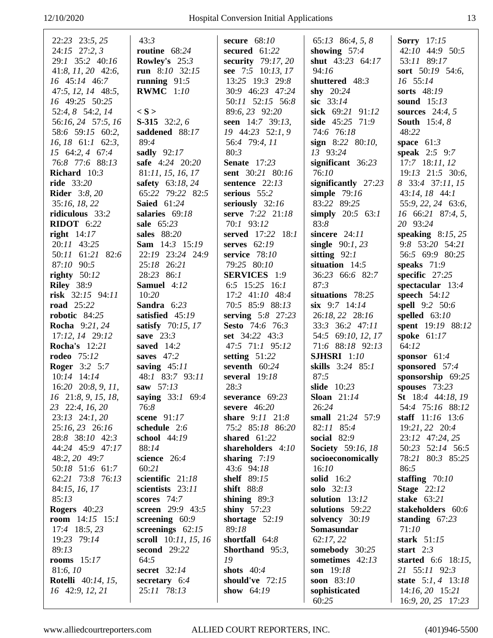| 22:23 23:5, 25                | 43:3                   | secure $68:10$            | $65:13$ $86:4, 5, 8$     | <b>Sorry</b> 17:15       |
|-------------------------------|------------------------|---------------------------|--------------------------|--------------------------|
| 24:15 27:2, 3                 | routine 68:24          | secured 61:22             | showing $57:4$           | 42:10 44:9 50:5          |
|                               |                        |                           |                          |                          |
| 29:1 35:2 40:16               | <b>Rowley's</b> $25:3$ | security 79:17, 20        | shut 43:23 64:17         | 53:11 89:17              |
| $41:8$ , $11$ , $20$ $42:6$ , | run $8:10$ 32:15       | see 7:5 10:13, 17         | 94:16                    | sort 50:19 54:6,         |
| 16 45:14 46:7                 | running $91:5$         | 13:25 19:3 29:8           | shuttered 48:3           | 16 55:14                 |
| 47:5, 12, 14 48:5,            | <b>RWMC</b> 1:10       | 30:9 46:23 47:24          | shy 20:24                | sorts 48:19              |
| 16 49:25 50:25                |                        | 50:11 52:15 56:8          | sic $33:14$              | sound 15:13              |
| 52:4, 8 54:2, 14              | $\langle S \rangle$    | 89:6, 23 92:20            | sick 69:21 91:12         | sources $24:4, 5$        |
| 56:16, 24 57:5, 16            | <b>S-315</b> 32:2, 6   | seen 14:7 39:13,          | side 45:25 71:9          | <b>South</b> 15:4, 8     |
| 58:6 59:15 60:2,              | saddened 88:17         | 19 44:23 52:1, 9          | 74:6 76:18               | 48:22                    |
| $16, 18$ 61:1 62:3,           | 89:4                   | 56:4 79:4, 11             | sign $8:22$ $80:10$ ,    | space $61:3$             |
| 15 64:2, 4 67:4               | sadly $92:17$          | 80:3                      | 13 93:24                 | <b>speak</b> 2:5 9:7     |
| 76:8 77:6 88:13               | safe 4:24 20:20        | <b>Senate</b> 17:23       | significant $36:23$      | 17:7 18:11, 12           |
| Richard $10:3$                |                        | sent 30:21 80:16          | 76:10                    |                          |
|                               | 81:11, 15, 16, 17      |                           |                          | $19:13$ $21:5$ $30:6$ ,  |
| ride 33:20                    | safety 63:18, 24       | sentence 22:13            | significantly $27:23$    | 8 33:4 37:11, 15         |
| <b>Rider</b> 3:8, 20          | 65:22 79:22 82:5       | serious 55:2              | simple $79:16$           | 43:14, 18 44:1           |
| 35:16, 18, 22                 | <b>Saied</b> 61:24     | seriously 32:16           | 83:22 89:25              | 55:9, 22, 24 63:6,       |
| ridiculous 33:2               | salaries $69:18$       | serve 7:22 21:18          | simply $20:5$ 63:1       | 16 66:21 87:4, 5,        |
| <b>RIDOT</b> 6:22             | sale 65:23             | 70:1 93:12                | 83:8                     | 20 93:24                 |
| right $14:17$                 | sales 88:20            | served 17:22 18:1         | sincere $24:11$          | speaking $8:15,25$       |
| 20:11 43:25                   | <b>Sam</b> 14:3 15:19  | serves $62:19$            | single $90:1, 23$        | 9:8 53:20 54:21          |
| 50:11 61:21 82:6              | 22:19 23:24 24:9       | service 78:10             | sitting $92:1$           | 56:5 69:9 80:25          |
| 87:10 90:5                    | 25:18 26:21            | 79:25 80:10               | situation $14:5$         | speaks 71:9              |
| righty $50:12$                | 28:23 86:1             | <b>SERVICES</b> 1:9       | 36:23 66:6 82:7          | specific $27:25$         |
| <b>Riley</b> 38:9             | Samuel 4:12            | 6:5 $15:25$ 16:1          | 87:3                     | spectacular $13:4$       |
| risk 32:15 94:11              | 10:20                  | 17:2 41:10 48:4           | situations 78:25         | speech $54:12$           |
| <b>road</b> 25:22             | Sandra 6:23            | 70:5 85:9 88:13           | $\sin 9:7$ 14:14         | <b>spell</b> 9:2 50:6    |
| robotic $84:25$               | satisfied 45:19        | serving $5:8$ 27:23       | 26:18, 22 28:16          | spelled $63:10$          |
|                               |                        |                           |                          |                          |
| <b>Rocha</b> 9:21, 24         | satisfy 70:15, 17      | Sesto 74:6 76:3           | 33:3 36:2 47:11          | <b>spent</b> 19:19 88:12 |
| 17:12, 14 29:12               | save $23:3$            | set 34:22 43:3            | 54:5 69:10, 12, 17       | spoke $61:17$            |
| <b>Rocha's</b> 12:21          | saved 14:2             | 47:5 71:1 95:12           | 71:6 88:18 92:13         | 64:12                    |
| <b>rodeo</b> 75:12            | saves 47:2             | setting $51:22$           | <b>SJHSRI</b> 1:10       | sponsor $61:4$           |
| <b>Roger</b> 3:2 5:7          | saving $45:11$         | seventh 60:24             | skills 3:24 85:1         | sponsored 57:4           |
| 10:14 14:14                   | 48:1 83:7 93:11        | several $19:18$           | 87:5                     | sponsorship 69:25        |
| 16:20 20:8, 9, 11,            | saw $57:13$            | 28:3                      | slide 10:23              | spouses $73:23$          |
| 16 21:8, 9, 15, 18,           | saying $33:1$ 69:4     | severance 69:23           | <b>Sloan</b> 21:14       | St 18:4 44:18, 19        |
| 23 22:4, 16, 20               | 76:8                   | severe $46:20$            | 26:24                    | 54:4 75:16 88:12         |
| $23:13$ $24:1, 20$            | scene $91:17$          | share 9:11 21:8           | small 21:24 57:9         | staff $11:16$ 13:6       |
| 25:16, 23 26:16               | schedule 2:6           | 75:2 85:18 86:20          | 82:11 85:4               | 19:21, 22 20:4           |
| 28:8 38:10 42:3               | school 44:19           | shared $61:22$            | social $82:9$            | 23:12 47:24, 25          |
| 44:24 45:9 47:17              | 88:14                  | shareholders 4:10         | <b>Society</b> 59:16, 18 | 50:23 52:14 56:5         |
| 48:2, 20 49:7                 | science 26:4           | sharing $7:19$            | socioeconomically        | 78:21 80:3 85:25         |
| 50:18 51:6 61:7               | 60:21                  | 43:6 94:18                | 16:10                    | 86:5                     |
| 62:21 73:8 76:13              | scientific 21:18       | shelf 89:15               | <b>solid</b> 16:2        | staffing $70:10$         |
| 84:15, 16, 17                 | scientists 23:11       | shift 88:8                | solo $32:13$             | <b>Stage</b> 22:12       |
| 85:13                         | scores $74:7$          | shining $89:3$            | solution 13:12           | stake $63:21$            |
| Rogers $40:23$                | screen 29:9 43:5       | shiny $57:23$             | solutions 59:22          | stakeholders 60:6        |
| <b>room</b> $14:15$ $15:1$    | screening 60:9         | shortage $52:19$          | solvency 30:19           | standing $67:23$         |
| 17:4 18:5, 23                 | screenings $62:15$     | 89:18                     | Somasundar               | 71:10                    |
|                               |                        |                           |                          | stark $51:15$            |
| 19:23 79:14                   | scroll 10:11, 15, 16   | shortfall 64:8            | 62:17,22                 |                          |
| 89:13                         | second 29:22           | <b>Shorthand</b> $95:3$ , | somebody 30:25           | start $2:3$              |
| rooms $15:17$                 | 64:5                   | 19                        | sometimes $42:13$        | started $6:6$ 18:15,     |
| 81:6,10                       | secret 32:14           | shots $40:4$              | son 19:18                | 21 55:11 92:3            |
| <b>Rotelli</b> 40:14, 15,     | secretary 6:4          | should've 72:15           | soon 83:10               | state $5:1, 4$ 13:18     |
| $16\quad 42:9, 12, 21$        | 25:11 78:13            | show $64:19$              | sophisticated            | $14:16, 20$ 15:21        |
|                               |                        |                           | 60:25                    | $16:9, 20, 25$ 17:23     |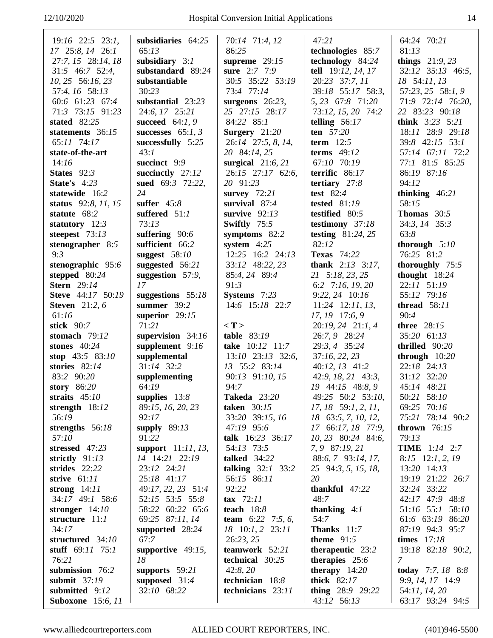| 19:16 22:5 23:1,         | subsidiaries 64:25    | 70:14 71:4, 12           | 47:21                  | 64:24 70:21          |
|--------------------------|-----------------------|--------------------------|------------------------|----------------------|
| 17 25:8, 14 26:1         | 65:13                 | 86:25                    | technologies 85:7      | 81:13                |
| 27:7, 15 28:14, 18       | subsidiary $3:1$      | supreme $29:15$          | technology 84:24       | things $21:9, 23$    |
| 31:5 46:7 52:4,          | substandard 89:24     | sure 2:7 7:9             | tell 19:12, 14, 17     | 32:12 35:13 46:5,    |
| $10, 25$ 56:16, 23       | substantiable         | 30:5 35:22 53:19         | 20:23 37:7, 11         | 18 54:11, 13         |
| 57:4, 16 58:13           | 30:23                 | 73:4 77:14               | 39:18 55:17 58:3,      | 57:23, 25 58:1, 9    |
| 60:6 61:23 67:4          | substantial 23:23     | surgeons $26:23$ ,       | 5, 23 67:8 71:20       | 71:9 72:14 76:20,    |
| 71:3 73:15 91:23         | 24:6, 17 25:21        | 25 27:15 28:17           | 73:12, 15, 20 74:2     | 22 83:23 90:18       |
| stated 82:25             | succeed $64:1, 9$     | 84:22 85:1               | telling $56:17$        | think $3:23$ $5:21$  |
| statements 36:15         | successes $65:1, 3$   | Surgery $21:20$          | ten 57:20              | 18:11 28:9 29:18     |
| 65:11 74:17              | successfully 5:25     | 26:14 27:5, 8, 14,       | term $12:5$            | 39:8 42:15 53:1      |
| state-of-the-art         | 43:1                  | 20 84:14, 25             | terms $49:12$          | 57:14 67:11 72:2     |
| 14:16                    | succinct 9:9          | surgical $21:6, 21$      | 67:10 70:19            | 77:1 81:5 85:25      |
| States $92:3$            | succinctly $27:12$    | 26:15 27:17 62:6,        | terrific $86:17$       | 86:19 87:16          |
| <b>State's</b> 4:23      | sued 69:3 72:22,      | 20 91:23                 | tertiary $27:8$        | 94:12                |
| statewide 16:2           | 24                    | survey $72:21$           | test $82:4$            | thinking $46:21$     |
| status 92:8, 11, 15      | suffer $45:8$         | survival $87:4$          | tested $81:19$         | 58:15                |
| statute 68:2             | suffered $51:1$       | survive $92:13$          | testified 80:5         | <b>Thomas</b> $30:5$ |
| statutory $12:3$         | 73:13                 | Swiftly 75:5             | testimony $37:18$      | 34:3, 14 35:3        |
| steepest $73:13$         | suffering $90:6$      | symptoms 82:2            | testing $81:24,25$     | 63:8                 |
| stenographer 8:5         | sufficient 66:2       | system $4:25$            | 82:12                  | thorough $5:10$      |
| 9:3                      | suggest $58:10$       | 12:25 16:2 24:13         | <b>Texas</b> 74:22     | 76:25 81:2           |
| stenographic 95:6        | suggested 56:21       | 33:12 48:22, 23          | thank $2:13$ $3:17$ ,  | thoroughly 75:5      |
| stepped 80:24            | suggestion $57:9$ ,   | 85:4, 24 89:4            | 21 5:18, 23, 25        | thought 18:24        |
| <b>Stern</b> 29:14       | 17                    | 91:3                     | 6:2 7:16, $19, 20$     | 22:11 51:19          |
| <b>Steve</b> 44:17 50:19 | suggestions $55:18$   | Systems 7:23             | 9:22, 24 10:16         | 55:12 79:16          |
| <b>Steven</b> 21:2, 6    | summer $39:2$         | 14:6 15:18 22:7          | $11:24$ 12:11, 13,     | thread $58:11$       |
| 61:16                    | superior $29:15$      |                          | 17, 19 17:6, 9         | 90:4                 |
| stick 90:7               | 71:21                 | < T                      | $20:19, 24$ $21:1, 4$  | <b>three</b> 28:15   |
| stomach 79:12            | supervision $34:16$   | table $83:19$            | 26:7, 9 28:24          | 35:20 61:13          |
| stones $40:24$           | supplement $9:16$     | take 10:12 11:7          | 29:3, 4 35:24          | thrilled $90:20$     |
| stop $43:5$ 83:10        | supplemental          | $13:10$ $23:13$ $32:6$ , | 37:16, 22, 23          | through $10:20$      |
| stories $82:14$          | $31:14$ $32:2$        | 13 55:2 83:14            | $40:12, 13$ $41:2$     | 22:18 24:13          |
| 83:2 90:20               | supplementing         | 90:13 91:10, 15          | $42:9, 18, 21$ $43:3,$ | 31:12 32:20          |
| story 86:20              | 64:19                 | 94:7                     | 19 44:15 48:8, 9       | 45:14 48:21          |
| straits $45:10$          | supplies 13:8         | <b>Takeda</b> 23:20      | 49:25 50:2 53:10,      | 50:21 58:10          |
| strength $18:12$         | 89:15, 16, 20, 23     | taken 30:15              | 17, 18 59:1, 2, 11,    | 69:25 70:16          |
| 56:19                    | 92:17                 | 33:20 39:15, 16          | 18 63:5, 7, 10, 12,    | 75:21 78:14 90:2     |
| strengths $56:18$        | supply $89:13$        | 47:19 95:6               | 17 66:17, 18 77:9,     | thrown $76:15$       |
| 57:10                    | 91:22                 | talk 16:23 36:17         | 10, 23 80:24 84:6,     | 79:13                |
| stressed $47:23$         | support $11:11, 13$ , | 54:13 73:5               | 7, 9 87:19, 21         | <b>TIME</b> 1:14 2:7 |
| strictly $91:13$         | 14 14:21 22:19        | <b>talked</b> 34:22      | 88:6, 7 93:14, 17,     | $8:15$ 12:1, 2, 19   |
| strides $22:22$          | 23:12 24:21           | talking $32:1$ 33:2      | 25 94:3, 5, 15, 18,    | 13:20 14:13          |
| strive 61:11             | 25:18 41:17           | 56:15 86:11              | 20                     | 19:19 21:22 26:7     |
| strong $14:11$           | 49:17, 22, 23 51:4    | 92:22                    | thankful $47:22$       | 32:24 33:22          |
| 34:17 49:1 58:6          | 52:15 53:5 55:8       | tax $72:11$              | 48:7                   | 42:17 47:9 48:8      |
| stronger $14:10$         | 58:22 60:22 65:6      | teach 18:8               | thanking $4:1$         | 51:16 55:1 58:10     |
| structure 11:1           | 69:25 87:11, 14       | team $6:22$ 7:5, 6,      | 54:7                   | 61:6 63:19 86:20     |
| 34:17                    | supported 28:24       | 18 10:1, 2 23:11         | <b>Thanks</b> 11:7     | 87:19 94:3 95:7      |
| structured 34:10         | 67:7                  | 26:23, 25                | theme $91:5$           | times $17:18$        |
| stuff $69:11$ $75:1$     | supportive $49:15$ ,  | teamwork 52:21           | therapeutic 23:2       | 19:18 82:18 90:2,    |
| 76:21                    | 18                    | technical 30:25          | therapies $25:6$       | 7                    |
| submission 76:2          | supports $59:21$      | 42:8,20                  | therapy $14:20$        | today 7:7, 18 8:8    |
| submit $37:19$           | supposed 31:4         | technician $18:8$        | thick 82:17            | 9:9, 14, 17 14:9     |
| submitted 9:12           | 32:10 68:22           | technicians 23:11        | thing $28:9$ 29:22     | 54:11, 14, 20        |
| <b>Suboxone</b> 15:6, 11 |                       |                          | 43:12 56:13            | 63:17 93:24 94:5     |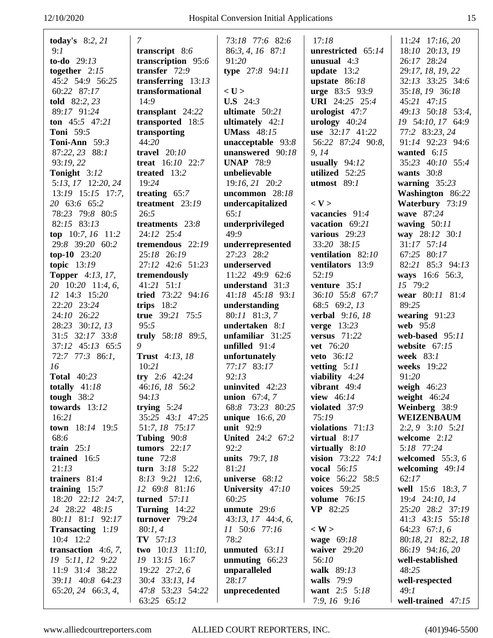| 9:1<br>unrestricted 65:14<br>18:10 20:13, 19<br>transcript 8:6<br>$86:3, 4, 16$ 87:1<br>transcription 95:6<br>to-do $29:13$<br>91:20<br>unusual $4:3$<br>26:17 28:24<br>transfer 72:9<br>together $2:15$<br>type 27:8 94:11<br>update $13:2$<br>29:17, 18, 19, 22<br>45:2 54:9 56:25<br>upstate $86:18$<br>32:13 33:25 34:6<br>transferring $13:13$<br>60:22 87:17<br>transformational<br>$<$ U $>$<br><b>urge</b> 83:5 93:9<br>35:18, 19 36:18<br>14:9<br><b>U.S</b> 24:3<br>told 82:2, 23<br><b>URI</b> 24:25 25:4<br>45:21 47:15<br>49:13 50:18 53:4,<br>89:17 91:24<br>transplant 24:22<br>ultimate $50:21$<br>urologist $47:7$<br>ton $45:5$ $47:21$<br>transported 18:5<br>ultimately $42:1$<br>urology $40:24$<br>19 54:10, 17 64:9<br><b>Toni</b> 59:5<br>transporting<br><b>UMass</b> 48:15<br>use 32:17 41:22<br>77:2 83:23, 24<br><b>Toni-Ann</b> 59:3<br>44:20<br>56:22 87:24 90:8,<br>91:14 92:23 94:6<br><b>unacceptable</b> $93:8$<br>87:22, 23 88:1<br>travel $20:10$<br>9,14<br>unanswered 90:18<br>wanted $6:15$<br><b>UNAP</b> 78:9<br>usually $94:12$<br>35:23 40:10 55:4<br>93:19, 22<br><b>treat</b> 16:10 22:7<br>utilized 52:25<br>Tonight 3:12<br>treated 13:2<br>unbelievable<br>wants $30:8$<br>5:13, 17 12:20, 24<br>19:24<br>19:16, 21 20:2<br>utmost $89:1$<br>warning $35:23$<br>$13:19$ $15:15$ $17:7$ ,<br>treating $65:7$<br>uncommon $28:18$<br>Washington 86:22<br>20 63:6 65:2<br>treatment 23:19<br>$<$ V $>$<br>Waterbury 73:19<br>undercapitalized<br>26:5<br>wave 87:24<br>78:23 79:8 80:5<br>65:1<br>vacancies 91:4<br>82:15 83:13<br>treatments 23:8<br>underprivileged<br>vacation 69:21<br>waving $50:11$<br>49:9<br>top $10:7, 16$ 11:2<br>24:12 25:4<br>various $29:23$<br>way 28:12 30:1<br>29:8 39:20 60:2<br>tremendous 22:19<br>33:20 38:15<br>31:17 57:14<br>underrepresented<br>27:23 28:2<br>top-10 $23:20$<br>25:18 26:19<br>ventilation 82:10<br>67:25 80:17<br>82:21 85:3 94:13<br>topic 13:19<br>27:12 42:6 51:23<br>ventilators 13:9<br>underserved<br>11:22 49:9 62:6<br><b>Topper</b> 4:13, 17,<br>52:19<br>ways 16:6 56:3,<br>tremendously<br>20 10:20 11:4, 6,<br>$41:21$ $51:1$<br>understand $31:3$<br>venture 35:1<br>15 79:2<br>36:10 55:8 67:7<br>12 14:3 15:20<br>tried 73:22 94:16<br>41:18 45:18 93:1<br>wear 80:11 81:4<br>22:20 23:24<br>89:25<br>trips $18:2$<br>understanding<br>68:5 69:2, 13<br>true 39:21 75:5<br>24:10 26:22<br>80:11 81:3, 7<br><b>verbal</b> 9:16, 18<br>wearing $91:23$<br>95:5<br>28:23 30:12, 13<br>undertaken 8:1<br>web 95:8<br>verge $13:23$<br>31:5 32:17 33:8<br>truly 58:18 89:5,<br>unfamiliar $31:25$<br>versus $71:22$<br>web-based 95:11<br>37:12 45:13 65:5<br>9<br>unfilled $91:4$<br>vet 76:20<br>website 67:15<br><b>Trust</b> 4:13, 18<br>unfortunately<br>72:7 77:3 86:1,<br><b>veto</b> 36:12<br>week 83:1<br>16<br>10:21<br>77:17 83:17<br>weeks 19:22<br>vetting $5:11$<br><b>Total 40:23</b><br>92:13<br>viability $4:24$<br>91:20<br>try 2:6 $42:24$<br>totally $41:18$<br>46:16, 18 56:2<br>uninvited 42:23<br>vibrant $49:4$<br>weigh $46:23$<br>tough $38:2$<br>94:13<br><b>union</b> $67:4, 7$<br>weight $46:24$<br>view $46:14$<br>68:8 73:23 80:25<br>towards $13:12$<br>trying $5:24$<br>violated 37:9<br>Weinberg 38:9<br>16:21<br>35:25 43:1 47:25<br>unique 16:6, 20<br>75:19<br>WEIZENBAUM<br>unit $92:9$<br>violations $71:13$<br><b>town</b> $18:14$ 19:5<br>51:7, 18 75:17<br>$2:2, 9$ $3:10$ $5:21$<br>68:6<br>Tubing $90:8$<br><b>United</b> 24:2 67:2<br>virtual $8:17$<br>welcome 2:12<br>virtually $8:10$<br>5:18 77:24<br>train $25:1$<br>tumors $22:17$<br>92:2<br>tune 72:8<br>units 79:7, 18<br>vision $73:22$ $74:1$<br>welcomed $55:3,6$<br>trained 16:5<br>turn $3:18$ 5:22<br>81:21<br>vocal 56:15<br>21:13<br>welcoming $49:14$<br>trainers 81:4<br>8:13 9:21 12:6,<br>universe 68:12<br>voice 56:22 58:5<br>62:17<br>training $15:7$<br>12 69:8 81:16<br>voices $59:25$<br>University 47:10<br>well $15:6$ $18:3, 7$<br>turned 57:11<br>$18:20$ $22:12$ $24:7$ ,<br>60:25<br>volume 76:15<br>19:4 24:10, 14<br>24 28:22 48:15<br>Turning $14:22$<br>unmute 29:6<br><b>VP</b> 82:25<br>25:20 28:2 37:19<br>80:11 81:1 92:17<br>turnover 79:24<br>43:13, 17 44:4, 6,<br>41:3 43:15 55:18<br>64:23 67:1, 6<br>Transacting 1:19<br>80:1,4<br>$\langle W \rangle$<br>11 50:6 77:16<br>78:2<br>10:4 12:2<br>$TV$ 57:13<br>wage 69:18<br>80:18, 21 82:2, 18<br>unmuted $63:11$<br>waiver $29:20$<br>transaction $4:6, 7$ ,<br>two $10:13$ 11:10,<br>86:19 94:16, 20<br>19 5:11, 12 9:22<br>19 13:15 16:7<br>unmuting $66:23$<br>56:10<br>well-established<br>11:9 31:4 38:22<br>19:22 27:2, 6<br>unparalleled<br>walk 89:13<br>48:25<br>39:11 40:8 64:23<br>30:4 33:13, 14<br>28:17<br>well-respected<br>walls $79:9$<br>65:20, 24 66:3, 4,<br>47:8 53:23 54:22<br>unprecedented<br>want 2:5 5:18<br>49:1 | today's $8:2, 21$ | 7           | 73:18 77:6 82:6 | 17:18        | $11:24$ 17:16, 20    |
|----------------------------------------------------------------------------------------------------------------------------------------------------------------------------------------------------------------------------------------------------------------------------------------------------------------------------------------------------------------------------------------------------------------------------------------------------------------------------------------------------------------------------------------------------------------------------------------------------------------------------------------------------------------------------------------------------------------------------------------------------------------------------------------------------------------------------------------------------------------------------------------------------------------------------------------------------------------------------------------------------------------------------------------------------------------------------------------------------------------------------------------------------------------------------------------------------------------------------------------------------------------------------------------------------------------------------------------------------------------------------------------------------------------------------------------------------------------------------------------------------------------------------------------------------------------------------------------------------------------------------------------------------------------------------------------------------------------------------------------------------------------------------------------------------------------------------------------------------------------------------------------------------------------------------------------------------------------------------------------------------------------------------------------------------------------------------------------------------------------------------------------------------------------------------------------------------------------------------------------------------------------------------------------------------------------------------------------------------------------------------------------------------------------------------------------------------------------------------------------------------------------------------------------------------------------------------------------------------------------------------------------------------------------------------------------------------------------------------------------------------------------------------------------------------------------------------------------------------------------------------------------------------------------------------------------------------------------------------------------------------------------------------------------------------------------------------------------------------------------------------------------------------------------------------------------------------------------------------------------------------------------------------------------------------------------------------------------------------------------------------------------------------------------------------------------------------------------------------------------------------------------------------------------------------------------------------------------------------------------------------------------------------------------------------------------------------------------------------------------------------------------------------------------------------------------------------------------------------------------------------------------------------------------------------------------------------------------------------------------------------------------------------------------------------------------------------------------------------------------------------------------------------------------------------------------------------------------------------------------------------------------------------------------------------------------------------------------------------------------------------------------------------------------------------------------------------------------------------------------------------------------------------------------------------------------------------------------------------------------------------------------------------------------------------------------------------------------------------------------------------------------------------------------------------------------------------------------------------------|-------------------|-------------|-----------------|--------------|----------------------|
|                                                                                                                                                                                                                                                                                                                                                                                                                                                                                                                                                                                                                                                                                                                                                                                                                                                                                                                                                                                                                                                                                                                                                                                                                                                                                                                                                                                                                                                                                                                                                                                                                                                                                                                                                                                                                                                                                                                                                                                                                                                                                                                                                                                                                                                                                                                                                                                                                                                                                                                                                                                                                                                                                                                                                                                                                                                                                                                                                                                                                                                                                                                                                                                                                                                                                                                                                                                                                                                                                                                                                                                                                                                                                                                                                                                                                                                                                                                                                                                                                                                                                                                                                                                                                                                                                                                                                                                                                                                                                                                                                                                                                                                                                                                                                                                                                                                          |                   |             |                 |              |                      |
|                                                                                                                                                                                                                                                                                                                                                                                                                                                                                                                                                                                                                                                                                                                                                                                                                                                                                                                                                                                                                                                                                                                                                                                                                                                                                                                                                                                                                                                                                                                                                                                                                                                                                                                                                                                                                                                                                                                                                                                                                                                                                                                                                                                                                                                                                                                                                                                                                                                                                                                                                                                                                                                                                                                                                                                                                                                                                                                                                                                                                                                                                                                                                                                                                                                                                                                                                                                                                                                                                                                                                                                                                                                                                                                                                                                                                                                                                                                                                                                                                                                                                                                                                                                                                                                                                                                                                                                                                                                                                                                                                                                                                                                                                                                                                                                                                                                          |                   |             |                 |              |                      |
|                                                                                                                                                                                                                                                                                                                                                                                                                                                                                                                                                                                                                                                                                                                                                                                                                                                                                                                                                                                                                                                                                                                                                                                                                                                                                                                                                                                                                                                                                                                                                                                                                                                                                                                                                                                                                                                                                                                                                                                                                                                                                                                                                                                                                                                                                                                                                                                                                                                                                                                                                                                                                                                                                                                                                                                                                                                                                                                                                                                                                                                                                                                                                                                                                                                                                                                                                                                                                                                                                                                                                                                                                                                                                                                                                                                                                                                                                                                                                                                                                                                                                                                                                                                                                                                                                                                                                                                                                                                                                                                                                                                                                                                                                                                                                                                                                                                          |                   |             |                 |              |                      |
|                                                                                                                                                                                                                                                                                                                                                                                                                                                                                                                                                                                                                                                                                                                                                                                                                                                                                                                                                                                                                                                                                                                                                                                                                                                                                                                                                                                                                                                                                                                                                                                                                                                                                                                                                                                                                                                                                                                                                                                                                                                                                                                                                                                                                                                                                                                                                                                                                                                                                                                                                                                                                                                                                                                                                                                                                                                                                                                                                                                                                                                                                                                                                                                                                                                                                                                                                                                                                                                                                                                                                                                                                                                                                                                                                                                                                                                                                                                                                                                                                                                                                                                                                                                                                                                                                                                                                                                                                                                                                                                                                                                                                                                                                                                                                                                                                                                          |                   |             |                 |              |                      |
|                                                                                                                                                                                                                                                                                                                                                                                                                                                                                                                                                                                                                                                                                                                                                                                                                                                                                                                                                                                                                                                                                                                                                                                                                                                                                                                                                                                                                                                                                                                                                                                                                                                                                                                                                                                                                                                                                                                                                                                                                                                                                                                                                                                                                                                                                                                                                                                                                                                                                                                                                                                                                                                                                                                                                                                                                                                                                                                                                                                                                                                                                                                                                                                                                                                                                                                                                                                                                                                                                                                                                                                                                                                                                                                                                                                                                                                                                                                                                                                                                                                                                                                                                                                                                                                                                                                                                                                                                                                                                                                                                                                                                                                                                                                                                                                                                                                          |                   |             |                 |              |                      |
|                                                                                                                                                                                                                                                                                                                                                                                                                                                                                                                                                                                                                                                                                                                                                                                                                                                                                                                                                                                                                                                                                                                                                                                                                                                                                                                                                                                                                                                                                                                                                                                                                                                                                                                                                                                                                                                                                                                                                                                                                                                                                                                                                                                                                                                                                                                                                                                                                                                                                                                                                                                                                                                                                                                                                                                                                                                                                                                                                                                                                                                                                                                                                                                                                                                                                                                                                                                                                                                                                                                                                                                                                                                                                                                                                                                                                                                                                                                                                                                                                                                                                                                                                                                                                                                                                                                                                                                                                                                                                                                                                                                                                                                                                                                                                                                                                                                          |                   |             |                 |              |                      |
|                                                                                                                                                                                                                                                                                                                                                                                                                                                                                                                                                                                                                                                                                                                                                                                                                                                                                                                                                                                                                                                                                                                                                                                                                                                                                                                                                                                                                                                                                                                                                                                                                                                                                                                                                                                                                                                                                                                                                                                                                                                                                                                                                                                                                                                                                                                                                                                                                                                                                                                                                                                                                                                                                                                                                                                                                                                                                                                                                                                                                                                                                                                                                                                                                                                                                                                                                                                                                                                                                                                                                                                                                                                                                                                                                                                                                                                                                                                                                                                                                                                                                                                                                                                                                                                                                                                                                                                                                                                                                                                                                                                                                                                                                                                                                                                                                                                          |                   |             |                 |              |                      |
|                                                                                                                                                                                                                                                                                                                                                                                                                                                                                                                                                                                                                                                                                                                                                                                                                                                                                                                                                                                                                                                                                                                                                                                                                                                                                                                                                                                                                                                                                                                                                                                                                                                                                                                                                                                                                                                                                                                                                                                                                                                                                                                                                                                                                                                                                                                                                                                                                                                                                                                                                                                                                                                                                                                                                                                                                                                                                                                                                                                                                                                                                                                                                                                                                                                                                                                                                                                                                                                                                                                                                                                                                                                                                                                                                                                                                                                                                                                                                                                                                                                                                                                                                                                                                                                                                                                                                                                                                                                                                                                                                                                                                                                                                                                                                                                                                                                          |                   |             |                 |              |                      |
|                                                                                                                                                                                                                                                                                                                                                                                                                                                                                                                                                                                                                                                                                                                                                                                                                                                                                                                                                                                                                                                                                                                                                                                                                                                                                                                                                                                                                                                                                                                                                                                                                                                                                                                                                                                                                                                                                                                                                                                                                                                                                                                                                                                                                                                                                                                                                                                                                                                                                                                                                                                                                                                                                                                                                                                                                                                                                                                                                                                                                                                                                                                                                                                                                                                                                                                                                                                                                                                                                                                                                                                                                                                                                                                                                                                                                                                                                                                                                                                                                                                                                                                                                                                                                                                                                                                                                                                                                                                                                                                                                                                                                                                                                                                                                                                                                                                          |                   |             |                 |              |                      |
|                                                                                                                                                                                                                                                                                                                                                                                                                                                                                                                                                                                                                                                                                                                                                                                                                                                                                                                                                                                                                                                                                                                                                                                                                                                                                                                                                                                                                                                                                                                                                                                                                                                                                                                                                                                                                                                                                                                                                                                                                                                                                                                                                                                                                                                                                                                                                                                                                                                                                                                                                                                                                                                                                                                                                                                                                                                                                                                                                                                                                                                                                                                                                                                                                                                                                                                                                                                                                                                                                                                                                                                                                                                                                                                                                                                                                                                                                                                                                                                                                                                                                                                                                                                                                                                                                                                                                                                                                                                                                                                                                                                                                                                                                                                                                                                                                                                          |                   |             |                 |              |                      |
|                                                                                                                                                                                                                                                                                                                                                                                                                                                                                                                                                                                                                                                                                                                                                                                                                                                                                                                                                                                                                                                                                                                                                                                                                                                                                                                                                                                                                                                                                                                                                                                                                                                                                                                                                                                                                                                                                                                                                                                                                                                                                                                                                                                                                                                                                                                                                                                                                                                                                                                                                                                                                                                                                                                                                                                                                                                                                                                                                                                                                                                                                                                                                                                                                                                                                                                                                                                                                                                                                                                                                                                                                                                                                                                                                                                                                                                                                                                                                                                                                                                                                                                                                                                                                                                                                                                                                                                                                                                                                                                                                                                                                                                                                                                                                                                                                                                          |                   |             |                 |              |                      |
|                                                                                                                                                                                                                                                                                                                                                                                                                                                                                                                                                                                                                                                                                                                                                                                                                                                                                                                                                                                                                                                                                                                                                                                                                                                                                                                                                                                                                                                                                                                                                                                                                                                                                                                                                                                                                                                                                                                                                                                                                                                                                                                                                                                                                                                                                                                                                                                                                                                                                                                                                                                                                                                                                                                                                                                                                                                                                                                                                                                                                                                                                                                                                                                                                                                                                                                                                                                                                                                                                                                                                                                                                                                                                                                                                                                                                                                                                                                                                                                                                                                                                                                                                                                                                                                                                                                                                                                                                                                                                                                                                                                                                                                                                                                                                                                                                                                          |                   |             |                 |              |                      |
|                                                                                                                                                                                                                                                                                                                                                                                                                                                                                                                                                                                                                                                                                                                                                                                                                                                                                                                                                                                                                                                                                                                                                                                                                                                                                                                                                                                                                                                                                                                                                                                                                                                                                                                                                                                                                                                                                                                                                                                                                                                                                                                                                                                                                                                                                                                                                                                                                                                                                                                                                                                                                                                                                                                                                                                                                                                                                                                                                                                                                                                                                                                                                                                                                                                                                                                                                                                                                                                                                                                                                                                                                                                                                                                                                                                                                                                                                                                                                                                                                                                                                                                                                                                                                                                                                                                                                                                                                                                                                                                                                                                                                                                                                                                                                                                                                                                          |                   |             |                 |              |                      |
|                                                                                                                                                                                                                                                                                                                                                                                                                                                                                                                                                                                                                                                                                                                                                                                                                                                                                                                                                                                                                                                                                                                                                                                                                                                                                                                                                                                                                                                                                                                                                                                                                                                                                                                                                                                                                                                                                                                                                                                                                                                                                                                                                                                                                                                                                                                                                                                                                                                                                                                                                                                                                                                                                                                                                                                                                                                                                                                                                                                                                                                                                                                                                                                                                                                                                                                                                                                                                                                                                                                                                                                                                                                                                                                                                                                                                                                                                                                                                                                                                                                                                                                                                                                                                                                                                                                                                                                                                                                                                                                                                                                                                                                                                                                                                                                                                                                          |                   |             |                 |              |                      |
|                                                                                                                                                                                                                                                                                                                                                                                                                                                                                                                                                                                                                                                                                                                                                                                                                                                                                                                                                                                                                                                                                                                                                                                                                                                                                                                                                                                                                                                                                                                                                                                                                                                                                                                                                                                                                                                                                                                                                                                                                                                                                                                                                                                                                                                                                                                                                                                                                                                                                                                                                                                                                                                                                                                                                                                                                                                                                                                                                                                                                                                                                                                                                                                                                                                                                                                                                                                                                                                                                                                                                                                                                                                                                                                                                                                                                                                                                                                                                                                                                                                                                                                                                                                                                                                                                                                                                                                                                                                                                                                                                                                                                                                                                                                                                                                                                                                          |                   |             |                 |              |                      |
|                                                                                                                                                                                                                                                                                                                                                                                                                                                                                                                                                                                                                                                                                                                                                                                                                                                                                                                                                                                                                                                                                                                                                                                                                                                                                                                                                                                                                                                                                                                                                                                                                                                                                                                                                                                                                                                                                                                                                                                                                                                                                                                                                                                                                                                                                                                                                                                                                                                                                                                                                                                                                                                                                                                                                                                                                                                                                                                                                                                                                                                                                                                                                                                                                                                                                                                                                                                                                                                                                                                                                                                                                                                                                                                                                                                                                                                                                                                                                                                                                                                                                                                                                                                                                                                                                                                                                                                                                                                                                                                                                                                                                                                                                                                                                                                                                                                          |                   |             |                 |              |                      |
|                                                                                                                                                                                                                                                                                                                                                                                                                                                                                                                                                                                                                                                                                                                                                                                                                                                                                                                                                                                                                                                                                                                                                                                                                                                                                                                                                                                                                                                                                                                                                                                                                                                                                                                                                                                                                                                                                                                                                                                                                                                                                                                                                                                                                                                                                                                                                                                                                                                                                                                                                                                                                                                                                                                                                                                                                                                                                                                                                                                                                                                                                                                                                                                                                                                                                                                                                                                                                                                                                                                                                                                                                                                                                                                                                                                                                                                                                                                                                                                                                                                                                                                                                                                                                                                                                                                                                                                                                                                                                                                                                                                                                                                                                                                                                                                                                                                          |                   |             |                 |              |                      |
|                                                                                                                                                                                                                                                                                                                                                                                                                                                                                                                                                                                                                                                                                                                                                                                                                                                                                                                                                                                                                                                                                                                                                                                                                                                                                                                                                                                                                                                                                                                                                                                                                                                                                                                                                                                                                                                                                                                                                                                                                                                                                                                                                                                                                                                                                                                                                                                                                                                                                                                                                                                                                                                                                                                                                                                                                                                                                                                                                                                                                                                                                                                                                                                                                                                                                                                                                                                                                                                                                                                                                                                                                                                                                                                                                                                                                                                                                                                                                                                                                                                                                                                                                                                                                                                                                                                                                                                                                                                                                                                                                                                                                                                                                                                                                                                                                                                          |                   |             |                 |              |                      |
|                                                                                                                                                                                                                                                                                                                                                                                                                                                                                                                                                                                                                                                                                                                                                                                                                                                                                                                                                                                                                                                                                                                                                                                                                                                                                                                                                                                                                                                                                                                                                                                                                                                                                                                                                                                                                                                                                                                                                                                                                                                                                                                                                                                                                                                                                                                                                                                                                                                                                                                                                                                                                                                                                                                                                                                                                                                                                                                                                                                                                                                                                                                                                                                                                                                                                                                                                                                                                                                                                                                                                                                                                                                                                                                                                                                                                                                                                                                                                                                                                                                                                                                                                                                                                                                                                                                                                                                                                                                                                                                                                                                                                                                                                                                                                                                                                                                          |                   |             |                 |              |                      |
|                                                                                                                                                                                                                                                                                                                                                                                                                                                                                                                                                                                                                                                                                                                                                                                                                                                                                                                                                                                                                                                                                                                                                                                                                                                                                                                                                                                                                                                                                                                                                                                                                                                                                                                                                                                                                                                                                                                                                                                                                                                                                                                                                                                                                                                                                                                                                                                                                                                                                                                                                                                                                                                                                                                                                                                                                                                                                                                                                                                                                                                                                                                                                                                                                                                                                                                                                                                                                                                                                                                                                                                                                                                                                                                                                                                                                                                                                                                                                                                                                                                                                                                                                                                                                                                                                                                                                                                                                                                                                                                                                                                                                                                                                                                                                                                                                                                          |                   |             |                 |              |                      |
|                                                                                                                                                                                                                                                                                                                                                                                                                                                                                                                                                                                                                                                                                                                                                                                                                                                                                                                                                                                                                                                                                                                                                                                                                                                                                                                                                                                                                                                                                                                                                                                                                                                                                                                                                                                                                                                                                                                                                                                                                                                                                                                                                                                                                                                                                                                                                                                                                                                                                                                                                                                                                                                                                                                                                                                                                                                                                                                                                                                                                                                                                                                                                                                                                                                                                                                                                                                                                                                                                                                                                                                                                                                                                                                                                                                                                                                                                                                                                                                                                                                                                                                                                                                                                                                                                                                                                                                                                                                                                                                                                                                                                                                                                                                                                                                                                                                          |                   |             |                 |              |                      |
|                                                                                                                                                                                                                                                                                                                                                                                                                                                                                                                                                                                                                                                                                                                                                                                                                                                                                                                                                                                                                                                                                                                                                                                                                                                                                                                                                                                                                                                                                                                                                                                                                                                                                                                                                                                                                                                                                                                                                                                                                                                                                                                                                                                                                                                                                                                                                                                                                                                                                                                                                                                                                                                                                                                                                                                                                                                                                                                                                                                                                                                                                                                                                                                                                                                                                                                                                                                                                                                                                                                                                                                                                                                                                                                                                                                                                                                                                                                                                                                                                                                                                                                                                                                                                                                                                                                                                                                                                                                                                                                                                                                                                                                                                                                                                                                                                                                          |                   |             |                 |              |                      |
|                                                                                                                                                                                                                                                                                                                                                                                                                                                                                                                                                                                                                                                                                                                                                                                                                                                                                                                                                                                                                                                                                                                                                                                                                                                                                                                                                                                                                                                                                                                                                                                                                                                                                                                                                                                                                                                                                                                                                                                                                                                                                                                                                                                                                                                                                                                                                                                                                                                                                                                                                                                                                                                                                                                                                                                                                                                                                                                                                                                                                                                                                                                                                                                                                                                                                                                                                                                                                                                                                                                                                                                                                                                                                                                                                                                                                                                                                                                                                                                                                                                                                                                                                                                                                                                                                                                                                                                                                                                                                                                                                                                                                                                                                                                                                                                                                                                          |                   |             |                 |              |                      |
|                                                                                                                                                                                                                                                                                                                                                                                                                                                                                                                                                                                                                                                                                                                                                                                                                                                                                                                                                                                                                                                                                                                                                                                                                                                                                                                                                                                                                                                                                                                                                                                                                                                                                                                                                                                                                                                                                                                                                                                                                                                                                                                                                                                                                                                                                                                                                                                                                                                                                                                                                                                                                                                                                                                                                                                                                                                                                                                                                                                                                                                                                                                                                                                                                                                                                                                                                                                                                                                                                                                                                                                                                                                                                                                                                                                                                                                                                                                                                                                                                                                                                                                                                                                                                                                                                                                                                                                                                                                                                                                                                                                                                                                                                                                                                                                                                                                          |                   |             |                 |              |                      |
|                                                                                                                                                                                                                                                                                                                                                                                                                                                                                                                                                                                                                                                                                                                                                                                                                                                                                                                                                                                                                                                                                                                                                                                                                                                                                                                                                                                                                                                                                                                                                                                                                                                                                                                                                                                                                                                                                                                                                                                                                                                                                                                                                                                                                                                                                                                                                                                                                                                                                                                                                                                                                                                                                                                                                                                                                                                                                                                                                                                                                                                                                                                                                                                                                                                                                                                                                                                                                                                                                                                                                                                                                                                                                                                                                                                                                                                                                                                                                                                                                                                                                                                                                                                                                                                                                                                                                                                                                                                                                                                                                                                                                                                                                                                                                                                                                                                          |                   |             |                 |              |                      |
|                                                                                                                                                                                                                                                                                                                                                                                                                                                                                                                                                                                                                                                                                                                                                                                                                                                                                                                                                                                                                                                                                                                                                                                                                                                                                                                                                                                                                                                                                                                                                                                                                                                                                                                                                                                                                                                                                                                                                                                                                                                                                                                                                                                                                                                                                                                                                                                                                                                                                                                                                                                                                                                                                                                                                                                                                                                                                                                                                                                                                                                                                                                                                                                                                                                                                                                                                                                                                                                                                                                                                                                                                                                                                                                                                                                                                                                                                                                                                                                                                                                                                                                                                                                                                                                                                                                                                                                                                                                                                                                                                                                                                                                                                                                                                                                                                                                          |                   |             |                 |              |                      |
|                                                                                                                                                                                                                                                                                                                                                                                                                                                                                                                                                                                                                                                                                                                                                                                                                                                                                                                                                                                                                                                                                                                                                                                                                                                                                                                                                                                                                                                                                                                                                                                                                                                                                                                                                                                                                                                                                                                                                                                                                                                                                                                                                                                                                                                                                                                                                                                                                                                                                                                                                                                                                                                                                                                                                                                                                                                                                                                                                                                                                                                                                                                                                                                                                                                                                                                                                                                                                                                                                                                                                                                                                                                                                                                                                                                                                                                                                                                                                                                                                                                                                                                                                                                                                                                                                                                                                                                                                                                                                                                                                                                                                                                                                                                                                                                                                                                          |                   |             |                 |              |                      |
|                                                                                                                                                                                                                                                                                                                                                                                                                                                                                                                                                                                                                                                                                                                                                                                                                                                                                                                                                                                                                                                                                                                                                                                                                                                                                                                                                                                                                                                                                                                                                                                                                                                                                                                                                                                                                                                                                                                                                                                                                                                                                                                                                                                                                                                                                                                                                                                                                                                                                                                                                                                                                                                                                                                                                                                                                                                                                                                                                                                                                                                                                                                                                                                                                                                                                                                                                                                                                                                                                                                                                                                                                                                                                                                                                                                                                                                                                                                                                                                                                                                                                                                                                                                                                                                                                                                                                                                                                                                                                                                                                                                                                                                                                                                                                                                                                                                          |                   |             |                 |              |                      |
|                                                                                                                                                                                                                                                                                                                                                                                                                                                                                                                                                                                                                                                                                                                                                                                                                                                                                                                                                                                                                                                                                                                                                                                                                                                                                                                                                                                                                                                                                                                                                                                                                                                                                                                                                                                                                                                                                                                                                                                                                                                                                                                                                                                                                                                                                                                                                                                                                                                                                                                                                                                                                                                                                                                                                                                                                                                                                                                                                                                                                                                                                                                                                                                                                                                                                                                                                                                                                                                                                                                                                                                                                                                                                                                                                                                                                                                                                                                                                                                                                                                                                                                                                                                                                                                                                                                                                                                                                                                                                                                                                                                                                                                                                                                                                                                                                                                          |                   |             |                 |              |                      |
|                                                                                                                                                                                                                                                                                                                                                                                                                                                                                                                                                                                                                                                                                                                                                                                                                                                                                                                                                                                                                                                                                                                                                                                                                                                                                                                                                                                                                                                                                                                                                                                                                                                                                                                                                                                                                                                                                                                                                                                                                                                                                                                                                                                                                                                                                                                                                                                                                                                                                                                                                                                                                                                                                                                                                                                                                                                                                                                                                                                                                                                                                                                                                                                                                                                                                                                                                                                                                                                                                                                                                                                                                                                                                                                                                                                                                                                                                                                                                                                                                                                                                                                                                                                                                                                                                                                                                                                                                                                                                                                                                                                                                                                                                                                                                                                                                                                          |                   |             |                 |              |                      |
|                                                                                                                                                                                                                                                                                                                                                                                                                                                                                                                                                                                                                                                                                                                                                                                                                                                                                                                                                                                                                                                                                                                                                                                                                                                                                                                                                                                                                                                                                                                                                                                                                                                                                                                                                                                                                                                                                                                                                                                                                                                                                                                                                                                                                                                                                                                                                                                                                                                                                                                                                                                                                                                                                                                                                                                                                                                                                                                                                                                                                                                                                                                                                                                                                                                                                                                                                                                                                                                                                                                                                                                                                                                                                                                                                                                                                                                                                                                                                                                                                                                                                                                                                                                                                                                                                                                                                                                                                                                                                                                                                                                                                                                                                                                                                                                                                                                          |                   |             |                 |              |                      |
|                                                                                                                                                                                                                                                                                                                                                                                                                                                                                                                                                                                                                                                                                                                                                                                                                                                                                                                                                                                                                                                                                                                                                                                                                                                                                                                                                                                                                                                                                                                                                                                                                                                                                                                                                                                                                                                                                                                                                                                                                                                                                                                                                                                                                                                                                                                                                                                                                                                                                                                                                                                                                                                                                                                                                                                                                                                                                                                                                                                                                                                                                                                                                                                                                                                                                                                                                                                                                                                                                                                                                                                                                                                                                                                                                                                                                                                                                                                                                                                                                                                                                                                                                                                                                                                                                                                                                                                                                                                                                                                                                                                                                                                                                                                                                                                                                                                          |                   |             |                 |              |                      |
|                                                                                                                                                                                                                                                                                                                                                                                                                                                                                                                                                                                                                                                                                                                                                                                                                                                                                                                                                                                                                                                                                                                                                                                                                                                                                                                                                                                                                                                                                                                                                                                                                                                                                                                                                                                                                                                                                                                                                                                                                                                                                                                                                                                                                                                                                                                                                                                                                                                                                                                                                                                                                                                                                                                                                                                                                                                                                                                                                                                                                                                                                                                                                                                                                                                                                                                                                                                                                                                                                                                                                                                                                                                                                                                                                                                                                                                                                                                                                                                                                                                                                                                                                                                                                                                                                                                                                                                                                                                                                                                                                                                                                                                                                                                                                                                                                                                          |                   |             |                 |              |                      |
|                                                                                                                                                                                                                                                                                                                                                                                                                                                                                                                                                                                                                                                                                                                                                                                                                                                                                                                                                                                                                                                                                                                                                                                                                                                                                                                                                                                                                                                                                                                                                                                                                                                                                                                                                                                                                                                                                                                                                                                                                                                                                                                                                                                                                                                                                                                                                                                                                                                                                                                                                                                                                                                                                                                                                                                                                                                                                                                                                                                                                                                                                                                                                                                                                                                                                                                                                                                                                                                                                                                                                                                                                                                                                                                                                                                                                                                                                                                                                                                                                                                                                                                                                                                                                                                                                                                                                                                                                                                                                                                                                                                                                                                                                                                                                                                                                                                          |                   |             |                 |              |                      |
|                                                                                                                                                                                                                                                                                                                                                                                                                                                                                                                                                                                                                                                                                                                                                                                                                                                                                                                                                                                                                                                                                                                                                                                                                                                                                                                                                                                                                                                                                                                                                                                                                                                                                                                                                                                                                                                                                                                                                                                                                                                                                                                                                                                                                                                                                                                                                                                                                                                                                                                                                                                                                                                                                                                                                                                                                                                                                                                                                                                                                                                                                                                                                                                                                                                                                                                                                                                                                                                                                                                                                                                                                                                                                                                                                                                                                                                                                                                                                                                                                                                                                                                                                                                                                                                                                                                                                                                                                                                                                                                                                                                                                                                                                                                                                                                                                                                          |                   |             |                 |              |                      |
|                                                                                                                                                                                                                                                                                                                                                                                                                                                                                                                                                                                                                                                                                                                                                                                                                                                                                                                                                                                                                                                                                                                                                                                                                                                                                                                                                                                                                                                                                                                                                                                                                                                                                                                                                                                                                                                                                                                                                                                                                                                                                                                                                                                                                                                                                                                                                                                                                                                                                                                                                                                                                                                                                                                                                                                                                                                                                                                                                                                                                                                                                                                                                                                                                                                                                                                                                                                                                                                                                                                                                                                                                                                                                                                                                                                                                                                                                                                                                                                                                                                                                                                                                                                                                                                                                                                                                                                                                                                                                                                                                                                                                                                                                                                                                                                                                                                          |                   |             |                 |              |                      |
|                                                                                                                                                                                                                                                                                                                                                                                                                                                                                                                                                                                                                                                                                                                                                                                                                                                                                                                                                                                                                                                                                                                                                                                                                                                                                                                                                                                                                                                                                                                                                                                                                                                                                                                                                                                                                                                                                                                                                                                                                                                                                                                                                                                                                                                                                                                                                                                                                                                                                                                                                                                                                                                                                                                                                                                                                                                                                                                                                                                                                                                                                                                                                                                                                                                                                                                                                                                                                                                                                                                                                                                                                                                                                                                                                                                                                                                                                                                                                                                                                                                                                                                                                                                                                                                                                                                                                                                                                                                                                                                                                                                                                                                                                                                                                                                                                                                          |                   |             |                 |              |                      |
|                                                                                                                                                                                                                                                                                                                                                                                                                                                                                                                                                                                                                                                                                                                                                                                                                                                                                                                                                                                                                                                                                                                                                                                                                                                                                                                                                                                                                                                                                                                                                                                                                                                                                                                                                                                                                                                                                                                                                                                                                                                                                                                                                                                                                                                                                                                                                                                                                                                                                                                                                                                                                                                                                                                                                                                                                                                                                                                                                                                                                                                                                                                                                                                                                                                                                                                                                                                                                                                                                                                                                                                                                                                                                                                                                                                                                                                                                                                                                                                                                                                                                                                                                                                                                                                                                                                                                                                                                                                                                                                                                                                                                                                                                                                                                                                                                                                          |                   |             |                 |              |                      |
|                                                                                                                                                                                                                                                                                                                                                                                                                                                                                                                                                                                                                                                                                                                                                                                                                                                                                                                                                                                                                                                                                                                                                                                                                                                                                                                                                                                                                                                                                                                                                                                                                                                                                                                                                                                                                                                                                                                                                                                                                                                                                                                                                                                                                                                                                                                                                                                                                                                                                                                                                                                                                                                                                                                                                                                                                                                                                                                                                                                                                                                                                                                                                                                                                                                                                                                                                                                                                                                                                                                                                                                                                                                                                                                                                                                                                                                                                                                                                                                                                                                                                                                                                                                                                                                                                                                                                                                                                                                                                                                                                                                                                                                                                                                                                                                                                                                          |                   |             |                 |              |                      |
|                                                                                                                                                                                                                                                                                                                                                                                                                                                                                                                                                                                                                                                                                                                                                                                                                                                                                                                                                                                                                                                                                                                                                                                                                                                                                                                                                                                                                                                                                                                                                                                                                                                                                                                                                                                                                                                                                                                                                                                                                                                                                                                                                                                                                                                                                                                                                                                                                                                                                                                                                                                                                                                                                                                                                                                                                                                                                                                                                                                                                                                                                                                                                                                                                                                                                                                                                                                                                                                                                                                                                                                                                                                                                                                                                                                                                                                                                                                                                                                                                                                                                                                                                                                                                                                                                                                                                                                                                                                                                                                                                                                                                                                                                                                                                                                                                                                          |                   |             |                 |              |                      |
|                                                                                                                                                                                                                                                                                                                                                                                                                                                                                                                                                                                                                                                                                                                                                                                                                                                                                                                                                                                                                                                                                                                                                                                                                                                                                                                                                                                                                                                                                                                                                                                                                                                                                                                                                                                                                                                                                                                                                                                                                                                                                                                                                                                                                                                                                                                                                                                                                                                                                                                                                                                                                                                                                                                                                                                                                                                                                                                                                                                                                                                                                                                                                                                                                                                                                                                                                                                                                                                                                                                                                                                                                                                                                                                                                                                                                                                                                                                                                                                                                                                                                                                                                                                                                                                                                                                                                                                                                                                                                                                                                                                                                                                                                                                                                                                                                                                          |                   |             |                 |              |                      |
|                                                                                                                                                                                                                                                                                                                                                                                                                                                                                                                                                                                                                                                                                                                                                                                                                                                                                                                                                                                                                                                                                                                                                                                                                                                                                                                                                                                                                                                                                                                                                                                                                                                                                                                                                                                                                                                                                                                                                                                                                                                                                                                                                                                                                                                                                                                                                                                                                                                                                                                                                                                                                                                                                                                                                                                                                                                                                                                                                                                                                                                                                                                                                                                                                                                                                                                                                                                                                                                                                                                                                                                                                                                                                                                                                                                                                                                                                                                                                                                                                                                                                                                                                                                                                                                                                                                                                                                                                                                                                                                                                                                                                                                                                                                                                                                                                                                          |                   |             |                 |              |                      |
|                                                                                                                                                                                                                                                                                                                                                                                                                                                                                                                                                                                                                                                                                                                                                                                                                                                                                                                                                                                                                                                                                                                                                                                                                                                                                                                                                                                                                                                                                                                                                                                                                                                                                                                                                                                                                                                                                                                                                                                                                                                                                                                                                                                                                                                                                                                                                                                                                                                                                                                                                                                                                                                                                                                                                                                                                                                                                                                                                                                                                                                                                                                                                                                                                                                                                                                                                                                                                                                                                                                                                                                                                                                                                                                                                                                                                                                                                                                                                                                                                                                                                                                                                                                                                                                                                                                                                                                                                                                                                                                                                                                                                                                                                                                                                                                                                                                          |                   |             |                 |              |                      |
|                                                                                                                                                                                                                                                                                                                                                                                                                                                                                                                                                                                                                                                                                                                                                                                                                                                                                                                                                                                                                                                                                                                                                                                                                                                                                                                                                                                                                                                                                                                                                                                                                                                                                                                                                                                                                                                                                                                                                                                                                                                                                                                                                                                                                                                                                                                                                                                                                                                                                                                                                                                                                                                                                                                                                                                                                                                                                                                                                                                                                                                                                                                                                                                                                                                                                                                                                                                                                                                                                                                                                                                                                                                                                                                                                                                                                                                                                                                                                                                                                                                                                                                                                                                                                                                                                                                                                                                                                                                                                                                                                                                                                                                                                                                                                                                                                                                          |                   |             |                 |              |                      |
|                                                                                                                                                                                                                                                                                                                                                                                                                                                                                                                                                                                                                                                                                                                                                                                                                                                                                                                                                                                                                                                                                                                                                                                                                                                                                                                                                                                                                                                                                                                                                                                                                                                                                                                                                                                                                                                                                                                                                                                                                                                                                                                                                                                                                                                                                                                                                                                                                                                                                                                                                                                                                                                                                                                                                                                                                                                                                                                                                                                                                                                                                                                                                                                                                                                                                                                                                                                                                                                                                                                                                                                                                                                                                                                                                                                                                                                                                                                                                                                                                                                                                                                                                                                                                                                                                                                                                                                                                                                                                                                                                                                                                                                                                                                                                                                                                                                          |                   |             |                 |              |                      |
|                                                                                                                                                                                                                                                                                                                                                                                                                                                                                                                                                                                                                                                                                                                                                                                                                                                                                                                                                                                                                                                                                                                                                                                                                                                                                                                                                                                                                                                                                                                                                                                                                                                                                                                                                                                                                                                                                                                                                                                                                                                                                                                                                                                                                                                                                                                                                                                                                                                                                                                                                                                                                                                                                                                                                                                                                                                                                                                                                                                                                                                                                                                                                                                                                                                                                                                                                                                                                                                                                                                                                                                                                                                                                                                                                                                                                                                                                                                                                                                                                                                                                                                                                                                                                                                                                                                                                                                                                                                                                                                                                                                                                                                                                                                                                                                                                                                          |                   |             |                 |              |                      |
|                                                                                                                                                                                                                                                                                                                                                                                                                                                                                                                                                                                                                                                                                                                                                                                                                                                                                                                                                                                                                                                                                                                                                                                                                                                                                                                                                                                                                                                                                                                                                                                                                                                                                                                                                                                                                                                                                                                                                                                                                                                                                                                                                                                                                                                                                                                                                                                                                                                                                                                                                                                                                                                                                                                                                                                                                                                                                                                                                                                                                                                                                                                                                                                                                                                                                                                                                                                                                                                                                                                                                                                                                                                                                                                                                                                                                                                                                                                                                                                                                                                                                                                                                                                                                                                                                                                                                                                                                                                                                                                                                                                                                                                                                                                                                                                                                                                          |                   |             |                 |              |                      |
|                                                                                                                                                                                                                                                                                                                                                                                                                                                                                                                                                                                                                                                                                                                                                                                                                                                                                                                                                                                                                                                                                                                                                                                                                                                                                                                                                                                                                                                                                                                                                                                                                                                                                                                                                                                                                                                                                                                                                                                                                                                                                                                                                                                                                                                                                                                                                                                                                                                                                                                                                                                                                                                                                                                                                                                                                                                                                                                                                                                                                                                                                                                                                                                                                                                                                                                                                                                                                                                                                                                                                                                                                                                                                                                                                                                                                                                                                                                                                                                                                                                                                                                                                                                                                                                                                                                                                                                                                                                                                                                                                                                                                                                                                                                                                                                                                                                          |                   |             |                 |              |                      |
|                                                                                                                                                                                                                                                                                                                                                                                                                                                                                                                                                                                                                                                                                                                                                                                                                                                                                                                                                                                                                                                                                                                                                                                                                                                                                                                                                                                                                                                                                                                                                                                                                                                                                                                                                                                                                                                                                                                                                                                                                                                                                                                                                                                                                                                                                                                                                                                                                                                                                                                                                                                                                                                                                                                                                                                                                                                                                                                                                                                                                                                                                                                                                                                                                                                                                                                                                                                                                                                                                                                                                                                                                                                                                                                                                                                                                                                                                                                                                                                                                                                                                                                                                                                                                                                                                                                                                                                                                                                                                                                                                                                                                                                                                                                                                                                                                                                          |                   |             |                 |              |                      |
|                                                                                                                                                                                                                                                                                                                                                                                                                                                                                                                                                                                                                                                                                                                                                                                                                                                                                                                                                                                                                                                                                                                                                                                                                                                                                                                                                                                                                                                                                                                                                                                                                                                                                                                                                                                                                                                                                                                                                                                                                                                                                                                                                                                                                                                                                                                                                                                                                                                                                                                                                                                                                                                                                                                                                                                                                                                                                                                                                                                                                                                                                                                                                                                                                                                                                                                                                                                                                                                                                                                                                                                                                                                                                                                                                                                                                                                                                                                                                                                                                                                                                                                                                                                                                                                                                                                                                                                                                                                                                                                                                                                                                                                                                                                                                                                                                                                          |                   |             |                 |              |                      |
|                                                                                                                                                                                                                                                                                                                                                                                                                                                                                                                                                                                                                                                                                                                                                                                                                                                                                                                                                                                                                                                                                                                                                                                                                                                                                                                                                                                                                                                                                                                                                                                                                                                                                                                                                                                                                                                                                                                                                                                                                                                                                                                                                                                                                                                                                                                                                                                                                                                                                                                                                                                                                                                                                                                                                                                                                                                                                                                                                                                                                                                                                                                                                                                                                                                                                                                                                                                                                                                                                                                                                                                                                                                                                                                                                                                                                                                                                                                                                                                                                                                                                                                                                                                                                                                                                                                                                                                                                                                                                                                                                                                                                                                                                                                                                                                                                                                          |                   |             |                 |              |                      |
|                                                                                                                                                                                                                                                                                                                                                                                                                                                                                                                                                                                                                                                                                                                                                                                                                                                                                                                                                                                                                                                                                                                                                                                                                                                                                                                                                                                                                                                                                                                                                                                                                                                                                                                                                                                                                                                                                                                                                                                                                                                                                                                                                                                                                                                                                                                                                                                                                                                                                                                                                                                                                                                                                                                                                                                                                                                                                                                                                                                                                                                                                                                                                                                                                                                                                                                                                                                                                                                                                                                                                                                                                                                                                                                                                                                                                                                                                                                                                                                                                                                                                                                                                                                                                                                                                                                                                                                                                                                                                                                                                                                                                                                                                                                                                                                                                                                          |                   |             |                 |              |                      |
|                                                                                                                                                                                                                                                                                                                                                                                                                                                                                                                                                                                                                                                                                                                                                                                                                                                                                                                                                                                                                                                                                                                                                                                                                                                                                                                                                                                                                                                                                                                                                                                                                                                                                                                                                                                                                                                                                                                                                                                                                                                                                                                                                                                                                                                                                                                                                                                                                                                                                                                                                                                                                                                                                                                                                                                                                                                                                                                                                                                                                                                                                                                                                                                                                                                                                                                                                                                                                                                                                                                                                                                                                                                                                                                                                                                                                                                                                                                                                                                                                                                                                                                                                                                                                                                                                                                                                                                                                                                                                                                                                                                                                                                                                                                                                                                                                                                          |                   |             |                 |              |                      |
|                                                                                                                                                                                                                                                                                                                                                                                                                                                                                                                                                                                                                                                                                                                                                                                                                                                                                                                                                                                                                                                                                                                                                                                                                                                                                                                                                                                                                                                                                                                                                                                                                                                                                                                                                                                                                                                                                                                                                                                                                                                                                                                                                                                                                                                                                                                                                                                                                                                                                                                                                                                                                                                                                                                                                                                                                                                                                                                                                                                                                                                                                                                                                                                                                                                                                                                                                                                                                                                                                                                                                                                                                                                                                                                                                                                                                                                                                                                                                                                                                                                                                                                                                                                                                                                                                                                                                                                                                                                                                                                                                                                                                                                                                                                                                                                                                                                          |                   |             |                 |              |                      |
|                                                                                                                                                                                                                                                                                                                                                                                                                                                                                                                                                                                                                                                                                                                                                                                                                                                                                                                                                                                                                                                                                                                                                                                                                                                                                                                                                                                                                                                                                                                                                                                                                                                                                                                                                                                                                                                                                                                                                                                                                                                                                                                                                                                                                                                                                                                                                                                                                                                                                                                                                                                                                                                                                                                                                                                                                                                                                                                                                                                                                                                                                                                                                                                                                                                                                                                                                                                                                                                                                                                                                                                                                                                                                                                                                                                                                                                                                                                                                                                                                                                                                                                                                                                                                                                                                                                                                                                                                                                                                                                                                                                                                                                                                                                                                                                                                                                          |                   | 63:25 65:12 |                 | 7:9, 16 9:16 | well-trained $47:15$ |